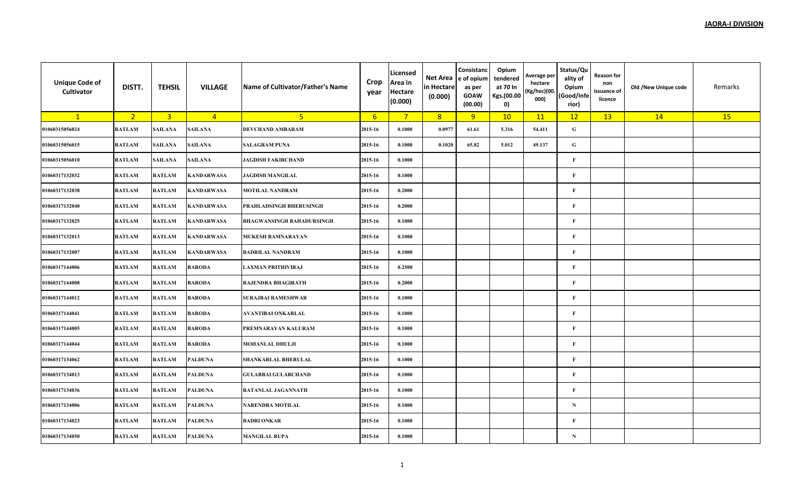| <b>Unique Code of</b><br>Cultivator | DISTT.         | <b>TEHSIL</b>           | <b>VILLAGE</b>    | Name of Cultivator/Father's Name | Crop<br>year     | Licensed<br>Area in<br>Hectare<br>(0.000) | Net Area<br>in Hectare<br>(0.000) | Consistanc<br>e of opium<br>as per<br><b>GOAW</b><br>(00.00) | Opium<br>tendered<br>at 70 In<br>Kgs.(00.00<br>0) | Average per<br>hectare<br>(Kg/hec)(00.<br>000) | Status/Qu<br>ality of<br>Opium<br>(Good/Infe<br>rior) | Reason for<br>non<br>issuance of<br>licence | Old /New Unique code | Remarks |
|-------------------------------------|----------------|-------------------------|-------------------|----------------------------------|------------------|-------------------------------------------|-----------------------------------|--------------------------------------------------------------|---------------------------------------------------|------------------------------------------------|-------------------------------------------------------|---------------------------------------------|----------------------|---------|
| $\mathbf{1}$                        | 2 <sup>2</sup> | $\overline{\mathbf{3}}$ | $\overline{4}$    | 5 <sup>2</sup>                   | $6 \overline{6}$ | $\overline{7}$                            | 8                                 | 9                                                            | 10                                                | 11                                             | 12                                                    | 13                                          | 14                   | 15      |
| 01060315056024                      | <b>RATLAM</b>  | SAILANA                 | <b>SAILANA</b>    | <b>DEVCHAND AMBARAM</b>          | 2015-16          | 0.1000                                    | 0.0977                            | 61.61                                                        | 5.316                                             | 54.411                                         | ${\bf G}$                                             |                                             |                      |         |
| 01060315056015                      | <b>RATLAM</b>  | SAILANA                 | SAILANA           | <b>SALAGRAM PUNA</b>             | 2015-16          | 0.1000                                    | 0.1020                            | 65.82                                                        | 5.012                                             | 49.137                                         | ${\bf G}$                                             |                                             |                      |         |
| 01060315056010                      | <b>RATLAM</b>  | SAILANA                 | SAILANA           | <b>JAGDISH FAKIRCHAND</b>        | 2015-16          | 0.1000                                    |                                   |                                                              |                                                   |                                                | $\mathbf{F}$                                          |                                             |                      |         |
| 01060317132032                      | <b>RATLAM</b>  | <b>RATLAM</b>           | <b>KANDARWASA</b> | <b>JAGDISH MANGILAL</b>          | 2015-16          | 0.1000                                    |                                   |                                                              |                                                   |                                                | $\mathbf F$                                           |                                             |                      |         |
| 01060317132038                      | <b>RATLAM</b>  | <b>RATLAM</b>           | <b>KANDARWASA</b> | <b>MOTILAL NANDRAM</b>           | 2015-16          | 0.2000                                    |                                   |                                                              |                                                   |                                                | $\mathbf{F}$                                          |                                             |                      |         |
| 01060317132040                      | <b>RATLAM</b>  | <b>RATLAM</b>           | <b>KANDARWASA</b> | PRAHLADSINGH BHERUSINGH          | 2015-16          | 0.2000                                    |                                   |                                                              |                                                   |                                                | $\mathbf{F}$                                          |                                             |                      |         |
| 01060317132025                      | <b>RATLAM</b>  | <b>RATLAM</b>           | <b>KANDARWASA</b> | <b>BHAGWANSINGH BAHADURSINGH</b> | 2015-16          | 0.1000                                    |                                   |                                                              |                                                   |                                                | $\bf F$                                               |                                             |                      |         |
| 01060317132013                      | <b>RATLAM</b>  | <b>RATLAM</b>           | <b>KANDARWASA</b> | <b>MUKESH RAMNARAYAN</b>         | 2015-16          | 0.1000                                    |                                   |                                                              |                                                   |                                                | $\mathbf{F}$                                          |                                             |                      |         |
| 01060317132007                      | <b>RATLAM</b>  | <b>RATLAM</b>           | <b>KANDARWASA</b> | <b>BADRILAL NANDRAM</b>          | 2015-16          | 0.1000                                    |                                   |                                                              |                                                   |                                                | $\bf F$                                               |                                             |                      |         |
| 01060317144006                      | <b>RATLAM</b>  | <b>RATLAM</b>           | <b>BARODA</b>     | <b>LAXMAN PRITHIVIRAJ</b>        | 2015-16          | 0.2500                                    |                                   |                                                              |                                                   |                                                | $\mathbf{F}$                                          |                                             |                      |         |
| 01060317144008                      | <b>RATLAM</b>  | <b>RATLAM</b>           | <b>BARODA</b>     | <b>RAJENDRA BHAGIRATH</b>        | 2015-16          | 0.2000                                    |                                   |                                                              |                                                   |                                                | $\mathbf{F}$                                          |                                             |                      |         |
| 01060317144012                      | <b>RATLAM</b>  | <b>RATLAM</b>           | <b>BARODA</b>     | <b>SURAJBAI RAMESHWAR</b>        | 2015-16          | 0.1000                                    |                                   |                                                              |                                                   |                                                | $\mathbf{F}$                                          |                                             |                      |         |
| 01060317144041                      | <b>RATLAM</b>  | <b>RATLAM</b>           | <b>BARODA</b>     | AVANTIBAI ONKARLAL               | 2015-16          | 0.1000                                    |                                   |                                                              |                                                   |                                                | F                                                     |                                             |                      |         |
| 01060317144005                      | <b>RATLAM</b>  | <b>RATLAM</b>           | <b>BARODA</b>     | PREMNARAYAN KALURAM              | 2015-16          | 0.1000                                    |                                   |                                                              |                                                   |                                                | $\mathbf{F}$                                          |                                             |                      |         |
| 01060317144044                      | <b>RATLAM</b>  | <b>RATLAM</b>           | <b>BARODA</b>     | <b>MOHANLAL DHULJI</b>           | 2015-16          | 0.1000                                    |                                   |                                                              |                                                   |                                                | $\mathbf{F}$                                          |                                             |                      |         |
| 01060317134062                      | <b>RATLAM</b>  | <b>RATLAM</b>           | <b>PALDUNA</b>    | <b>SHANKARLAL BHERULAL</b>       | 2015-16          | 0.1000                                    |                                   |                                                              |                                                   |                                                | $\mathbf{F}$                                          |                                             |                      |         |
| 01060317134013                      | <b>RATLAM</b>  | <b>RATLAM</b>           | <b>PALDUNA</b>    | <b>GULABBAI GULABCHAND</b>       | 2015-16          | 0.1000                                    |                                   |                                                              |                                                   |                                                | $\bf F$                                               |                                             |                      |         |
| 01060317134036                      | <b>RATLAM</b>  | <b>RATLAM</b>           | <b>PALDUNA</b>    | RATANLAL JAGANNATH               | 2015-16          | 0.1000                                    |                                   |                                                              |                                                   |                                                | $\mathbf{F}$                                          |                                             |                      |         |
| 01060317134006                      | <b>RATLAM</b>  | <b>RATLAM</b>           | <b>PALDUNA</b>    | NARENDRA MOTILAL                 | 2015-16          | 0.1000                                    |                                   |                                                              |                                                   |                                                | ${\bf N}$                                             |                                             |                      |         |
| 01060317134023                      | <b>RATLAM</b>  | <b>RATLAM</b>           | <b>PALDUNA</b>    | <b>BADRI ONKAR</b>               | 2015-16          | 0.1000                                    |                                   |                                                              |                                                   |                                                | $\mathbf{F}$                                          |                                             |                      |         |
| 01060317134050                      | <b>RATLAM</b>  | <b>RATLAM</b>           | <b>PALDUNA</b>    | <b>MANGILAL RUPA</b>             | 2015-16          | 0.1000                                    |                                   |                                                              |                                                   |                                                | ${\bf N}$                                             |                                             |                      |         |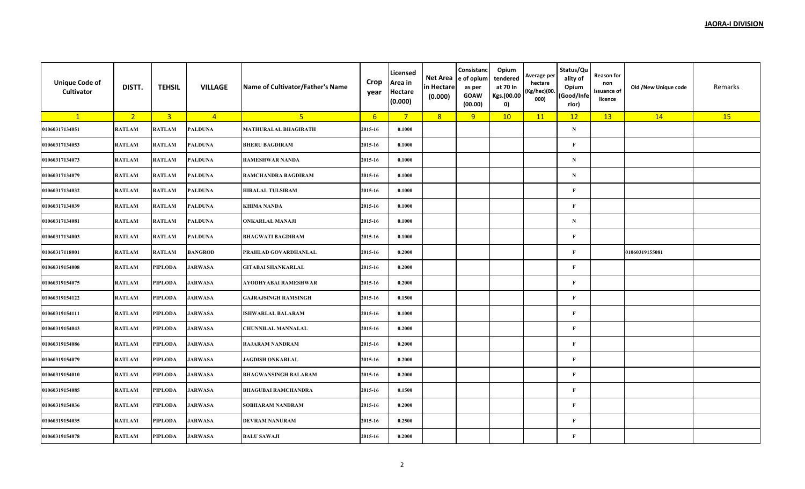| <b>Unique Code of</b><br>Cultivator | DISTT.         | <b>TEHSIL</b>           | <b>VILLAGE</b> | Name of Cultivator/Father's Name | Crop<br>year | Licensed<br>Area in<br><b>Hectare</b><br>(0.000) | Net Area<br>in Hectare<br>(0.000) | Consistanc<br>e of opium<br>as per<br><b>GOAW</b><br>(00.00) | Opium<br>tendered<br>at 70 In<br>Kgs.(00.00<br>0) | Average per<br>hectare<br>(Kg/hec)(00.<br>000) | Status/Qu<br>ality of<br>Opium<br>(Good/Infe<br>rior) | Reason for<br>non<br>issuance of<br>licence | Old /New Unique code | Remarks |
|-------------------------------------|----------------|-------------------------|----------------|----------------------------------|--------------|--------------------------------------------------|-----------------------------------|--------------------------------------------------------------|---------------------------------------------------|------------------------------------------------|-------------------------------------------------------|---------------------------------------------|----------------------|---------|
| $\mathbf{1}$                        | 2 <sup>2</sup> | $\overline{\mathbf{3}}$ | $\overline{4}$ | 5 <sub>1</sub>                   | 6            | $\overline{7}$                                   | 8                                 | 9                                                            | 10                                                | 11                                             | 12                                                    | 13                                          | 14                   | 15      |
| 01060317134051                      | <b>RATLAM</b>  | <b>RATLAM</b>           | <b>PALDUNA</b> | <b>MATHURALAL BHAGIRATH</b>      | 2015-16      | 0.1000                                           |                                   |                                                              |                                                   |                                                | ${\bf N}$                                             |                                             |                      |         |
| 01060317134053                      | <b>RATLAM</b>  | <b>RATLAM</b>           | <b>PALDUNA</b> | <b>BHERU BAGDIRAM</b>            | 2015-16      | 0.1000                                           |                                   |                                                              |                                                   |                                                | $\mathbf{F}$                                          |                                             |                      |         |
| 01060317134073                      | <b>RATLAM</b>  | <b>RATLAM</b>           | <b>PALDUNA</b> | <b>RAMESHWAR NANDA</b>           | 2015-16      | 0.1000                                           |                                   |                                                              |                                                   |                                                | N                                                     |                                             |                      |         |
| 01060317134079                      | <b>RATLAM</b>  | <b>RATLAM</b>           | <b>PALDUNA</b> | RAMCHANDRA BAGDIRAM              | 2015-16      | 0.1000                                           |                                   |                                                              |                                                   |                                                | $\mathbf N$                                           |                                             |                      |         |
| 01060317134032                      | <b>RATLAM</b>  | <b>RATLAM</b>           | <b>PALDUNA</b> | <b>HIRALAL TULSIRAM</b>          | 2015-16      | 0.1000                                           |                                   |                                                              |                                                   |                                                | $\mathbf{F}$                                          |                                             |                      |         |
| 01060317134039                      | <b>RATLAM</b>  | <b>RATLAM</b>           | <b>PALDUNA</b> | <b>KHIMA NANDA</b>               | 2015-16      | 0.1000                                           |                                   |                                                              |                                                   |                                                | $\mathbf{F}$                                          |                                             |                      |         |
| 01060317134081                      | <b>RATLAM</b>  | <b>RATLAM</b>           | <b>PALDUNA</b> | <b>ONKARLAL MANAJI</b>           | 2015-16      | 0.1000                                           |                                   |                                                              |                                                   |                                                | ${\bf N}$                                             |                                             |                      |         |
| 01060317134003                      | <b>RATLAM</b>  | <b>RATLAM</b>           | <b>PALDUNA</b> | <b>BHAGWATI BAGDIRAM</b>         | 2015-16      | 0.1000                                           |                                   |                                                              |                                                   |                                                | $\mathbf{F}$                                          |                                             |                      |         |
| 01060317118001                      | <b>RATLAM</b>  | <b>RATLAM</b>           | <b>BANGROD</b> | PRAHLAD GOVARDHANLAL             | 2015-16      | 0.2000                                           |                                   |                                                              |                                                   |                                                | $\bf F$                                               |                                             | 01060319155081       |         |
| 01060319154008                      | <b>RATLAM</b>  | PIPLODA                 | <b>JARWASA</b> | <b>GITABAI SHANKARLAL</b>        | 2015-16      | 0.2000                                           |                                   |                                                              |                                                   |                                                | $\mathbf{F}$                                          |                                             |                      |         |
| 01060319154075                      | <b>RATLAM</b>  | PIPLODA                 | <b>JARWASA</b> | AYODHYABAI RAMESHWAR             | 2015-16      | 0.2000                                           |                                   |                                                              |                                                   |                                                | $\mathbf{F}$                                          |                                             |                      |         |
| 01060319154122                      | <b>RATLAM</b>  | PIPLODA                 | <b>JARWASA</b> | <b>GAJRAJSINGH RAMSINGH</b>      | 2015-16      | 0.1500                                           |                                   |                                                              |                                                   |                                                | $\mathbf{F}$                                          |                                             |                      |         |
| 01060319154111                      | <b>RATLAM</b>  | PIPLODA                 | <b>JARWASA</b> | <b>ISHWARLAL BALARAM</b>         | 2015-16      | 0.1000                                           |                                   |                                                              |                                                   |                                                | F                                                     |                                             |                      |         |
| 01060319154043                      | <b>RATLAM</b>  | PIPLODA                 | <b>JARWASA</b> | <b>CHUNNILAL MANNALAL</b>        | 2015-16      | 0.2000                                           |                                   |                                                              |                                                   |                                                | $\mathbf{F}$                                          |                                             |                      |         |
| 01060319154086                      | <b>RATLAM</b>  | PIPLODA                 | <b>JARWASA</b> | <b>RAJARAM NANDRAM</b>           | 2015-16      | 0.2000                                           |                                   |                                                              |                                                   |                                                | $\mathbf{F}$                                          |                                             |                      |         |
| 01060319154079                      | <b>RATLAM</b>  | PIPLODA                 | <b>JARWASA</b> | <b>JAGDISH ONKARLAL</b>          | 2015-16      | 0.2000                                           |                                   |                                                              |                                                   |                                                | $\mathbf{F}$                                          |                                             |                      |         |
| 01060319154010                      | <b>RATLAM</b>  | PIPLODA                 | <b>JARWASA</b> | <b>BHAGWANSINGH BALARAM</b>      | 2015-16      | 0.2000                                           |                                   |                                                              |                                                   |                                                | $\bf F$                                               |                                             |                      |         |
| 01060319154085                      | <b>RATLAM</b>  | PIPLODA                 | <b>JARWASA</b> | <b>BHAGUBAI RAMCHANDRA</b>       | 2015-16      | 0.1500                                           |                                   |                                                              |                                                   |                                                | $\mathbf{F}$                                          |                                             |                      |         |
| 01060319154036                      | <b>RATLAM</b>  | PIPLODA                 | <b>JARWASA</b> | <b>SOBHARAM NANDRAM</b>          | 2015-16      | 0.2000                                           |                                   |                                                              |                                                   |                                                | $\bf F$                                               |                                             |                      |         |
| 01060319154035                      | <b>RATLAM</b>  | PIPLODA                 | <b>JARWASA</b> | DEVRAM NANURAM                   | 2015-16      | 0.2500                                           |                                   |                                                              |                                                   |                                                | $\mathbf{F}$                                          |                                             |                      |         |
| 01060319154078                      | <b>RATLAM</b>  | PIPLODA                 | <b>JARWASA</b> | <b>BALU SAWAJI</b>               | 2015-16      | 0.2000                                           |                                   |                                                              |                                                   |                                                | $\mathbf{F}$                                          |                                             |                      |         |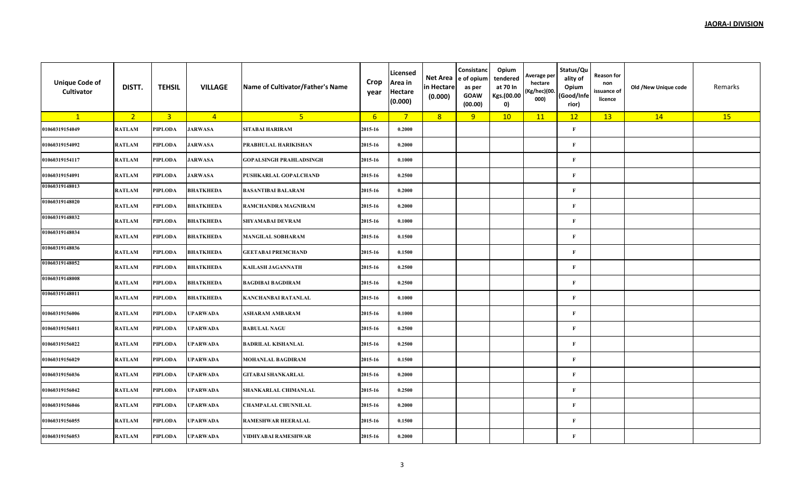| <b>Unique Code of</b><br>Cultivator | DISTT.         | <b>TEHSIL</b>  | <b>VILLAGE</b>   | Name of Cultivator/Father's Name | Crop<br>year    | Licensed<br>Area in<br><b>Hectare</b><br>(0.000) | Net Area<br>in Hectare<br>(0.000) | Consistanc<br>e of opium<br>as per<br><b>GOAW</b><br>(00.00) | Opium<br>tendered<br>at 70 In<br>Kgs.(00.00<br>0) | Average per<br>hectare<br>(Kg/hec)(00.<br>000) | Status/Qu<br>ality of<br>Opium<br>(Good/Infe<br>rior) | <b>Reason for</b><br>non<br>issuance of<br>licence | Old /New Unique code | Remarks |
|-------------------------------------|----------------|----------------|------------------|----------------------------------|-----------------|--------------------------------------------------|-----------------------------------|--------------------------------------------------------------|---------------------------------------------------|------------------------------------------------|-------------------------------------------------------|----------------------------------------------------|----------------------|---------|
| $\mathbf{1}$                        | 2 <sub>1</sub> | $\overline{3}$ | $\overline{4}$   | 5 <sup>2</sup>                   | $6\overline{6}$ | $7^{\circ}$                                      | 8                                 | 9                                                            | 10                                                | 11                                             | 12                                                    | 13                                                 | 14                   | 15      |
| 01060319154049                      | <b>RATLAM</b>  | <b>PIPLODA</b> | <b>JARWASA</b>   | <b>SITABAI HARIRAM</b>           | 2015-16         | 0.2000                                           |                                   |                                                              |                                                   |                                                | $\mathbf F$                                           |                                                    |                      |         |
| 01060319154092                      | RATLAM         | <b>PIPLODA</b> | <b>JARWASA</b>   | PRABHULAL HARIKISHAN             | 2015-16         | 0.2000                                           |                                   |                                                              |                                                   |                                                | $\mathbf{F}$                                          |                                                    |                      |         |
| 01060319154117                      | RATLAM         | <b>PIPLODA</b> | <b>JARWASA</b>   | <b>GOPALSINGH PRAHLADSINGH</b>   | 2015-16         | 0.1000                                           |                                   |                                                              |                                                   |                                                | $\mathbf{F}$                                          |                                                    |                      |         |
| 01060319154091                      | RATLAM         | <b>PIPLODA</b> | <b>JARWASA</b>   | PUSHKARLAL GOPALCHAND            | 2015-16         | 0.2500                                           |                                   |                                                              |                                                   |                                                | $\mathbf{F}$                                          |                                                    |                      |         |
| 01060319148013                      | RATLAM         | <b>PIPLODA</b> | <b>BHATKHEDA</b> | <b>BASANTIBAI BALARAM</b>        | 2015-16         | 0.2000                                           |                                   |                                                              |                                                   |                                                | $\mathbf{F}$                                          |                                                    |                      |         |
| 01060319148020                      | RATLAM         | <b>PIPLODA</b> | <b>BHATKHEDA</b> | RAMCHANDRA MAGNIRAM              | 2015-16         | 0.2000                                           |                                   |                                                              |                                                   |                                                | $\mathbf{F}$                                          |                                                    |                      |         |
| 01060319148032                      | RATLAM         | <b>PIPLODA</b> | <b>BHATKHEDA</b> | <b>SHYAMABAI DEVRAM</b>          | 2015-16         | 0.1000                                           |                                   |                                                              |                                                   |                                                | $\mathbf{F}$                                          |                                                    |                      |         |
| 01060319148034                      | RATLAM         | <b>PIPLODA</b> | BHATKHEDA        | <b>MANGILAL SOBHARAM</b>         | 2015-16         | 0.1500                                           |                                   |                                                              |                                                   |                                                | $\mathbf{F}$                                          |                                                    |                      |         |
| 01060319148036                      | RATLAM         | <b>PIPLODA</b> | <b>BHATKHEDA</b> | <b>GEETABAI PREMCHAND</b>        | 2015-16         | 0.1500                                           |                                   |                                                              |                                                   |                                                | $\mathbf{F}$                                          |                                                    |                      |         |
| 01060319148052                      | RATLAM         | <b>PIPLODA</b> | <b>BHATKHEDA</b> | KAILASH JAGANNATH                | 2015-16         | 0.2500                                           |                                   |                                                              |                                                   |                                                | $\mathbf{F}$                                          |                                                    |                      |         |
| 01060319148008                      | RATLAM         | <b>PIPLODA</b> | <b>BHATKHEDA</b> | <b>BAGDIBAI BAGDIRAM</b>         | 2015-16         | 0.2500                                           |                                   |                                                              |                                                   |                                                | $\mathbf{F}$                                          |                                                    |                      |         |
| 01060319148011                      | RATLAM         | <b>PIPLODA</b> | <b>BHATKHEDA</b> | <b>KANCHANBAI RATANLAL</b>       | 2015-16         | 0.1000                                           |                                   |                                                              |                                                   |                                                | $\mathbf{F}$                                          |                                                    |                      |         |
| 01060319156006                      | RATLAM         | <b>PIPLODA</b> | <b>UPARWADA</b>  | ASHARAM AMBARAM                  | 2015-16         | 0.1000                                           |                                   |                                                              |                                                   |                                                | $\mathbf{F}$                                          |                                                    |                      |         |
| 01060319156011                      | RATLAM         | <b>PIPLODA</b> | <b>UPARWADA</b>  | <b>BABULAL NAGU</b>              | 2015-16         | 0.2500                                           |                                   |                                                              |                                                   |                                                | $\mathbf{F}$                                          |                                                    |                      |         |
| 01060319156022                      | RATLAM         | <b>PIPLODA</b> | <b>UPARWADA</b>  | <b>BADRILAL KISHANLAL</b>        | 2015-16         | 0.2500                                           |                                   |                                                              |                                                   |                                                | $\mathbf{F}$                                          |                                                    |                      |         |
| 01060319156029                      | RATLAM         | <b>PIPLODA</b> | <b>UPARWADA</b>  | <b>MOHANLAL BAGDIRAM</b>         | 2015-16         | 0.1500                                           |                                   |                                                              |                                                   |                                                | $\mathbf{F}$                                          |                                                    |                      |         |
| 01060319156036                      | RATLAM         | <b>PIPLODA</b> | <b>UPARWADA</b>  | <b>GITABAI SHANKARLAL</b>        | 2015-16         | 0.2000                                           |                                   |                                                              |                                                   |                                                | $\mathbf{F}$                                          |                                                    |                      |         |
| 01060319156042                      | RATLAM         | <b>PIPLODA</b> | <b>UPARWADA</b>  | SHANKARLAL CHIMANLAL             | 2015-16         | 0.2500                                           |                                   |                                                              |                                                   |                                                | $\mathbf{F}$                                          |                                                    |                      |         |
| 01060319156046                      | RATLAM         | <b>PIPLODA</b> | <b>UPARWADA</b>  | <b>CHAMPALAL CHUNNILAL</b>       | 2015-16         | 0.2000                                           |                                   |                                                              |                                                   |                                                | $\mathbf{F}$                                          |                                                    |                      |         |
| 01060319156055                      | RATLAM         | <b>PIPLODA</b> | <b>UPARWADA</b>  | RAMESHWAR HEERALAL               | 2015-16         | 0.1500                                           |                                   |                                                              |                                                   |                                                | $\mathbf{F}$                                          |                                                    |                      |         |
| 01060319156053                      | RATLAM         | <b>PIPLODA</b> | <b>UPARWADA</b>  | VIDHYABAI RAMESHWAR              | 2015-16         | 0.2000                                           |                                   |                                                              |                                                   |                                                | $\mathbf{F}$                                          |                                                    |                      |         |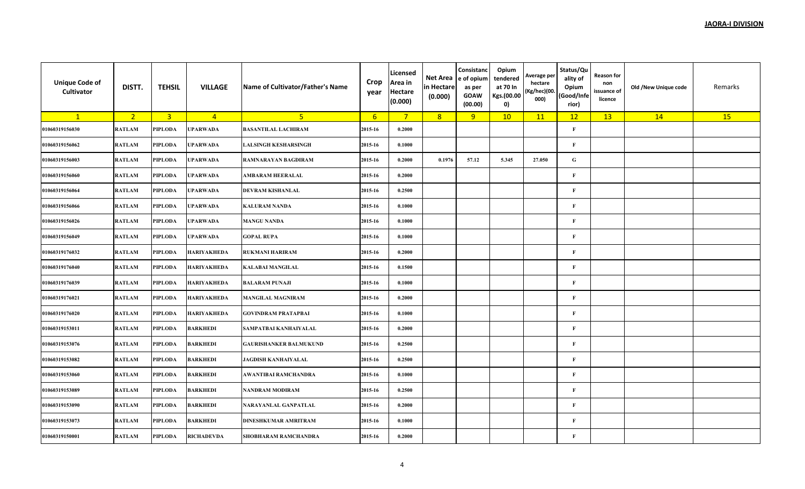| <b>Unique Code of</b><br>Cultivator | DISTT.         | <b>TEHSIL</b>           | <b>VILLAGE</b>     | Name of Cultivator/Father's Name | Crop<br>year     | Licensed<br>Area in<br><b>Hectare</b><br>(0.000) | Net Area<br>in Hectare<br>(0.000) | Consistanc<br>e of opium<br>as per<br><b>GOAW</b><br>(00.00) | Opium<br>tendered<br>at 70 In<br>Kgs.(00.00<br>0) | Average per<br>hectare<br>(Kg/hec)(00.<br>000) | Status/Qu<br>ality of<br>Opium<br>(Good/Infe<br>rior) | Reason for<br>non<br>issuance of<br>licence | Old /New Unique code | Remarks |
|-------------------------------------|----------------|-------------------------|--------------------|----------------------------------|------------------|--------------------------------------------------|-----------------------------------|--------------------------------------------------------------|---------------------------------------------------|------------------------------------------------|-------------------------------------------------------|---------------------------------------------|----------------------|---------|
| $\mathbf{1}$                        | 2 <sup>2</sup> | $\overline{\mathbf{3}}$ | $\overline{4}$     | 5 <sub>1</sub>                   | $6 \overline{6}$ | $\overline{7}$                                   | 8                                 | 9                                                            | 10                                                | 11                                             | 12                                                    | 13                                          | 14                   | 15      |
| 01060319156030                      | <b>RATLAM</b>  | PIPLODA                 | <b>UPARWADA</b>    | <b>BASANTILAL LACHIRAM</b>       | 2015-16          | 0.2000                                           |                                   |                                                              |                                                   |                                                | $\mathbf{F}$                                          |                                             |                      |         |
| 01060319156062                      | <b>RATLAM</b>  | PIPLODA                 | <b>UPARWADA</b>    | <b>LALSINGH KESHARSINGH</b>      | 2015-16          | 0.1000                                           |                                   |                                                              |                                                   |                                                | $\mathbf{F}$                                          |                                             |                      |         |
| 01060319156003                      | <b>RATLAM</b>  | PIPLODA                 | <b>UPARWADA</b>    | RAMNARAYAN BAGDIRAM              | 2015-16          | 0.2000                                           | 0.1976                            | 57.12                                                        | 5.345                                             | 27.050                                         | ${\bf G}$                                             |                                             |                      |         |
| 01060319156060                      | <b>RATLAM</b>  | PIPLODA                 | <b>UPARWADA</b>    | <b>AMBARAM HEERALAL</b>          | 2015-16          | 0.2000                                           |                                   |                                                              |                                                   |                                                | $\mathbf F$                                           |                                             |                      |         |
| 01060319156064                      | <b>RATLAM</b>  | PIPLODA                 | <b>UPARWADA</b>    | <b>DEVRAM KISHANLAL</b>          | 2015-16          | 0.2500                                           |                                   |                                                              |                                                   |                                                | $\mathbf{F}$                                          |                                             |                      |         |
| 01060319156066                      | <b>RATLAM</b>  | PIPLODA                 | <b>UPARWADA</b>    | <b>KALURAM NANDA</b>             | 2015-16          | 0.1000                                           |                                   |                                                              |                                                   |                                                | $\mathbf{F}$                                          |                                             |                      |         |
| 01060319156026                      | <b>RATLAM</b>  | PIPLODA                 | <b>UPARWADA</b>    | <b>MANGU NANDA</b>               | 2015-16          | 0.1000                                           |                                   |                                                              |                                                   |                                                | $\bf F$                                               |                                             |                      |         |
| 01060319156049                      | <b>RATLAM</b>  | PIPLODA                 | <b>UPARWADA</b>    | <b>GOPAL RUPA</b>                | 2015-16          | 0.1000                                           |                                   |                                                              |                                                   |                                                | $\mathbf{F}$                                          |                                             |                      |         |
| 01060319176032                      | <b>RATLAM</b>  | PIPLODA                 | <b>HARIYAKHEDA</b> | <b>RUKMANI HARIRAM</b>           | 2015-16          | 0.2000                                           |                                   |                                                              |                                                   |                                                | $\mathbf F$                                           |                                             |                      |         |
| 01060319176040                      | <b>RATLAM</b>  | PIPLODA                 | <b>HARIYAKHEDA</b> | <b>KALABAI MANGILAL</b>          | 2015-16          | 0.1500                                           |                                   |                                                              |                                                   |                                                | $\mathbf{F}$                                          |                                             |                      |         |
| 01060319176039                      | <b>RATLAM</b>  | PIPLODA                 | <b>HARIYAKHEDA</b> | <b>BALARAM PUNAJI</b>            | 2015-16          | 0.1000                                           |                                   |                                                              |                                                   |                                                | $\mathbf{F}$                                          |                                             |                      |         |
| 01060319176021                      | <b>RATLAM</b>  | PIPLODA                 | <b>HARIYAKHEDA</b> | <b>MANGILAL MAGNIRAM</b>         | 2015-16          | 0.2000                                           |                                   |                                                              |                                                   |                                                | $\mathbf{F}$                                          |                                             |                      |         |
| 01060319176020                      | <b>RATLAM</b>  | PIPLODA                 | <b>HARIYAKHEDA</b> | <b>GOVINDRAM PRATAPBAI</b>       | 2015-16          | 0.1000                                           |                                   |                                                              |                                                   |                                                | $\mathbf F$                                           |                                             |                      |         |
| 01060319153011                      | <b>RATLAM</b>  | PIPLODA                 | <b>BARKHEDI</b>    | SAMPATBAI KANHAIYALAL            | 2015-16          | 0.2000                                           |                                   |                                                              |                                                   |                                                | $\mathbf{F}$                                          |                                             |                      |         |
| 01060319153076                      | <b>RATLAM</b>  | PIPLODA                 | <b>BARKHEDI</b>    | <b>GAURISHANKER BALMUKUND</b>    | 2015-16          | 0.2500                                           |                                   |                                                              |                                                   |                                                | $\mathbf{F}$                                          |                                             |                      |         |
| 01060319153082                      | <b>RATLAM</b>  | PIPLODA                 | <b>BARKHEDI</b>    | <b>JAGDISH KANHAIYALAL</b>       | 2015-16          | 0.2500                                           |                                   |                                                              |                                                   |                                                | $\mathbf{F}$                                          |                                             |                      |         |
| 01060319153060                      | <b>RATLAM</b>  | PIPLODA                 | <b>BARKHEDI</b>    | AWANTIBAI RAMCHANDRA             | 2015-16          | 0.1000                                           |                                   |                                                              |                                                   |                                                | $\bf F$                                               |                                             |                      |         |
| 01060319153089                      | <b>RATLAM</b>  | PIPLODA                 | <b>BARKHEDI</b>    | NANDRAM MODIRAM                  | 2015-16          | 0.2500                                           |                                   |                                                              |                                                   |                                                | $\mathbf{F}$                                          |                                             |                      |         |
| 01060319153090                      | <b>RATLAM</b>  | PIPLODA                 | <b>BARKHEDI</b>    | NARAYANLAL GANPATLAL             | 2015-16          | 0.2000                                           |                                   |                                                              |                                                   |                                                | $\bf F$                                               |                                             |                      |         |
| 01060319153073                      | <b>RATLAM</b>  | PIPLODA                 | <b>BARKHEDI</b>    | <b>DINESHKUMAR AMRITRAM</b>      | 2015-16          | 0.1000                                           |                                   |                                                              |                                                   |                                                | $\mathbf{F}$                                          |                                             |                      |         |
| 01060319150001                      | <b>RATLAM</b>  | PIPLODA                 | <b>RICHADEVDA</b>  | SHOBHARAM RAMCHANDRA             | 2015-16          | 0.2000                                           |                                   |                                                              |                                                   |                                                | $\mathbf{F}$                                          |                                             |                      |         |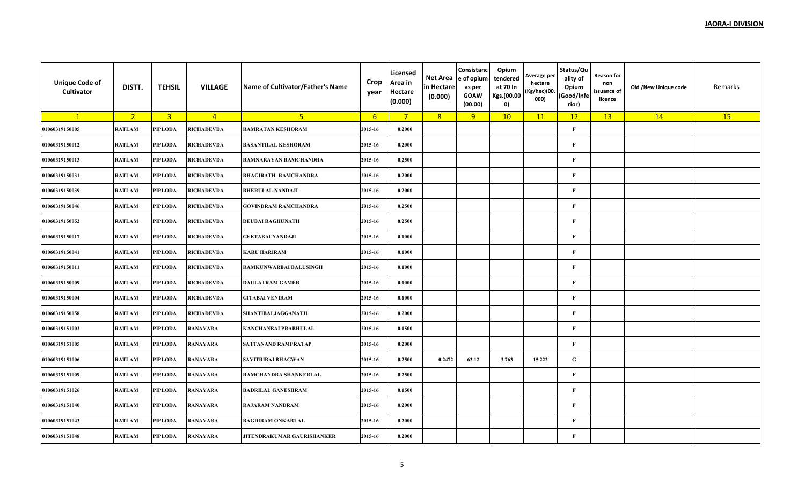| <b>Unique Code of</b><br>Cultivator | DISTT.         | <b>TEHSIL</b>           | <b>VILLAGE</b>    | Name of Cultivator/Father's Name  | Crop<br>year     | Licensed<br>Area in<br><b>Hectare</b><br>(0.000) | Net Area<br>in Hectare<br>(0.000) | Consistanc<br>e of opium<br>as per<br><b>GOAW</b><br>(00.00) | Opium<br>tendered<br>at 70 In<br>Kgs.(00.00<br>0) | Average per<br>hectare<br>(Kg/hec)(00.<br>000) | Status/Qu<br>ality of<br>Opium<br>(Good/Infe<br>rior) | Reason for<br>non<br>issuance of<br>licence | Old /New Unique code | Remarks |
|-------------------------------------|----------------|-------------------------|-------------------|-----------------------------------|------------------|--------------------------------------------------|-----------------------------------|--------------------------------------------------------------|---------------------------------------------------|------------------------------------------------|-------------------------------------------------------|---------------------------------------------|----------------------|---------|
| $\mathbf{1}$                        | 2 <sup>2</sup> | $\overline{\mathbf{3}}$ | $\overline{4}$    | 5 <sub>1</sub>                    | $6 \overline{6}$ | $7^{\circ}$                                      | 8                                 | 9                                                            | 10                                                | 11                                             | 12                                                    | 13                                          | 14                   | 15      |
| 01060319150005                      | <b>RATLAM</b>  | PIPLODA                 | <b>RICHADEVDA</b> | <b>RAMRATAN KESHORAM</b>          | 2015-16          | 0.2000                                           |                                   |                                                              |                                                   |                                                | $\mathbf{F}$                                          |                                             |                      |         |
| 01060319150012                      | <b>RATLAM</b>  | PIPLODA                 | <b>RICHADEVDA</b> | <b>BASANTILAL KESHORAM</b>        | 2015-16          | 0.2000                                           |                                   |                                                              |                                                   |                                                | $\mathbf{F}$                                          |                                             |                      |         |
| 01060319150013                      | <b>RATLAM</b>  | PIPLODA                 | <b>RICHADEVDA</b> | RAMNARAYAN RAMCHANDRA             | 2015-16          | 0.2500                                           |                                   |                                                              |                                                   |                                                | $\mathbf{F}$                                          |                                             |                      |         |
| 01060319150031                      | <b>RATLAM</b>  | PIPLODA                 | <b>RICHADEVDA</b> | <b>BHAGIRATH RAMCHANDRA</b>       | 2015-16          | 0.2000                                           |                                   |                                                              |                                                   |                                                | $\mathbf{F}$                                          |                                             |                      |         |
| 01060319150039                      | <b>RATLAM</b>  | PIPLODA                 | <b>RICHADEVDA</b> | <b>BHERULAL NANDAJI</b>           | 2015-16          | 0.2000                                           |                                   |                                                              |                                                   |                                                | $\mathbf{F}$                                          |                                             |                      |         |
| 01060319150046                      | <b>RATLAM</b>  | PIPLODA                 | <b>RICHADEVDA</b> | <b>GOVINDRAM RAMCHANDRA</b>       | 2015-16          | 0.2500                                           |                                   |                                                              |                                                   |                                                | $\mathbf{F}$                                          |                                             |                      |         |
| 01060319150052                      | <b>RATLAM</b>  | PIPLODA                 | <b>RICHADEVDA</b> | <b>DEUBAI RAGHUNATH</b>           | 2015-16          | 0.2500                                           |                                   |                                                              |                                                   |                                                | $\mathbf{F}$                                          |                                             |                      |         |
| 01060319150017                      | <b>RATLAM</b>  | PIPLODA                 | <b>RICHADEVDA</b> | <b>GEETABAI NANDAJI</b>           | 2015-16          | 0.1000                                           |                                   |                                                              |                                                   |                                                | $\mathbf{F}$                                          |                                             |                      |         |
| 01060319150041                      | <b>RATLAM</b>  | PIPLODA                 | <b>RICHADEVDA</b> | <b>KARU HARIRAM</b>               | 2015-16          | 0.1000                                           |                                   |                                                              |                                                   |                                                | $\mathbf F$                                           |                                             |                      |         |
| 01060319150011                      | <b>RATLAM</b>  | PIPLODA                 | <b>RICHADEVDA</b> | <b>RAMKUNWARBAI BALUSINGH</b>     | 2015-16          | 0.1000                                           |                                   |                                                              |                                                   |                                                | $\mathbf{F}$                                          |                                             |                      |         |
| 01060319150009                      | <b>RATLAM</b>  | PIPLODA                 | <b>RICHADEVDA</b> | <b>DAULATRAM GAMER</b>            | 2015-16          | 0.1000                                           |                                   |                                                              |                                                   |                                                | $\mathbf F$                                           |                                             |                      |         |
| 01060319150004                      | <b>RATLAM</b>  | PIPLODA                 | <b>RICHADEVDA</b> | <b>GITABAI VENIRAM</b>            | 2015-16          | 0.1000                                           |                                   |                                                              |                                                   |                                                | $\mathbf{F}$                                          |                                             |                      |         |
| 01060319150058                      | <b>RATLAM</b>  | PIPLODA                 | <b>RICHADEVDA</b> | <b>SHANTIBAI JAGGANATH</b>        | 2015-16          | 0.2000                                           |                                   |                                                              |                                                   |                                                | $\mathbf{F}$                                          |                                             |                      |         |
| 01060319151002                      | <b>RATLAM</b>  | PIPLODA                 | <b>RANAYARA</b>   | <b>KANCHANBAI PRABHULAL</b>       | 2015-16          | 0.1500                                           |                                   |                                                              |                                                   |                                                | $\mathbf{F}$                                          |                                             |                      |         |
| 01060319151005                      | <b>RATLAM</b>  | PIPLODA                 | <b>RANAYARA</b>   | SATTANAND RAMPRATAP               | 2015-16          | 0.2000                                           |                                   |                                                              |                                                   |                                                | $\mathbf{F}$                                          |                                             |                      |         |
| 01060319151006                      | <b>RATLAM</b>  | PIPLODA                 | <b>RANAYARA</b>   | <b>SAVITRIBAI BHAGWAN</b>         | 2015-16          | 0.2500                                           | 0.2472                            | 62.12                                                        | 3.763                                             | 15.222                                         | ${\bf G}$                                             |                                             |                      |         |
| 01060319151009                      | <b>RATLAM</b>  | PIPLODA                 | <b>RANAYARA</b>   | RAMCHANDRA SHANKERLAL             | 2015-16          | 0.2500                                           |                                   |                                                              |                                                   |                                                | $\mathbf{F}$                                          |                                             |                      |         |
| 01060319151026                      | <b>RATLAM</b>  | PIPLODA                 | <b>RANAYARA</b>   | <b>BADRILAL GANESHRAM</b>         | 2015-16          | 0.1500                                           |                                   |                                                              |                                                   |                                                | $\mathbf{F}$                                          |                                             |                      |         |
| 01060319151040                      | <b>RATLAM</b>  | PIPLODA                 | <b>RANAYARA</b>   | <b>RAJARAM NANDRAM</b>            | 2015-16          | 0.2000                                           |                                   |                                                              |                                                   |                                                | $\mathbf{F}$                                          |                                             |                      |         |
| 01060319151043                      | <b>RATLAM</b>  | PIPLODA                 | <b>RANAYARA</b>   | <b>BAGDIRAM ONKARLAL</b>          | 2015-16          | 0.2000                                           |                                   |                                                              |                                                   |                                                | $\mathbf{F}$                                          |                                             |                      |         |
| 01060319151048                      | <b>RATLAM</b>  | PIPLODA                 | <b>RANAYARA</b>   | <b>JITENDRAKUMAR GAURISHANKER</b> | 2015-16          | 0.2000                                           |                                   |                                                              |                                                   |                                                | $\mathbf{F}$                                          |                                             |                      |         |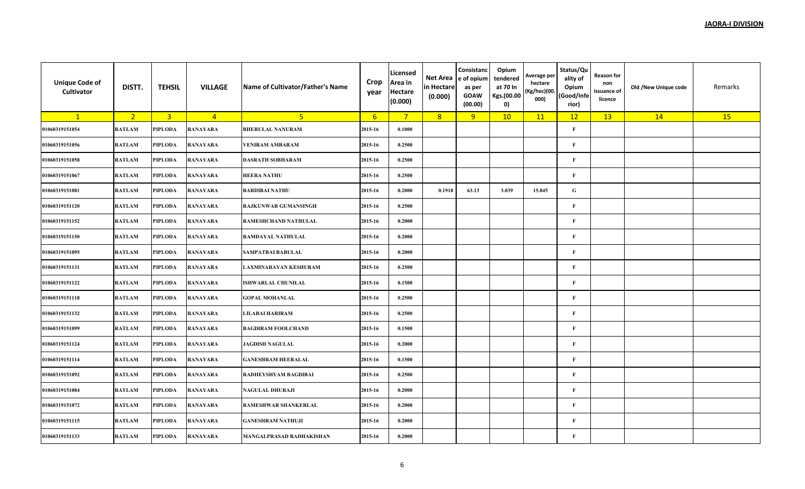| <b>Unique Code of</b><br>Cultivator | DISTT.         | <b>TEHSIL</b>           | <b>VILLAGE</b>  | Name of Cultivator/Father's Name | Crop<br>year    | Licensed<br>Area in<br><b>Hectare</b><br>(0.000) | Net Area<br>in Hectare<br>(0.000) | Consistanc<br>e of opium<br>as per<br><b>GOAW</b><br>(00.00) | Opium<br>tendered<br>at 70 In<br>Kgs.(00.00<br>0) | Average per<br>hectare<br>(Kg/hec)(00.<br>000) | Status/Qu<br>ality of<br>Opium<br>(Good/Infe<br>rior) | Reason for<br>non<br>issuance of<br>licence | Old /New Unique code | Remarks |
|-------------------------------------|----------------|-------------------------|-----------------|----------------------------------|-----------------|--------------------------------------------------|-----------------------------------|--------------------------------------------------------------|---------------------------------------------------|------------------------------------------------|-------------------------------------------------------|---------------------------------------------|----------------------|---------|
| $\mathbf{1}$                        | 2 <sup>2</sup> | $\overline{\mathbf{3}}$ | $\overline{4}$  | 5 <sup>2</sup>                   | $6\overline{6}$ | $7^{\circ}$                                      | 8                                 | 9                                                            | 10                                                | 11                                             | 12                                                    | 13                                          | 14                   | 15      |
| 01060319151054                      | <b>RATLAM</b>  | PIPLODA                 | <b>RANAYARA</b> | <b>BHERULAL NANURAM</b>          | 2015-16         | 0.1000                                           |                                   |                                                              |                                                   |                                                | $\mathbf{F}$                                          |                                             |                      |         |
| 01060319151056                      | <b>RATLAM</b>  | PIPLODA                 | <b>RANAYARA</b> | <b>VENIRAM AMBARAM</b>           | 2015-16         | 0.2500                                           |                                   |                                                              |                                                   |                                                | $\mathbf{F}$                                          |                                             |                      |         |
| 01060319151058                      | <b>RATLAM</b>  | PIPLODA                 | <b>RANAYARA</b> | <b>DASRATH SOBHARAM</b>          | 2015-16         | 0.2500                                           |                                   |                                                              |                                                   |                                                | $\mathbf{F}$                                          |                                             |                      |         |
| 01060319151067                      | <b>RATLAM</b>  | PIPLODA                 | <b>RANAYARA</b> | <b>HEERA NATHU</b>               | 2015-16         | 0.2500                                           |                                   |                                                              |                                                   |                                                | $\mathbf{F}$                                          |                                             |                      |         |
| 01060319151081                      | <b>RATLAM</b>  | PIPLODA                 | <b>RANAYARA</b> | <b>BARDIBAI NATHU</b>            | 2015-16         | 0.2000                                           | 0.1918                            | 63.13                                                        | 3.039                                             | 15.845                                         | ${\bf G}$                                             |                                             |                      |         |
| 01060319151120                      | <b>RATLAM</b>  | PIPLODA                 | <b>RANAYARA</b> | <b>RAJKUNWAR GUMANSINGH</b>      | 2015-16         | 0.2500                                           |                                   |                                                              |                                                   |                                                | $\mathbf{F}$                                          |                                             |                      |         |
| 01060319151152                      | <b>RATLAM</b>  | PIPLODA                 | <b>RANAYARA</b> | RAMESHCHAND NATHULAL             | 2015-16         | 0.2000                                           |                                   |                                                              |                                                   |                                                | $\mathbf{F}$                                          |                                             |                      |         |
| 01060319151150                      | <b>RATLAM</b>  | PIPLODA                 | <b>RANAYARA</b> | <b>RAMDAYAL NATHULAL</b>         | 2015-16         | 0.2000                                           |                                   |                                                              |                                                   |                                                | $\mathbf{F}$                                          |                                             |                      |         |
| 01060319151095                      | <b>RATLAM</b>  | PIPLODA                 | <b>RANAYARA</b> | <b>SAMPATBAI BABULAL</b>         | 2015-16         | 0.2000                                           |                                   |                                                              |                                                   |                                                | $\mathbf F$                                           |                                             |                      |         |
| 01060319151131                      | <b>RATLAM</b>  | PIPLODA                 | <b>RANAYARA</b> | LAXMINARAYAN KESHURAM            | 2015-16         | 0.2500                                           |                                   |                                                              |                                                   |                                                | $\mathbf{F}$                                          |                                             |                      |         |
| 01060319151122                      | <b>RATLAM</b>  | PIPLODA                 | <b>RANAYARA</b> | <b>ISHWARLAL CHUNILAL</b>        | 2015-16         | 0.1500                                           |                                   |                                                              |                                                   |                                                | $\mathbf F$                                           |                                             |                      |         |
| 01060319151118                      | <b>RATLAM</b>  | PIPLODA                 | <b>RANAYARA</b> | <b>GOPAL MOHANLAL</b>            | 2015-16         | 0.2500                                           |                                   |                                                              |                                                   |                                                | $\mathbf{F}$                                          |                                             |                      |         |
| 01060319151132                      | <b>RATLAM</b>  | PIPLODA                 | <b>RANAYARA</b> | <b>LILABAI HARIRAM</b>           | 2015-16         | 0.2500                                           |                                   |                                                              |                                                   |                                                | $\mathbf{F}$                                          |                                             |                      |         |
| 01060319151099                      | <b>RATLAM</b>  | PIPLODA                 | <b>RANAYARA</b> | <b>BAGDIRAM FOOLCHAND</b>        | 2015-16         | 0.1500                                           |                                   |                                                              |                                                   |                                                | $\mathbf{F}$                                          |                                             |                      |         |
| 01060319151124                      | <b>RATLAM</b>  | PIPLODA                 | <b>RANAYARA</b> | <b>JAGDISH NAGULAL</b>           | 2015-16         | 0.2000                                           |                                   |                                                              |                                                   |                                                | $\mathbf{F}$                                          |                                             |                      |         |
| 01060319151114                      | <b>RATLAM</b>  | PIPLODA                 | <b>RANAYARA</b> | <b>GANESHRAM HEERALAL</b>        | 2015-16         | 0.1500                                           |                                   |                                                              |                                                   |                                                | $\mathbf{F}$                                          |                                             |                      |         |
| 01060319151092                      | <b>RATLAM</b>  | PIPLODA                 | <b>RANAYARA</b> | RADHEYSHYAM BAGDIBAI             | 2015-16         | 0.2500                                           |                                   |                                                              |                                                   |                                                | $\mathbf{F}$                                          |                                             |                      |         |
| 01060319151084                      | <b>RATLAM</b>  | PIPLODA                 | <b>RANAYARA</b> | NAGULAL DHURAJI                  | 2015-16         | 0.2000                                           |                                   |                                                              |                                                   |                                                | $\mathbf{F}$                                          |                                             |                      |         |
| 01060319151072                      | <b>RATLAM</b>  | PIPLODA                 | <b>RANAYARA</b> | RAMESHWAR SHANKERLAL             | 2015-16         | 0.2000                                           |                                   |                                                              |                                                   |                                                | $\mathbf F$                                           |                                             |                      |         |
| 01060319151115                      | <b>RATLAM</b>  | PIPLODA                 | <b>RANAYARA</b> | <b>GANESHRAM NATHUJI</b>         | 2015-16         | 0.2000                                           |                                   |                                                              |                                                   |                                                | $\mathbf{F}$                                          |                                             |                      |         |
| 01060319151133                      | <b>RATLAM</b>  | PIPLODA                 | <b>RANAYARA</b> | <b>MANGALPRASAD RADHAKISHAN</b>  | 2015-16         | 0.2000                                           |                                   |                                                              |                                                   |                                                | $\mathbf{F}$                                          |                                             |                      |         |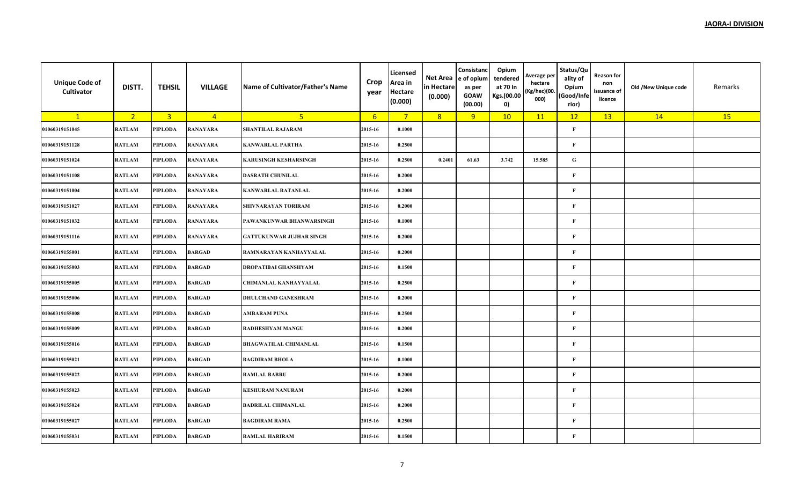| <b>Unique Code of</b><br>Cultivator | DISTT.         | <b>TEHSIL</b>           | <b>VILLAGE</b>  | Name of Cultivator/Father's Name | Crop<br>year | Licensed<br>Area in<br>Hectare<br>(0.000) | Net Area<br>in Hectare<br>(0.000) | Consistanc<br>e of opium<br>as per<br><b>GOAW</b><br>(00.00) | Opium<br>tendered<br>at 70 In<br>Kgs.(00.00<br>0) | Average per<br>hectare<br>(Kg/hec)(00.<br>000) | Status/Qu<br>ality of<br>Opium<br>(Good/Infe<br>rior) | Reason for<br>non<br>issuance of<br>licence | Old /New Unique code | Remarks |
|-------------------------------------|----------------|-------------------------|-----------------|----------------------------------|--------------|-------------------------------------------|-----------------------------------|--------------------------------------------------------------|---------------------------------------------------|------------------------------------------------|-------------------------------------------------------|---------------------------------------------|----------------------|---------|
| $\mathbf{1}$                        | 2 <sup>2</sup> | $\overline{\mathbf{3}}$ | $\overline{4}$  | 5 <sup>2</sup>                   | 6            | $\overline{7}$                            | 8                                 | 9                                                            | 10                                                | 11                                             | 12                                                    | 13                                          | 14                   | 15      |
| 01060319151045                      | <b>RATLAM</b>  | PIPLODA                 | <b>RANAYARA</b> | SHANTILAL RAJARAM                | 2015-16      | 0.1000                                    |                                   |                                                              |                                                   |                                                | $\mathbf{F}$                                          |                                             |                      |         |
| 01060319151128                      | <b>RATLAM</b>  | PIPLODA                 | <b>RANAYARA</b> | <b>KANWARLAL PARTHA</b>          | 2015-16      | 0.2500                                    |                                   |                                                              |                                                   |                                                | $\mathbf{F}$                                          |                                             |                      |         |
| 01060319151024                      | <b>RATLAM</b>  | PIPLODA                 | <b>RANAYARA</b> | <b>KARUSINGH KESHARSINGH</b>     | 2015-16      | 0.2500                                    | 0.2401                            | 61.63                                                        | 3.742                                             | 15.585                                         | ${\bf G}$                                             |                                             |                      |         |
| 01060319151108                      | <b>RATLAM</b>  | PIPLODA                 | <b>RANAYARA</b> | <b>DASRATH CHUNILAL</b>          | 2015-16      | 0.2000                                    |                                   |                                                              |                                                   |                                                | $\mathbf F$                                           |                                             |                      |         |
| 01060319151004                      | <b>RATLAM</b>  | PIPLODA                 | <b>RANAYARA</b> | <b>KANWARLAL RATANLAL</b>        | 2015-16      | 0.2000                                    |                                   |                                                              |                                                   |                                                | $\mathbf{F}$                                          |                                             |                      |         |
| 01060319151027                      | <b>RATLAM</b>  | PIPLODA                 | <b>RANAYARA</b> | SHIVNARAYAN TORIRAM              | 2015-16      | 0.2000                                    |                                   |                                                              |                                                   |                                                | $\mathbf{F}$                                          |                                             |                      |         |
| 01060319151032                      | <b>RATLAM</b>  | PIPLODA                 | <b>RANAYARA</b> | PAWANKUNWAR BHANWARSINGH         | 2015-16      | 0.1000                                    |                                   |                                                              |                                                   |                                                | $\bf F$                                               |                                             |                      |         |
| 01060319151116                      | <b>RATLAM</b>  | PIPLODA                 | <b>RANAYARA</b> | <b>GATTUKUNWAR JUJHAR SINGH</b>  | 2015-16      | 0.2000                                    |                                   |                                                              |                                                   |                                                | $\mathbf{F}$                                          |                                             |                      |         |
| 01060319155001                      | <b>RATLAM</b>  | PIPLODA                 | <b>BARGAD</b>   | RAMNARAYAN KANHAYYALAL           | 2015-16      | 0.2000                                    |                                   |                                                              |                                                   |                                                | $\bf F$                                               |                                             |                      |         |
| 01060319155003                      | <b>RATLAM</b>  | PIPLODA                 | <b>BARGAD</b>   | <b>DROPATIBAI GHANSHYAM</b>      | 2015-16      | 0.1500                                    |                                   |                                                              |                                                   |                                                | $\mathbf{F}$                                          |                                             |                      |         |
| 01060319155005                      | <b>RATLAM</b>  | PIPLODA                 | <b>BARGAD</b>   | CHIMANLAL KANHAYYALAL            | 2015-16      | 0.2500                                    |                                   |                                                              |                                                   |                                                | $\mathbf{F}$                                          |                                             |                      |         |
| 01060319155006                      | <b>RATLAM</b>  | PIPLODA                 | <b>BARGAD</b>   | <b>DHULCHAND GANESHRAM</b>       | 2015-16      | 0.2000                                    |                                   |                                                              |                                                   |                                                | $\mathbf{F}$                                          |                                             |                      |         |
| 01060319155008                      | <b>RATLAM</b>  | PIPLODA                 | <b>BARGAD</b>   | AMBARAM PUNA                     | 2015-16      | 0.2500                                    |                                   |                                                              |                                                   |                                                | F                                                     |                                             |                      |         |
| 01060319155009                      | <b>RATLAM</b>  | PIPLODA                 | <b>BARGAD</b>   | <b>RADHESHYAM MANGU</b>          | 2015-16      | 0.2000                                    |                                   |                                                              |                                                   |                                                | $\mathbf{F}$                                          |                                             |                      |         |
| 01060319155016                      | <b>RATLAM</b>  | PIPLODA                 | <b>BARGAD</b>   | <b>BHAGWATILAL CHIMANLAL</b>     | 2015-16      | 0.1500                                    |                                   |                                                              |                                                   |                                                | $\mathbf{F}$                                          |                                             |                      |         |
| 01060319155021                      | <b>RATLAM</b>  | PIPLODA                 | <b>BARGAD</b>   | <b>BAGDIRAM BHOLA</b>            | 2015-16      | 0.1000                                    |                                   |                                                              |                                                   |                                                | $\mathbf{F}$                                          |                                             |                      |         |
| 01060319155022                      | <b>RATLAM</b>  | PIPLODA                 | <b>BARGAD</b>   | <b>RAMLAL BABRU</b>              | 2015-16      | 0.2000                                    |                                   |                                                              |                                                   |                                                | $\bf F$                                               |                                             |                      |         |
| 01060319155023                      | <b>RATLAM</b>  | PIPLODA                 | <b>BARGAD</b>   | <b>KESHURAM NANURAM</b>          | 2015-16      | 0.2000                                    |                                   |                                                              |                                                   |                                                | $\mathbf{F}$                                          |                                             |                      |         |
| 01060319155024                      | <b>RATLAM</b>  | PIPLODA                 | <b>BARGAD</b>   | <b>BADRILAL CHIMANLAL</b>        | 2015-16      | 0.2000                                    |                                   |                                                              |                                                   |                                                | $\bf F$                                               |                                             |                      |         |
| 01060319155027                      | <b>RATLAM</b>  | PIPLODA                 | <b>BARGAD</b>   | <b>BAGDIRAM RAMA</b>             | 2015-16      | 0.2500                                    |                                   |                                                              |                                                   |                                                | $\mathbf{F}$                                          |                                             |                      |         |
| 01060319155031                      | <b>RATLAM</b>  | PIPLODA                 | <b>BARGAD</b>   | <b>RAMLAL HARIRAM</b>            | 2015-16      | 0.1500                                    |                                   |                                                              |                                                   |                                                | $\mathbf{F}$                                          |                                             |                      |         |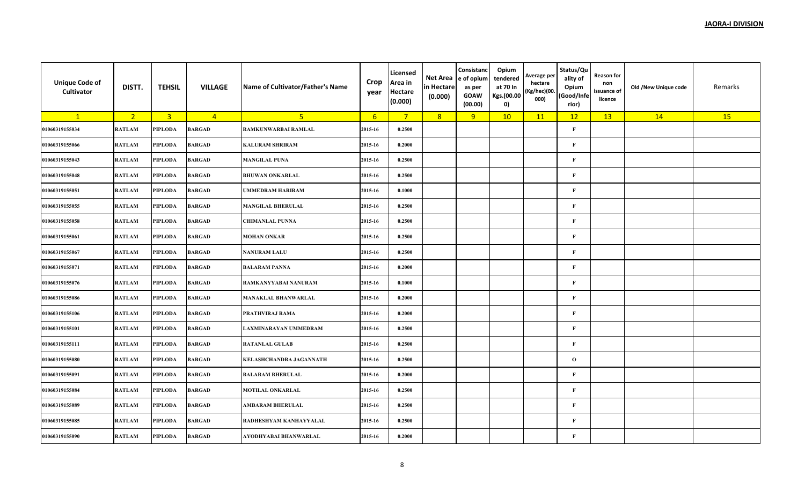| <b>Unique Code of</b><br>Cultivator | DISTT.         | <b>TEHSIL</b>           | <b>VILLAGE</b> | Name of Cultivator/Father's Name | Crop<br>year    | Licensed<br>Area in<br><b>Hectare</b><br>(0.000) | Net Area<br>in Hectare<br>(0.000) | Consistanc<br>e of opium<br>as per<br><b>GOAW</b><br>(00.00) | Opium<br>tendered<br>at 70 In<br>Kgs.(00.00<br>0) | Average per<br>hectare<br>(Kg/hec)(00.<br>000) | Status/Qu<br>ality of<br>Opium<br>(Good/Infe<br>rior) | Reason for<br>non<br>issuance of<br>licence | Old /New Unique code | Remarks |
|-------------------------------------|----------------|-------------------------|----------------|----------------------------------|-----------------|--------------------------------------------------|-----------------------------------|--------------------------------------------------------------|---------------------------------------------------|------------------------------------------------|-------------------------------------------------------|---------------------------------------------|----------------------|---------|
| $\mathbf{1}$                        | 2 <sup>2</sup> | $\overline{\mathbf{3}}$ | $\overline{4}$ | 5 <sub>1</sub>                   | $6\overline{6}$ | $\overline{7}$                                   | 8                                 | 9                                                            | 10                                                | 11                                             | 12                                                    | 13                                          | 14                   | 15      |
| 01060319155034                      | <b>RATLAM</b>  | PIPLODA                 | <b>BARGAD</b>  | RAMKUNWARBAI RAMLAL              | 2015-16         | 0.2500                                           |                                   |                                                              |                                                   |                                                | $\mathbf F$                                           |                                             |                      |         |
| 01060319155066                      | <b>RATLAM</b>  | PIPLODA                 | <b>BARGAD</b>  | <b>KALURAM SHRIRAM</b>           | 2015-16         | 0.2000                                           |                                   |                                                              |                                                   |                                                | $\bf F$                                               |                                             |                      |         |
| 01060319155043                      | <b>RATLAM</b>  | PIPLODA                 | <b>BARGAD</b>  | <b>MANGILAL PUNA</b>             | 2015-16         | 0.2500                                           |                                   |                                                              |                                                   |                                                | $\mathbf{F}$                                          |                                             |                      |         |
| 01060319155048                      | <b>RATLAM</b>  | PIPLODA                 | <b>BARGAD</b>  | <b>BHUWAN ONKARLAL</b>           | 2015-16         | 0.2500                                           |                                   |                                                              |                                                   |                                                | $\mathbf F$                                           |                                             |                      |         |
| 01060319155051                      | <b>RATLAM</b>  | PIPLODA                 | <b>BARGAD</b>  | <b>UMMEDRAM HARIRAM</b>          | 2015-16         | 0.1000                                           |                                   |                                                              |                                                   |                                                | $\mathbf{F}$                                          |                                             |                      |         |
| 01060319155055                      | <b>RATLAM</b>  | PIPLODA                 | <b>BARGAD</b>  | <b>MANGILAL BHERULAL</b>         | 2015-16         | 0.2500                                           |                                   |                                                              |                                                   |                                                | $\mathbf{F}$                                          |                                             |                      |         |
| 01060319155058                      | <b>RATLAM</b>  | PIPLODA                 | <b>BARGAD</b>  | <b>CHIMANLAL PUNNA</b>           | 2015-16         | 0.2500                                           |                                   |                                                              |                                                   |                                                | $\bf F$                                               |                                             |                      |         |
| 01060319155061                      | <b>RATLAM</b>  | PIPLODA                 | <b>BARGAD</b>  | <b>MOHAN ONKAR</b>               | 2015-16         | 0.2500                                           |                                   |                                                              |                                                   |                                                | $\mathbf{F}$                                          |                                             |                      |         |
| 01060319155067                      | <b>RATLAM</b>  | PIPLODA                 | <b>BARGAD</b>  | <b>NANURAM LALU</b>              | 2015-16         | 0.2500                                           |                                   |                                                              |                                                   |                                                | $\bf F$                                               |                                             |                      |         |
| 01060319155071                      | <b>RATLAM</b>  | PIPLODA                 | <b>BARGAD</b>  | <b>BALARAM PANNA</b>             | 2015-16         | 0.2000                                           |                                   |                                                              |                                                   |                                                | $\mathbf{F}$                                          |                                             |                      |         |
| 01060319155076                      | <b>RATLAM</b>  | PIPLODA                 | <b>BARGAD</b>  | RAMKANYYABAI NANURAM             | 2015-16         | 0.1000                                           |                                   |                                                              |                                                   |                                                | $\mathbf{F}$                                          |                                             |                      |         |
| 01060319155086                      | <b>RATLAM</b>  | PIPLODA                 | <b>BARGAD</b>  | <b>MANAKLAL BHANWARLAL</b>       | 2015-16         | 0.2000                                           |                                   |                                                              |                                                   |                                                | $\mathbf{F}$                                          |                                             |                      |         |
| 01060319155106                      | <b>RATLAM</b>  | PIPLODA                 | <b>BARGAD</b>  | PRATHVIRAJ RAMA                  | 2015-16         | 0.2000                                           |                                   |                                                              |                                                   |                                                | F                                                     |                                             |                      |         |
| 01060319155101                      | <b>RATLAM</b>  | PIPLODA                 | <b>BARGAD</b>  | LAXMINARAYAN UMMEDRAM            | 2015-16         | 0.2500                                           |                                   |                                                              |                                                   |                                                | $\mathbf{F}$                                          |                                             |                      |         |
| 01060319155111                      | <b>RATLAM</b>  | PIPLODA                 | <b>BARGAD</b>  | <b>RATANLAL GULAB</b>            | 2015-16         | 0.2500                                           |                                   |                                                              |                                                   |                                                | $\mathbf{F}$                                          |                                             |                      |         |
| 01060319155080                      | <b>RATLAM</b>  | PIPLODA                 | <b>BARGAD</b>  | KELASHCHANDRA JAGANNATH          | 2015-16         | 0.2500                                           |                                   |                                                              |                                                   |                                                | $\mathbf{o}$                                          |                                             |                      |         |
| 01060319155091                      | <b>RATLAM</b>  | PIPLODA                 | <b>BARGAD</b>  | <b>BALARAM BHERULAL</b>          | 2015-16         | 0.2000                                           |                                   |                                                              |                                                   |                                                | $\bf F$                                               |                                             |                      |         |
| 01060319155084                      | <b>RATLAM</b>  | PIPLODA                 | <b>BARGAD</b>  | <b>MOTILAL ONKARLAL</b>          | 2015-16         | 0.2500                                           |                                   |                                                              |                                                   |                                                | $\mathbf{F}$                                          |                                             |                      |         |
| 01060319155089                      | <b>RATLAM</b>  | PIPLODA                 | <b>BARGAD</b>  | <b>AMBARAM BHERULAL</b>          | 2015-16         | 0.2500                                           |                                   |                                                              |                                                   |                                                | $\bf F$                                               |                                             |                      |         |
| 01060319155085                      | <b>RATLAM</b>  | PIPLODA                 | <b>BARGAD</b>  | RADHESHYAM KANHAYYALAL           | 2015-16         | 0.2500                                           |                                   |                                                              |                                                   |                                                | $\mathbf{F}$                                          |                                             |                      |         |
| 01060319155090                      | <b>RATLAM</b>  | PIPLODA                 | <b>BARGAD</b>  | AYODHYABAI BHANWARLAL            | 2015-16         | 0.2000                                           |                                   |                                                              |                                                   |                                                | $\mathbf{F}$                                          |                                             |                      |         |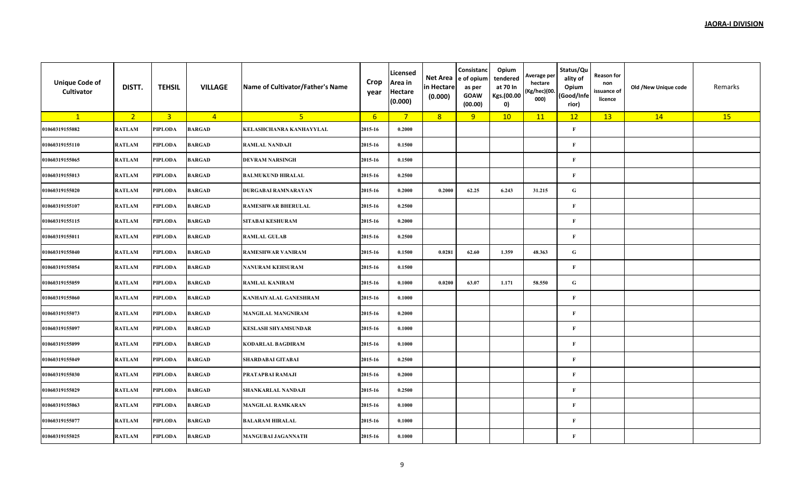| <b>Unique Code of</b><br>Cultivator | DISTT.         | <b>TEHSIL</b>           | <b>VILLAGE</b> | Name of Cultivator/Father's Name | Crop<br>year    | Licensed<br>Area in<br><b>Hectare</b><br>(0.000) | Net Area<br>in Hectare<br>(0.000) | Consistanc<br>e of opium<br>as per<br><b>GOAW</b><br>(00.00) | Opium<br>tendered<br>at 70 In<br>Kgs.(00.00<br>0) | Average per<br>hectare<br>(Kg/hec)(00.<br>000) | Status/Qu<br>ality of<br>Opium<br>(Good/Infe<br>rior) | Reason for<br>non<br>issuance of<br>licence | Old /New Unique code | Remarks |
|-------------------------------------|----------------|-------------------------|----------------|----------------------------------|-----------------|--------------------------------------------------|-----------------------------------|--------------------------------------------------------------|---------------------------------------------------|------------------------------------------------|-------------------------------------------------------|---------------------------------------------|----------------------|---------|
| $\mathbf{1}$                        | 2 <sup>2</sup> | $\overline{\mathbf{3}}$ | $\overline{4}$ | 5 <sub>1</sub>                   | $6\overline{6}$ | $7^{\circ}$                                      | 8                                 | 9                                                            | 10                                                | 11                                             | 12                                                    | 13                                          | 14                   | 15      |
| 01060319155082                      | <b>RATLAM</b>  | PIPLODA                 | <b>BARGAD</b>  | KELASHCHANRA KANHAYYLAL          | 2015-16         | 0.2000                                           |                                   |                                                              |                                                   |                                                | $\mathbf{F}$                                          |                                             |                      |         |
| 01060319155110                      | <b>RATLAM</b>  | PIPLODA                 | <b>BARGAD</b>  | <b>RAMLAL NANDAJI</b>            | 2015-16         | 0.1500                                           |                                   |                                                              |                                                   |                                                | $\mathbf{F}$                                          |                                             |                      |         |
| 01060319155065                      | <b>RATLAM</b>  | PIPLODA                 | <b>BARGAD</b>  | <b>DEVRAM NARSINGH</b>           | 2015-16         | 0.1500                                           |                                   |                                                              |                                                   |                                                | $\mathbf{F}$                                          |                                             |                      |         |
| 01060319155013                      | <b>RATLAM</b>  | PIPLODA                 | <b>BARGAD</b>  | <b>BALMUKUND HIRALAL</b>         | 2015-16         | 0.2500                                           |                                   |                                                              |                                                   |                                                | $\mathbf{F}$                                          |                                             |                      |         |
| 01060319155020                      | <b>RATLAM</b>  | PIPLODA                 | <b>BARGAD</b>  | DURGABAI RAMNARAYAN              | 2015-16         | 0.2000                                           | 0.2000                            | 62.25                                                        | 6.243                                             | 31.215                                         | ${\bf G}$                                             |                                             |                      |         |
| 01060319155107                      | <b>RATLAM</b>  | PIPLODA                 | <b>BARGAD</b>  | <b>RAMESHWAR BHERULAL</b>        | 2015-16         | 0.2500                                           |                                   |                                                              |                                                   |                                                | $\mathbf F$                                           |                                             |                      |         |
| 01060319155115                      | <b>RATLAM</b>  | PIPLODA                 | <b>BARGAD</b>  | SITABAI KESHURAM                 | 2015-16         | 0.2000                                           |                                   |                                                              |                                                   |                                                | $\mathbf{F}$                                          |                                             |                      |         |
| 01060319155011                      | <b>RATLAM</b>  | PIPLODA                 | <b>BARGAD</b>  | <b>RAMLAL GULAB</b>              | 2015-16         | 0.2500                                           |                                   |                                                              |                                                   |                                                | $\mathbf{F}$                                          |                                             |                      |         |
| 01060319155040                      | <b>RATLAM</b>  | PIPLODA                 | <b>BARGAD</b>  | <b>RAMESHWAR VANIRAM</b>         | 2015-16         | 0.1500                                           | 0.0281                            | 62.60                                                        | 1.359                                             | 48.363                                         | ${\bf G}$                                             |                                             |                      |         |
| 01060319155054                      | <b>RATLAM</b>  | PIPLODA                 | <b>BARGAD</b>  | <b>NANURAM KEHSURAM</b>          | 2015-16         | 0.1500                                           |                                   |                                                              |                                                   |                                                | $\mathbf{F}$                                          |                                             |                      |         |
| 01060319155059                      | <b>RATLAM</b>  | PIPLODA                 | <b>BARGAD</b>  | <b>RAMLAL KANIRAM</b>            | 2015-16         | 0.1000                                           | 0.0200                            | 63.07                                                        | 1.171                                             | 58.550                                         | ${\bf G}$                                             |                                             |                      |         |
| 01060319155060                      | <b>RATLAM</b>  | PIPLODA                 | <b>BARGAD</b>  | <b>KANHAIYALAL GANESHRAM</b>     | 2015-16         | 0.1000                                           |                                   |                                                              |                                                   |                                                | $\mathbf{F}$                                          |                                             |                      |         |
| 01060319155073                      | <b>RATLAM</b>  | <b>PIPLODA</b>          | <b>BARGAD</b>  | <b>MANGILAL MANGNIRAM</b>        | 2015-16         | 0.2000                                           |                                   |                                                              |                                                   |                                                | $\mathbf{F}$                                          |                                             |                      |         |
| 01060319155097                      | <b>RATLAM</b>  | PIPLODA                 | <b>BARGAD</b>  | <b>KESLASH SHYAMSUNDAR</b>       | 2015-16         | 0.1000                                           |                                   |                                                              |                                                   |                                                | $\mathbf F$                                           |                                             |                      |         |
| 01060319155099                      | <b>RATLAM</b>  | PIPLODA                 | <b>BARGAD</b>  | <b>KODARLAL BAGDIRAM</b>         | 2015-16         | 0.1000                                           |                                   |                                                              |                                                   |                                                | $\mathbf F$                                           |                                             |                      |         |
| 01060319155049                      | <b>RATLAM</b>  | PIPLODA                 | <b>BARGAD</b>  | <b>SHARDABAI GITABAI</b>         | 2015-16         | 0.2500                                           |                                   |                                                              |                                                   |                                                | $\mathbf F$                                           |                                             |                      |         |
| 01060319155030                      | <b>RATLAM</b>  | PIPLODA                 | <b>BARGAD</b>  | PRATAPBAI RAMAJI                 | 2015-16         | 0.2000                                           |                                   |                                                              |                                                   |                                                | $\mathbf{F}$                                          |                                             |                      |         |
| 01060319155029                      | <b>RATLAM</b>  | PIPLODA                 | <b>BARGAD</b>  | SHANKARLAL NANDAJI               | 2015-16         | 0.2500                                           |                                   |                                                              |                                                   |                                                | $\mathbf{F}$                                          |                                             |                      |         |
| 01060319155063                      | <b>RATLAM</b>  | PIPLODA                 | <b>BARGAD</b>  | <b>MANGILAL RAMKARAN</b>         | 2015-16         | 0.1000                                           |                                   |                                                              |                                                   |                                                | $\mathbf{F}$                                          |                                             |                      |         |
| 01060319155077                      | <b>RATLAM</b>  | PIPLODA                 | <b>BARGAD</b>  | <b>BALARAM HIRALAL</b>           | 2015-16         | 0.1000                                           |                                   |                                                              |                                                   |                                                | $\mathbf{F}$                                          |                                             |                      |         |
| 01060319155025                      | <b>RATLAM</b>  | PIPLODA                 | <b>BARGAD</b>  | <b>MANGUBAI JAGANNATH</b>        | 2015-16         | 0.1000                                           |                                   |                                                              |                                                   |                                                | $\mathbf{F}$                                          |                                             |                      |         |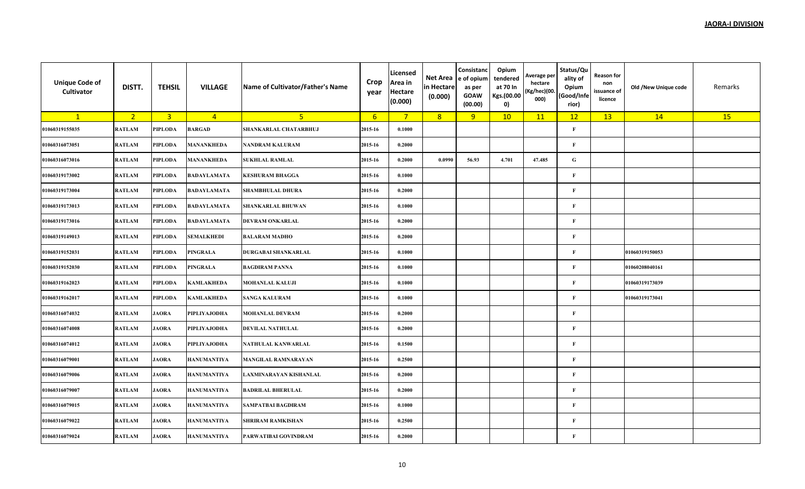| <b>Unique Code of</b><br>Cultivator | DISTT.         | <b>TEHSIL</b>           | <b>VILLAGE</b>     | Name of Cultivator/Father's Name | Crop<br>year | <b>Licensed</b><br>Area in<br><b>Hectare</b><br>(0.000) | Net Area<br>in Hectare<br>(0.000) | Consistanc<br>e of opium<br>as per<br><b>GOAW</b><br>(00.00) | Opium<br>tendered<br>at 70 In<br>Kgs.(00.00<br>$\mathbf{0}$ | Average per<br>hectare<br>(Kg/hec)(00.<br>000) | Status/Qu<br>ality of<br>Opium<br>(Good/Infe<br>rior) | Reason for<br>non<br>issuance of<br>licence | Old /New Unique code | Remarks |
|-------------------------------------|----------------|-------------------------|--------------------|----------------------------------|--------------|---------------------------------------------------------|-----------------------------------|--------------------------------------------------------------|-------------------------------------------------------------|------------------------------------------------|-------------------------------------------------------|---------------------------------------------|----------------------|---------|
| $\mathbf{1}$                        | 2 <sup>7</sup> | $\overline{\mathbf{3}}$ | $\overline{4}$     | 5 <sub>1</sub>                   | 6            | $\overline{7}$                                          | 8                                 | 9                                                            | 10                                                          | 11                                             | 12                                                    | 13                                          | 14                   | 15      |
| 01060319155035                      | <b>RATLAM</b>  | PIPLODA                 | <b>BARGAD</b>      | SHANKARLAL CHATARBHUJ            | 2015-16      | 0.1000                                                  |                                   |                                                              |                                                             |                                                | $\bf F$                                               |                                             |                      |         |
| 01060316073051                      | <b>RATLAM</b>  | PIPLODA                 | <b>MANANKHEDA</b>  | NANDRAM KALURAM                  | 2015-16      | 0.2000                                                  |                                   |                                                              |                                                             |                                                | $\mathbf{F}$                                          |                                             |                      |         |
| 01060316073016                      | <b>RATLAM</b>  | PIPLODA                 | <b>MANANKHEDA</b>  | <b>SUKHLAL RAMLAL</b>            | 2015-16      | 0.2000                                                  | 0.0990                            | 56.93                                                        | 4.701                                                       | 47.485                                         | ${\bf G}$                                             |                                             |                      |         |
| 01060319173002                      | <b>RATLAM</b>  | PIPLODA                 | <b>BADAYLAMATA</b> | <b>KESHURAM BHAGGA</b>           | 2015-16      | 0.1000                                                  |                                   |                                                              |                                                             |                                                | $\mathbf F$                                           |                                             |                      |         |
| 01060319173004                      | <b>RATLAM</b>  | PIPLODA                 | <b>BADAYLAMATA</b> | <b>SHAMBHULAL DHURA</b>          | 2015-16      | 0.2000                                                  |                                   |                                                              |                                                             |                                                | $\mathbf{F}$                                          |                                             |                      |         |
| 01060319173013                      | <b>RATLAM</b>  | PIPLODA                 | <b>BADAYLAMATA</b> | <b>SHANKARLAL BHUWAN</b>         | 2015-16      | 0.1000                                                  |                                   |                                                              |                                                             |                                                | $\mathbf{F}$                                          |                                             |                      |         |
| 01060319173016                      | <b>RATLAM</b>  | PIPLODA                 | <b>BADAYLAMATA</b> | <b>DEVRAM ONKARLAL</b>           | 2015-16      | 0.2000                                                  |                                   |                                                              |                                                             |                                                | $\bf F$                                               |                                             |                      |         |
| 01060319149013                      | <b>RATLAM</b>  | PIPLODA                 | <b>SEMALKHEDI</b>  | <b>BALARAM MADHO</b>             | 2015-16      | 0.2000                                                  |                                   |                                                              |                                                             |                                                | $\bf F$                                               |                                             |                      |         |
| 01060319152031                      | <b>RATLAM</b>  | PIPLODA                 | <b>PINGRALA</b>    | <b>DURGABAI SHANKARLAL</b>       | 2015-16      | 0.1000                                                  |                                   |                                                              |                                                             |                                                | $\bf F$                                               |                                             | 01060319150053       |         |
| 01060319152030                      | <b>RATLAM</b>  | PIPLODA                 | <b>PINGRALA</b>    | <b>BAGDIRAM PANNA</b>            | 2015-16      | 0.1000                                                  |                                   |                                                              |                                                             |                                                | $\mathbf{F}$                                          |                                             | 01060208040161       |         |
| 01060319162023                      | <b>RATLAM</b>  | PIPLODA                 | <b>KAMLAKHEDA</b>  | <b>MOHANLAL KALUJI</b>           | 2015-16      | 0.1000                                                  |                                   |                                                              |                                                             |                                                | $\bf F$                                               |                                             | 01060319173039       |         |
| 01060319162017                      | <b>RATLAM</b>  | PIPLODA                 | <b>KAMLAKHEDA</b>  | <b>SANGA KALURAM</b>             | 2015-16      | 0.1000                                                  |                                   |                                                              |                                                             |                                                | $\mathbf{F}$                                          |                                             | 01060319173041       |         |
| 01060316074032                      | <b>RATLAM</b>  | <b>JAORA</b>            | PIPLIYAJODHA       | <b>MOHANLAL DEVRAM</b>           | 2015-16      | 0.2000                                                  |                                   |                                                              |                                                             |                                                | $\bf F$                                               |                                             |                      |         |
| 01060316074008                      | <b>RATLAM</b>  | <b>JAORA</b>            | PIPLIYAJODHA       | <b>DEVILAL NATHULAL</b>          | 2015-16      | 0.2000                                                  |                                   |                                                              |                                                             |                                                | $\mathbf{F}$                                          |                                             |                      |         |
| 01060316074012                      | <b>RATLAM</b>  | <b>JAORA</b>            | PIPLIYAJODHA       | NATHULAL KANWARLAL               | 2015-16      | 0.1500                                                  |                                   |                                                              |                                                             |                                                | $\mathbf{F}$                                          |                                             |                      |         |
| 01060316079001                      | <b>RATLAM</b>  | <b>JAORA</b>            | <b>HANUMANTIYA</b> | <b>MANGILAL RAMNARAYAN</b>       | 2015-16      | 0.2500                                                  |                                   |                                                              |                                                             |                                                | $\bf F$                                               |                                             |                      |         |
| 01060316079006                      | <b>RATLAM</b>  | <b>JAORA</b>            | <b>HANUMANTIYA</b> | LAXMINARAYAN KISHANLAL           | 2015-16      | 0.2000                                                  |                                   |                                                              |                                                             |                                                | $\mathbf{F}$                                          |                                             |                      |         |
| 01060316079007                      | <b>RATLAM</b>  | <b>JAORA</b>            | <b>HANUMANTIYA</b> | <b>BADRILAL BHERULAL</b>         | 2015-16      | 0.2000                                                  |                                   |                                                              |                                                             |                                                | F                                                     |                                             |                      |         |
| 01060316079015                      | <b>RATLAM</b>  | <b>JAORA</b>            | <b>HANUMANTIYA</b> | <b>SAMPATBAI BAGDIRAM</b>        | 2015-16      | 0.1000                                                  |                                   |                                                              |                                                             |                                                | $\mathbf{F}$                                          |                                             |                      |         |
| 01060316079022                      | <b>RATLAM</b>  | <b>JAORA</b>            | <b>HANUMANTIYA</b> | <b>SHRIRAM RAMKISHAN</b>         | 2015-16      | 0.2500                                                  |                                   |                                                              |                                                             |                                                | $\mathbf{F}$                                          |                                             |                      |         |
| 01060316079024                      | <b>RATLAM</b>  | <b>JAORA</b>            | <b>HANUMANTIYA</b> | PARWATIBAI GOVINDRAM             | 2015-16      | 0.2000                                                  |                                   |                                                              |                                                             |                                                | $\mathbf F$                                           |                                             |                      |         |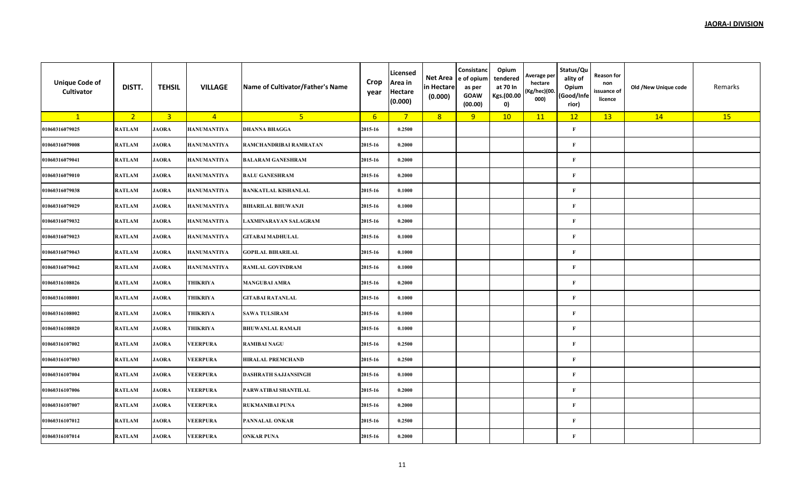| <b>Unique Code of</b><br>Cultivator | DISTT.         | <b>TEHSIL</b>           | <b>VILLAGE</b>     | Name of Cultivator/Father's Name | Crop<br>year    | Licensed<br>Area in<br><b>Hectare</b><br>(0.000) | Net Area<br>in Hectare<br>(0.000) | Consistanc<br>e of opium<br>as per<br><b>GOAW</b><br>(00.00) | Opium<br>tendered<br>at 70 In<br>Kgs.(00.00<br>0) | Average per<br>hectare<br>(Kg/hec)(00.<br>000) | Status/Qu<br>ality of<br>Opium<br>(Good/Infe<br>rior) | Reason for<br>non<br>issuance of<br>licence | Old /New Unique code | Remarks |
|-------------------------------------|----------------|-------------------------|--------------------|----------------------------------|-----------------|--------------------------------------------------|-----------------------------------|--------------------------------------------------------------|---------------------------------------------------|------------------------------------------------|-------------------------------------------------------|---------------------------------------------|----------------------|---------|
| $\mathbf{1}$                        | 2 <sup>2</sup> | $\overline{\mathbf{3}}$ | $\overline{4}$     | 5 <sup>1</sup>                   | $6\overline{6}$ | $\overline{7}$                                   | 8                                 | 9                                                            | 10                                                | 11                                             | 12                                                    | 13                                          | 14                   | 15      |
| 01060316079025                      | <b>RATLAM</b>  | <b>JAORA</b>            | <b>HANUMANTIYA</b> | <b>DHANNA BHAGGA</b>             | 2015-16         | 0.2500                                           |                                   |                                                              |                                                   |                                                | $\mathbf F$                                           |                                             |                      |         |
| 01060316079008                      | <b>RATLAM</b>  | <b>JAORA</b>            | <b>HANUMANTIYA</b> | RAMCHANDRIBAI RAMRATAN           | 2015-16         | 0.2000                                           |                                   |                                                              |                                                   |                                                | $\bf F$                                               |                                             |                      |         |
| 01060316079041                      | <b>RATLAM</b>  | <b>JAORA</b>            | <b>HANUMANTIYA</b> | <b>BALARAM GANESHRAM</b>         | 2015-16         | 0.2000                                           |                                   |                                                              |                                                   |                                                | $\mathbf{F}$                                          |                                             |                      |         |
| 01060316079010                      | <b>RATLAM</b>  | <b>JAORA</b>            | <b>HANUMANTIYA</b> | <b>BALU GANESHRAM</b>            | 2015-16         | 0.2000                                           |                                   |                                                              |                                                   |                                                | $\mathbf F$                                           |                                             |                      |         |
| 01060316079038                      | <b>RATLAM</b>  | <b>JAORA</b>            | <b>HANUMANTIYA</b> | <b>BANKATLAL KISHANLAL</b>       | 2015-16         | 0.1000                                           |                                   |                                                              |                                                   |                                                | $\mathbf{F}$                                          |                                             |                      |         |
| 01060316079029                      | <b>RATLAM</b>  | <b>JAORA</b>            | <b>HANUMANTIYA</b> | <b>BIHARILAL BHUWANJI</b>        | 2015-16         | 0.1000                                           |                                   |                                                              |                                                   |                                                | $\mathbf{F}$                                          |                                             |                      |         |
| 01060316079032                      | <b>RATLAM</b>  | <b>JAORA</b>            | <b>HANUMANTIYA</b> | LAXMINARAYAN SALAGRAM            | 2015-16         | 0.2000                                           |                                   |                                                              |                                                   |                                                | $\bf F$                                               |                                             |                      |         |
| 01060316079023                      | <b>RATLAM</b>  | <b>JAORA</b>            | <b>HANUMANTIYA</b> | <b>GITABAI MADHULAL</b>          | 2015-16         | 0.1000                                           |                                   |                                                              |                                                   |                                                | $\mathbf{F}$                                          |                                             |                      |         |
| 01060316079043                      | <b>RATLAM</b>  | <b>JAORA</b>            | <b>HANUMANTIYA</b> | <b>GOPILAL BIHARILAL</b>         | 2015-16         | 0.1000                                           |                                   |                                                              |                                                   |                                                | $\bf F$                                               |                                             |                      |         |
| 01060316079042                      | <b>RATLAM</b>  | <b>JAORA</b>            | <b>HANUMANTIYA</b> | <b>RAMLAL GOVINDRAM</b>          | 2015-16         | 0.1000                                           |                                   |                                                              |                                                   |                                                | $\mathbf{F}$                                          |                                             |                      |         |
| 01060316108026                      | <b>RATLAM</b>  | <b>JAORA</b>            | <b>THIKRIYA</b>    | <b>MANGUBAI AMRA</b>             | 2015-16         | 0.2000                                           |                                   |                                                              |                                                   |                                                | $\mathbf{F}$                                          |                                             |                      |         |
| 01060316108001                      | <b>RATLAM</b>  | <b>JAORA</b>            | THIKRIYA           | <b>GITABAI RATANLAL</b>          | 2015-16         | 0.1000                                           |                                   |                                                              |                                                   |                                                | $\mathbf{F}$                                          |                                             |                      |         |
| 01060316108002                      | <b>RATLAM</b>  | <b>JAORA</b>            | THIKRIYA           | <b>SAWA TULSIRAM</b>             | 2015-16         | 0.1000                                           |                                   |                                                              |                                                   |                                                | $\mathbf F$                                           |                                             |                      |         |
| 01060316108020                      | <b>RATLAM</b>  | <b>JAORA</b>            | THIKRIYA           | <b>BHUWANLAL RAMAJI</b>          | 2015-16         | 0.1000                                           |                                   |                                                              |                                                   |                                                | $\mathbf{F}$                                          |                                             |                      |         |
| 01060316107002                      | <b>RATLAM</b>  | <b>JAORA</b>            | <b>VEERPURA</b>    | <b>RAMIBAI NAGU</b>              | 2015-16         | 0.2500                                           |                                   |                                                              |                                                   |                                                | $\mathbf{F}$                                          |                                             |                      |         |
| 01060316107003                      | <b>RATLAM</b>  | <b>JAORA</b>            | <b>VEERPURA</b>    | <b>HIRALAL PREMCHAND</b>         | 2015-16         | 0.2500                                           |                                   |                                                              |                                                   |                                                | $\mathbf{F}$                                          |                                             |                      |         |
| 01060316107004                      | <b>RATLAM</b>  | <b>JAORA</b>            | <b>VEERPURA</b>    | <b>DASHRATH SAJJANSINGH</b>      | 2015-16         | 0.1000                                           |                                   |                                                              |                                                   |                                                | $\bf F$                                               |                                             |                      |         |
| 01060316107006                      | <b>RATLAM</b>  | <b>JAORA</b>            | <b>VEERPURA</b>    | PARWATIBAI SHANTILAL             | 2015-16         | 0.2000                                           |                                   |                                                              |                                                   |                                                | $\mathbf{F}$                                          |                                             |                      |         |
| 01060316107007                      | <b>RATLAM</b>  | <b>JAORA</b>            | <b>VEERPURA</b>    | <b>RUKMANIBAI PUNA</b>           | 2015-16         | 0.2000                                           |                                   |                                                              |                                                   |                                                | $\bf F$                                               |                                             |                      |         |
| 01060316107012                      | <b>RATLAM</b>  | <b>JAORA</b>            | <b>VEERPURA</b>    | PANNALAL ONKAR                   | 2015-16         | 0.2500                                           |                                   |                                                              |                                                   |                                                | $\mathbf{F}$                                          |                                             |                      |         |
| 01060316107014                      | <b>RATLAM</b>  | <b>JAORA</b>            | <b>VEERPURA</b>    | <b>ONKAR PUNA</b>                | 2015-16         | 0.2000                                           |                                   |                                                              |                                                   |                                                | $\mathbf{F}$                                          |                                             |                      |         |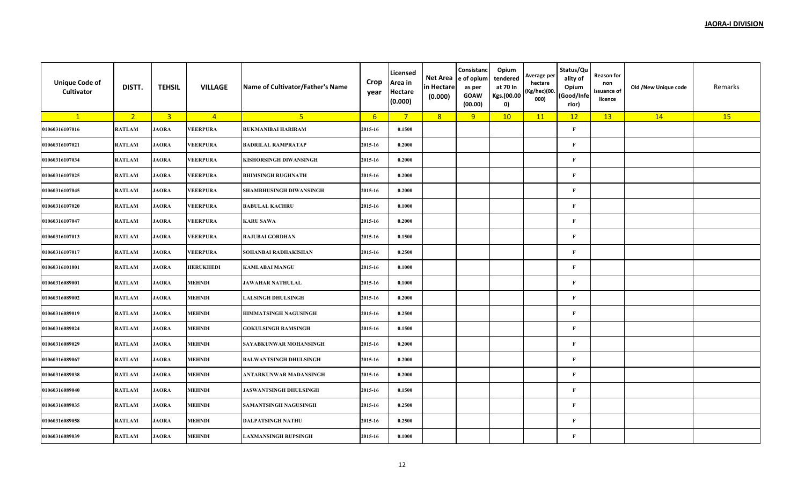| <b>Unique Code of</b><br>Cultivator | DISTT.         | <b>TEHSIL</b>           | <b>VILLAGE</b>   | Name of Cultivator/Father's Name | Crop<br>year    | Licensed<br>Area in<br><b>Hectare</b><br>(0.000) | Net Area<br>in Hectare<br>(0.000) | Consistanc<br>e of opium<br>as per<br><b>GOAW</b><br>(00.00) | Opium<br>tendered<br>at 70 In<br>Kgs.(00.00<br>0) | Average per<br>hectare<br>(Kg/hec)(00.<br>000) | Status/Qu<br>ality of<br>Opium<br>(Good/Infe<br>rior) | Reason for<br>non<br>issuance of<br>licence | Old /New Unique code | Remarks |
|-------------------------------------|----------------|-------------------------|------------------|----------------------------------|-----------------|--------------------------------------------------|-----------------------------------|--------------------------------------------------------------|---------------------------------------------------|------------------------------------------------|-------------------------------------------------------|---------------------------------------------|----------------------|---------|
| $\mathbf{1}$                        | 2 <sup>2</sup> | $\overline{\mathbf{3}}$ | $\overline{4}$   | 5 <sup>2</sup>                   | $6\overline{6}$ | $\overline{7}$                                   | 8                                 | 9                                                            | 10                                                | 11                                             | 12                                                    | 13                                          | 14                   | 15      |
| 01060316107016                      | <b>RATLAM</b>  | <b>JAORA</b>            | <b>VEERPURA</b>  | <b>RUKMANIBAI HARIRAM</b>        | 2015-16         | 0.1500                                           |                                   |                                                              |                                                   |                                                | $\mathbf F$                                           |                                             |                      |         |
| 01060316107021                      | <b>RATLAM</b>  | <b>JAORA</b>            | <b>VEERPURA</b>  | <b>BADRILAL RAMPRATAP</b>        | 2015-16         | 0.2000                                           |                                   |                                                              |                                                   |                                                | $\mathbf{F}$                                          |                                             |                      |         |
| 01060316107034                      | <b>RATLAM</b>  | <b>JAORA</b>            | <b>VEERPURA</b>  | <b>KISHORSINGH DIWANSINGH</b>    | 2015-16         | 0.2000                                           |                                   |                                                              |                                                   |                                                | $\mathbf{F}$                                          |                                             |                      |         |
| 01060316107025                      | <b>RATLAM</b>  | <b>JAORA</b>            | <b>VEERPURA</b>  | <b>BHIMSINGH RUGHNATH</b>        | 2015-16         | 0.2000                                           |                                   |                                                              |                                                   |                                                | $\mathbf F$                                           |                                             |                      |         |
| 01060316107045                      | <b>RATLAM</b>  | <b>JAORA</b>            | <b>VEERPURA</b>  | SHAMBHUSINGH DIWANSINGH          | 2015-16         | 0.2000                                           |                                   |                                                              |                                                   |                                                | $\mathbf{F}$                                          |                                             |                      |         |
| 01060316107020                      | <b>RATLAM</b>  | <b>JAORA</b>            | <b>VEERPURA</b>  | <b>BABULAL KACHRU</b>            | 2015-16         | 0.1000                                           |                                   |                                                              |                                                   |                                                | $\mathbf{F}$                                          |                                             |                      |         |
| 01060316107047                      | <b>RATLAM</b>  | <b>JAORA</b>            | <b>VEERPURA</b>  | <b>KARU SAWA</b>                 | 2015-16         | 0.2000                                           |                                   |                                                              |                                                   |                                                | $\bf F$                                               |                                             |                      |         |
| 01060316107013                      | <b>RATLAM</b>  | <b>JAORA</b>            | <b>VEERPURA</b>  | <b>RAJUBAI GORDHAN</b>           | 2015-16         | 0.1500                                           |                                   |                                                              |                                                   |                                                | $\mathbf{F}$                                          |                                             |                      |         |
| 01060316107017                      | <b>RATLAM</b>  | <b>JAORA</b>            | <b>VEERPURA</b>  | SOHANBAI RADHAKISHAN             | 2015-16         | 0.2500                                           |                                   |                                                              |                                                   |                                                | $\mathbf F$                                           |                                             |                      |         |
| 01060316101001                      | <b>RATLAM</b>  | <b>JAORA</b>            | <b>HERUKHEDI</b> | <b>KAMLABAI MANGU</b>            | 2015-16         | 0.1000                                           |                                   |                                                              |                                                   |                                                | $\mathbf{F}$                                          |                                             |                      |         |
| 01060316089001                      | <b>RATLAM</b>  | <b>JAORA</b>            | <b>MEHNDI</b>    | <b>JAWAHAR NATHULAL</b>          | 2015-16         | 0.1000                                           |                                   |                                                              |                                                   |                                                | $\mathbf{F}$                                          |                                             |                      |         |
| 01060316089002                      | <b>RATLAM</b>  | <b>JAORA</b>            | <b>MEHNDI</b>    | <b>LALSINGH DHULSINGH</b>        | 2015-16         | 0.2000                                           |                                   |                                                              |                                                   |                                                | $\mathbf{F}$                                          |                                             |                      |         |
| 01060316089019                      | <b>RATLAM</b>  | <b>JAORA</b>            | <b>MEHNDI</b>    | HIMMATSINGH NAGUSINGH            | 2015-16         | 0.2500                                           |                                   |                                                              |                                                   |                                                | $\mathbf{F}$                                          |                                             |                      |         |
| 01060316089024                      | <b>RATLAM</b>  | <b>JAORA</b>            | <b>MEHNDI</b>    | <b>GOKULSINGH RAMSINGH</b>       | 2015-16         | 0.1500                                           |                                   |                                                              |                                                   |                                                | $\mathbf{F}$                                          |                                             |                      |         |
| 01060316089029                      | <b>RATLAM</b>  | <b>JAORA</b>            | <b>MEHNDI</b>    | SAYABKUNWAR MOHANSINGH           | 2015-16         | 0.2000                                           |                                   |                                                              |                                                   |                                                | $\mathbf{F}$                                          |                                             |                      |         |
| 01060316089067                      | <b>RATLAM</b>  | <b>JAORA</b>            | <b>MEHNDI</b>    | <b>BALWANTSINGH DHULSINGH</b>    | 2015-16         | 0.2000                                           |                                   |                                                              |                                                   |                                                | $\mathbf{F}$                                          |                                             |                      |         |
| 01060316089038                      | <b>RATLAM</b>  | <b>JAORA</b>            | <b>MEHNDI</b>    | ANTARKUNWAR MADANSINGH           | 2015-16         | 0.2000                                           |                                   |                                                              |                                                   |                                                | $\bf F$                                               |                                             |                      |         |
| 01060316089040                      | <b>RATLAM</b>  | <b>JAORA</b>            | <b>MEHNDI</b>    | <b>JASWANTSINGH DHULSINGH</b>    | 2015-16         | 0.1500                                           |                                   |                                                              |                                                   |                                                | $\mathbf{F}$                                          |                                             |                      |         |
| 01060316089035                      | <b>RATLAM</b>  | <b>JAORA</b>            | <b>MEHNDI</b>    | <b>SAMANTSINGH NAGUSINGH</b>     | 2015-16         | 0.2500                                           |                                   |                                                              |                                                   |                                                | $\bf F$                                               |                                             |                      |         |
| 01060316089058                      | <b>RATLAM</b>  | <b>JAORA</b>            | <b>MEHNDI</b>    | <b>DALPATSINGH NATHU</b>         | 2015-16         | 0.2500                                           |                                   |                                                              |                                                   |                                                | $\mathbf{F}$                                          |                                             |                      |         |
| 01060316089039                      | <b>RATLAM</b>  | <b>JAORA</b>            | <b>MEHNDI</b>    | <b>LAXMANSINGH RUPSINGH</b>      | 2015-16         | 0.1000                                           |                                   |                                                              |                                                   |                                                | $\mathbf{F}$                                          |                                             |                      |         |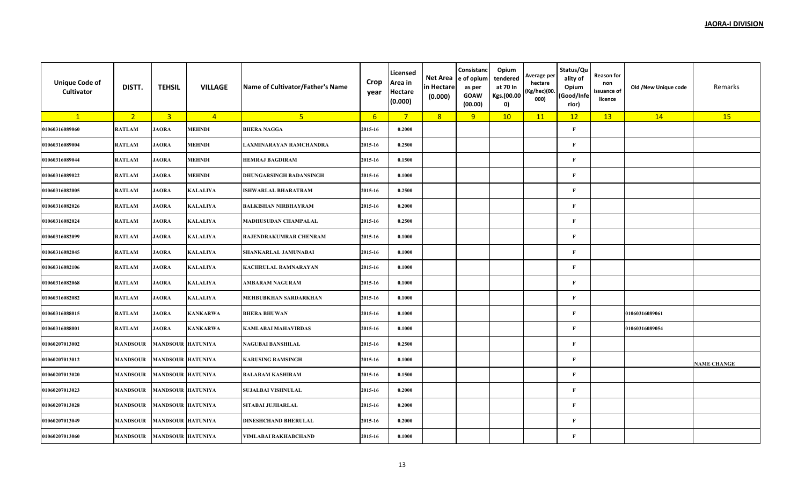| <b>Unique Code of</b><br>Cultivator | DISTT.          | <b>TEHSIL</b>            | <b>VILLAGE</b>  | Name of Cultivator/Father's Name | Crop<br>year | Licensed<br>Area in<br><b>Hectare</b><br>(0.000) | Net Area<br>in Hectare<br>(0.000) | Consistanc<br>e of opium<br>as per<br><b>GOAW</b><br>(00.00) | Opium<br>tendered<br>at 70 In<br>Kgs.(00.00<br>0) | Average per<br>hectare<br>(Kg/hec)(00.<br>000) | Status/Qu<br>ality of<br>Opium<br>(Good/Infe<br>rior) | Reason for<br>non<br>issuance of<br>licence | Old /New Unique code | Remarks            |
|-------------------------------------|-----------------|--------------------------|-----------------|----------------------------------|--------------|--------------------------------------------------|-----------------------------------|--------------------------------------------------------------|---------------------------------------------------|------------------------------------------------|-------------------------------------------------------|---------------------------------------------|----------------------|--------------------|
| $\mathbf{1}$                        | 2 <sup>2</sup>  | $\overline{\mathbf{3}}$  | $\overline{4}$  | 5 <sup>2</sup>                   | 6            | $\overline{7}$                                   | 8                                 | 9                                                            | 10                                                | 11                                             | 12                                                    | 13                                          | 14                   | 15                 |
| 01060316089060                      | <b>RATLAM</b>   | <b>JAORA</b>             | <b>MEHNDI</b>   | <b>BHERA NAGGA</b>               | 2015-16      | 0.2000                                           |                                   |                                                              |                                                   |                                                | $\mathbf F$                                           |                                             |                      |                    |
| 01060316089004                      | <b>RATLAM</b>   | <b>JAORA</b>             | <b>MEHNDI</b>   | LAXMINARAYAN RAMCHANDRA          | 2015-16      | 0.2500                                           |                                   |                                                              |                                                   |                                                | $\bf F$                                               |                                             |                      |                    |
| 01060316089044                      | <b>RATLAM</b>   | <b>JAORA</b>             | <b>MEHNDI</b>   | <b>HEMRAJ BAGDIRAM</b>           | 2015-16      | 0.1500                                           |                                   |                                                              |                                                   |                                                | $\mathbf{F}$                                          |                                             |                      |                    |
| 01060316089022                      | <b>RATLAM</b>   | <b>JAORA</b>             | <b>MEHNDI</b>   | <b>DHUNGARSINGH BADANSINGH</b>   | 2015-16      | 0.1000                                           |                                   |                                                              |                                                   |                                                | $\mathbf F$                                           |                                             |                      |                    |
| 01060316082005                      | <b>RATLAM</b>   | <b>JAORA</b>             | <b>KALALIYA</b> | <b>ISHWARLAL BHARATRAM</b>       | 2015-16      | 0.2500                                           |                                   |                                                              |                                                   |                                                | $\mathbf{F}$                                          |                                             |                      |                    |
| 01060316082026                      | <b>RATLAM</b>   | <b>JAORA</b>             | <b>KALALIYA</b> | <b>BALKISHAN NIRBHAYRAM</b>      | 2015-16      | 0.2000                                           |                                   |                                                              |                                                   |                                                | $\mathbf{F}$                                          |                                             |                      |                    |
| 01060316082024                      | <b>RATLAM</b>   | <b>JAORA</b>             | <b>KALALIYA</b> | MADHUSUDAN CHAMPALAL             | 2015-16      | 0.2500                                           |                                   |                                                              |                                                   |                                                | $\bf F$                                               |                                             |                      |                    |
| 01060316082099                      | <b>RATLAM</b>   | <b>JAORA</b>             | <b>KALALIYA</b> | RAJENDRAKUMRAR CHENRAM           | 2015-16      | 0.1000                                           |                                   |                                                              |                                                   |                                                | $\mathbf{F}$                                          |                                             |                      |                    |
| 01060316082045                      | <b>RATLAM</b>   | <b>JAORA</b>             | <b>KALALIYA</b> | SHANKARLAL JAMUNABAI             | 2015-16      | 0.1000                                           |                                   |                                                              |                                                   |                                                | $\bf F$                                               |                                             |                      |                    |
| 01060316082106                      | <b>RATLAM</b>   | <b>JAORA</b>             | <b>KALALIYA</b> | <b>KACHRULAL RAMNARAYAN</b>      | 2015-16      | 0.1000                                           |                                   |                                                              |                                                   |                                                | $\mathbf{F}$                                          |                                             |                      |                    |
| 01060316082068                      | <b>RATLAM</b>   | <b>JAORA</b>             | <b>KALALIYA</b> | <b>AMBARAM NAGURAM</b>           | 2015-16      | 0.1000                                           |                                   |                                                              |                                                   |                                                | $\mathbf{F}$                                          |                                             |                      |                    |
| 01060316082082                      | <b>RATLAM</b>   | <b>JAORA</b>             | <b>KALALIYA</b> | MEHBUBKHAN SARDARKHAN            | 2015-16      | 0.1000                                           |                                   |                                                              |                                                   |                                                | $\mathbf{F}$                                          |                                             |                      |                    |
| 01060316088015                      | <b>RATLAM</b>   | <b>JAORA</b>             | <b>KANKARWA</b> | <b>BHERA BHUWAN</b>              | 2015-16      | 0.1000                                           |                                   |                                                              |                                                   |                                                | $\mathbf F$                                           |                                             | 01060316089061       |                    |
| 01060316088001                      | <b>RATLAM</b>   | <b>JAORA</b>             | <b>KANKARWA</b> | <b>KAMLABAI MAHAVIRDAS</b>       | 2015-16      | 0.1000                                           |                                   |                                                              |                                                   |                                                | $\mathbf F$                                           |                                             | 01060316089054       |                    |
| 01060207013002                      | <b>MANDSOUR</b> | <b>MANDSOUR HATUNIYA</b> |                 | NAGUBAI BANSHILAL                | 2015-16      | 0.2500                                           |                                   |                                                              |                                                   |                                                | $\mathbf{F}$                                          |                                             |                      |                    |
| 01060207013012                      | <b>MANDSOUR</b> | <b>MANDSOUR HATUNIYA</b> |                 | <b>KARUSING RAMSINGH</b>         | 2015-16      | 0.1000                                           |                                   |                                                              |                                                   |                                                | $\mathbf{F}$                                          |                                             |                      | <b>NAME CHANGE</b> |
| 01060207013020                      | <b>MANDSOUR</b> | <b>MANDSOUR HATUNIYA</b> |                 | <b>BALARAM KASHIRAM</b>          | 2015-16      | 0.1500                                           |                                   |                                                              |                                                   |                                                | $\bf F$                                               |                                             |                      |                    |
| 01060207013023                      | <b>MANDSOUR</b> | <b>MANDSOUR HATUNIYA</b> |                 | <b>SUJALBAI VISHNULAL</b>        | 2015-16      | 0.2000                                           |                                   |                                                              |                                                   |                                                | $\mathbf{F}$                                          |                                             |                      |                    |
| 01060207013028                      | <b>MANDSOUR</b> | <b>MANDSOUR HATUNIYA</b> |                 | SITABAI JUJHARLAL                | 2015-16      | 0.2000                                           |                                   |                                                              |                                                   |                                                | $\bf F$                                               |                                             |                      |                    |
| 01060207013049                      | <b>MANDSOUR</b> | <b>MANDSOUR HATUNIYA</b> |                 | <b>DINESHCHAND BHERULAL</b>      | 2015-16      | 0.2000                                           |                                   |                                                              |                                                   |                                                | $\mathbf{F}$                                          |                                             |                      |                    |
| 01060207013060                      | <b>MANDSOUR</b> | <b>MANDSOUR HATUNIYA</b> |                 | VIMLABAI RAKHABCHAND             | 2015-16      | 0.1000                                           |                                   |                                                              |                                                   |                                                | $\mathbf{F}$                                          |                                             |                      |                    |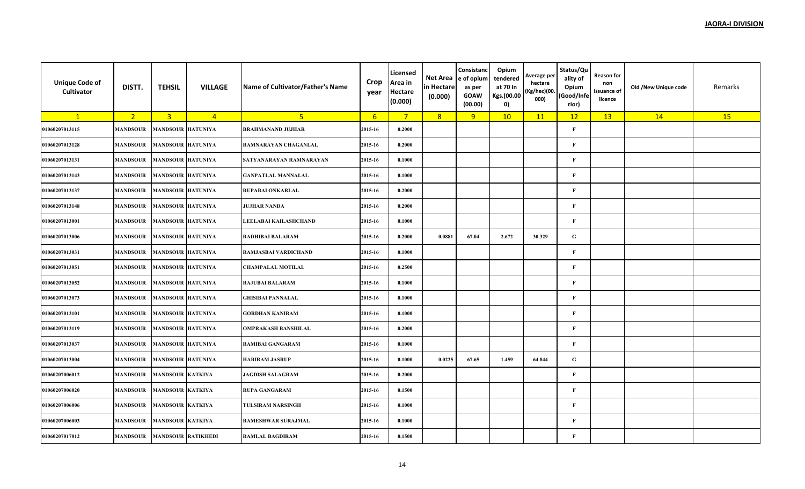| <b>Unique Code of</b><br>Cultivator | DISTT.          | <b>TEHSIL</b>             | <b>VILLAGE</b>  | Name of Cultivator/Father's Name | Crop<br>year     | Licensed<br>Area in<br>Hectare<br>(0.000) | Net Area<br>in Hectare<br>(0.000) | Consistanc<br>e of opium<br>as per<br><b>GOAW</b><br>(00.00) | Opium<br>tendered<br>at 70 In<br>Kgs.(00.00<br>0) | Average per<br>hectare<br>(Kg/hec)(00.<br>000) | Status/Qu<br>ality of<br>Opium<br>(Good/Infe<br>rior) | <b>Reason for</b><br>non<br>issuance of<br>licence | Old /New Unique code | Remarks |
|-------------------------------------|-----------------|---------------------------|-----------------|----------------------------------|------------------|-------------------------------------------|-----------------------------------|--------------------------------------------------------------|---------------------------------------------------|------------------------------------------------|-------------------------------------------------------|----------------------------------------------------|----------------------|---------|
| $\mathbf{1}$                        | 2 <sup>1</sup>  | $\overline{3}$            | $\overline{4}$  | 5 <sup>1</sup>                   | $6 \overline{6}$ | $\overline{7}$                            | 8 <sup>°</sup>                    | 9                                                            | 10                                                | 11                                             | 12                                                    | 13                                                 | 14                   | 15      |
| 01060207013115                      | <b>MANDSOUR</b> | <b>MANDSOUR</b>           | <b>HATUNIYA</b> | <b>BRAHMANAND JUJHAR</b>         | 2015-16          | 0.2000                                    |                                   |                                                              |                                                   |                                                | $\mathbf F$                                           |                                                    |                      |         |
| 01060207013128                      | <b>MANDSOUR</b> | <b>MANDSOUR HATUNIYA</b>  |                 | RAMNARAYAN CHAGANLAL             | 2015-16          | 0.2000                                    |                                   |                                                              |                                                   |                                                | $\mathbf F$                                           |                                                    |                      |         |
| 01060207013131                      | <b>MANDSOUR</b> | <b>MANDSOUR HATUNIYA</b>  |                 | SATYANARAYAN RAMNARAYAN          | 2015-16          | 0.1000                                    |                                   |                                                              |                                                   |                                                | $\mathbf F$                                           |                                                    |                      |         |
| 01060207013143                      | <b>MANDSOUR</b> | <b>MANDSOUR</b>           | <b>HATUNIYA</b> | <b>GANPATLAL MANNALAL</b>        | 2015-16          | 0.1000                                    |                                   |                                                              |                                                   |                                                | $\mathbf{F}$                                          |                                                    |                      |         |
| 01060207013137                      | <b>MANDSOUR</b> | <b>MANDSOUR HATUNIYA</b>  |                 | RUPABAI ONKARLAL                 | 2015-16          | 0.2000                                    |                                   |                                                              |                                                   |                                                | $\mathbf F$                                           |                                                    |                      |         |
| 01060207013148                      | <b>MANDSOUR</b> | <b>MANDSOUR HATUNIYA</b>  |                 | <b>JUJHAR NANDA</b>              | 2015-16          | 0.2000                                    |                                   |                                                              |                                                   |                                                | $\mathbf F$                                           |                                                    |                      |         |
| 01060207013001                      | <b>MANDSOUR</b> | <b>MANDSOUR HATUNIYA</b>  |                 | LEELABAI KAILASHCHAND            | 2015-16          | 0.1000                                    |                                   |                                                              |                                                   |                                                | $\mathbf{F}$                                          |                                                    |                      |         |
| 01060207013006                      | <b>MANDSOUR</b> | <b>MANDSOUR</b>           | <b>HATUNIYA</b> | RADHIBAI BALARAM                 | 2015-16          | 0.2000                                    | 0.0881                            | 67.04                                                        | 2.672                                             | 30.329                                         | ${\bf G}$                                             |                                                    |                      |         |
| 01060207013031                      | <b>MANDSOUR</b> | <b>MANDSOUR HATUNIYA</b>  |                 | RAMJASBAI VARDICHAND             | 2015-16          | 0.1000                                    |                                   |                                                              |                                                   |                                                | $\mathbf{F}$                                          |                                                    |                      |         |
| 01060207013051                      | <b>MANDSOUR</b> | <b>MANDSOUR HATUNIYA</b>  |                 | <b>CHAMPALAL MOTILAL</b>         | 2015-16          | 0.2500                                    |                                   |                                                              |                                                   |                                                | $\mathbf F$                                           |                                                    |                      |         |
| 01060207013052                      | <b>MANDSOUR</b> | <b>MANDSOUR HATUNIYA</b>  |                 | <b>RAJUBAI BALARAM</b>           | 2015-16          | 0.1000                                    |                                   |                                                              |                                                   |                                                | $\mathbf F$                                           |                                                    |                      |         |
| 01060207013073                      | <b>MANDSOUR</b> | <b>MANDSOUR</b>           | <b>HATUNIYA</b> | <b>GHISIBAI PANNALAL</b>         | 2015-16          | 0.1000                                    |                                   |                                                              |                                                   |                                                | $\mathbf{F}$                                          |                                                    |                      |         |
| 01060207013101                      | <b>MANDSOUR</b> | <b>MANDSOUR HATUNIYA</b>  |                 | <b>GORDHAN KANIRAM</b>           | 2015-16          | 0.1000                                    |                                   |                                                              |                                                   |                                                | $\mathbf{F}$                                          |                                                    |                      |         |
| 01060207013119                      | <b>MANDSOUR</b> | <b>MANDSOUR</b>           | <b>HATUNIYA</b> | OMPRAKASH BANSHILAL              | 2015-16          | 0.2000                                    |                                   |                                                              |                                                   |                                                | $\mathbf F$                                           |                                                    |                      |         |
| 01060207013037                      | <b>MANDSOUR</b> | <b>MANDSOUR HATUNIYA</b>  |                 | RAMIBAI GANGARAM                 | 2015-16          | 0.1000                                    |                                   |                                                              |                                                   |                                                | $\mathbf F$                                           |                                                    |                      |         |
| 01060207013004                      | <b>MANDSOUR</b> | <b>MANDSOUR HATUNIYA</b>  |                 | <b>HARIRAM JASRUP</b>            | 2015-16          | 0.1000                                    | 0.0225                            | 67.65                                                        | 1.459                                             | 64.844                                         | $\mathbf G$                                           |                                                    |                      |         |
| 01060207006012                      | <b>MANDSOUR</b> | <b>MANDSOUR KATKIYA</b>   |                 | <b>JAGDISH SALAGRAM</b>          | 2015-16          | 0.2000                                    |                                   |                                                              |                                                   |                                                | $\mathbf{F}$                                          |                                                    |                      |         |
| 01060207006020                      | <b>MANDSOUR</b> | <b>MANDSOUR KATKIYA</b>   |                 | <b>RUPA GANGARAM</b>             | 2015-16          | 0.1500                                    |                                   |                                                              |                                                   |                                                | $\mathbf{F}$                                          |                                                    |                      |         |
| 01060207006006                      | <b>MANDSOUR</b> | <b>MANDSOUR KATKIYA</b>   |                 | <b>TULSIRAM NARSINGH</b>         | 2015-16          | 0.1000                                    |                                   |                                                              |                                                   |                                                | $\mathbf F$                                           |                                                    |                      |         |
| 01060207006003                      | <b>MANDSOUR</b> | <b>MANDSOUR KATKIYA</b>   |                 | RAMESHWAR SURAJMAL               | 2015-16          | 0.1000                                    |                                   |                                                              |                                                   |                                                | $\mathbf{F}$                                          |                                                    |                      |         |
| 01060207017012                      | <b>MANDSOUR</b> | <b>MANDSOUR RATIKHEDI</b> |                 | <b>RAMLAL BAGDIRAM</b>           | 2015-16          | 0.1500                                    |                                   |                                                              |                                                   |                                                | $\mathbf F$                                           |                                                    |                      |         |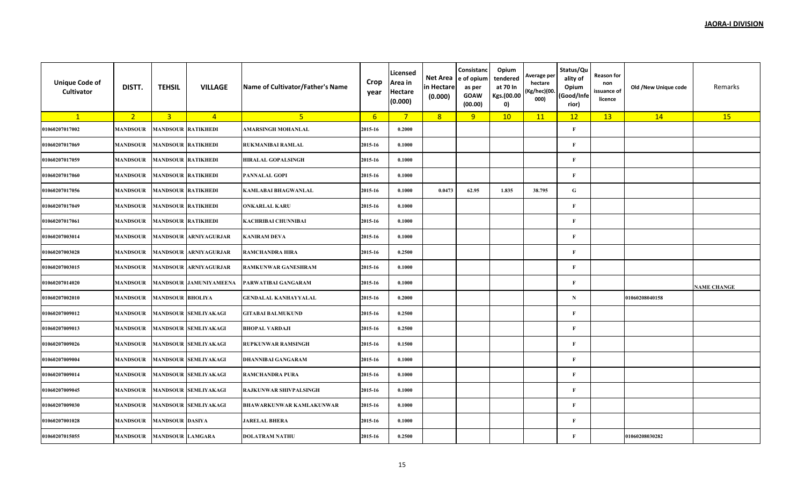| <b>Unique Code of</b><br>Cultivator | DISTT.          | <b>TEHSIL</b>             | <b>VILLAGE</b>              | Name of Cultivator/Father's Name | Crop<br>year | Licensed<br>Area in<br><b>Hectare</b><br>(0.000) | Net Area<br>in Hectare<br>(0.000) | Consistanc<br>e of opium<br>as per<br><b>GOAW</b><br>(00.00) | Opium<br>tendered<br>at 70 In<br>Kgs.(00.00<br>0) | Average per<br>hectare<br>(Kg/hec)(00.<br>000) | Status/Qu<br>ality of<br>Opium<br>(Good/Infe<br>rior) | <b>Reason for</b><br>non<br>issuance of<br>licence | Old /New Unique code | Remarks            |
|-------------------------------------|-----------------|---------------------------|-----------------------------|----------------------------------|--------------|--------------------------------------------------|-----------------------------------|--------------------------------------------------------------|---------------------------------------------------|------------------------------------------------|-------------------------------------------------------|----------------------------------------------------|----------------------|--------------------|
| $\mathbf{1}$                        | 2 <sub>1</sub>  | $\overline{3}$            | $\overline{4}$              | 5 <sup>1</sup>                   | 6            | $7^{\circ}$                                      | 8                                 | 9                                                            | 10                                                | 11                                             | 12                                                    | 13                                                 | 14                   | 15                 |
| 01060207017002                      | <b>MANDSOUR</b> | <b>MANDSOUR RATIKHEDI</b> |                             | <b>AMARSINGH MOHANLAL</b>        | 2015-16      | 0.2000                                           |                                   |                                                              |                                                   |                                                | $\mathbf{F}$                                          |                                                    |                      |                    |
| 01060207017069                      | <b>MANDSOUR</b> | <b>MANDSOUR RATIKHEDI</b> |                             | RUKMANIBAI RAMLAL                | 2015-16      | 0.1000                                           |                                   |                                                              |                                                   |                                                | $\mathbf{F}$                                          |                                                    |                      |                    |
| 01060207017059                      | MANDSOUR        | <b>MANDSOUR RATIKHEDI</b> |                             | <b>HIRALAL GOPALSINGH</b>        | 2015-16      | 0.1000                                           |                                   |                                                              |                                                   |                                                | F                                                     |                                                    |                      |                    |
| 01060207017060                      | <b>MANDSOUR</b> | <b>MANDSOUR RATIKHEDI</b> |                             | PANNALAL GOPI                    | 2015-16      | 0.1000                                           |                                   |                                                              |                                                   |                                                | $\mathbf{F}$                                          |                                                    |                      |                    |
| 01060207017056                      | <b>MANDSOUR</b> | <b>MANDSOUR RATIKHEDI</b> |                             | <b>KAMLABAI BHAGWANLAL</b>       | 2015-16      | 0.1000                                           | 0.0473                            | 62.95                                                        | 1.835                                             | 38.795                                         | G                                                     |                                                    |                      |                    |
| 01060207017049                      | <b>MANDSOUR</b> | <b>MANDSOUR RATIKHEDI</b> |                             | <b>ONKARLAL KARU</b>             | 2015-16      | 0.1000                                           |                                   |                                                              |                                                   |                                                | $\mathbf{F}$                                          |                                                    |                      |                    |
| 01060207017061                      | <b>MANDSOUR</b> | <b>MANDSOUR RATIKHEDI</b> |                             | KACHRIBAI CHUNNIBAI              | 2015-16      | 0.1000                                           |                                   |                                                              |                                                   |                                                | $\mathbf{F}$                                          |                                                    |                      |                    |
| 01060207003014                      | <b>MANDSOUR</b> | <b>MANDSOUR</b>           | <b>ARNIYAGURJAR</b>         | <b>KANIRAM DEVA</b>              | 2015-16      | 0.1000                                           |                                   |                                                              |                                                   |                                                | $\mathbf{F}$                                          |                                                    |                      |                    |
| 01060207003028                      | <b>MANDSOUR</b> | <b>MANDSOUR</b>           | <b>ARNIYAGURJAR</b>         | <b>RAMCHANDRA HIRA</b>           | 2015-16      | 0.2500                                           |                                   |                                                              |                                                   |                                                | $\mathbf{F}$                                          |                                                    |                      |                    |
| 01060207003015                      | <b>MANDSOUR</b> | <b>MANDSOUR</b>           | <b>ARNIYAGURJAR</b>         | <b>RAMKUNWAR GANESHRAM</b>       | 2015-16      | 0.1000                                           |                                   |                                                              |                                                   |                                                | $\mathbf{F}$                                          |                                                    |                      |                    |
| 01060207014020                      | <b>MANDSOUR</b> |                           | MANDSOUR JAMUNIYAMEENA      | PARWATIBAI GANGARAM              | 2015-16      | 0.1000                                           |                                   |                                                              |                                                   |                                                | $\mathbf{F}$                                          |                                                    |                      | <b>NAME CHANGE</b> |
| 01060207002010                      | <b>MANDSOUR</b> | <b>MANDSOUR BHOLIYA</b>   |                             | GENDALAL KANHAYYALAL             | 2015-16      | 0.2000                                           |                                   |                                                              |                                                   |                                                | N                                                     |                                                    | 01060208040158       |                    |
| 01060207009012                      | <b>MANDSOUR</b> |                           | <b>MANDSOUR SEMLIYAKAGI</b> | <b>GITABAI BALMUKUND</b>         | 2015-16      | 0.2500                                           |                                   |                                                              |                                                   |                                                | $\mathbf{F}$                                          |                                                    |                      |                    |
| 01060207009013                      | <b>MANDSOUR</b> |                           | MANDSOUR SEMLIYAKAGI        | <b>BHOPAL VARDAJI</b>            | 2015-16      | 0.2500                                           |                                   |                                                              |                                                   |                                                | $\mathbf{F}$                                          |                                                    |                      |                    |
| 01060207009026                      | <b>MANDSOUR</b> |                           | <b>MANDSOUR SEMLIYAKAGI</b> | <b>RUPKUNWAR RAMSINGH</b>        | 2015-16      | 0.1500                                           |                                   |                                                              |                                                   |                                                | $\mathbf{F}$                                          |                                                    |                      |                    |
| 01060207009004                      | <b>MANDSOUR</b> |                           | <b>MANDSOUR SEMLIYAKAGI</b> | <b>DHANNIBAI GANGARAM</b>        | 2015-16      | 0.1000                                           |                                   |                                                              |                                                   |                                                | $\mathbf{F}$                                          |                                                    |                      |                    |
| 01060207009014                      | <b>MANDSOUR</b> |                           | MANDSOUR SEMLIYAKAGI        | <b>RAMCHANDRA PURA</b>           | 2015-16      | 0.1000                                           |                                   |                                                              |                                                   |                                                | $\mathbf{F}$                                          |                                                    |                      |                    |
| 01060207009045                      | <b>MANDSOUR</b> |                           | <b>MANDSOUR SEMLIYAKAGI</b> | RAJKUNWAR SHIVPALSINGH           | 2015-16      | 0.1000                                           |                                   |                                                              |                                                   |                                                | $\mathbf{F}$                                          |                                                    |                      |                    |
| 01060207009030                      | <b>MANDSOUR</b> |                           | MANDSOUR SEMLIYAKAGI        | <b>BHAWARKUNWAR KAMLAKUNWAR</b>  | 2015-16      | 0.1000                                           |                                   |                                                              |                                                   |                                                | $\mathbf{F}$                                          |                                                    |                      |                    |
| 01060207001028                      | <b>MANDSOUR</b> | <b>MANDSOUR DASIYA</b>    |                             | <b>JARELAL BHERA</b>             | 2015-16      | 0.1000                                           |                                   |                                                              |                                                   |                                                | $\mathbf{F}$                                          |                                                    |                      |                    |
| 01060207015055                      | <b>MANDSOUR</b> | <b>MANDSOUR LAMGARA</b>   |                             | <b>DOLATRAM NATHU</b>            | 2015-16      | 0.2500                                           |                                   |                                                              |                                                   |                                                | $\mathbf{F}$                                          |                                                    | 01060208030282       |                    |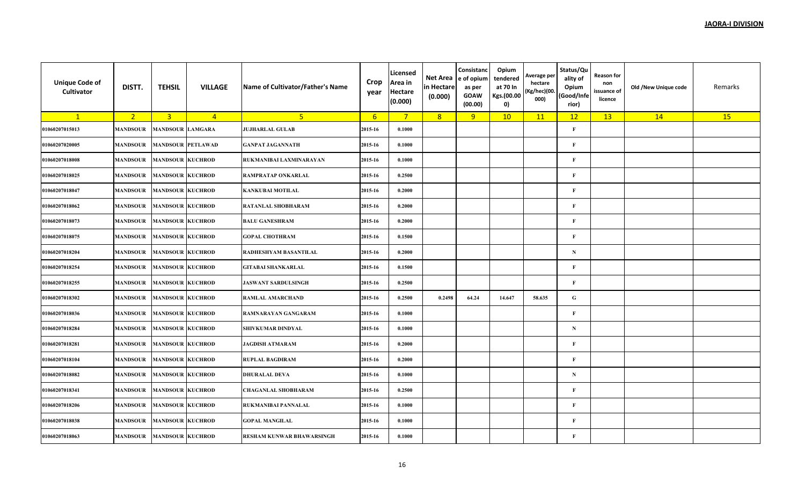| <b>Unique Code of</b><br>Cultivator | DISTT.          | <b>TEHSIL</b>            | <b>VILLAGE</b> | Name of Cultivator/Father's Name | Crop<br>year     | Licensed<br>Area in<br><b>Hectare</b><br>(0.000) | Net Area<br>in Hectare<br>(0.000) | Consistanc<br>e of opium<br>as per<br><b>GOAW</b><br>(00.00) | Opium<br>tendered<br>at 70 In<br>Kgs.(00.00<br>0) | Average per<br>hectare<br>(Kg/hec)(00.<br>000) | Status/Qu<br>ality of<br>Opium<br>(Good/Infe<br>rior) | <b>Reason for</b><br>non<br>issuance of<br>licence | Old /New Unique code | Remarks |
|-------------------------------------|-----------------|--------------------------|----------------|----------------------------------|------------------|--------------------------------------------------|-----------------------------------|--------------------------------------------------------------|---------------------------------------------------|------------------------------------------------|-------------------------------------------------------|----------------------------------------------------|----------------------|---------|
| $\mathbf{1}$                        | 2 <sup>7</sup>  | $\overline{3}$           | $\overline{4}$ | 5 <sub>1</sub>                   | $6 \overline{6}$ | $7^{\circ}$                                      | 8                                 | 9                                                            | 10                                                | 11                                             | 12                                                    | 13                                                 | 14                   | 15      |
| 01060207015013                      | <b>MANDSOUR</b> | <b>MANDSOUR LAMGARA</b>  |                | <b>JUJHARLAL GULAB</b>           | 2015-16          | 0.1000                                           |                                   |                                                              |                                                   |                                                | $\mathbf{F}$                                          |                                                    |                      |         |
| 01060207020005                      | <b>MANDSOUR</b> | <b>MANDSOUR PETLAWAD</b> |                | <b>GANPAT JAGANNATH</b>          | 2015-16          | 0.1000                                           |                                   |                                                              |                                                   |                                                | $\mathbf{F}$                                          |                                                    |                      |         |
| 01060207018008                      | MANDSOUR        | <b>MANDSOUR KUCHROD</b>  |                | RUKMANIBAI LAXMINARAYAN          | 2015-16          | 0.1000                                           |                                   |                                                              |                                                   |                                                | $\mathbf{F}$                                          |                                                    |                      |         |
| 01060207018025                      | <b>MANDSOUR</b> | <b>MANDSOUR KUCHROD</b>  |                | RAMPRATAP ONKARLAL               | 2015-16          | 0.2500                                           |                                   |                                                              |                                                   |                                                | $\mathbf{F}$                                          |                                                    |                      |         |
| 01060207018047                      | MANDSOUR        | <b>MANDSOUR KUCHROD</b>  |                | <b>KANKUBAI MOTILAL</b>          | 2015-16          | 0.2000                                           |                                   |                                                              |                                                   |                                                | $\mathbf{F}$                                          |                                                    |                      |         |
| 01060207018062                      | <b>MANDSOUR</b> | <b>MANDSOUR KUCHROD</b>  |                | RATANLAL SHOBHARAM               | 2015-16          | 0.2000                                           |                                   |                                                              |                                                   |                                                | $\mathbf{F}$                                          |                                                    |                      |         |
| 01060207018073                      | <b>MANDSOUR</b> | <b>MANDSOUR KUCHROD</b>  |                | <b>BALU GANESHRAM</b>            | 2015-16          | 0.2000                                           |                                   |                                                              |                                                   |                                                | $\mathbf{F}$                                          |                                                    |                      |         |
| 01060207018075                      | <b>MANDSOUR</b> | <b>MANDSOUR KUCHROD</b>  |                | <b>GOPAL CHOTHRAM</b>            | 2015-16          | 0.1500                                           |                                   |                                                              |                                                   |                                                | $\mathbf{F}$                                          |                                                    |                      |         |
| 01060207018204                      | MANDSOUR        | <b>MANDSOUR KUCHROD</b>  |                | RADHESHYAM BASANTILAL            | 2015-16          | 0.2000                                           |                                   |                                                              |                                                   |                                                | N                                                     |                                                    |                      |         |
| 01060207018254                      | <b>MANDSOUR</b> | <b>MANDSOUR KUCHROD</b>  |                | <b>GITABAI SHANKARLAL</b>        | 2015-16          | 0.1500                                           |                                   |                                                              |                                                   |                                                | $\mathbf{F}$                                          |                                                    |                      |         |
| 01060207018255                      | MANDSOUR        | <b>MANDSOUR KUCHROD</b>  |                | <b>JASWANT SARDULSINGH</b>       | 2015-16          | 0.2500                                           |                                   |                                                              |                                                   |                                                | $\mathbf{F}$                                          |                                                    |                      |         |
| 01060207018302                      | <b>MANDSOUR</b> | <b>MANDSOUR KUCHROD</b>  |                | <b>RAMLAL AMARCHAND</b>          | 2015-16          | 0.2500                                           | 0.2498                            | 64.24                                                        | 14.647                                            | 58.635                                         | ${\bf G}$                                             |                                                    |                      |         |
| 01060207018036                      | MANDSOUR        | <b>MANDSOUR KUCHROD</b>  |                | RAMNARAYAN GANGARAM              | 2015-16          | 0.1000                                           |                                   |                                                              |                                                   |                                                | $\mathbf{F}$                                          |                                                    |                      |         |
| 01060207018284                      | <b>MANDSOUR</b> | <b>MANDSOUR KUCHROD</b>  |                | <b>SHIVKUMAR DINDYAL</b>         | 2015-16          | 0.1000                                           |                                   |                                                              |                                                   |                                                | ${\bf N}$                                             |                                                    |                      |         |
| 01060207018281                      | <b>MANDSOUR</b> | <b>MANDSOUR KUCHROD</b>  |                | <b>JAGDISH ATMARAM</b>           | 2015-16          | 0.2000                                           |                                   |                                                              |                                                   |                                                | $\mathbf{F}$                                          |                                                    |                      |         |
| 01060207018104                      | <b>MANDSOUR</b> | <b>MANDSOUR KUCHROD</b>  |                | <b>RUPLAL BAGDIRAM</b>           | 2015-16          | 0.2000                                           |                                   |                                                              |                                                   |                                                | $\mathbf{F}$                                          |                                                    |                      |         |
| 01060207018082                      | MANDSOUR        | <b>MANDSOUR KUCHROD</b>  |                | <b>DHURALAL DEVA</b>             | 2015-16          | 0.1000                                           |                                   |                                                              |                                                   |                                                | N                                                     |                                                    |                      |         |
| 01060207018341                      | MANDSOUR        | <b>MANDSOUR KUCHROD</b>  |                | <b>CHAGANLAL SHOBHARAM</b>       | 2015-16          | 0.2500                                           |                                   |                                                              |                                                   |                                                | $\mathbf{F}$                                          |                                                    |                      |         |
| 01060207018206                      | MANDSOUR        | <b>MANDSOUR KUCHROD</b>  |                | RUKMANIBAI PANNALAL              | 2015-16          | 0.1000                                           |                                   |                                                              |                                                   |                                                | $\mathbf{F}$                                          |                                                    |                      |         |
| 01060207018038                      | <b>MANDSOUR</b> | <b>MANDSOUR KUCHROD</b>  |                | <b>GOPAL MANGILAL</b>            | 2015-16          | 0.1000                                           |                                   |                                                              |                                                   |                                                | $\mathbf{F}$                                          |                                                    |                      |         |
| 01060207018063                      | <b>MANDSOUR</b> | <b>MANDSOUR KUCHROD</b>  |                | RESHAM KUNWAR BHAWARSINGH        | 2015-16          | 0.1000                                           |                                   |                                                              |                                                   |                                                | $\bf F$                                               |                                                    |                      |         |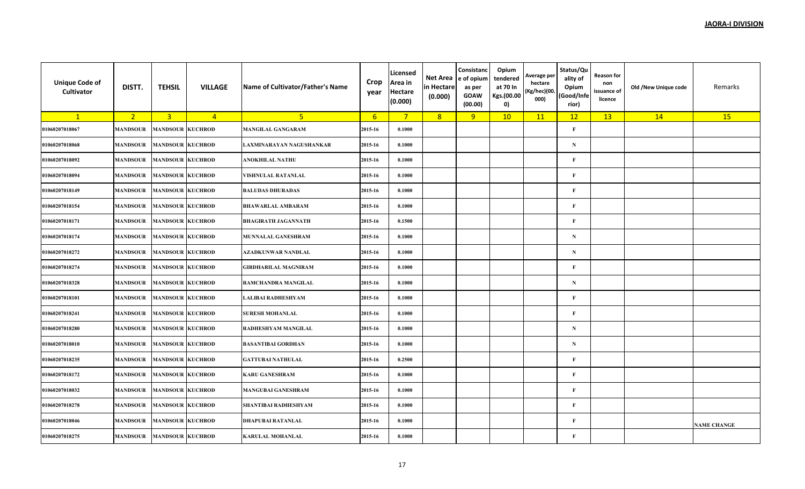| <b>Unique Code of</b><br>Cultivator | DISTT.          | <b>TEHSIL</b>           | <b>VILLAGE</b> | Name of Cultivator/Father's Name | Crop<br>year    | Licensed<br>Area in<br><b>Hectare</b><br>(0.000) | Net Area<br>in Hectare<br>(0.000) | Consistanc<br>e of opium<br>as per<br><b>GOAW</b><br>(00.00) | Opium<br>tendered<br>at 70 In<br>Kgs.(00.00<br>$\mathbf{0}$ | Average per<br>hectare<br>(Kg/hec)(00.<br>000) | Status/Qu<br>ality of<br>Opium<br>(Good/Infe<br>rior) | <b>Reason for</b><br>non<br>issuance of<br>licence | Old /New Unique code | Remarks            |
|-------------------------------------|-----------------|-------------------------|----------------|----------------------------------|-----------------|--------------------------------------------------|-----------------------------------|--------------------------------------------------------------|-------------------------------------------------------------|------------------------------------------------|-------------------------------------------------------|----------------------------------------------------|----------------------|--------------------|
| $\mathbf{1}$                        | 2 <sub>1</sub>  | $\overline{\mathbf{3}}$ | $\overline{4}$ | 5 <sup>2</sup>                   | $6\overline{6}$ | $7^{\circ}$                                      | 8                                 | 9                                                            | 10                                                          | 11                                             | 12                                                    | 13                                                 | 14                   | 15                 |
| 01060207018067                      | <b>MANDSOUR</b> | <b>MANDSOUR</b>         | <b>KUCHROD</b> | MANGILAL GANGARAM                | 2015-16         | 0.1000                                           |                                   |                                                              |                                                             |                                                | $\mathbf{F}$                                          |                                                    |                      |                    |
| 01060207018068                      | <b>MANDSOUR</b> | <b>MANDSOUR KUCHROD</b> |                | LAXMINARAYAN NAGUSHANKAR         | 2015-16         | 0.1000                                           |                                   |                                                              |                                                             |                                                | ${\bf N}$                                             |                                                    |                      |                    |
| 01060207018092                      | MANDSOUR        | <b>MANDSOUR KUCHROD</b> |                | ANOKHILAL NATHU                  | 2015-16         | 0.1000                                           |                                   |                                                              |                                                             |                                                | $\mathbf{F}$                                          |                                                    |                      |                    |
| 01060207018094                      | <b>MANDSOUR</b> | <b>MANDSOUR KUCHROD</b> |                | VISHNULAL RATANLAL               | 2015-16         | 0.1000                                           |                                   |                                                              |                                                             |                                                | $\mathbf{F}$                                          |                                                    |                      |                    |
| 01060207018149                      | <b>MANDSOUR</b> | <b>MANDSOUR KUCHROD</b> |                | <b>BALUDAS DHURADAS</b>          | 2015-16         | 0.1000                                           |                                   |                                                              |                                                             |                                                | $\mathbf{F}$                                          |                                                    |                      |                    |
| 01060207018154                      | <b>MANDSOUR</b> | <b>MANDSOUR KUCHROD</b> |                | <b>BHAWARLAL AMBARAM</b>         | 2015-16         | 0.1000                                           |                                   |                                                              |                                                             |                                                | $\mathbf{F}$                                          |                                                    |                      |                    |
| 01060207018171                      | <b>MANDSOUR</b> | <b>MANDSOUR KUCHROD</b> |                | <b>BHAGIRATH JAGANNATH</b>       | 2015-16         | 0.1500                                           |                                   |                                                              |                                                             |                                                | $\mathbf{F}$                                          |                                                    |                      |                    |
| 01060207018174                      | <b>MANDSOUR</b> | <b>MANDSOUR KUCHROD</b> |                | <b>MUNNALAL GANESHRAM</b>        | 2015-16         | 0.1000                                           |                                   |                                                              |                                                             |                                                | ${\bf N}$                                             |                                                    |                      |                    |
| 01060207018272                      | MANDSOUR        | <b>MANDSOUR KUCHROD</b> |                | AZADKUNWAR NANDLAL               | 2015-16         | 0.1000                                           |                                   |                                                              |                                                             |                                                | ${\bf N}$                                             |                                                    |                      |                    |
| 01060207018274                      | <b>MANDSOUR</b> | <b>MANDSOUR KUCHROD</b> |                | GIRDHARILAL MAGNIRAM             | 2015-16         | 0.1000                                           |                                   |                                                              |                                                             |                                                | $\mathbf{F}$                                          |                                                    |                      |                    |
| 01060207018328                      | <b>MANDSOUR</b> | <b>MANDSOUR KUCHROD</b> |                | RAMCHANDRA MANGILAL              | 2015-16         | 0.1000                                           |                                   |                                                              |                                                             |                                                | ${\bf N}$                                             |                                                    |                      |                    |
| 01060207018101                      | <b>MANDSOUR</b> | <b>MANDSOUR KUCHROD</b> |                | LALIBAI RADHESHYAM               | 2015-16         | 0.1000                                           |                                   |                                                              |                                                             |                                                | $\mathbf{F}$                                          |                                                    |                      |                    |
| 01060207018241                      | MANDSOUR        | <b>MANDSOUR KUCHROD</b> |                | <b>SURESH MOHANLAL</b>           | 2015-16         | 0.1000                                           |                                   |                                                              |                                                             |                                                | $\mathbf{F}$                                          |                                                    |                      |                    |
| 01060207018280                      | <b>MANDSOUR</b> | <b>MANDSOUR KUCHROD</b> |                | RADHESHYAM MANGILAL              | 2015-16         | 0.1000                                           |                                   |                                                              |                                                             |                                                | ${\bf N}$                                             |                                                    |                      |                    |
| 01060207018010                      | <b>MANDSOUR</b> | <b>MANDSOUR KUCHROD</b> |                | <b>BASANTIBAI GORDHAN</b>        | 2015-16         | 0.1000                                           |                                   |                                                              |                                                             |                                                | ${\bf N}$                                             |                                                    |                      |                    |
| 01060207018235                      | <b>MANDSOUR</b> | <b>MANDSOUR KUCHROD</b> |                | <b>GATTUBAI NATHULAL</b>         | 2015-16         | 0.2500                                           |                                   |                                                              |                                                             |                                                | $\mathbf{F}$                                          |                                                    |                      |                    |
| 01060207018172                      | MANDSOUR        | <b>MANDSOUR KUCHROD</b> |                | <b>KARU GANESHRAM</b>            | 2015-16         | 0.1000                                           |                                   |                                                              |                                                             |                                                | $\mathbf{F}$                                          |                                                    |                      |                    |
| 01060207018032                      | <b>MANDSOUR</b> | <b>MANDSOUR KUCHROD</b> |                | <b>MANGUBAI GANESHRAM</b>        | 2015-16         | 0.1000                                           |                                   |                                                              |                                                             |                                                | $\mathbf{F}$                                          |                                                    |                      |                    |
| 01060207018278                      | MANDSOUR        | <b>MANDSOUR KUCHROD</b> |                | SHANTIBAI RADHESHYAM             | 2015-16         | 0.1000                                           |                                   |                                                              |                                                             |                                                | $\mathbf{F}$                                          |                                                    |                      |                    |
| 01060207018046                      | <b>MANDSOUR</b> | <b>MANDSOUR KUCHROD</b> |                | DHAPUBAI RATANLAL                | 2015-16         | 0.1000                                           |                                   |                                                              |                                                             |                                                | $\mathbf{F}$                                          |                                                    |                      | <b>NAME CHANGE</b> |
| 01060207018275                      | <b>MANDSOUR</b> | <b>MANDSOUR KUCHROD</b> |                | <b>KARULAL MOHANLAL</b>          | 2015-16         | 0.1000                                           |                                   |                                                              |                                                             |                                                | $\mathbf{F}$                                          |                                                    |                      |                    |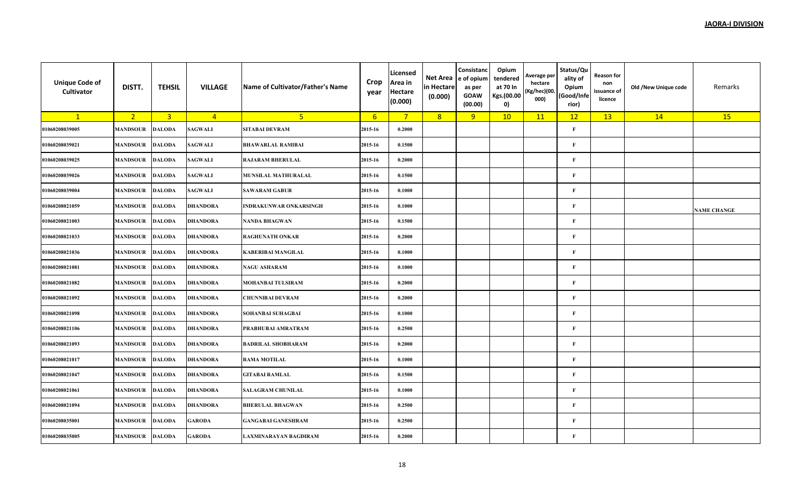| <b>Unique Code of</b><br>Cultivator | DISTT.          | <b>TEHSIL</b>           | <b>VILLAGE</b>  | Name of Cultivator/Father's Name | Crop<br>year    | Licensed<br>Area in<br><b>Hectare</b><br>(0.000) | Net Area<br>in Hectare<br>(0.000) | Consistanc<br>e of opium<br>as per<br><b>GOAW</b><br>(00.00) | Opium<br>tendered<br>at 70 In<br>Kgs.(00.00<br>$\mathbf{0}$ | Average per<br>hectare<br>(Kg/hec)(00.<br>000) | Status/Qu<br>ality of<br>Opium<br>(Good/Infe<br>rior) | <b>Reason for</b><br>non<br>issuance of<br>licence | Old /New Unique code | Remarks            |
|-------------------------------------|-----------------|-------------------------|-----------------|----------------------------------|-----------------|--------------------------------------------------|-----------------------------------|--------------------------------------------------------------|-------------------------------------------------------------|------------------------------------------------|-------------------------------------------------------|----------------------------------------------------|----------------------|--------------------|
| $\mathbf{1}$                        | 2 <sub>1</sub>  | $\overline{\mathbf{3}}$ | $\overline{4}$  | 5 <sup>2</sup>                   | $6\overline{6}$ | $7^{\circ}$                                      | 8                                 | 9                                                            | 10                                                          | 11                                             | 12                                                    | 13                                                 | 14                   | 15                 |
| 01060208039005                      | <b>MANDSOUR</b> | <b>DALODA</b>           | <b>SAGWALI</b>  | <b>SITABAI DEVRAM</b>            | 2015-16         | 0.2000                                           |                                   |                                                              |                                                             |                                                | $\mathbf{F}$                                          |                                                    |                      |                    |
| 01060208039021                      | <b>MANDSOUR</b> | <b>DALODA</b>           | <b>SAGWALI</b>  | <b>BHAWARLAL RAMIBAI</b>         | 2015-16         | 0.1500                                           |                                   |                                                              |                                                             |                                                | $\mathbf{F}$                                          |                                                    |                      |                    |
| 01060208039025                      | MANDSOUR        | <b>DALODA</b>           | <b>SAGWALI</b>  | <b>RAJARAM BHERULAL</b>          | 2015-16         | 0.2000                                           |                                   |                                                              |                                                             |                                                | F                                                     |                                                    |                      |                    |
| 01060208039026                      | <b>MANDSOUR</b> | <b>DALODA</b>           | <b>SAGWALI</b>  | MUNSILAL MATHURALAL              | 2015-16         | 0.1500                                           |                                   |                                                              |                                                             |                                                | $\mathbf{F}$                                          |                                                    |                      |                    |
| 01060208039004                      | <b>MANDSOUR</b> | <b>DALODA</b>           | <b>SAGWALI</b>  | <b>SAWARAM GABUR</b>             | 2015-16         | 0.1000                                           |                                   |                                                              |                                                             |                                                | $\mathbf{F}$                                          |                                                    |                      |                    |
| 01060208021059                      | <b>MANDSOUR</b> | <b>DALODA</b>           | DHANDORA        | INDRAKUNWAR ONKARSINGH           | 2015-16         | 0.1000                                           |                                   |                                                              |                                                             |                                                | $\mathbf{F}$                                          |                                                    |                      | <b>NAME CHANGE</b> |
| 01060208021003                      | <b>MANDSOUR</b> | <b>DALODA</b>           | DHANDORA        | <b>NANDA BHAGWAN</b>             | 2015-16         | 0.1500                                           |                                   |                                                              |                                                             |                                                | $\mathbf{F}$                                          |                                                    |                      |                    |
| 01060208021033                      | <b>MANDSOUR</b> | <b>DALODA</b>           | DHANDORA        | RAGHUNATH ONKAR                  | 2015-16         | 0.2000                                           |                                   |                                                              |                                                             |                                                | $\mathbf{F}$                                          |                                                    |                      |                    |
| 01060208021036                      | MANDSOUR        | <b>DALODA</b>           | <b>DHANDORA</b> | <b>KABERIBAI MANGILAL</b>        | 2015-16         | 0.1000                                           |                                   |                                                              |                                                             |                                                | $\mathbf{F}$                                          |                                                    |                      |                    |
| 01060208021081                      | <b>MANDSOUR</b> | <b>DALODA</b>           | DHANDORA        | <b>NAGU ASHARAM</b>              | 2015-16         | 0.1000                                           |                                   |                                                              |                                                             |                                                | $\mathbf{F}$                                          |                                                    |                      |                    |
| 01060208021082                      | <b>MANDSOUR</b> | <b>DALODA</b>           | <b>DHANDORA</b> | <b>MOHANBAI TULSIRAM</b>         | 2015-16         | 0.2000                                           |                                   |                                                              |                                                             |                                                | $\mathbf{F}$                                          |                                                    |                      |                    |
| 01060208021092                      | <b>MANDSOUR</b> | <b>DALODA</b>           | DHANDORA        | CHUNNIBAI DEVRAM                 | 2015-16         | 0.2000                                           |                                   |                                                              |                                                             |                                                | $\mathbf{F}$                                          |                                                    |                      |                    |
| 01060208021098                      | MANDSOUR        | <b>DALODA</b>           | DHANDORA        | SOHANBAI SUHAGBAI                | 2015-16         | 0.1000                                           |                                   |                                                              |                                                             |                                                | $\mathbf{F}$                                          |                                                    |                      |                    |
| 01060208021106                      | <b>MANDSOUR</b> | <b>DALODA</b>           | DHANDORA        | PRABHUBAI AMRATRAM               | 2015-16         | 0.2500                                           |                                   |                                                              |                                                             |                                                | $\mathbf{F}$                                          |                                                    |                      |                    |
| 01060208021093                      | <b>MANDSOUR</b> | <b>DALODA</b>           | <b>DHANDORA</b> | <b>BADRILAL SHOBHARAM</b>        | 2015-16         | 0.2000                                           |                                   |                                                              |                                                             |                                                | $\mathbf{F}$                                          |                                                    |                      |                    |
| 01060208021017                      | <b>MANDSOUR</b> | <b>DALODA</b>           | DHANDORA        | <b>RAMA MOTILAL</b>              | 2015-16         | 0.1000                                           |                                   |                                                              |                                                             |                                                | $\mathbf{F}$                                          |                                                    |                      |                    |
| 01060208021047                      | MANDSOUR        | <b>DALODA</b>           | DHANDORA        | <b>GITABAI RAMLAL</b>            | 2015-16         | 0.1500                                           |                                   |                                                              |                                                             |                                                | $\mathbf{F}$                                          |                                                    |                      |                    |
| 01060208021061                      | <b>MANDSOUR</b> | <b>DALODA</b>           | DHANDORA        | <b>SALAGRAM CHUNILAL</b>         | 2015-16         | 0.1000                                           |                                   |                                                              |                                                             |                                                | $\mathbf{F}$                                          |                                                    |                      |                    |
| 01060208021094                      | <b>MANDSOUR</b> | <b>DALODA</b>           | DHANDORA        | <b>BHERULAL BHAGWAN</b>          | 2015-16         | 0.2500                                           |                                   |                                                              |                                                             |                                                | $\mathbf{F}$                                          |                                                    |                      |                    |
| 01060208035001                      | <b>MANDSOUR</b> | <b>DALODA</b>           | <b>GARODA</b>   | <b>GANGABAI GANESHRAM</b>        | 2015-16         | 0.2500                                           |                                   |                                                              |                                                             |                                                | $\mathbf{F}$                                          |                                                    |                      |                    |
| 01060208035005                      | <b>MANDSOUR</b> | <b>DALODA</b>           | <b>GARODA</b>   | LAXMINARAYAN BAGDIRAM            | 2015-16         | 0.2000                                           |                                   |                                                              |                                                             |                                                | $\mathbf{F}$                                          |                                                    |                      |                    |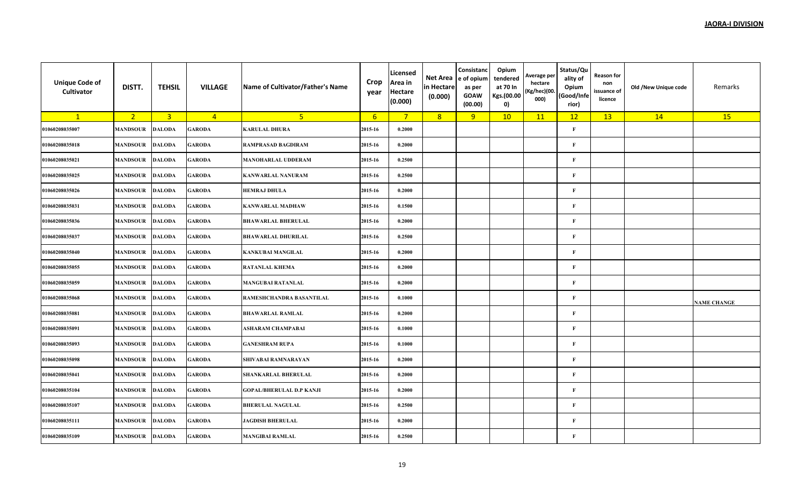| <b>Unique Code of</b><br>Cultivator | DISTT.          | <b>TEHSIL</b>  | <b>VILLAGE</b> | Name of Cultivator/Father's Name | Crop<br>year    | Licensed<br>Area in<br><b>Hectare</b><br>(0.000) | Net Area<br>in Hectare<br>(0.000) | Consistanc<br>e of opium<br>as per<br><b>GOAW</b><br>(00.00) | Opium<br>tendered<br>at 70 In<br>Kgs.(00.00<br>0) | Average per<br>hectare<br>(Kg/hec)(00.<br>000) | Status/Qu<br>ality of<br>Opium<br>(Good/Infe<br>rior) | <b>Reason for</b><br>non<br>issuance of<br>licence | Old /New Unique code | Remarks            |
|-------------------------------------|-----------------|----------------|----------------|----------------------------------|-----------------|--------------------------------------------------|-----------------------------------|--------------------------------------------------------------|---------------------------------------------------|------------------------------------------------|-------------------------------------------------------|----------------------------------------------------|----------------------|--------------------|
| $\mathbf{1}$                        | 2 <sub>1</sub>  | $\overline{3}$ | $\overline{4}$ | 5 <sup>1</sup>                   | $6\overline{6}$ | $7^{\circ}$                                      | 8                                 | 9                                                            | 10                                                | 11                                             | 12                                                    | 13                                                 | 14                   | 15                 |
| 01060208035007                      | <b>MANDSOUR</b> | <b>DALODA</b>  | <b>GARODA</b>  | <b>KARULAL DHURA</b>             | 2015-16         | 0.2000                                           |                                   |                                                              |                                                   |                                                | $\mathbf{F}$                                          |                                                    |                      |                    |
| 01060208035018                      | <b>MANDSOUR</b> | <b>DALODA</b>  | <b>GARODA</b>  | RAMPRASAD BAGDIRAM               | 2015-16         | 0.2000                                           |                                   |                                                              |                                                   |                                                | $\mathbf{F}$                                          |                                                    |                      |                    |
| 01060208035021                      | MANDSOUR        | <b>DALODA</b>  | GARODA         | <b>MANOHARLAL UDDERAM</b>        | 2015-16         | 0.2500                                           |                                   |                                                              |                                                   |                                                | F                                                     |                                                    |                      |                    |
| 01060208035025                      | <b>MANDSOUR</b> | <b>DALODA</b>  | <b>GARODA</b>  | <b>KANWARLAL NANURAM</b>         | 2015-16         | 0.2500                                           |                                   |                                                              |                                                   |                                                | $\mathbf{F}$                                          |                                                    |                      |                    |
| 01060208035026                      | <b>MANDSOUR</b> | <b>DALODA</b>  | <b>GARODA</b>  | <b>HEMRAJ DHULA</b>              | 2015-16         | 0.2000                                           |                                   |                                                              |                                                   |                                                | $\mathbf{F}$                                          |                                                    |                      |                    |
| 01060208035031                      | <b>MANDSOUR</b> | <b>DALODA</b>  | <b>GARODA</b>  | <b>KANWARLAL MADHAW</b>          | 2015-16         | 0.1500                                           |                                   |                                                              |                                                   |                                                | $\mathbf{F}$                                          |                                                    |                      |                    |
| 01060208035036                      | <b>MANDSOUR</b> | <b>DALODA</b>  | GARODA         | <b>BHAWARLAL BHERULAL</b>        | 2015-16         | 0.2000                                           |                                   |                                                              |                                                   |                                                | $\mathbf{F}$                                          |                                                    |                      |                    |
| 01060208035037                      | <b>MANDSOUR</b> | <b>DALODA</b>  | <b>GARODA</b>  | <b>BHAWARLAL DHURILAL</b>        | 2015-16         | 0.2500                                           |                                   |                                                              |                                                   |                                                | $\mathbf{F}$                                          |                                                    |                      |                    |
| 01060208035040                      | MANDSOUR        | <b>DALODA</b>  | <b>GARODA</b>  | <b>KANKUBAI MANGILAL</b>         | 2015-16         | 0.2000                                           |                                   |                                                              |                                                   |                                                | $\mathbf{F}$                                          |                                                    |                      |                    |
| 01060208035055                      | <b>MANDSOUR</b> | <b>DALODA</b>  | <b>GARODA</b>  | <b>RATANLAL KHEMA</b>            | 2015-16         | 0.2000                                           |                                   |                                                              |                                                   |                                                | $\mathbf{F}$                                          |                                                    |                      |                    |
| 01060208035059                      | <b>MANDSOUR</b> | <b>DALODA</b>  | <b>GARODA</b>  | <b>MANGUBAI RATANLAL</b>         | 2015-16         | 0.2000                                           |                                   |                                                              |                                                   |                                                | $\mathbf{F}$                                          |                                                    |                      |                    |
| 01060208035068                      | <b>MANDSOUR</b> | <b>DALODA</b>  | <b>GARODA</b>  | RAMESHCHANDRA BASANTILAL         | 2015-16         | 0.1000                                           |                                   |                                                              |                                                   |                                                | $\mathbf{F}$                                          |                                                    |                      | <b>NAME CHANGE</b> |
| 01060208035081                      | MANDSOUR        | <b>DALODA</b>  | GARODA         | <b>BHAWARLAL RAMLAL</b>          | 2015-16         | 0.2000                                           |                                   |                                                              |                                                   |                                                | $\mathbf{F}$                                          |                                                    |                      |                    |
| 01060208035091                      | <b>MANDSOUR</b> | <b>DALODA</b>  | <b>GARODA</b>  | ASHARAM CHAMPABAI                | 2015-16         | 0.1000                                           |                                   |                                                              |                                                   |                                                | $\mathbf{F}$                                          |                                                    |                      |                    |
| 01060208035093                      | <b>MANDSOUR</b> | <b>DALODA</b>  | <b>GARODA</b>  | <b>GANESHRAM RUPA</b>            | 2015-16         | 0.1000                                           |                                   |                                                              |                                                   |                                                | $\mathbf{F}$                                          |                                                    |                      |                    |
| 01060208035098                      | <b>MANDSOUR</b> | <b>DALODA</b>  | <b>GARODA</b>  | <b>SHIVABAI RAMNARAYAN</b>       | 2015-16         | 0.2000                                           |                                   |                                                              |                                                   |                                                | $\mathbf{F}$                                          |                                                    |                      |                    |
| 01060208035041                      | MANDSOUR        | <b>DALODA</b>  | <b>GARODA</b>  | <b>SHANKARLAL BHERULAL</b>       | 2015-16         | 0.2000                                           |                                   |                                                              |                                                   |                                                | $\mathbf{F}$                                          |                                                    |                      |                    |
| 01060208035104                      | <b>MANDSOUR</b> | <b>DALODA</b>  | <b>GARODA</b>  | <b>GOPAL/BHERULAL D.P KANJI</b>  | 2015-16         | 0.2000                                           |                                   |                                                              |                                                   |                                                | $\mathbf{F}$                                          |                                                    |                      |                    |
| 01060208035107                      | <b>MANDSOUR</b> | <b>DALODA</b>  | <b>GARODA</b>  | <b>BHERULAL NAGULAL</b>          | 2015-16         | 0.2500                                           |                                   |                                                              |                                                   |                                                | $\mathbf{F}$                                          |                                                    |                      |                    |
| 01060208035111                      | <b>MANDSOUR</b> | <b>DALODA</b>  | <b>GARODA</b>  | <b>JAGDISH BHERULAL</b>          | 2015-16         | 0.2000                                           |                                   |                                                              |                                                   |                                                | $\mathbf{F}$                                          |                                                    |                      |                    |
| 01060208035109                      | <b>MANDSOUR</b> | <b>DALODA</b>  | <b>GARODA</b>  | <b>MANGIBAI RAMLAL</b>           | 2015-16         | 0.2500                                           |                                   |                                                              |                                                   |                                                | $\mathbf{F}$                                          |                                                    |                      |                    |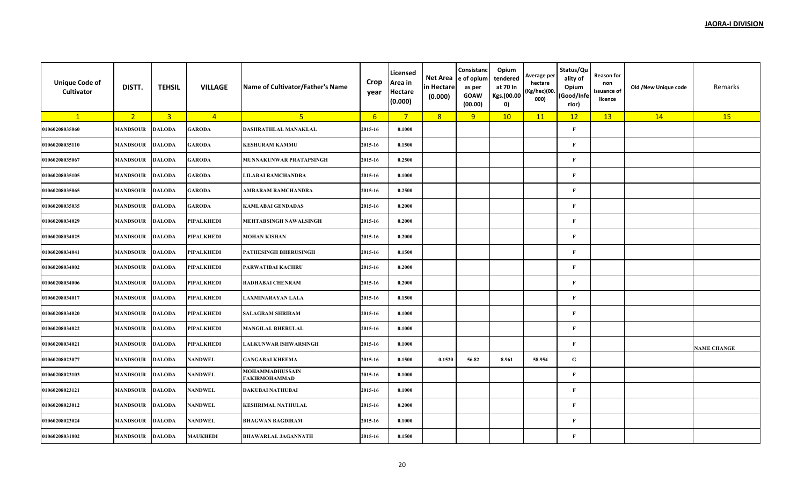| <b>Unique Code of</b><br>Cultivator | DISTT.          | <b>TEHSIL</b>  | <b>VILLAGE</b>  | Name of Cultivator/Father's Name        | Crop<br>year     | Licensed<br>Area in<br><b>Hectare</b><br>(0.000) | Net Area<br>in Hectare<br>(0.000) | Consistanc<br>e of opium<br>as per<br><b>GOAW</b><br>(00.00) | Opium<br>tendered<br>at 70 In<br>Kgs.(00.00<br>0) | Average per<br>hectare<br>(Kg/hec)(00.<br>000) | Status/Qu<br>ality of<br>Opium<br>(Good/Infe<br>rior) | <b>Reason for</b><br>non<br>issuance of<br>licence | Old /New Unique code | Remarks            |
|-------------------------------------|-----------------|----------------|-----------------|-----------------------------------------|------------------|--------------------------------------------------|-----------------------------------|--------------------------------------------------------------|---------------------------------------------------|------------------------------------------------|-------------------------------------------------------|----------------------------------------------------|----------------------|--------------------|
| $\mathbf{1}$                        | 2 <sup>7</sup>  | $\overline{3}$ | $\overline{4}$  | 5 <sub>1</sub>                          | $6 \overline{6}$ | $7^{\circ}$                                      | 8                                 | 9                                                            | 10                                                | 11                                             | 12                                                    | 13                                                 | 14                   | 15                 |
| 01060208035060                      | <b>MANDSOUR</b> | <b>DALODA</b>  | <b>GARODA</b>   | DASHRATHLAL MANAKLAL                    | 2015-16          | 0.1000                                           |                                   |                                                              |                                                   |                                                | $\mathbf{F}$                                          |                                                    |                      |                    |
| 01060208035110                      | <b>MANDSOUR</b> | <b>DALODA</b>  | <b>GARODA</b>   | <b>KESHURAM KAMMU</b>                   | 2015-16          | 0.1500                                           |                                   |                                                              |                                                   |                                                | $\mathbf{F}$                                          |                                                    |                      |                    |
| 01060208035067                      | MANDSOUR        | <b>DALODA</b>  | GARODA          | MUNNAKUNWAR PRATAPSINGH                 | 2015-16          | 0.2500                                           |                                   |                                                              |                                                   |                                                | $\mathbf{F}$                                          |                                                    |                      |                    |
| 01060208035105                      | <b>MANDSOUR</b> | <b>DALODA</b>  | <b>GARODA</b>   | <b>LILABAI RAMCHANDRA</b>               | 2015-16          | 0.1000                                           |                                   |                                                              |                                                   |                                                | $\mathbf{F}$                                          |                                                    |                      |                    |
| 01060208035065                      | MANDSOUR        | <b>DALODA</b>  | <b>GARODA</b>   | AMBARAM RAMCHANDRA                      | 2015-16          | 0.2500                                           |                                   |                                                              |                                                   |                                                | $\mathbf{F}$                                          |                                                    |                      |                    |
| 01060208035035                      | <b>MANDSOUR</b> | <b>DALODA</b>  | <b>GARODA</b>   | <b>KAMLABAI GENDADAS</b>                | 2015-16          | 0.2000                                           |                                   |                                                              |                                                   |                                                | $\mathbf{F}$                                          |                                                    |                      |                    |
| 01060208034029                      | <b>MANDSOUR</b> | <b>DALODA</b>  | PIPALKHEDI      | MEHTABSINGH NAWALSINGH                  | 2015-16          | 0.2000                                           |                                   |                                                              |                                                   |                                                | $\mathbf{F}$                                          |                                                    |                      |                    |
| 01060208034025                      | <b>MANDSOUR</b> | <b>DALODA</b>  | PIPALKHEDI      | <b>MOHAN KISHAN</b>                     | 2015-16          | 0.2000                                           |                                   |                                                              |                                                   |                                                | $\mathbf{F}$                                          |                                                    |                      |                    |
| 01060208034041                      | MANDSOUR        | <b>DALODA</b>  | PIPALKHEDI      | PATHESINGH BHERUSINGH                   | 2015-16          | 0.1500                                           |                                   |                                                              |                                                   |                                                | $\mathbf{F}$                                          |                                                    |                      |                    |
| 01060208034002                      | <b>MANDSOUR</b> | <b>DALODA</b>  | PIPALKHEDI      | PARWATIBAI KACHRU                       | 2015-16          | 0.2000                                           |                                   |                                                              |                                                   |                                                | $\mathbf{F}$                                          |                                                    |                      |                    |
| 01060208034006                      | <b>MANDSOUR</b> | <b>DALODA</b>  | PIPALKHEDI      | RADHABAI CHENRAM                        | 2015-16          | 0.2000                                           |                                   |                                                              |                                                   |                                                | $\mathbf{F}$                                          |                                                    |                      |                    |
| 01060208034017                      | <b>MANDSOUR</b> | <b>DALODA</b>  | PIPALKHEDI      | LAXMINARAYAN LALA                       | 2015-16          | 0.1500                                           |                                   |                                                              |                                                   |                                                | $\mathbf{F}$                                          |                                                    |                      |                    |
| 01060208034020                      | <b>MANDSOUR</b> | <b>DALODA</b>  | PIPALKHEDI      | <b>SALAGRAM SHRIRAM</b>                 | 2015-16          | 0.1000                                           |                                   |                                                              |                                                   |                                                | F                                                     |                                                    |                      |                    |
| 01060208034022                      | <b>MANDSOUR</b> | <b>DALODA</b>  | PIPALKHEDI      | <b>MANGILAL BHERULAL</b>                | 2015-16          | 0.1000                                           |                                   |                                                              |                                                   |                                                | $\mathbf{F}$                                          |                                                    |                      |                    |
| 01060208034021                      | <b>MANDSOUR</b> | <b>DALODA</b>  | PIPALKHEDI      | <b>LALKUNWAR ISHWARSINGH</b>            | 2015-16          | 0.1000                                           |                                   |                                                              |                                                   |                                                | $\mathbf{F}$                                          |                                                    |                      | <b>NAME CHANGE</b> |
| 01060208023077                      | <b>MANDSOUR</b> | <b>DALODA</b>  | NANDWEL         | <b>GANGABAI KHEEMA</b>                  | 2015-16          | 0.1500                                           | 0.1520                            | 56.82                                                        | 8.961                                             | 58.954                                         | ${\bf G}$                                             |                                                    |                      |                    |
| 01060208023103                      | <b>MANDSOUR</b> | <b>DALODA</b>  | NANDWEL         | MOHAMMADHUSSAIN<br><b>FAKIRMOHAMMAD</b> | 2015-16          | 0.1000                                           |                                   |                                                              |                                                   |                                                | $\mathbf{F}$                                          |                                                    |                      |                    |
| 01060208023121                      | <b>MANDSOUR</b> | <b>DALODA</b>  | NANDWEL         | <b>DAKUBAI NATHUBAI</b>                 | 2015-16          | 0.1000                                           |                                   |                                                              |                                                   |                                                | F                                                     |                                                    |                      |                    |
| 01060208023012                      | <b>MANDSOUR</b> | <b>DALODA</b>  | NANDWEL         | <b>KESHRIMAL NATHULAL</b>               | 2015-16          | 0.2000                                           |                                   |                                                              |                                                   |                                                | $\mathbf{F}$                                          |                                                    |                      |                    |
| 01060208023024                      | <b>MANDSOUR</b> | <b>DALODA</b>  | NANDWEL         | <b>BHAGWAN BAGDIRAM</b>                 | 2015-16          | 0.1000                                           |                                   |                                                              |                                                   |                                                | $\mathbf{F}$                                          |                                                    |                      |                    |
| 01060208031002                      | <b>MANDSOUR</b> | <b>DALODA</b>  | <b>MAUKHEDI</b> | <b>BHAWARLAL JAGANNATH</b>              | 2015-16          | 0.1500                                           |                                   |                                                              |                                                   |                                                | $\mathbf{F}$                                          |                                                    |                      |                    |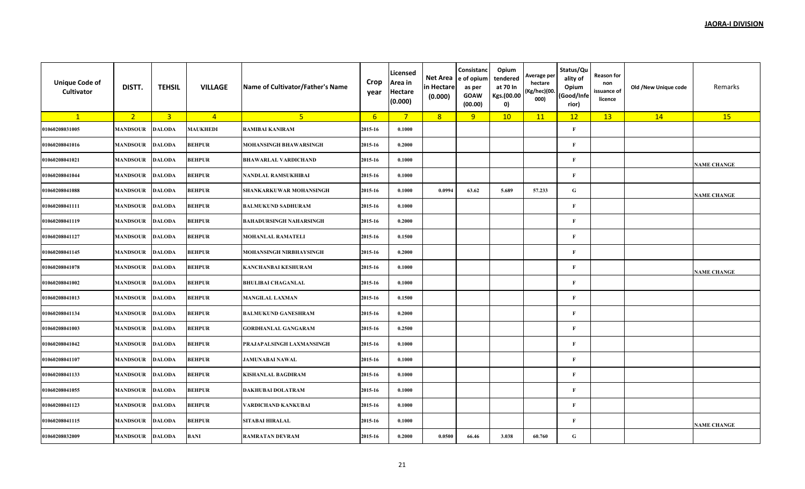| <b>Unique Code of</b><br>Cultivator | DISTT.          | <b>TEHSIL</b>  | <b>VILLAGE</b>  | Name of Cultivator/Father's Name | Crop<br>year | Licensed<br>Area in<br><b>Hectare</b><br>(0.000) | Net Area<br>in Hectare<br>(0.000) | Consistanc<br>e of opium<br>as per<br><b>GOAW</b><br>(00.00) | Opium<br>tendered<br>at 70 In<br>Kgs.(00.00<br>0) | Average per<br>hectare<br>(Kg/hec)(00.<br>000) | Status/Qu<br>ality of<br>Opium<br>(Good/Infe<br>rior) | <b>Reason for</b><br>non<br>issuance of<br>licence | Old /New Unique code | Remarks            |
|-------------------------------------|-----------------|----------------|-----------------|----------------------------------|--------------|--------------------------------------------------|-----------------------------------|--------------------------------------------------------------|---------------------------------------------------|------------------------------------------------|-------------------------------------------------------|----------------------------------------------------|----------------------|--------------------|
| $\mathbf{1}$                        | 2 <sup>2</sup>  | $\overline{3}$ | $\overline{4}$  | 5 <sup>1</sup>                   | 6            | $7^{\circ}$                                      | 8                                 | 9                                                            | 10                                                | 11                                             | 12                                                    | 13                                                 | 14                   | 15                 |
| 01060208031005                      | <b>MANDSOUR</b> | <b>DALODA</b>  | <b>MAUKHEDI</b> | RAMIBAI KANIRAM                  | 2015-16      | 0.1000                                           |                                   |                                                              |                                                   |                                                | $\mathbf{F}$                                          |                                                    |                      |                    |
| 01060208041016                      | <b>MANDSOUR</b> | <b>DALODA</b>  | <b>BEHPUR</b>   | MOHANSINGH BHAWARSINGH           | 2015-16      | 0.2000                                           |                                   |                                                              |                                                   |                                                | F                                                     |                                                    |                      |                    |
| 01060208041021                      | <b>MANDSOUR</b> | <b>DALODA</b>  | <b>BEHPUR</b>   | <b>BHAWARLAL VARDICHAND</b>      | 2015-16      | 0.1000                                           |                                   |                                                              |                                                   |                                                | F                                                     |                                                    |                      | <b>NAME CHANGE</b> |
| 01060208041044                      | <b>MANDSOUR</b> | <b>DALODA</b>  | <b>BEHPUR</b>   | NANDLAL RAMSUKHIBAI              | 2015-16      | 0.1000                                           |                                   |                                                              |                                                   |                                                | $\mathbf{F}$                                          |                                                    |                      |                    |
| 01060208041088                      | <b>MANDSOUR</b> | <b>DALODA</b>  | <b>BEHPUR</b>   | SHANKARKUWAR MOHANSINGH          | 2015-16      | 0.1000                                           | 0.0994                            | 63.62                                                        | 5.689                                             | 57.233                                         | ${\bf G}$                                             |                                                    |                      | <b>NAME CHANGE</b> |
| 01060208041111                      | <b>MANDSOUR</b> | <b>DALODA</b>  | <b>BEHPUR</b>   | <b>BALMUKUND SADHURAM</b>        | 2015-16      | 0.1000                                           |                                   |                                                              |                                                   |                                                | $\mathbf{F}$                                          |                                                    |                      |                    |
| 01060208041119                      | <b>MANDSOUR</b> | <b>DALODA</b>  | <b>BEHPUR</b>   | <b>BAHADURSINGH NAHARSINGH</b>   | 2015-16      | 0.2000                                           |                                   |                                                              |                                                   |                                                | F                                                     |                                                    |                      |                    |
| 01060208041127                      | <b>MANDSOUR</b> | <b>DALODA</b>  | <b>BEHPUR</b>   | <b>MOHANLAL RAMATELI</b>         | 2015-16      | 0.1500                                           |                                   |                                                              |                                                   |                                                | F                                                     |                                                    |                      |                    |
| 01060208041145                      | <b>MANDSOUR</b> | <b>DALODA</b>  | <b>BEHPUR</b>   | MOHANSINGH NIRBHAYSINGH          | 2015-16      | 0.2000                                           |                                   |                                                              |                                                   |                                                | $\mathbf{F}$                                          |                                                    |                      |                    |
| 01060208041078                      | <b>MANDSOUR</b> | <b>DALODA</b>  | <b>BEHPUR</b>   | <b>KANCHANBAI KESHURAM</b>       | 2015-16      | 0.1000                                           |                                   |                                                              |                                                   |                                                | $\mathbf{F}$                                          |                                                    |                      | <b>NAME CHANGE</b> |
| 01060208041002                      | <b>MANDSOUR</b> | <b>DALODA</b>  | <b>BEHPUR</b>   | <b>BHULIBAI CHAGANLAL</b>        | 2015-16      | 0.1000                                           |                                   |                                                              |                                                   |                                                | $\mathbf F$                                           |                                                    |                      |                    |
| 01060208041013                      | <b>MANDSOUR</b> | <b>DALODA</b>  | <b>BEHPUR</b>   | <b>MANGILAL LAXMAN</b>           | 2015-16      | 0.1500                                           |                                   |                                                              |                                                   |                                                | $\mathbf{F}$                                          |                                                    |                      |                    |
| 01060208041134                      | <b>MANDSOUR</b> | <b>DALODA</b>  | <b>BEHPUR</b>   | <b>BALMUKUND GANESHRAM</b>       | 2015-16      | 0.2000                                           |                                   |                                                              |                                                   |                                                | $\mathbf{F}$                                          |                                                    |                      |                    |
| 01060208041003                      | <b>MANDSOUR</b> | <b>DALODA</b>  | <b>BEHPUR</b>   | <b>GORDHANLAL GANGARAM</b>       | 2015-16      | 0.2500                                           |                                   |                                                              |                                                   |                                                | $\mathbf{F}$                                          |                                                    |                      |                    |
| 01060208041042                      | <b>MANDSOUR</b> | <b>DALODA</b>  | <b>BEHPUR</b>   | PRAJAPALSINGH LAXMANSINGH        | 2015-16      | 0.1000                                           |                                   |                                                              |                                                   |                                                | $\mathbf{F}$                                          |                                                    |                      |                    |
| 01060208041107                      | <b>MANDSOUR</b> | <b>DALODA</b>  | <b>BEHPUR</b>   | <b>JAMUNABAI NAWAL</b>           | 2015-16      | 0.1000                                           |                                   |                                                              |                                                   |                                                | $\mathbf F$                                           |                                                    |                      |                    |
| 01060208041133                      | <b>MANDSOUR</b> | <b>DALODA</b>  | <b>BEHPUR</b>   | <b>KISHANLAL BAGDIRAM</b>        | 2015-16      | 0.1000                                           |                                   |                                                              |                                                   |                                                | $\mathbf{F}$                                          |                                                    |                      |                    |
| 01060208041055                      | <b>MANDSOUR</b> | <b>DALODA</b>  | <b>BEHPUR</b>   | DAKHUBAI DOLATRAM                | 2015-16      | 0.1000                                           |                                   |                                                              |                                                   |                                                | $\mathbf{F}$                                          |                                                    |                      |                    |
| 01060208041123                      | MANDSOUR        | <b>DALODA</b>  | <b>BEHPUR</b>   | VARDICHAND KANKUBAI              | 2015-16      | 0.1000                                           |                                   |                                                              |                                                   |                                                | $\mathbf{F}$                                          |                                                    |                      |                    |
| 01060208041115                      | <b>MANDSOUR</b> | <b>DALODA</b>  | <b>BEHPUR</b>   | <b>SITABAI HIRALAL</b>           | 2015-16      | 0.1000                                           |                                   |                                                              |                                                   |                                                | $\mathbf{F}$                                          |                                                    |                      | <b>NAME CHANGE</b> |
| 01060208032009                      | <b>MANDSOUR</b> | <b>DALODA</b>  | BANI            | <b>RAMRATAN DEVRAM</b>           | 2015-16      | 0.2000                                           | 0.0500                            | 66.46                                                        | 3.038                                             | 60.760                                         | ${\bf G}$                                             |                                                    |                      |                    |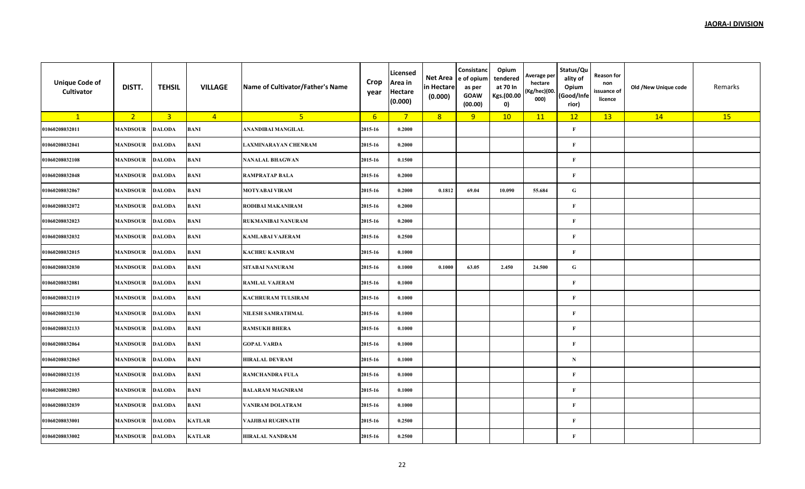| <b>Unique Code of</b><br>Cultivator | DISTT.          | <b>TEHSIL</b>  | <b>VILLAGE</b> | Name of Cultivator/Father's Name | Crop<br>year    | Licensed<br>Area in<br><b>Hectare</b><br>(0.000) | Net Area<br>in Hectare<br>(0.000) | Consistanc<br>e of opium<br>as per<br><b>GOAW</b><br>(00.00) | Opium<br>tendered<br>at 70 In<br>Kgs.(00.00<br>0) | Average per<br>hectare<br>(Kg/hec)(00.<br>000) | Status/Qu<br>ality of<br>Opium<br>(Good/Infe<br>rior) | Reason for<br>non<br>issuance of<br>licence | Old /New Unique code | Remarks |
|-------------------------------------|-----------------|----------------|----------------|----------------------------------|-----------------|--------------------------------------------------|-----------------------------------|--------------------------------------------------------------|---------------------------------------------------|------------------------------------------------|-------------------------------------------------------|---------------------------------------------|----------------------|---------|
| $\mathbf{1}$                        | 2 <sup>2</sup>  | $\overline{3}$ | $\overline{4}$ | 5 <sup>2</sup>                   | $6\overline{6}$ | $7^{\circ}$                                      | 8                                 | 9                                                            | 10                                                | 11                                             | 12                                                    | 13                                          | 14                   | 15      |
| 01060208032011                      | <b>MANDSOUR</b> | <b>DALODA</b>  | <b>BANI</b>    | ANANDIBAI MANGILAL               | 2015-16         | 0.2000                                           |                                   |                                                              |                                                   |                                                | $\mathbf{F}$                                          |                                             |                      |         |
| 01060208032041                      | <b>MANDSOUR</b> | <b>DALODA</b>  | BANI           | <b>LAXMINARAYAN CHENRAM</b>      | 2015-16         | 0.2000                                           |                                   |                                                              |                                                   |                                                | $\mathbf F$                                           |                                             |                      |         |
| 01060208032108                      | <b>MANDSOUR</b> | <b>DALODA</b>  | BANI           | <b>NANALAL BHAGWAN</b>           | 2015-16         | 0.1500                                           |                                   |                                                              |                                                   |                                                | $\mathbf{F}$                                          |                                             |                      |         |
| 01060208032048                      | <b>MANDSOUR</b> | <b>DALODA</b>  | BANI           | <b>RAMPRATAP BALA</b>            | 2015-16         | 0.2000                                           |                                   |                                                              |                                                   |                                                | $\mathbf{F}$                                          |                                             |                      |         |
| 01060208032067                      | <b>MANDSOUR</b> | <b>DALODA</b>  | BANI           | <b>MOTYABAI VIRAM</b>            | 2015-16         | 0.2000                                           | 0.1812                            | 69.04                                                        | 10.090                                            | 55.684                                         | ${\bf G}$                                             |                                             |                      |         |
| 01060208032072                      | <b>MANDSOUR</b> | <b>DALODA</b>  | BANI           | RODIBAI MAKANIRAM                | 2015-16         | 0.2000                                           |                                   |                                                              |                                                   |                                                | $\mathbf F$                                           |                                             |                      |         |
| 01060208032023                      | <b>MANDSOUR</b> | <b>DALODA</b>  | BANI           | RUKMANIBAI NANURAM               | 2015-16         | 0.2000                                           |                                   |                                                              |                                                   |                                                | $\mathbf F$                                           |                                             |                      |         |
| 01060208032032                      | <b>MANDSOUR</b> | <b>DALODA</b>  | BANI           | <b>KAMLABAI VAJERAM</b>          | 2015-16         | 0.2500                                           |                                   |                                                              |                                                   |                                                | $\mathbf{F}$                                          |                                             |                      |         |
| 01060208032015                      | <b>MANDSOUR</b> | <b>DALODA</b>  | BANI           | <b>KACHRU KANIRAM</b>            | 2015-16         | 0.1000                                           |                                   |                                                              |                                                   |                                                | $\mathbf F$                                           |                                             |                      |         |
| 01060208032030                      | <b>MANDSOUR</b> | <b>DALODA</b>  | BANI           | <b>SITABAI NANURAM</b>           | 2015-16         | 0.1000                                           | 0.1000                            | 63.05                                                        | 2.450                                             | 24.500                                         | ${\bf G}$                                             |                                             |                      |         |
| 01060208032081                      | <b>MANDSOUR</b> | <b>DALODA</b>  | BANI           | <b>RAMLAL VAJERAM</b>            | 2015-16         | 0.1000                                           |                                   |                                                              |                                                   |                                                | $\mathbf F$                                           |                                             |                      |         |
| 01060208032119                      | <b>MANDSOUR</b> | <b>DALODA</b>  | BANI           | <b>KACHRURAM TULSIRAM</b>        | 2015-16         | 0.1000                                           |                                   |                                                              |                                                   |                                                | $\mathbf F$                                           |                                             |                      |         |
| 01060208032130                      | <b>MANDSOUR</b> | <b>DALODA</b>  | BANI           | NILESH SAMRATHMAL                | 2015-16         | 0.1000                                           |                                   |                                                              |                                                   |                                                | $\mathbf{F}$                                          |                                             |                      |         |
| 01060208032133                      | <b>MANDSOUR</b> | <b>DALODA</b>  | BANI           | <b>RAMSUKH BHERA</b>             | 2015-16         | 0.1000                                           |                                   |                                                              |                                                   |                                                | $\mathbf F$                                           |                                             |                      |         |
| 01060208032064                      | <b>MANDSOUR</b> | <b>DALODA</b>  | BANI           | <b>GOPAL VARDA</b>               | 2015-16         | 0.1000                                           |                                   |                                                              |                                                   |                                                | $\mathbf F$                                           |                                             |                      |         |
| 01060208032065                      | <b>MANDSOUR</b> | <b>DALODA</b>  | BANI           | <b>HIRALAL DEVRAM</b>            | 2015-16         | 0.1000                                           |                                   |                                                              |                                                   |                                                | ${\bf N}$                                             |                                             |                      |         |
| 01060208032135                      | <b>MANDSOUR</b> | <b>DALODA</b>  | BANI           | RAMCHANDRA FULA                  | 2015-16         | 0.1000                                           |                                   |                                                              |                                                   |                                                | $\mathbf F$                                           |                                             |                      |         |
| 01060208032003                      | <b>MANDSOUR</b> | <b>DALODA</b>  | BANI           | <b>BALARAM MAGNIRAM</b>          | 2015-16         | 0.1000                                           |                                   |                                                              |                                                   |                                                | $\mathbf{F}$                                          |                                             |                      |         |
| 01060208032039                      | <b>MANDSOUR</b> | <b>DALODA</b>  | BANI           | VANIRAM DOLATRAM                 | 2015-16         | 0.1000                                           |                                   |                                                              |                                                   |                                                | $\mathbf F$                                           |                                             |                      |         |
| 01060208033001                      | <b>MANDSOUR</b> | <b>DALODA</b>  | <b>KATLAR</b>  | VAJJIBAI RUGHNATH                | 2015-16         | 0.2500                                           |                                   |                                                              |                                                   |                                                | $\mathbf{F}$                                          |                                             |                      |         |
| 01060208033002                      | <b>MANDSOUR</b> | <b>DALODA</b>  | <b>KATLAR</b>  | <b>HIRALAL NANDRAM</b>           | 2015-16         | 0.2500                                           |                                   |                                                              |                                                   |                                                | $\mathbf{F}$                                          |                                             |                      |         |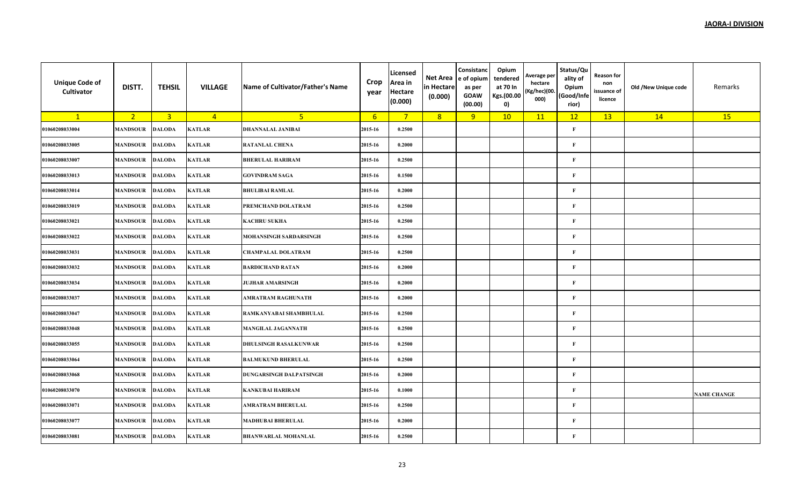| <b>Unique Code of</b><br>Cultivator | DISTT.          | <b>TEHSIL</b>           | <b>VILLAGE</b> | Name of Cultivator/Father's Name | Crop<br>year | Licensed<br>Area in<br><b>Hectare</b><br>(0.000) | Net Area<br>in Hectare<br>(0.000) | Consistanc<br>e of opium<br>as per<br><b>GOAW</b><br>(00.00) | Opium<br>tendered<br>at 70 In<br>Kgs.(00.00<br>0) | Average per<br>hectare<br>(Kg/hec)(00.<br>000) | Status/Qu<br>ality of<br>Opium<br>(Good/Infe<br>rior) | Reason for<br>non<br>issuance of<br>licence | Old /New Unique code | Remarks            |
|-------------------------------------|-----------------|-------------------------|----------------|----------------------------------|--------------|--------------------------------------------------|-----------------------------------|--------------------------------------------------------------|---------------------------------------------------|------------------------------------------------|-------------------------------------------------------|---------------------------------------------|----------------------|--------------------|
| $\mathbf{1}$                        | 2 <sup>2</sup>  | $\overline{\mathbf{3}}$ | $\overline{4}$ | 5 <sup>2</sup>                   | 6            | $\overline{7}$                                   | 8                                 | 9                                                            | 10                                                | 11                                             | 12                                                    | 13                                          | 14                   | 15                 |
| 01060208033004                      | <b>MANDSOUR</b> | <b>DALODA</b>           | <b>KATLAR</b>  | <b>DHANNALAL JANIBAI</b>         | 2015-16      | 0.2500                                           |                                   |                                                              |                                                   |                                                | $\mathbf{F}$                                          |                                             |                      |                    |
| 01060208033005                      | <b>MANDSOUR</b> | <b>DALODA</b>           | <b>KATLAR</b>  | <b>RATANLAL CHENA</b>            | 2015-16      | 0.2000                                           |                                   |                                                              |                                                   |                                                | F                                                     |                                             |                      |                    |
| 01060208033007                      | <b>MANDSOUR</b> | <b>DALODA</b>           | <b>KATLAR</b>  | <b>BHERULAL HARIRAM</b>          | 2015-16      | 0.2500                                           |                                   |                                                              |                                                   |                                                | F                                                     |                                             |                      |                    |
| 01060208033013                      | <b>MANDSOUR</b> | <b>DALODA</b>           | <b>KATLAR</b>  | <b>GOVINDRAM SAGA</b>            | 2015-16      | 0.1500                                           |                                   |                                                              |                                                   |                                                | F                                                     |                                             |                      |                    |
| 01060208033014                      | <b>MANDSOUR</b> | <b>DALODA</b>           | <b>KATLAR</b>  | <b>BHULIBAI RAMLAL</b>           | 2015-16      | 0.2000                                           |                                   |                                                              |                                                   |                                                | $\mathbf{F}$                                          |                                             |                      |                    |
| 01060208033019                      | <b>MANDSOUR</b> | <b>DALODA</b>           | <b>KATLAR</b>  | PREMCHAND DOLATRAM               | 2015-16      | 0.2500                                           |                                   |                                                              |                                                   |                                                | $\mathbf{F}$                                          |                                             |                      |                    |
| 01060208033021                      | <b>MANDSOUR</b> | <b>DALODA</b>           | <b>KATLAR</b>  | <b>KACHRU SUKHA</b>              | 2015-16      | 0.2500                                           |                                   |                                                              |                                                   |                                                | $\bf F$                                               |                                             |                      |                    |
| 01060208033022                      | <b>MANDSOUR</b> | <b>DALODA</b>           | <b>KATLAR</b>  | MOHANSINGH SARDARSINGH           | 2015-16      | 0.2500                                           |                                   |                                                              |                                                   |                                                | $\mathbf{F}$                                          |                                             |                      |                    |
| 01060208033031                      | <b>MANDSOUR</b> | <b>DALODA</b>           | <b>KATLAR</b>  | <b>CHAMPALAL DOLATRAM</b>        | 2015-16      | 0.2500                                           |                                   |                                                              |                                                   |                                                | F                                                     |                                             |                      |                    |
| 01060208033032                      | <b>MANDSOUR</b> | <b>DALODA</b>           | <b>KATLAR</b>  | <b>BARDICHAND RATAN</b>          | 2015-16      | 0.2000                                           |                                   |                                                              |                                                   |                                                | $\mathbf{F}$                                          |                                             |                      |                    |
| 01060208033034                      | <b>MANDSOUR</b> | <b>DALODA</b>           | <b>KATLAR</b>  | <b>JUJHAR AMARSINGH</b>          | 2015-16      | 0.2000                                           |                                   |                                                              |                                                   |                                                | $\mathbf{F}$                                          |                                             |                      |                    |
| 01060208033037                      | <b>MANDSOUR</b> | <b>DALODA</b>           | <b>KATLAR</b>  | AMRATRAM RAGHUNATH               | 2015-16      | 0.2000                                           |                                   |                                                              |                                                   |                                                | $\bf F$                                               |                                             |                      |                    |
| 01060208033047                      | <b>MANDSOUR</b> | <b>DALODA</b>           | <b>KATLAR</b>  | RAMKANYABAI SHAMBHULAL           | 2015-16      | 0.2500                                           |                                   |                                                              |                                                   |                                                | F                                                     |                                             |                      |                    |
| 01060208033048                      | <b>MANDSOUR</b> | <b>DALODA</b>           | <b>KATLAR</b>  | <b>MANGILAL JAGANNATH</b>        | 2015-16      | 0.2500                                           |                                   |                                                              |                                                   |                                                | $\mathbf{F}$                                          |                                             |                      |                    |
| 01060208033055                      | <b>MANDSOUR</b> | <b>DALODA</b>           | <b>KATLAR</b>  | <b>DHULSINGH RASALKUNWAR</b>     | 2015-16      | 0.2500                                           |                                   |                                                              |                                                   |                                                | $\mathbf{F}$                                          |                                             |                      |                    |
| 01060208033064                      | <b>MANDSOUR</b> | <b>DALODA</b>           | <b>KATLAR</b>  | <b>BALMUKUND BHERULAL</b>        | 2015-16      | 0.2500                                           |                                   |                                                              |                                                   |                                                | $\mathbf{F}$                                          |                                             |                      |                    |
| 01060208033068                      | <b>MANDSOUR</b> | <b>DALODA</b>           | <b>KATLAR</b>  | DUNGARSINGH DALPATSINGH          | 2015-16      | 0.2000                                           |                                   |                                                              |                                                   |                                                | $\mathbf{F}$                                          |                                             |                      |                    |
| 01060208033070                      | <b>MANDSOUR</b> | <b>DALODA</b>           | <b>KATLAR</b>  | <b>KANKUBAI HARIRAM</b>          | 2015-16      | 0.1000                                           |                                   |                                                              |                                                   |                                                | $\mathbf{F}$                                          |                                             |                      | <b>NAME CHANGE</b> |
| 01060208033071                      | <b>MANDSOUR</b> | <b>DALODA</b>           | <b>KATLAR</b>  | AMRATRAM BHERULAL                | 2015-16      | 0.2500                                           |                                   |                                                              |                                                   |                                                | $\bf F$                                               |                                             |                      |                    |
| 01060208033077                      | <b>MANDSOUR</b> | <b>DALODA</b>           | <b>KATLAR</b>  | <b>MADHUBAI BHERULAL</b>         | 2015-16      | 0.2000                                           |                                   |                                                              |                                                   |                                                | $\mathbf{F}$                                          |                                             |                      |                    |
| 01060208033081                      | <b>MANDSOUR</b> | <b>DALODA</b>           | <b>KATLAR</b>  | <b>BHANWARLAL MOHANLAL</b>       | 2015-16      | 0.2500                                           |                                   |                                                              |                                                   |                                                | $\mathbf{F}$                                          |                                             |                      |                    |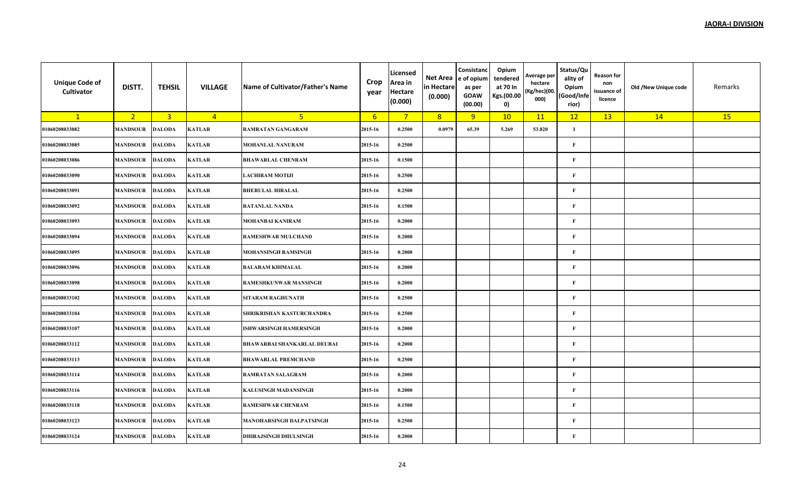| <b>Unique Code of</b><br>Cultivator | DISTT.          | <b>TEHSIL</b>           | <b>VILLAGE</b> | Name of Cultivator/Father's Name   | Crop<br>year | Licensed<br>Area in<br><b>Hectare</b><br>(0.000) | Net Area<br>in Hectare<br>(0.000) | Consistanc<br>e of opium<br>as per<br><b>GOAW</b><br>(00.00) | Opium<br>tendered<br>at 70 In<br>Kgs.(00.00<br>0) | Average per<br>hectare<br>(Kg/hec)(00.<br>000) | Status/Qu<br>ality of<br>Opium<br>(Good/Infe<br>rior) | Reason for<br>non<br>issuance of<br>licence | Old /New Unique code | Remarks |
|-------------------------------------|-----------------|-------------------------|----------------|------------------------------------|--------------|--------------------------------------------------|-----------------------------------|--------------------------------------------------------------|---------------------------------------------------|------------------------------------------------|-------------------------------------------------------|---------------------------------------------|----------------------|---------|
| $\mathbf{1}$                        | 2 <sup>2</sup>  | $\overline{\mathbf{3}}$ | $\overline{4}$ | 5 <sup>2</sup>                     | 6            | $\overline{7}$                                   | 8                                 | 9                                                            | 10                                                | 11                                             | 12                                                    | 13                                          | 14                   | 15      |
| 01060208033082                      | <b>MANDSOUR</b> | <b>DALODA</b>           | <b>KATLAR</b>  | <b>RAMRATAN GANGARAM</b>           | 2015-16      | 0.2500                                           | 0.0979                            | 65.39                                                        | 5.269                                             | 53.820                                         | $\bf{I}$                                              |                                             |                      |         |
| 01060208033085                      | <b>MANDSOUR</b> | <b>DALODA</b>           | <b>KATLAR</b>  | MOHANLAL NANURAM                   | 2015-16      | 0.2500                                           |                                   |                                                              |                                                   |                                                | F                                                     |                                             |                      |         |
| 01060208033086                      | <b>MANDSOUR</b> | <b>DALODA</b>           | <b>KATLAR</b>  | <b>BHAWARLAL CHENRAM</b>           | 2015-16      | 0.1500                                           |                                   |                                                              |                                                   |                                                | F                                                     |                                             |                      |         |
| 01060208033090                      | <b>MANDSOUR</b> | <b>DALODA</b>           | <b>KATLAR</b>  | <b>LACHIRAM MOTIJI</b>             | 2015-16      | 0.2500                                           |                                   |                                                              |                                                   |                                                | F                                                     |                                             |                      |         |
| 01060208033091                      | <b>MANDSOUR</b> | <b>DALODA</b>           | <b>KATLAR</b>  | <b>BHERULAL HIRALAL</b>            | 2015-16      | 0.2500                                           |                                   |                                                              |                                                   |                                                | $\mathbf{F}$                                          |                                             |                      |         |
| 01060208033092                      | <b>MANDSOUR</b> | <b>DALODA</b>           | <b>KATLAR</b>  | <b>RATANLAL NANDA</b>              | 2015-16      | 0.1500                                           |                                   |                                                              |                                                   |                                                | $\mathbf{F}$                                          |                                             |                      |         |
| 01060208033093                      | <b>MANDSOUR</b> | <b>DALODA</b>           | <b>KATLAR</b>  | <b>MOHANBAI KANIRAM</b>            | 2015-16      | 0.2000                                           |                                   |                                                              |                                                   |                                                | $\mathbf{F}$                                          |                                             |                      |         |
| 01060208033094                      | <b>MANDSOUR</b> | <b>DALODA</b>           | <b>KATLAR</b>  | <b>RAMESHWAR MULCHAND</b>          | 2015-16      | 0.2000                                           |                                   |                                                              |                                                   |                                                | $\mathbf{F}$                                          |                                             |                      |         |
| 01060208033095                      | <b>MANDSOUR</b> | <b>DALODA</b>           | <b>KATLAR</b>  | <b>MOHANSINGH RAMSINGH</b>         | 2015-16      | 0.2000                                           |                                   |                                                              |                                                   |                                                | F                                                     |                                             |                      |         |
| 01060208033096                      | <b>MANDSOUR</b> | <b>DALODA</b>           | <b>KATLAR</b>  | <b>BALARAM KHIMALAL</b>            | 2015-16      | 0.2000                                           |                                   |                                                              |                                                   |                                                | $\mathbf{F}$                                          |                                             |                      |         |
| 01060208033098                      | <b>MANDSOUR</b> | <b>DALODA</b>           | <b>KATLAR</b>  | <b>RAMESHKUNWAR MANSINGH</b>       | 2015-16      | 0.2000                                           |                                   |                                                              |                                                   |                                                | $\mathbf{F}$                                          |                                             |                      |         |
| 01060208033102                      | <b>MANDSOUR</b> | <b>DALODA</b>           | <b>KATLAR</b>  | SITARAM RAGHUNATH                  | 2015-16      | 0.2500                                           |                                   |                                                              |                                                   |                                                | F                                                     |                                             |                      |         |
| 01060208033104                      | <b>MANDSOUR</b> | <b>DALODA</b>           | <b>KATLAR</b>  | SHRIKRISHAN KASTURCHANDRA          | 2015-16      | 0.2500                                           |                                   |                                                              |                                                   |                                                | F                                                     |                                             |                      |         |
| 01060208033107                      | <b>MANDSOUR</b> | <b>DALODA</b>           | <b>KATLAR</b>  | <b>ISHWARSINGH HAMERSINGH</b>      | 2015-16      | 0.2000                                           |                                   |                                                              |                                                   |                                                | $\mathbf{F}$                                          |                                             |                      |         |
| 01060208033112                      | <b>MANDSOUR</b> | <b>DALODA</b>           | <b>KATLAR</b>  | <b>BHAWARBAI SHANKARLAL DEUBAI</b> | 2015-16      | 0.2000                                           |                                   |                                                              |                                                   |                                                | $\mathbf{F}$                                          |                                             |                      |         |
| 01060208033113                      | <b>MANDSOUR</b> | <b>DALODA</b>           | <b>KATLAR</b>  | <b>BHAWARLAL PREMCHAND</b>         | 2015-16      | 0.2500                                           |                                   |                                                              |                                                   |                                                | $\mathbf{F}$                                          |                                             |                      |         |
| 01060208033114                      | <b>MANDSOUR</b> | <b>DALODA</b>           | <b>KATLAR</b>  | <b>RAMRATAN SALAGRAM</b>           | 2015-16      | 0.2000                                           |                                   |                                                              |                                                   |                                                | $\mathbf{F}$                                          |                                             |                      |         |
| 01060208033116                      | <b>MANDSOUR</b> | <b>DALODA</b>           | <b>KATLAR</b>  | <b>KALUSINGH MADANSINGH</b>        | 2015-16      | 0.2000                                           |                                   |                                                              |                                                   |                                                | $\mathbf{F}$                                          |                                             |                      |         |
| 01060208033118                      | <b>MANDSOUR</b> | <b>DALODA</b>           | <b>KATLAR</b>  | <b>RAMESHWAR CHENRAM</b>           | 2015-16      | 0.1500                                           |                                   |                                                              |                                                   |                                                | $\bf F$                                               |                                             |                      |         |
| 01060208033123                      | <b>MANDSOUR</b> | <b>DALODA</b>           | <b>KATLAR</b>  | <b>MANOHARSINGH DALPATSINGH</b>    | 2015-16      | 0.2500                                           |                                   |                                                              |                                                   |                                                | $\mathbf{F}$                                          |                                             |                      |         |
| 01060208033124                      | <b>MANDSOUR</b> | <b>DALODA</b>           | <b>KATLAR</b>  | <b>DHIRAJSINGH DHULSINGH</b>       | 2015-16      | 0.2000                                           |                                   |                                                              |                                                   |                                                | $\mathbf{F}$                                          |                                             |                      |         |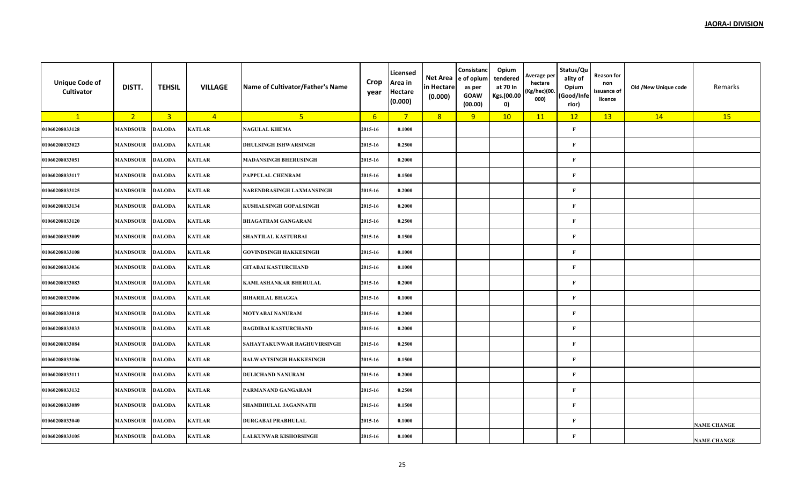| <b>Unique Code of</b><br>Cultivator | DISTT.          | <b>TEHSIL</b>  | <b>VILLAGE</b> | Name of Cultivator/Father's Name | Crop<br>year | Licensed<br>Area in<br><b>Hectare</b><br>(0.000) | Net Area<br>in Hectare<br>(0.000) | Consistanc<br>e of opium<br>as per<br><b>GOAW</b><br>(00.00) | Opium<br>tendered<br>at 70 In<br>Kgs.(00.00<br>0) | Average per<br>hectare<br>(Kg/hec)(00.<br>000) | Status/Qu<br>ality of<br>Opium<br>(Good/Infe<br>rior) | <b>Reason for</b><br>non<br>issuance of<br>licence | Old /New Unique code | Remarks            |
|-------------------------------------|-----------------|----------------|----------------|----------------------------------|--------------|--------------------------------------------------|-----------------------------------|--------------------------------------------------------------|---------------------------------------------------|------------------------------------------------|-------------------------------------------------------|----------------------------------------------------|----------------------|--------------------|
| $\mathbf{1}$                        | 2 <sup>2</sup>  | $\overline{3}$ | $\overline{4}$ | 5 <sup>1</sup>                   | 6            | $7^{\circ}$                                      | 8                                 | 9                                                            | 10                                                | 11                                             | 12                                                    | 13                                                 | 14                   | 15                 |
| 01060208033128                      | <b>MANDSOUR</b> | <b>DALODA</b>  | <b>KATLAR</b>  | <b>NAGULAL KHEMA</b>             | 2015-16      | 0.1000                                           |                                   |                                                              |                                                   |                                                | $\mathbf{F}$                                          |                                                    |                      |                    |
| 01060208033023                      | <b>MANDSOUR</b> | <b>DALODA</b>  | <b>KATLAR</b>  | <b>DHULSINGH ISHWARSINGH</b>     | 2015-16      | 0.2500                                           |                                   |                                                              |                                                   |                                                | $\mathbf F$                                           |                                                    |                      |                    |
| 01060208033051                      | MANDSOUR        | <b>DALODA</b>  | <b>KATLAR</b>  | <b>MADANSINGH BHERUSINGH</b>     | 2015-16      | 0.2000                                           |                                   |                                                              |                                                   |                                                | F                                                     |                                                    |                      |                    |
| 01060208033117                      | MANDSOUR        | <b>DALODA</b>  | <b>KATLAR</b>  | PAPPULAL CHENRAM                 | 2015-16      | 0.1500                                           |                                   |                                                              |                                                   |                                                | $\mathbf{F}$                                          |                                                    |                      |                    |
| 01060208033125                      | <b>MANDSOUR</b> | <b>DALODA</b>  | <b>KATLAR</b>  | NARENDRASINGH LAXMANSINGH        | 2015-16      | 0.2000                                           |                                   |                                                              |                                                   |                                                | $\mathbf{F}$                                          |                                                    |                      |                    |
| 01060208033134                      | <b>MANDSOUR</b> | <b>DALODA</b>  | <b>KATLAR</b>  | KUSHALSINGH GOPALSINGH           | 2015-16      | 0.2000                                           |                                   |                                                              |                                                   |                                                | $\mathbf{F}$                                          |                                                    |                      |                    |
| 01060208033120                      | MANDSOUR        | <b>DALODA</b>  | <b>KATLAR</b>  | <b>BHAGATRAM GANGARAM</b>        | 2015-16      | 0.2500                                           |                                   |                                                              |                                                   |                                                | $\mathbf{F}$                                          |                                                    |                      |                    |
| 01060208033009                      | <b>MANDSOUR</b> | <b>DALODA</b>  | <b>KATLAR</b>  | SHANTILAL KASTURBAI              | 2015-16      | 0.1500                                           |                                   |                                                              |                                                   |                                                | $\mathbf{F}$                                          |                                                    |                      |                    |
| 01060208033108                      | <b>MANDSOUR</b> | <b>DALODA</b>  | <b>KATLAR</b>  | <b>GOVINDSINGH HAKKESINGH</b>    | 2015-16      | 0.1000                                           |                                   |                                                              |                                                   |                                                | $\mathbf{F}$                                          |                                                    |                      |                    |
| 01060208033036                      | MANDSOUR        | <b>DALODA</b>  | <b>KATLAR</b>  | <b>GITABAI KASTURCHAND</b>       | 2015-16      | 0.1000                                           |                                   |                                                              |                                                   |                                                | $\mathbf{F}$                                          |                                                    |                      |                    |
| 01060208033083                      | MANDSOUR        | <b>DALODA</b>  | <b>KATLAR</b>  | KAMLASHANKAR BHERULAL            | 2015-16      | 0.2000                                           |                                   |                                                              |                                                   |                                                | F                                                     |                                                    |                      |                    |
| 01060208033006                      | <b>MANDSOUR</b> | <b>DALODA</b>  | <b>KATLAR</b>  | <b>BIHARILAL BHAGGA</b>          | 2015-16      | 0.1000                                           |                                   |                                                              |                                                   |                                                | $\mathbf{F}$                                          |                                                    |                      |                    |
| 01060208033018                      | MANDSOUR        | <b>DALODA</b>  | <b>KATLAR</b>  | <b>MOTYABAI NANURAM</b>          | 2015-16      | 0.2000                                           |                                   |                                                              |                                                   |                                                | $\mathbf{F}$                                          |                                                    |                      |                    |
| 01060208033033                      | MANDSOUR        | <b>DALODA</b>  | <b>KATLAR</b>  | <b>BAGDIBAI KASTURCHAND</b>      | 2015-16      | 0.2000                                           |                                   |                                                              |                                                   |                                                | $\mathbf{F}$                                          |                                                    |                      |                    |
| 01060208033084                      | MANDSOUR        | <b>DALODA</b>  | <b>KATLAR</b>  | SAHAYTAKUNWAR RAGHUVIRSINGH      | 2015-16      | 0.2500                                           |                                   |                                                              |                                                   |                                                | $\mathbf F$                                           |                                                    |                      |                    |
| 01060208033106                      | MANDSOUR        | <b>DALODA</b>  | KATLAR         | <b>BALWANTSINGH HAKKESINGH</b>   | 2015-16      | 0.1500                                           |                                   |                                                              |                                                   |                                                | F                                                     |                                                    |                      |                    |
| 01060208033111                      | MANDSOUR        | <b>DALODA</b>  | <b>KATLAR</b>  | <b>DULICHAND NANURAM</b>         | 2015-16      | 0.2000                                           |                                   |                                                              |                                                   |                                                | $\mathbf{F}$                                          |                                                    |                      |                    |
| 01060208033132                      | <b>MANDSOUR</b> | <b>DALODA</b>  | <b>KATLAR</b>  | PARMANAND GANGARAM               | 2015-16      | 0.2500                                           |                                   |                                                              |                                                   |                                                | $\mathbf{F}$                                          |                                                    |                      |                    |
| 01060208033089                      | MANDSOUR        | <b>DALODA</b>  | <b>KATLAR</b>  | SHAMBHULAL JAGANNATH             | 2015-16      | 0.1500                                           |                                   |                                                              |                                                   |                                                | $\mathbf{F}$                                          |                                                    |                      |                    |
| 01060208033040                      | MANDSOUR        | <b>DALODA</b>  | <b>KATLAR</b>  | <b>DURGABAI PRABHULAL</b>        | 2015-16      | 0.1000                                           |                                   |                                                              |                                                   |                                                | $\mathbf{F}$                                          |                                                    |                      | <b>NAME CHANGE</b> |
| 01060208033105                      | <b>MANDSOUR</b> | <b>DALODA</b>  | <b>KATLAR</b>  | <b>LALKUNWAR KISHORSINGH</b>     | 2015-16      | 0.1000                                           |                                   |                                                              |                                                   |                                                | $\mathbf{F}$                                          |                                                    |                      | <b>NAME CHANGE</b> |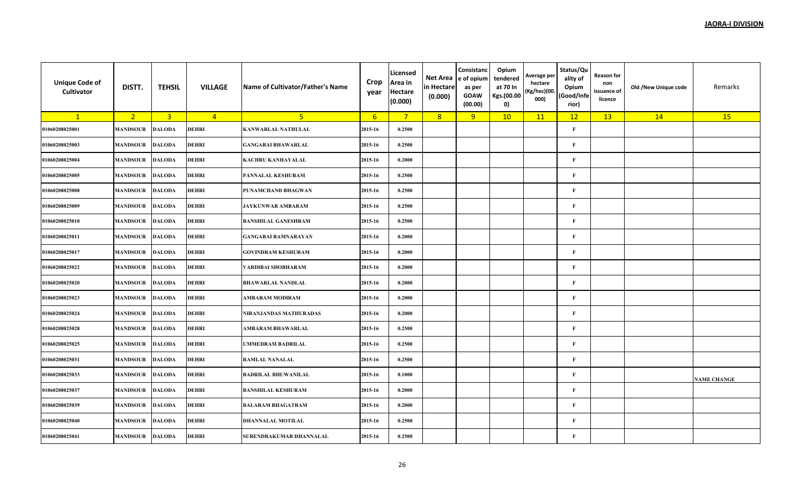| <b>Unique Code of</b><br>Cultivator | DISTT.          | <b>TEHSIL</b>  | <b>VILLAGE</b> | Name of Cultivator/Father's Name | Crop<br>year | Licensed<br>Area in<br><b>Hectare</b><br>(0.000) | Net Area<br>in Hectare<br>(0.000) | Consistanc<br>e of opium<br>as per<br><b>GOAW</b><br>(00.00) | Opium<br>tendered<br>at 70 In<br>Kgs.(00.00<br>$\mathbf{0}$ | Average per<br>hectare<br>(Kg/hec)(00.<br>000) | Status/Qu<br>ality of<br>Opium<br>(Good/Infe<br>rior) | <b>Reason for</b><br>non<br>issuance of<br>licence | Old /New Unique code | Remarks            |
|-------------------------------------|-----------------|----------------|----------------|----------------------------------|--------------|--------------------------------------------------|-----------------------------------|--------------------------------------------------------------|-------------------------------------------------------------|------------------------------------------------|-------------------------------------------------------|----------------------------------------------------|----------------------|--------------------|
| $\mathbf{1}$                        | 2 <sup>1</sup>  | $\overline{3}$ | $\overline{4}$ | 5 <sub>1</sub>                   | 6            | $\overline{7}$                                   | 8                                 | 9                                                            | 10                                                          | 11                                             | 12                                                    | 13                                                 | 14                   | 15                 |
| 01060208025001                      | <b>MANDSOUR</b> | <b>DALODA</b>  | DEHRI          | <b>KANWARLAL NATHULAL</b>        | 2015-16      | 0.2500                                           |                                   |                                                              |                                                             |                                                | $\mathbf{F}$                                          |                                                    |                      |                    |
| 01060208025003                      | <b>MANDSOUR</b> | <b>DALODA</b>  | <b>DEHRI</b>   | <b>GANGABAI BHAWARLAL</b>        | 2015-16      | 0.2500                                           |                                   |                                                              |                                                             |                                                | $\mathbf{F}$                                          |                                                    |                      |                    |
| 01060208025004                      | <b>MANDSOUR</b> | <b>DALODA</b>  | <b>DEHRI</b>   | <b>KACHRU KANHAYALAL</b>         | 2015-16      | 0.2000                                           |                                   |                                                              |                                                             |                                                | F                                                     |                                                    |                      |                    |
| 01060208025005                      | <b>MANDSOUR</b> | <b>DALODA</b>  | <b>DEHRI</b>   | PANNALAL KESHURAM                | 2015-16      | 0.2500                                           |                                   |                                                              |                                                             |                                                | $\mathbf{F}$                                          |                                                    |                      |                    |
| 01060208025008                      | <b>MANDSOUR</b> | <b>DALODA</b>  | <b>DEHRI</b>   | PUNAMCHAND BHAGWAN               | 2015-16      | 0.2500                                           |                                   |                                                              |                                                             |                                                | $\mathbf{F}$                                          |                                                    |                      |                    |
| 01060208025009                      | <b>MANDSOUR</b> | <b>DALODA</b>  | DEHRI          | <b>JAYKUNWAR AMBARAM</b>         | 2015-16      | 0.2500                                           |                                   |                                                              |                                                             |                                                | $\mathbf{F}$                                          |                                                    |                      |                    |
| 01060208025010                      | <b>MANDSOUR</b> | <b>DALODA</b>  | <b>DEHRI</b>   | <b>BANSHILAL GANESHRAM</b>       | 2015-16      | 0.2500                                           |                                   |                                                              |                                                             |                                                | $\mathbf{F}$                                          |                                                    |                      |                    |
| 01060208025011                      | <b>MANDSOUR</b> | <b>DALODA</b>  | <b>DEHRI</b>   | <b>GANGABAI RAMNARAYAN</b>       | 2015-16      | 0.2000                                           |                                   |                                                              |                                                             |                                                | $\mathbf{F}$                                          |                                                    |                      |                    |
| 01060208025017                      | <b>MANDSOUR</b> | <b>DALODA</b>  | DEHRI          | <b>GOVINDRAM KESHURAM</b>        | 2015-16      | 0.2000                                           |                                   |                                                              |                                                             |                                                | F                                                     |                                                    |                      |                    |
| 01060208025022                      | <b>MANDSOUR</b> | <b>DALODA</b>  | DEHRI          | VARDIBAI SHOBHARAM               | 2015-16      | 0.2000                                           |                                   |                                                              |                                                             |                                                | F                                                     |                                                    |                      |                    |
| 01060208025020                      | <b>MANDSOUR</b> | <b>DALODA</b>  | <b>DEHRI</b>   | <b>BHAWARLAL NANDLAL</b>         | 2015-16      | 0.2000                                           |                                   |                                                              |                                                             |                                                | $\mathbf{F}$                                          |                                                    |                      |                    |
| 01060208025023                      | <b>MANDSOUR</b> | <b>DALODA</b>  | <b>DEHRI</b>   | AMBARAM MODIRAM                  | 2015-16      | 0.2000                                           |                                   |                                                              |                                                             |                                                | $\mathbf{F}$                                          |                                                    |                      |                    |
| 01060208025024                      | <b>MANDSOUR</b> | <b>DALODA</b>  | <b>DEHRI</b>   | NIRANJANDAS MATHURADAS           | 2015-16      | 0.2000                                           |                                   |                                                              |                                                             |                                                | $\mathbf{F}$                                          |                                                    |                      |                    |
| 01060208025028                      | <b>MANDSOUR</b> | <b>DALODA</b>  | <b>DEHRI</b>   | AMBARAM BHAWARLAL                | 2015-16      | 0.2500                                           |                                   |                                                              |                                                             |                                                | $\mathbf{F}$                                          |                                                    |                      |                    |
| 01060208025025                      | <b>MANDSOUR</b> | <b>DALODA</b>  | <b>DEHRI</b>   | <b>UMMEDRAM BADRILAL</b>         | 2015-16      | 0.2500                                           |                                   |                                                              |                                                             |                                                | $\mathbf F$                                           |                                                    |                      |                    |
| 01060208025031                      | <b>MANDSOUR</b> | <b>DALODA</b>  | <b>DEHRI</b>   | <b>RAMLAL NANALAL</b>            | 2015-16      | 0.2500                                           |                                   |                                                              |                                                             |                                                | $\mathbf{F}$                                          |                                                    |                      |                    |
| 01060208025033                      | <b>MANDSOUR</b> | <b>DALODA</b>  | <b>DEHRI</b>   | <b>BADRILAL BHUWANILAL</b>       | 2015-16      | 0.1000                                           |                                   |                                                              |                                                             |                                                | $\bf F$                                               |                                                    |                      | <b>NAME CHANGE</b> |
| 01060208025037                      | <b>MANDSOUR</b> | <b>DALODA</b>  | DEHRI          | <b>BANSHILAL KESHURAM</b>        | 2015-16      | 0.2000                                           |                                   |                                                              |                                                             |                                                | $\mathbf{F}$                                          |                                                    |                      |                    |
| 01060208025039                      | <b>MANDSOUR</b> | <b>DALODA</b>  | <b>DEHRI</b>   | <b>BALARAM BHAGATRAM</b>         | 2015-16      | 0.2000                                           |                                   |                                                              |                                                             |                                                | F                                                     |                                                    |                      |                    |
| 01060208025040                      | <b>MANDSOUR</b> | <b>DALODA</b>  | <b>DEHRI</b>   | <b>DHANNALAL MOTILAL</b>         | 2015-16      | 0.2500                                           |                                   |                                                              |                                                             |                                                | $\mathbf{F}$                                          |                                                    |                      |                    |
| 01060208025041                      | <b>MANDSOUR</b> | <b>DALODA</b>  | <b>DEHRI</b>   | SURENDRAKUMAR DHANNALAL          | 2015-16      | 0.2500                                           |                                   |                                                              |                                                             |                                                | $\mathbf{F}$                                          |                                                    |                      |                    |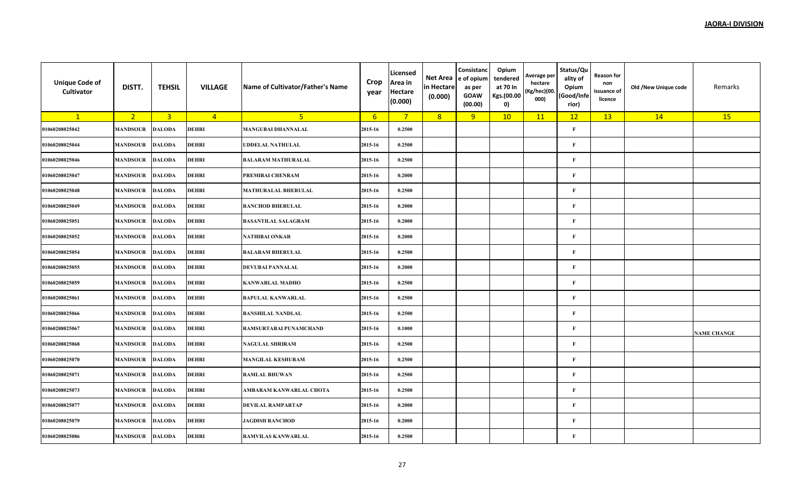| <b>Unique Code of</b><br>Cultivator | DISTT.          | <b>TEHSIL</b>  | <b>VILLAGE</b> | Name of Cultivator/Father's Name | Crop<br>year | Licensed<br>Area in<br><b>Hectare</b><br>(0.000) | Net Area<br>in Hectare<br>(0.000) | Consistanc<br>e of opium<br>as per<br><b>GOAW</b><br>(00.00) | Opium<br>tendered<br>at 70 In<br>Kgs.(00.00<br>0) | Average per<br>hectare<br>(Kg/hec)(00.<br>000) | Status/Qu<br>ality of<br>Opium<br>(Good/Infe<br>rior) | <b>Reason for</b><br>non<br>issuance of<br>licence | Old /New Unique code | Remarks            |
|-------------------------------------|-----------------|----------------|----------------|----------------------------------|--------------|--------------------------------------------------|-----------------------------------|--------------------------------------------------------------|---------------------------------------------------|------------------------------------------------|-------------------------------------------------------|----------------------------------------------------|----------------------|--------------------|
| $\mathbf{1}$                        | 2 <sup>2</sup>  | $\overline{3}$ | $\overline{4}$ | 5 <sub>o</sub>                   | 6            | $7^{\circ}$                                      | 8                                 | 9                                                            | 10                                                | 11                                             | 12                                                    | 13                                                 | 14                   | 15                 |
| 01060208025042                      | <b>MANDSOUR</b> | <b>DALODA</b>  | DEHRI          | <b>MANGUBAI DHANNALAL</b>        | 2015-16      | 0.2500                                           |                                   |                                                              |                                                   |                                                | $\mathbf{F}$                                          |                                                    |                      |                    |
| 01060208025044                      | <b>MANDSOUR</b> | <b>DALODA</b>  | DEHRI          | <b>UDDELAL NATHULAL</b>          | 2015-16      | 0.2500                                           |                                   |                                                              |                                                   |                                                | $\mathbf{F}$                                          |                                                    |                      |                    |
| 01060208025046                      | MANDSOUR        | <b>DALODA</b>  | <b>DEHRI</b>   | <b>BALARAM MATHURALAL</b>        | 2015-16      | 0.2500                                           |                                   |                                                              |                                                   |                                                | $\mathbf{F}$                                          |                                                    |                      |                    |
| 01060208025047                      | <b>MANDSOUR</b> | <b>DALODA</b>  | DEHRI          | PREMIBAI CHENRAM                 | 2015-16      | 0.2000                                           |                                   |                                                              |                                                   |                                                | $\mathbf{F}$                                          |                                                    |                      |                    |
| 01060208025048                      | MANDSOUR        | <b>DALODA</b>  | DEHRI          | <b>MATHURALAL BHERULAL</b>       | 2015-16      | 0.2500                                           |                                   |                                                              |                                                   |                                                | $\mathbf{F}$                                          |                                                    |                      |                    |
| 01060208025049                      | <b>MANDSOUR</b> | <b>DALODA</b>  | DEHRI          | <b>RANCHOD BHERULAL</b>          | 2015-16      | 0.2000                                           |                                   |                                                              |                                                   |                                                | $\mathbf{F}$                                          |                                                    |                      |                    |
| 01060208025051                      | MANDSOUR        | <b>DALODA</b>  | <b>DEHRI</b>   | <b>BASANTILAL SALAGRAM</b>       | 2015-16      | 0.2000                                           |                                   |                                                              |                                                   |                                                | $\mathbf{F}$                                          |                                                    |                      |                    |
| 01060208025052                      | <b>MANDSOUR</b> | <b>DALODA</b>  | DEHRI          | <b>NATHIBAI ONKAR</b>            | 2015-16      | 0.2000                                           |                                   |                                                              |                                                   |                                                | $\mathbf{F}$                                          |                                                    |                      |                    |
| 01060208025054                      | MANDSOUR        | <b>DALODA</b>  | DEHRI          | <b>BALARAM BHERULAL</b>          | 2015-16      | 0.2500                                           |                                   |                                                              |                                                   |                                                | $\mathbf{F}$                                          |                                                    |                      |                    |
| 01060208025055                      | <b>MANDSOUR</b> | <b>DALODA</b>  | DEHRI          | DEVUBAI PANNALAL                 | 2015-16      | 0.2000                                           |                                   |                                                              |                                                   |                                                | $\mathbf{F}$                                          |                                                    |                      |                    |
| 01060208025059                      | <b>MANDSOUR</b> | <b>DALODA</b>  | <b>DEHRI</b>   | <b>KANWARLAL MADHO</b>           | 2015-16      | 0.2500                                           |                                   |                                                              |                                                   |                                                | $\mathbf{F}$                                          |                                                    |                      |                    |
| 01060208025061                      | <b>MANDSOUR</b> | <b>DALODA</b>  | <b>DEHRI</b>   | <b>BAPULAL KANWARLAL</b>         | 2015-16      | 0.2500                                           |                                   |                                                              |                                                   |                                                | $\mathbf{F}$                                          |                                                    |                      |                    |
| 01060208025066                      | <b>MANDSOUR</b> | <b>DALODA</b>  | <b>DEHRI</b>   | <b>BANSHILAL NANDLAL</b>         | 2015-16      | 0.2500                                           |                                   |                                                              |                                                   |                                                | $\mathbf{F}$                                          |                                                    |                      |                    |
| 01060208025067                      | <b>MANDSOUR</b> | <b>DALODA</b>  | DEHRI          | RAMSURTABAI PUNAMCHAND           | 2015-16      | 0.1000                                           |                                   |                                                              |                                                   |                                                | $\mathbf{F}$                                          |                                                    |                      | <b>NAME CHANGE</b> |
| 01060208025068                      | <b>MANDSOUR</b> | <b>DALODA</b>  | <b>DEHRI</b>   | <b>NAGULAL SHRIRAM</b>           | 2015-16      | 0.2500                                           |                                   |                                                              |                                                   |                                                | $\mathbf{F}$                                          |                                                    |                      |                    |
| 01060208025070                      | <b>MANDSOUR</b> | <b>DALODA</b>  | <b>DEHRI</b>   | <b>MANGILAL KESHURAM</b>         | 2015-16      | 0.2500                                           |                                   |                                                              |                                                   |                                                | $\mathbf{F}$                                          |                                                    |                      |                    |
| 01060208025071                      | <b>MANDSOUR</b> | <b>DALODA</b>  | <b>DEHRI</b>   | <b>RAMLAL BHUWAN</b>             | 2015-16      | 0.2500                                           |                                   |                                                              |                                                   |                                                | $\mathbf{F}$                                          |                                                    |                      |                    |
| 01060208025073                      | <b>MANDSOUR</b> | <b>DALODA</b>  | DEHRI          | AMBARAM KANWARLAL CHOTA          | 2015-16      | 0.2500                                           |                                   |                                                              |                                                   |                                                | $\mathbf{F}$                                          |                                                    |                      |                    |
| 01060208025077                      | <b>MANDSOUR</b> | <b>DALODA</b>  | <b>DEHRI</b>   | <b>DEVILAL RAMPARTAP</b>         | 2015-16      | 0.2000                                           |                                   |                                                              |                                                   |                                                | $\mathbf{F}$                                          |                                                    |                      |                    |
| 01060208025079                      | <b>MANDSOUR</b> | <b>DALODA</b>  | DEHRI          | <b>JAGDISH RANCHOD</b>           | 2015-16      | 0.2000                                           |                                   |                                                              |                                                   |                                                | $\mathbf{F}$                                          |                                                    |                      |                    |
| 01060208025086                      | <b>MANDSOUR</b> | <b>DALODA</b>  | DEHRI          | <b>RAMVILAS KANWARLAL</b>        | 2015-16      | 0.2500                                           |                                   |                                                              |                                                   |                                                | $\mathbf{F}$                                          |                                                    |                      |                    |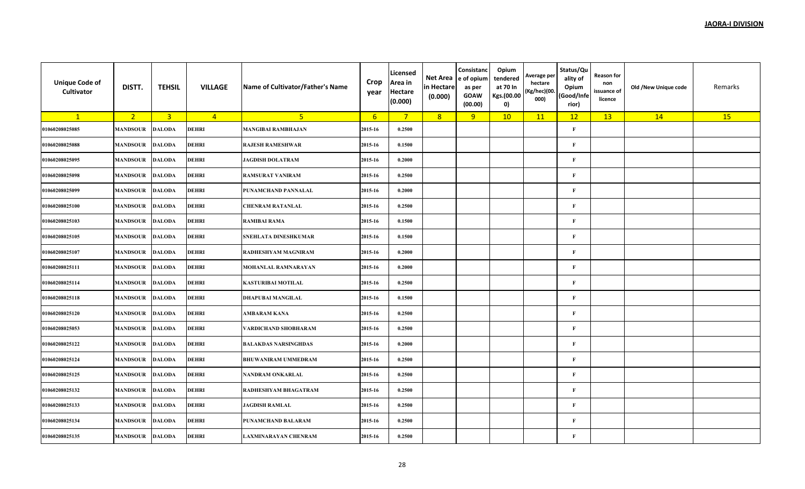| <b>Unique Code of</b><br>Cultivator | DISTT.          | <b>TEHSIL</b>  | <b>VILLAGE</b> | Name of Cultivator/Father's Name | Crop<br>year     | Licensed<br>Area in<br><b>Hectare</b><br>(0.000) | Net Area<br>in Hectare<br>(0.000) | Consistanc<br>e of opium<br>as per<br><b>GOAW</b><br>(00.00) | Opium<br>tendered<br>at 70 In<br>Kgs.(00.00<br>0) | Average per<br>hectare<br>(Kg/hec)(00.<br>000) | Status/Qu<br>ality of<br>Opium<br>(Good/Infe<br>rior) | <b>Reason for</b><br>non<br>issuance of<br>licence | Old /New Unique code | Remarks |
|-------------------------------------|-----------------|----------------|----------------|----------------------------------|------------------|--------------------------------------------------|-----------------------------------|--------------------------------------------------------------|---------------------------------------------------|------------------------------------------------|-------------------------------------------------------|----------------------------------------------------|----------------------|---------|
| $\mathbf{1}$                        | 2 <sup>7</sup>  | $\overline{3}$ | $\overline{4}$ | 5 <sub>1</sub>                   | $6 \overline{6}$ | $\overline{7}$                                   | 8                                 | 9                                                            | 10                                                | 11                                             | 12                                                    | 13                                                 | 14                   | 15      |
| 01060208025085                      | <b>MANDSOUR</b> | <b>DALODA</b>  | <b>DEHRI</b>   | <b>MANGIBAI RAMBHAJAN</b>        | 2015-16          | 0.2500                                           |                                   |                                                              |                                                   |                                                | $\mathbf{F}$                                          |                                                    |                      |         |
| 01060208025088                      | <b>MANDSOUR</b> | <b>DALODA</b>  | <b>DEHRI</b>   | <b>RAJESH RAMESHWAR</b>          | 2015-16          | 0.1500                                           |                                   |                                                              |                                                   |                                                | $\mathbf{F}$                                          |                                                    |                      |         |
| 01060208025095                      | MANDSOUR        | <b>DALODA</b>  | DEHRI          | <b>JAGDISH DOLATRAM</b>          | 2015-16          | 0.2000                                           |                                   |                                                              |                                                   |                                                | $\mathbf{F}$                                          |                                                    |                      |         |
| 01060208025098                      | <b>MANDSOUR</b> | <b>DALODA</b>  | DEHRI          | <b>RAMSURAT VANIRAM</b>          | 2015-16          | 0.2500                                           |                                   |                                                              |                                                   |                                                | $\mathbf{F}$                                          |                                                    |                      |         |
| 01060208025099                      | <b>MANDSOUR</b> | <b>DALODA</b>  | <b>DEHRI</b>   | PUNAMCHAND PANNALAL              | 2015-16          | 0.2000                                           |                                   |                                                              |                                                   |                                                | $\mathbf{F}$                                          |                                                    |                      |         |
| 01060208025100                      | <b>MANDSOUR</b> | <b>DALODA</b>  | <b>DEHRI</b>   | <b>CHENRAM RATANLAL</b>          | 2015-16          | 0.2500                                           |                                   |                                                              |                                                   |                                                | $\mathbf{F}$                                          |                                                    |                      |         |
| 01060208025103                      | <b>MANDSOUR</b> | <b>DALODA</b>  | <b>DEHRI</b>   | <b>RAMIBAI RAMA</b>              | 2015-16          | 0.1500                                           |                                   |                                                              |                                                   |                                                | $\mathbf{F}$                                          |                                                    |                      |         |
| 01060208025105                      | <b>MANDSOUR</b> | <b>DALODA</b>  | DEHRI          | SNEHLATA DINESHKUMAR             | 2015-16          | 0.1500                                           |                                   |                                                              |                                                   |                                                | $\mathbf{F}$                                          |                                                    |                      |         |
| 01060208025107                      | MANDSOUR        | <b>DALODA</b>  | DEHRI          | RADHESHYAM MAGNIRAM              | 2015-16          | 0.2000                                           |                                   |                                                              |                                                   |                                                | $\mathbf{F}$                                          |                                                    |                      |         |
| 01060208025111                      | <b>MANDSOUR</b> | <b>DALODA</b>  | DEHRI          | MOHANLAL RAMNARAYAN              | 2015-16          | 0.2000                                           |                                   |                                                              |                                                   |                                                | $\mathbf{F}$                                          |                                                    |                      |         |
| 01060208025114                      | <b>MANDSOUR</b> | <b>DALODA</b>  | DEHRI          | KASTURIBAI MOTILAL               | 2015-16          | 0.2500                                           |                                   |                                                              |                                                   |                                                | $\mathbf{F}$                                          |                                                    |                      |         |
| 01060208025118                      | <b>MANDSOUR</b> | <b>DALODA</b>  | DEHRI          | DHAPUBAI MANGILAL                | 2015-16          | 0.1500                                           |                                   |                                                              |                                                   |                                                | $\mathbf{F}$                                          |                                                    |                      |         |
| 01060208025120                      | <b>MANDSOUR</b> | <b>DALODA</b>  | DEHRI          | <b>AMBARAM KANA</b>              | 2015-16          | 0.2500                                           |                                   |                                                              |                                                   |                                                | F                                                     |                                                    |                      |         |
| 01060208025053                      | <b>MANDSOUR</b> | <b>DALODA</b>  | DEHRI          | <b>VARDICHAND SHOBHARAM</b>      | 2015-16          | 0.2500                                           |                                   |                                                              |                                                   |                                                | $\mathbf{F}$                                          |                                                    |                      |         |
| 01060208025122                      | <b>MANDSOUR</b> | <b>DALODA</b>  | <b>DEHRI</b>   | <b>BALAKDAS NARSINGHDAS</b>      | 2015-16          | 0.2000                                           |                                   |                                                              |                                                   |                                                | $\mathbf{F}$                                          |                                                    |                      |         |
| 01060208025124                      | <b>MANDSOUR</b> | <b>DALODA</b>  | DEHRI          | <b>BHUWANIRAM UMMEDRAM</b>       | 2015-16          | 0.2500                                           |                                   |                                                              |                                                   |                                                | $\mathbf{F}$                                          |                                                    |                      |         |
| 01060208025125                      | <b>MANDSOUR</b> | <b>DALODA</b>  | DEHRI          | NANDRAM ONKARLAL                 | 2015-16          | 0.2500                                           |                                   |                                                              |                                                   |                                                | $\mathbf{F}$                                          |                                                    |                      |         |
| 01060208025132                      | <b>MANDSOUR</b> | <b>DALODA</b>  | DEHRI          | RADHESHYAM BHAGATRAM             | 2015-16          | 0.2500                                           |                                   |                                                              |                                                   |                                                | F                                                     |                                                    |                      |         |
| 01060208025133                      | <b>MANDSOUR</b> | <b>DALODA</b>  | <b>DEHRI</b>   | <b>JAGDISH RAMLAL</b>            | 2015-16          | 0.2500                                           |                                   |                                                              |                                                   |                                                | $\mathbf{F}$                                          |                                                    |                      |         |
| 01060208025134                      | <b>MANDSOUR</b> | <b>DALODA</b>  | DEHRI          | PUNAMCHAND BALARAM               | 2015-16          | 0.2500                                           |                                   |                                                              |                                                   |                                                | $\mathbf{F}$                                          |                                                    |                      |         |
| 01060208025135                      | <b>MANDSOUR</b> | <b>DALODA</b>  | DEHRI          | LAXMINARAYAN CHENRAM             | 2015-16          | 0.2500                                           |                                   |                                                              |                                                   |                                                | $\mathbf{F}$                                          |                                                    |                      |         |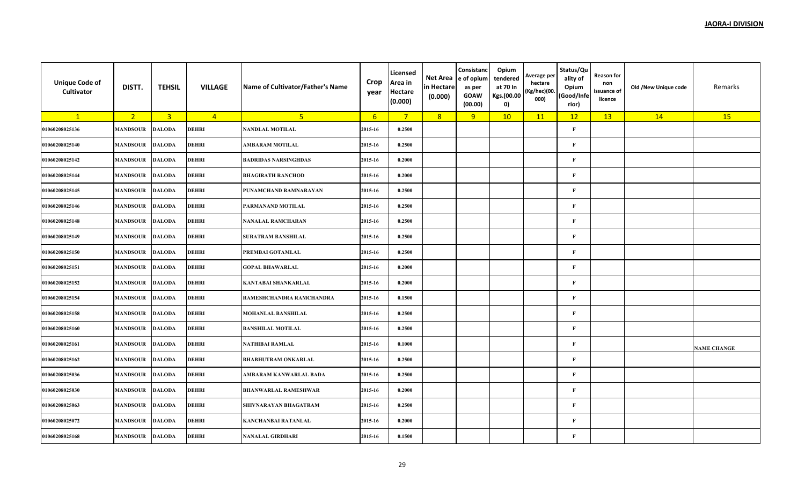| <b>Unique Code of</b><br>Cultivator | DISTT.          | <b>TEHSIL</b>           | <b>VILLAGE</b> | Name of Cultivator/Father's Name | Crop<br>year | Licensed<br>Area in<br><b>Hectare</b><br>(0.000) | Net Area<br>in Hectare<br>(0.000) | Consistanc<br>e of opium<br>as per<br><b>GOAW</b><br>(00.00) | Opium<br>tendered<br>at 70 In<br>Kgs.(00.00<br>$\mathbf{0}$ | Average per<br>hectare<br>(Kg/hec)(00.<br>000) | Status/Qu<br>ality of<br>Opium<br>Good/Infe<br>rior) | Reason for<br>non<br>issuance of<br>licence | Old /New Unique code | Remarks            |
|-------------------------------------|-----------------|-------------------------|----------------|----------------------------------|--------------|--------------------------------------------------|-----------------------------------|--------------------------------------------------------------|-------------------------------------------------------------|------------------------------------------------|------------------------------------------------------|---------------------------------------------|----------------------|--------------------|
| $\mathbf{1}$                        | 2 <sup>7</sup>  | $\overline{\mathbf{3}}$ | $\overline{4}$ | 5 <sub>1</sub>                   | 6            | $\overline{7}$                                   | 8                                 | 9                                                            | 10                                                          | 11                                             | 12                                                   | 13                                          | 14                   | 15                 |
| 01060208025136                      | <b>MANDSOUR</b> | <b>DALODA</b>           | <b>DEHRI</b>   | NANDLAL MOTILAL                  | 2015-16      | 0.2500                                           |                                   |                                                              |                                                             |                                                | $\mathbf{F}$                                         |                                             |                      |                    |
| 01060208025140                      | <b>MANDSOUR</b> | <b>DALODA</b>           | <b>DEHRI</b>   | <b>AMBARAM MOTILAL</b>           | 2015-16      | 0.2500                                           |                                   |                                                              |                                                             |                                                | $\bf F$                                              |                                             |                      |                    |
| 01060208025142                      | <b>MANDSOUR</b> | <b>DALODA</b>           | <b>DEHRI</b>   | <b>BADRIDAS NARSINGHDAS</b>      | 2015-16      | 0.2000                                           |                                   |                                                              |                                                             |                                                | $\mathbf{F}$                                         |                                             |                      |                    |
| 01060208025144                      | <b>MANDSOUR</b> | <b>DALODA</b>           | DEHRI          | <b>BHAGIRATH RANCHOD</b>         | 2015-16      | 0.2000                                           |                                   |                                                              |                                                             |                                                | F                                                    |                                             |                      |                    |
| 01060208025145                      | <b>MANDSOUR</b> | <b>DALODA</b>           | <b>DEHRI</b>   | PUNAMCHAND RAMNARAYAN            | 2015-16      | 0.2500                                           |                                   |                                                              |                                                             |                                                | $\mathbf{F}$                                         |                                             |                      |                    |
| 01060208025146                      | <b>MANDSOUR</b> | <b>DALODA</b>           | <b>DEHRI</b>   | PARMANAND MOTILAL                | 2015-16      | 0.2500                                           |                                   |                                                              |                                                             |                                                | $\bf F$                                              |                                             |                      |                    |
| 01060208025148                      | <b>MANDSOUR</b> | <b>DALODA</b>           | <b>DEHRI</b>   | <b>NANALAL RAMCHARAN</b>         | 2015-16      | 0.2500                                           |                                   |                                                              |                                                             |                                                | $\bf F$                                              |                                             |                      |                    |
| 01060208025149                      | <b>MANDSOUR</b> | <b>DALODA</b>           | <b>DEHRI</b>   | <b>SURATRAM BANSHILAL</b>        | 2015-16      | 0.2500                                           |                                   |                                                              |                                                             |                                                | $\bf F$                                              |                                             |                      |                    |
| 01060208025150                      | <b>MANDSOUR</b> | <b>DALODA</b>           | DEHRI          | PREMBAI GOTAMLAL                 | 2015-16      | 0.2500                                           |                                   |                                                              |                                                             |                                                | F                                                    |                                             |                      |                    |
| 01060208025151                      | <b>MANDSOUR</b> | <b>DALODA</b>           | DEHRI          | <b>GOPAL BHAWARLAL</b>           | 2015-16      | 0.2000                                           |                                   |                                                              |                                                             |                                                | $\mathbf{F}$                                         |                                             |                      |                    |
| 01060208025152                      | <b>MANDSOUR</b> | <b>DALODA</b>           | <b>DEHRI</b>   | <b>KANTABAI SHANKARLAL</b>       | 2015-16      | 0.2000                                           |                                   |                                                              |                                                             |                                                | $\bf F$                                              |                                             |                      |                    |
| 01060208025154                      | <b>MANDSOUR</b> | <b>DALODA</b>           | <b>DEHRI</b>   | RAMESHCHANDRA RAMCHANDRA         | 2015-16      | 0.1500                                           |                                   |                                                              |                                                             |                                                | $\mathbf{F}$                                         |                                             |                      |                    |
| 01060208025158                      | <b>MANDSOUR</b> | <b>DALODA</b>           | <b>DEHRI</b>   | MOHANLAL BANSHILAL               | 2015-16      | 0.2500                                           |                                   |                                                              |                                                             |                                                | $\mathbf{F}$                                         |                                             |                      |                    |
| 01060208025160                      | <b>MANDSOUR</b> | <b>DALODA</b>           | <b>DEHRI</b>   | <b>BANSHILAL MOTILAL</b>         | 2015-16      | 0.2500                                           |                                   |                                                              |                                                             |                                                | $\bf F$                                              |                                             |                      |                    |
| 01060208025161                      | <b>MANDSOUR</b> | <b>DALODA</b>           | <b>DEHRI</b>   | <b>NATHIBAI RAMLAL</b>           | 2015-16      | 0.1000                                           |                                   |                                                              |                                                             |                                                | $\bf F$                                              |                                             |                      | <b>NAME CHANGE</b> |
| 01060208025162                      | <b>MANDSOUR</b> | <b>DALODA</b>           | <b>DEHRI</b>   | <b>BHABHUTRAM ONKARLAL</b>       | 2015-16      | 0.2500                                           |                                   |                                                              |                                                             |                                                | $\mathbf{F}$                                         |                                             |                      |                    |
| 01060208025036                      | <b>MANDSOUR</b> | <b>DALODA</b>           | <b>DEHRI</b>   | AMBARAM KANWARLAL BADA           | 2015-16      | 0.2500                                           |                                   |                                                              |                                                             |                                                | F                                                    |                                             |                      |                    |
| 01060208025030                      | <b>MANDSOUR</b> | <b>DALODA</b>           | <b>DEHRI</b>   | <b>BHANWARLAL RAMESHWAR</b>      | 2015-16      | 0.2000                                           |                                   |                                                              |                                                             |                                                | F                                                    |                                             |                      |                    |
| 01060208025063                      | <b>MANDSOUR</b> | <b>DALODA</b>           | <b>DEHRI</b>   | SHIVNARAYAN BHAGATRAM            | 2015-16      | 0.2500                                           |                                   |                                                              |                                                             |                                                | F                                                    |                                             |                      |                    |
| 01060208025072                      | <b>MANDSOUR</b> | <b>DALODA</b>           | <b>DEHRI</b>   | <b>KANCHANBAI RATANLAL</b>       | 2015-16      | 0.2000                                           |                                   |                                                              |                                                             |                                                | F                                                    |                                             |                      |                    |
| 01060208025168                      | <b>MANDSOUR</b> | <b>DALODA</b>           | <b>DEHRI</b>   | <b>NANALAL GIRDHARI</b>          | 2015-16      | 0.1500                                           |                                   |                                                              |                                                             |                                                | $\bf F$                                              |                                             |                      |                    |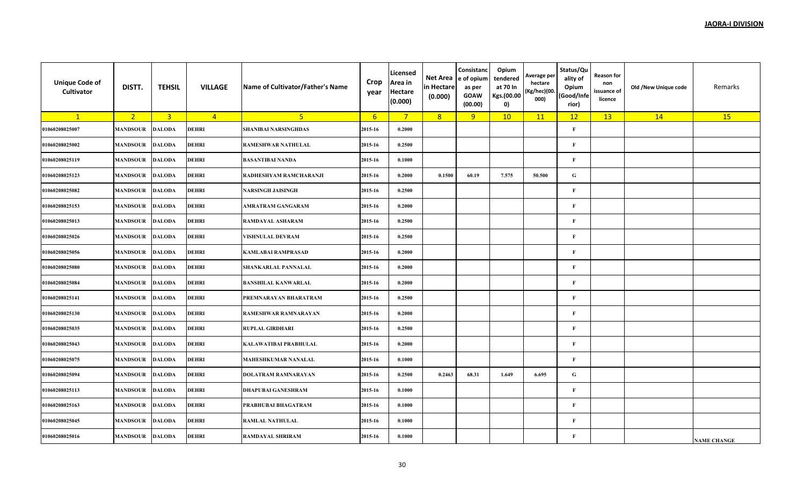| <b>Unique Code of</b><br>Cultivator | DISTT.          | <b>TEHSIL</b>  | <b>VILLAGE</b> | Name of Cultivator/Father's Name | Crop<br>year | Licensed<br>Area in<br><b>Hectare</b><br>(0.000) | Net Area<br>in Hectare<br>(0.000) | Consistanc<br>e of opium<br>as per<br><b>GOAW</b><br>(00.00) | Opium<br>tendered<br>at 70 In<br>Kgs.(00.00<br>0) | Average per<br>hectare<br>(Kg/hec)(00.<br>000) | Status/Qu<br>ality of<br>Opium<br>(Good/Infe<br>rior) | <b>Reason for</b><br>non<br>issuance of<br>licence | Old /New Unique code | Remarks            |
|-------------------------------------|-----------------|----------------|----------------|----------------------------------|--------------|--------------------------------------------------|-----------------------------------|--------------------------------------------------------------|---------------------------------------------------|------------------------------------------------|-------------------------------------------------------|----------------------------------------------------|----------------------|--------------------|
| $\mathbf{1}$                        | 2 <sup>2</sup>  | $\overline{3}$ | $\overline{4}$ | 5 <sub>o</sub>                   | 6            | $7^{\circ}$                                      | 8                                 | 9                                                            | 10                                                | 11                                             | 12                                                    | 13                                                 | 14                   | 15                 |
| 01060208025007                      | <b>MANDSOUR</b> | <b>DALODA</b>  | DEHRI          | <b>SHANIBAI NARSINGHDAS</b>      | 2015-16      | 0.2000                                           |                                   |                                                              |                                                   |                                                | $\mathbf{F}$                                          |                                                    |                      |                    |
| 01060208025002                      | <b>MANDSOUR</b> | <b>DALODA</b>  | DEHRI          | RAMESHWAR NATHULAL               | 2015-16      | 0.2500                                           |                                   |                                                              |                                                   |                                                | $\mathbf{F}$                                          |                                                    |                      |                    |
| 01060208025119                      | <b>MANDSOUR</b> | <b>DALODA</b>  | <b>DEHRI</b>   | <b>BASANTIBAI NANDA</b>          | 2015-16      | 0.1000                                           |                                   |                                                              |                                                   |                                                | F                                                     |                                                    |                      |                    |
| 01060208025123                      | <b>MANDSOUR</b> | <b>DALODA</b>  | DEHRI          | RADHESHYAM RAMCHARANJI           | 2015-16      | 0.2000                                           | 0.1500                            | 60.19                                                        | 7.575                                             | 50.500                                         | G                                                     |                                                    |                      |                    |
| 01060208025082                      | MANDSOUR        | <b>DALODA</b>  | <b>DEHRI</b>   | <b>NARSINGH JAISINGH</b>         | 2015-16      | 0.2500                                           |                                   |                                                              |                                                   |                                                | $\mathbf{F}$                                          |                                                    |                      |                    |
| 01060208025153                      | <b>MANDSOUR</b> | <b>DALODA</b>  | DEHRI          | AMRATRAM GANGARAM                | 2015-16      | 0.2000                                           |                                   |                                                              |                                                   |                                                | $\mathbf{F}$                                          |                                                    |                      |                    |
| 01060208025013                      | <b>MANDSOUR</b> | <b>DALODA</b>  | <b>DEHRI</b>   | RAMDAYAL ASHARAM                 | 2015-16      | 0.2500                                           |                                   |                                                              |                                                   |                                                | $\mathbf{F}$                                          |                                                    |                      |                    |
| 01060208025026                      | <b>MANDSOUR</b> | <b>DALODA</b>  | DEHRI          | VISHNULAL DEVRAM                 | 2015-16      | 0.2500                                           |                                   |                                                              |                                                   |                                                | $\mathbf{F}$                                          |                                                    |                      |                    |
| 01060208025056                      | MANDSOUR        | <b>DALODA</b>  | <b>DEHRI</b>   | <b>KAMLABAI RAMPRASAD</b>        | 2015-16      | 0.2000                                           |                                   |                                                              |                                                   |                                                | $\mathbf{F}$                                          |                                                    |                      |                    |
| 01060208025080                      | <b>MANDSOUR</b> | <b>DALODA</b>  | <b>DEHRI</b>   | SHANKARLAL PANNALAL              | 2015-16      | 0.2000                                           |                                   |                                                              |                                                   |                                                | $\mathbf{F}$                                          |                                                    |                      |                    |
| 01060208025084                      | <b>MANDSOUR</b> | <b>DALODA</b>  | <b>DEHRI</b>   | <b>BANSHILAL KANWARLAL</b>       | 2015-16      | 0.2000                                           |                                   |                                                              |                                                   |                                                | $\mathbf{F}$                                          |                                                    |                      |                    |
| 01060208025141                      | MANDSOUR        | <b>DALODA</b>  | DEHRI          | PREMNARAYAN BHARATRAM            | 2015-16      | 0.2500                                           |                                   |                                                              |                                                   |                                                | $\mathbf{F}$                                          |                                                    |                      |                    |
| 01060208025130                      | MANDSOUR        | <b>DALODA</b>  | <b>DEHRI</b>   | RAMESHWAR RAMNARAYAN             | 2015-16      | 0.2000                                           |                                   |                                                              |                                                   |                                                | $\mathbf{F}$                                          |                                                    |                      |                    |
| 01060208025035                      | <b>MANDSOUR</b> | <b>DALODA</b>  | <b>DEHRI</b>   | <b>RUPLAL GIRDHARI</b>           | 2015-16      | 0.2500                                           |                                   |                                                              |                                                   |                                                | $\mathbf{F}$                                          |                                                    |                      |                    |
| 01060208025043                      | MANDSOUR        | <b>DALODA</b>  | DEHRI          | KALAWATIBAI PRABHULAL            | 2015-16      | 0.2000                                           |                                   |                                                              |                                                   |                                                | $\mathbf{F}$                                          |                                                    |                      |                    |
| 01060208025075                      | MANDSOUR        | <b>DALODA</b>  | DEHRI          | <b>MAHESHKUMAR NANALAL</b>       | 2015-16      | 0.1000                                           |                                   |                                                              |                                                   |                                                | $\mathbf{F}$                                          |                                                    |                      |                    |
| 01060208025094                      | MANDSOUR        | <b>DALODA</b>  | DEHRI          | <b>DOLATRAM RAMNARAYAN</b>       | 2015-16      | 0.2500                                           | 0.2463                            | 68.31                                                        | 1.649                                             | 6.695                                          | ${\bf G}$                                             |                                                    |                      |                    |
| 01060208025113                      | <b>MANDSOUR</b> | <b>DALODA</b>  | <b>DEHRI</b>   | <b>DHAPUBAI GANESHRAM</b>        | 2015-16      | 0.1000                                           |                                   |                                                              |                                                   |                                                | $\mathbf{F}$                                          |                                                    |                      |                    |
| 01060208025163                      | MANDSOUR        | <b>DALODA</b>  | DEHRI          | PRABHUBAI BHAGATRAM              | 2015-16      | 0.1000                                           |                                   |                                                              |                                                   |                                                | F                                                     |                                                    |                      |                    |
| 01060208025045                      | MANDSOUR        | <b>DALODA</b>  | DEHRI          | <b>RAMLAL NATHULAL</b>           | 2015-16      | 0.1000                                           |                                   |                                                              |                                                   |                                                | $\mathbf{F}$                                          |                                                    |                      |                    |
| 01060208025016                      | MANDSOUR        | <b>DALODA</b>  | <b>DEHRI</b>   | <b>RAMDAYAL SHRIRAM</b>          | 2015-16      | 0.1000                                           |                                   |                                                              |                                                   |                                                | $\mathbf{F}$                                          |                                                    |                      | <b>NAME CHANGE</b> |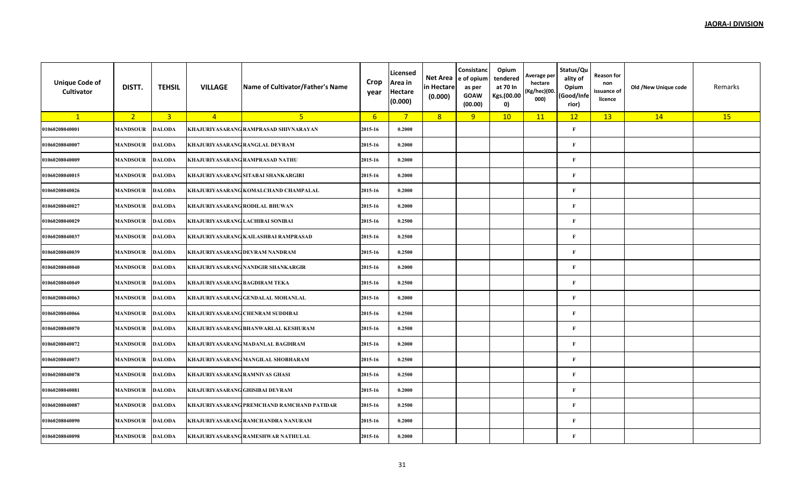| <b>Unique Code of</b><br>Cultivator | DISTT.          | <b>TEHSIL</b>  | <b>VILLAGE</b>                   | Name of Cultivator/Father's Name           | Crop<br>year | Licensed<br>Area in<br><b>Hectare</b><br>(0.000) | Net Area<br>in Hectare<br>(0.000) | Consistanc<br>e of opium<br>as per<br><b>GOAW</b><br>(00.00) | Opium<br>tendered<br>at 70 In<br>Kgs.(00.00<br>0) | Average per<br>hectare<br>(Kg/hec)(00.<br>000) | Status/Qu<br>ality of<br>Opium<br>(Good/Infe<br>rior) | <b>Reason for</b><br>non<br>issuance of<br>licence | Old /New Unique code | Remarks |
|-------------------------------------|-----------------|----------------|----------------------------------|--------------------------------------------|--------------|--------------------------------------------------|-----------------------------------|--------------------------------------------------------------|---------------------------------------------------|------------------------------------------------|-------------------------------------------------------|----------------------------------------------------|----------------------|---------|
| $\mathbf{1}$                        | 2 <sup>2</sup>  | $\overline{3}$ | $\overline{4}$                   | 5 <sup>1</sup>                             | 6            | $7^{\circ}$                                      | 8                                 | 9                                                            | 10                                                | 11                                             | 12                                                    | 13                                                 | 14                   | 15      |
| 01060208040001                      | <b>MANDSOUR</b> | <b>DALODA</b>  |                                  | KHAJURIYASARANG RAMPRASAD SHIVNARAYAN      | 2015-16      | 0.2000                                           |                                   |                                                              |                                                   |                                                | $\mathbf F$                                           |                                                    |                      |         |
| 01060208040007                      | <b>MANDSOUR</b> | <b>DALODA</b>  | KHAJURIYASARANG RANGLAL DEVRAM   |                                            | 2015-16      | 0.2000                                           |                                   |                                                              |                                                   |                                                | $\mathbf F$                                           |                                                    |                      |         |
| 01060208040009                      | <b>MANDSOUR</b> | <b>DALODA</b>  |                                  | KHAJURIYASARANG RAMPRASAD NATHU            | 2015-16      | 0.2000                                           |                                   |                                                              |                                                   |                                                | $\mathbf F$                                           |                                                    |                      |         |
| 01060208040015                      | <b>MANDSOUR</b> | <b>DALODA</b>  |                                  | KHAJURIYASARANG SITABAI SHANKARGIRI        | 2015-16      | 0.2000                                           |                                   |                                                              |                                                   |                                                | $\mathbf F$                                           |                                                    |                      |         |
| 01060208040026                      | <b>MANDSOUR</b> | <b>DALODA</b>  |                                  | KHAJURIYASARANG KOMALCHAND CHAMPALAL       | 2015-16      | 0.2000                                           |                                   |                                                              |                                                   |                                                | $\mathbf F$                                           |                                                    |                      |         |
| 01060208040027                      | <b>MANDSOUR</b> | <b>DALODA</b>  | KHAJURIYASARANG RODILAL BHUWAN   |                                            | 2015-16      | 0.2000                                           |                                   |                                                              |                                                   |                                                | $\mathbf F$                                           |                                                    |                      |         |
| 01060208040029                      | <b>MANDSOUR</b> | <b>DALODA</b>  | KHAJURIYASARANG LACHIBAI SONIBAI |                                            | 2015-16      | 0.2500                                           |                                   |                                                              |                                                   |                                                | F                                                     |                                                    |                      |         |
| 01060208040037                      | <b>MANDSOUR</b> | <b>DALODA</b>  |                                  | KHAJURIYASARANG KAILASHBAI RAMPRASAD       | 2015-16      | 0.2500                                           |                                   |                                                              |                                                   |                                                | $\mathbf F$                                           |                                                    |                      |         |
| 01060208040039                      | <b>MANDSOUR</b> | <b>DALODA</b>  |                                  | KHAJURIYASARANG DEVRAM NANDRAM             | 2015-16      | 0.2500                                           |                                   |                                                              |                                                   |                                                | $\mathbf F$                                           |                                                    |                      |         |
| 01060208040040                      | <b>MANDSOUR</b> | <b>DALODA</b>  |                                  | KHAJURIYASARANG NANDGIR SHANKARGIR         | 2015-16      | 0.2000                                           |                                   |                                                              |                                                   |                                                | $\mathbf{F}$                                          |                                                    |                      |         |
| 01060208040049                      | <b>MANDSOUR</b> | <b>DALODA</b>  | KHAJURIYASARANG BAGDIRAM TEKA    |                                            | 2015-16      | 0.2500                                           |                                   |                                                              |                                                   |                                                | $\mathbf F$                                           |                                                    |                      |         |
| 01060208040063                      | <b>MANDSOUR</b> | <b>DALODA</b>  |                                  | KHAJURIYASARANG GENDALAL MOHANLAL          | 2015-16      | 0.2000                                           |                                   |                                                              |                                                   |                                                | $\mathbf F$                                           |                                                    |                      |         |
| 01060208040066                      | <b>MANDSOUR</b> | <b>DALODA</b>  |                                  | KHAJURIYASARANG CHENRAM SUDDIBAI           | 2015-16      | 0.2500                                           |                                   |                                                              |                                                   |                                                | $\mathbf F$                                           |                                                    |                      |         |
| 01060208040070                      | <b>MANDSOUR</b> | <b>DALODA</b>  |                                  | KHAJURIYASARANG BHANWARLAL KESHURAM        | 2015-16      | 0.2500                                           |                                   |                                                              |                                                   |                                                | $\mathbf F$                                           |                                                    |                      |         |
| 01060208040072                      | <b>MANDSOUR</b> | <b>DALODA</b>  |                                  | KHAJURIYASARANG MADANLAL BAGDIRAM          | 2015-16      | 0.2000                                           |                                   |                                                              |                                                   |                                                | $\mathbf F$                                           |                                                    |                      |         |
| 01060208040073                      | <b>MANDSOUR</b> | <b>DALODA</b>  |                                  | KHAJURIYASARANG MANGILAL SHOBHARAM         | 2015-16      | 0.2500                                           |                                   |                                                              |                                                   |                                                | $\mathbf F$                                           |                                                    |                      |         |
| 01060208040078                      | <b>MANDSOUR</b> | <b>DALODA</b>  | KHAJURIYASARANG RAMNIVAS GHASI   |                                            | 2015-16      | 0.2500                                           |                                   |                                                              |                                                   |                                                | F                                                     |                                                    |                      |         |
| 01060208040081                      | <b>MANDSOUR</b> | <b>DALODA</b>  | KHAJURIYASARANG GHISIBAI DEVRAM  |                                            | 2015-16      | 0.2000                                           |                                   |                                                              |                                                   |                                                | $\mathbf F$                                           |                                                    |                      |         |
| 01060208040087                      | <b>MANDSOUR</b> | <b>DALODA</b>  |                                  | KHAJURIYASARANG PREMCHAND RAMCHAND PATIDAR | 2015-16      | 0.2500                                           |                                   |                                                              |                                                   |                                                | $\mathbf F$                                           |                                                    |                      |         |
| 01060208040090                      | <b>MANDSOUR</b> | <b>DALODA</b>  |                                  | KHAJURIYASARANG RAMCHANDRA NANURAM         | 2015-16      | 0.2000                                           |                                   |                                                              |                                                   |                                                | $\mathbf F$                                           |                                                    |                      |         |
| 01060208040098                      | <b>MANDSOUR</b> | <b>DALODA</b>  |                                  | KHAJURIYASARANG RAMESHWAR NATHULAL         | 2015-16      | 0.2000                                           |                                   |                                                              |                                                   |                                                | $\mathbf F$                                           |                                                    |                      |         |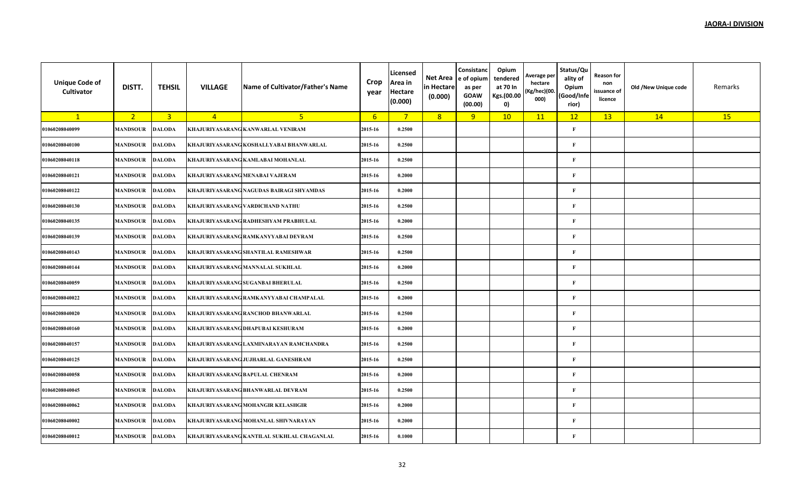| <b>Unique Code of</b><br>Cultivator | DISTT.          | <b>TEHSIL</b>  | <b>VILLAGE</b> | Name of Cultivator/Father's Name           | Crop<br>year | Licensed<br>Area in<br><b>Hectare</b><br>(0.000) | Net Area<br>in Hectare<br>(0.000) | Consistanc<br>e of opium<br>as per<br><b>GOAW</b><br>(00.00) | Opium<br>tendered<br>at 70 In<br>Kgs.(00.00<br>0) | Average per<br>hectare<br>(Kg/hec)(00.<br>000) | Status/Qu<br>ality of<br>Opium<br>(Good/Infe<br>rior) | <b>Reason for</b><br>non<br>issuance of<br>licence | Old /New Unique code | Remarks |
|-------------------------------------|-----------------|----------------|----------------|--------------------------------------------|--------------|--------------------------------------------------|-----------------------------------|--------------------------------------------------------------|---------------------------------------------------|------------------------------------------------|-------------------------------------------------------|----------------------------------------------------|----------------------|---------|
| $\mathbf{1}$                        | 2 <sub>1</sub>  | $\overline{3}$ | $\overline{4}$ | 5 <sup>1</sup>                             | 6            | $7^{\circ}$                                      | 8                                 | 9                                                            | 10                                                | 11                                             | 12                                                    | 13                                                 | 14                   | 15      |
| 01060208040099                      | <b>MANDSOUR</b> | <b>DALODA</b>  |                | KHAJURIYASARANG KANWARLAL VENIRAM          | 2015-16      | 0.2500                                           |                                   |                                                              |                                                   |                                                | $\mathbf{F}$                                          |                                                    |                      |         |
| 01060208040100                      | <b>MANDSOUR</b> | <b>DALODA</b>  |                | KHAJURIYASARANG KOSHALLYABAI BHANWARLAL    | 2015-16      | 0.2500                                           |                                   |                                                              |                                                   |                                                | F                                                     |                                                    |                      |         |
| 01060208040118                      | MANDSOUR        | <b>DALODA</b>  |                | KHAJURIYASARANG KAMLABAI MOHANLAL          | 2015-16      | 0.2500                                           |                                   |                                                              |                                                   |                                                | F                                                     |                                                    |                      |         |
| 01060208040121                      | <b>MANDSOUR</b> | <b>DALODA</b>  |                | KHAJURIYASARANG MENABAI VAJERAM            | 2015-16      | 0.2000                                           |                                   |                                                              |                                                   |                                                | $\mathbf{F}$                                          |                                                    |                      |         |
| 01060208040122                      | <b>MANDSOUR</b> | <b>DALODA</b>  |                | KHAJURIYASARANG NAGUDAS BAIRAGI SHYAMDAS   | 2015-16      | 0.2000                                           |                                   |                                                              |                                                   |                                                | $\mathbf{F}$                                          |                                                    |                      |         |
| 01060208040130                      | <b>MANDSOUR</b> | <b>DALODA</b>  |                | KHAJURIYASARANG VARDICHAND NATHU           | 2015-16      | 0.2500                                           |                                   |                                                              |                                                   |                                                | $\mathbf{F}$                                          |                                                    |                      |         |
| 01060208040135                      | <b>MANDSOUR</b> | <b>DALODA</b>  |                | KHAJURIYASARANG RADHESHYAM PRABHULAL       | 2015-16      | 0.2000                                           |                                   |                                                              |                                                   |                                                | $\mathbf{F}$                                          |                                                    |                      |         |
| 01060208040139                      | <b>MANDSOUR</b> | <b>DALODA</b>  |                | KHAJURIYASARANG RAMKANYYABAI DEVRAM        | 2015-16      | 0.2500                                           |                                   |                                                              |                                                   |                                                | $\mathbf{F}$                                          |                                                    |                      |         |
| 01060208040143                      | <b>MANDSOUR</b> | <b>DALODA</b>  |                | KHAJURIYASARANG SHANTILAL RAMESHWAR        | 2015-16      | 0.2500                                           |                                   |                                                              |                                                   |                                                | $\mathbf{F}$                                          |                                                    |                      |         |
| 01060208040144                      | <b>MANDSOUR</b> | <b>DALODA</b>  |                | KHAJURIYASARANG MANNALAL SUKHLAL           | 2015-16      | 0.2000                                           |                                   |                                                              |                                                   |                                                | $\mathbf{F}$                                          |                                                    |                      |         |
| 01060208040059                      | <b>MANDSOUR</b> | <b>DALODA</b>  |                | KHAJURIYASARANG SUGANBAI BHERULAL          | 2015-16      | 0.2500                                           |                                   |                                                              |                                                   |                                                | $\mathbf{F}$                                          |                                                    |                      |         |
| 01060208040022                      | <b>MANDSOUR</b> | <b>DALODA</b>  |                | KHAJURIYASARANG RAMKANYYABAI CHAMPALAL     | 2015-16      | 0.2000                                           |                                   |                                                              |                                                   |                                                | $\mathbf{F}$                                          |                                                    |                      |         |
| 01060208040020                      | <b>MANDSOUR</b> | <b>DALODA</b>  |                | KHAJURIYASARANG RANCHOD BHANWARLAL         | 2015-16      | 0.2500                                           |                                   |                                                              |                                                   |                                                | $\mathbf{F}$                                          |                                                    |                      |         |
| 01060208040160                      | <b>MANDSOUR</b> | <b>DALODA</b>  |                | KHAJURIYASARANG DHAPUBAI KESHURAM          | 2015-16      | 0.2000                                           |                                   |                                                              |                                                   |                                                | $\mathbf{F}$                                          |                                                    |                      |         |
| 01060208040157                      | <b>MANDSOUR</b> | <b>DALODA</b>  |                | KHAJURIYASARANG LAXMINARAYAN RAMCHANDRA    | 2015-16      | 0.2500                                           |                                   |                                                              |                                                   |                                                | $\mathbf{F}$                                          |                                                    |                      |         |
| 01060208040125                      | <b>MANDSOUR</b> | <b>DALODA</b>  |                | KHAJURIYASARANG JUJHARLAL GANESHRAM        | 2015-16      | 0.2500                                           |                                   |                                                              |                                                   |                                                | $\mathbf{F}$                                          |                                                    |                      |         |
| 01060208040058                      | MANDSOUR        | <b>DALODA</b>  |                | KHAJURIYASARANG BAPULAL CHENRAM            | 2015-16      | 0.2000                                           |                                   |                                                              |                                                   |                                                | $\mathbf{F}$                                          |                                                    |                      |         |
| 01060208040045                      | <b>MANDSOUR</b> | <b>DALODA</b>  |                | KHAJURIYASARANG BHANWARLAL DEVRAM          | 2015-16      | 0.2500                                           |                                   |                                                              |                                                   |                                                | $\mathbf{F}$                                          |                                                    |                      |         |
| 01060208040062                      | <b>MANDSOUR</b> | <b>DALODA</b>  |                | KHAJURIYASARANG MOHANGIR KELASHGIR         | 2015-16      | 0.2000                                           |                                   |                                                              |                                                   |                                                | F                                                     |                                                    |                      |         |
| 01060208040002                      | <b>MANDSOUR</b> | <b>DALODA</b>  |                | KHAJURIYASARANG MOHANLAL SHIVNARAYAN       | 2015-16      | 0.2000                                           |                                   |                                                              |                                                   |                                                | $\mathbf{F}$                                          |                                                    |                      |         |
| 01060208040012                      | <b>MANDSOUR</b> | <b>DALODA</b>  |                | KHAJURIYASARANG KANTILAL SUKHLAL CHAGANLAL | 2015-16      | 0.1000                                           |                                   |                                                              |                                                   |                                                | $\mathbf{F}$                                          |                                                    |                      |         |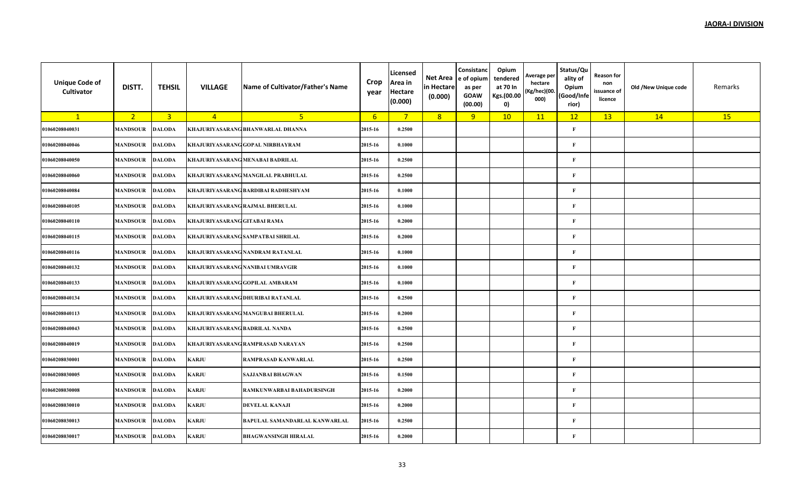| <b>Unique Code of</b><br>Cultivator | DISTT.          | <b>TEHSIL</b>  | <b>VILLAGE</b>                 | Name of Cultivator/Father's Name    | Crop<br>year | Licensed<br>Area in<br><b>Hectare</b><br>(0.000) | Net Area<br>in Hectare<br>(0.000) | Consistanc<br>e of opium<br>as per<br><b>GOAW</b><br>(00.00) | Opium<br>tendered<br>at 70 In<br>Kgs.(00.00<br>0) | Average per<br>hectare<br>(Kg/hec)(00.<br>000) | Status/Qu<br>ality of<br>Opium<br>(Good/Infe<br>rior) | <b>Reason for</b><br>non<br>issuance of<br>licence | Old /New Unique code | Remarks |
|-------------------------------------|-----------------|----------------|--------------------------------|-------------------------------------|--------------|--------------------------------------------------|-----------------------------------|--------------------------------------------------------------|---------------------------------------------------|------------------------------------------------|-------------------------------------------------------|----------------------------------------------------|----------------------|---------|
| $\mathbf{1}$                        | 2 <sub>1</sub>  | $\overline{3}$ | $\overline{4}$                 | 5 <sup>1</sup>                      | $6^{\circ}$  | $7^{\circ}$                                      | 8                                 | 9                                                            | 10                                                | 11                                             | 12                                                    | 13                                                 | 14                   | 15      |
| 01060208040031                      | <b>MANDSOUR</b> | <b>DALODA</b>  |                                | KHAJURIYASARANG BHANWARLAL DHANNA   | 2015-16      | 0.2500                                           |                                   |                                                              |                                                   |                                                | $\mathbf{F}$                                          |                                                    |                      |         |
| 01060208040046                      | <b>MANDSOUR</b> | <b>DALODA</b>  |                                | KHAJURIYASARANG GOPAL NIRBHAYRAM    | 2015-16      | 0.1000                                           |                                   |                                                              |                                                   |                                                | F                                                     |                                                    |                      |         |
| 01060208040050                      | MANDSOUR        | <b>DALODA</b>  |                                | KHAJURIYASARANG MENABAI BADRILAL    | 2015-16      | 0.2500                                           |                                   |                                                              |                                                   |                                                | F                                                     |                                                    |                      |         |
| 01060208040060                      | <b>MANDSOUR</b> | <b>DALODA</b>  |                                | KHAJURIYASARANG MANGILAL PRABHULAL  | 2015-16      | 0.2500                                           |                                   |                                                              |                                                   |                                                | $\mathbf{F}$                                          |                                                    |                      |         |
| 01060208040084                      | <b>MANDSOUR</b> | <b>DALODA</b>  |                                | KHAJURIYASARANG BARDIBAI RADHESHYAM | 2015-16      | 0.1000                                           |                                   |                                                              |                                                   |                                                | $\mathbf{F}$                                          |                                                    |                      |         |
| 01060208040105                      | <b>MANDSOUR</b> | <b>DALODA</b>  |                                | KHAJURIYASARANG RAJMAL BHERULAL     | 2015-16      | 0.1000                                           |                                   |                                                              |                                                   |                                                | $\mathbf{F}$                                          |                                                    |                      |         |
| 01060208040110                      | <b>MANDSOUR</b> | <b>DALODA</b>  | KHAJURIYASARANG GITABAI RAMA   |                                     | 2015-16      | 0.2000                                           |                                   |                                                              |                                                   |                                                | $\mathbf{F}$                                          |                                                    |                      |         |
| 01060208040115                      | <b>MANDSOUR</b> | <b>DALODA</b>  |                                | KHAJURIYASARANG SAMPATBAI SHRILAL   | 2015-16      | 0.2000                                           |                                   |                                                              |                                                   |                                                | $\mathbf{F}$                                          |                                                    |                      |         |
| 01060208040116                      | <b>MANDSOUR</b> | <b>DALODA</b>  |                                | KHAJURIYASARANG NANDRAM RATANLAL    | 2015-16      | 0.1000                                           |                                   |                                                              |                                                   |                                                | $\mathbf{F}$                                          |                                                    |                      |         |
| 01060208040132                      | <b>MANDSOUR</b> | <b>DALODA</b>  |                                | KHAJURIYASARANG NANIBAI UMRAVGIR    | 2015-16      | 0.1000                                           |                                   |                                                              |                                                   |                                                | $\mathbf{F}$                                          |                                                    |                      |         |
| 01060208040133                      | <b>MANDSOUR</b> | <b>DALODA</b>  |                                | KHAJURIYASARANG GOPILAL AMBARAM     | 2015-16      | 0.1000                                           |                                   |                                                              |                                                   |                                                | $\mathbf{F}$                                          |                                                    |                      |         |
| 01060208040134                      | <b>MANDSOUR</b> | <b>DALODA</b>  |                                | KHAJURIYASARANG DHURIBAI RATANLAL   | 2015-16      | 0.2500                                           |                                   |                                                              |                                                   |                                                | $\mathbf{F}$                                          |                                                    |                      |         |
| 01060208040113                      | <b>MANDSOUR</b> | <b>DALODA</b>  |                                | KHAJURIYASARANG MANGUBAI BHERULAL   | 2015-16      | 0.2000                                           |                                   |                                                              |                                                   |                                                | $\mathbf{F}$                                          |                                                    |                      |         |
| 01060208040043                      | <b>MANDSOUR</b> | <b>DALODA</b>  | KHAJURIYASARANG BADRILAL NANDA |                                     | 2015-16      | 0.2500                                           |                                   |                                                              |                                                   |                                                | $\mathbf{F}$                                          |                                                    |                      |         |
| 01060208040019                      | <b>MANDSOUR</b> | <b>DALODA</b>  |                                | KHAJURIYASARANG RAMPRASAD NARAYAN   | 2015-16      | 0.2500                                           |                                   |                                                              |                                                   |                                                | $\mathbf{F}$                                          |                                                    |                      |         |
| 01060208030001                      | <b>MANDSOUR</b> | <b>DALODA</b>  | KARJU                          | RAMPRASAD KANWARLAL                 | 2015-16      | 0.2500                                           |                                   |                                                              |                                                   |                                                | $\mathbf{F}$                                          |                                                    |                      |         |
| 01060208030005                      | MANDSOUR        | <b>DALODA</b>  | KARJU                          | <b>SAJJANBAI BHAGWAN</b>            | 2015-16      | 0.1500                                           |                                   |                                                              |                                                   |                                                | $\mathbf{F}$                                          |                                                    |                      |         |
| 01060208030008                      | <b>MANDSOUR</b> | <b>DALODA</b>  | KARJU                          | RAMKUNWARBAI BAHADURSINGH           | 2015-16      | 0.2000                                           |                                   |                                                              |                                                   |                                                | $\mathbf{F}$                                          |                                                    |                      |         |
| 01060208030010                      | <b>MANDSOUR</b> | <b>DALODA</b>  | KARJU                          | <b>DEVELAL KANAJI</b>               | 2015-16      | 0.2000                                           |                                   |                                                              |                                                   |                                                | F                                                     |                                                    |                      |         |
| 01060208030013                      | <b>MANDSOUR</b> | <b>DALODA</b>  | KARJU                          | BAPULAL SAMANDARLAL KANWARLAL       | 2015-16      | 0.2500                                           |                                   |                                                              |                                                   |                                                | $\mathbf{F}$                                          |                                                    |                      |         |
| 01060208030017                      | <b>MANDSOUR</b> | <b>DALODA</b>  | KARJU                          | <b>BHAGWANSINGH HIRALAL</b>         | 2015-16      | 0.2000                                           |                                   |                                                              |                                                   |                                                | $\mathbf{F}$                                          |                                                    |                      |         |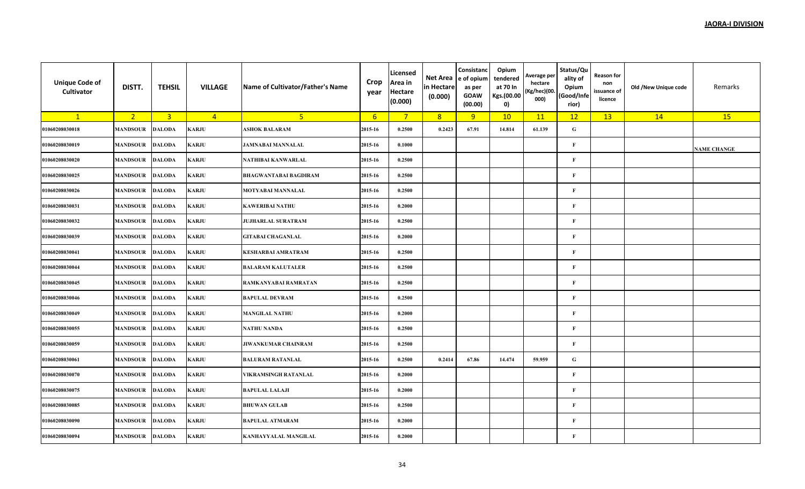| <b>Unique Code of</b><br>Cultivator | DISTT.          | <b>TEHSIL</b>  | <b>VILLAGE</b> | Name of Cultivator/Father's Name | Crop<br>year     | Licensed<br>Area in<br><b>Hectare</b><br>(0.000) | Net Area<br>in Hectare<br>(0.000) | Consistanc<br>e of opium<br>as per<br><b>GOAW</b><br>(00.00) | Opium<br>tendered<br>at 70 In<br>Kgs.(00.00<br>0) | Average per<br>hectare<br>(Kg/hec)(00.<br>000) | Status/Qu<br>ality of<br>Opium<br>(Good/Infe<br>rior) | <b>Reason for</b><br>non<br>issuance of<br>licence | Old /New Unique code | Remarks            |
|-------------------------------------|-----------------|----------------|----------------|----------------------------------|------------------|--------------------------------------------------|-----------------------------------|--------------------------------------------------------------|---------------------------------------------------|------------------------------------------------|-------------------------------------------------------|----------------------------------------------------|----------------------|--------------------|
| $\mathbf{1}$                        | 2 <sup>2</sup>  | $\overline{3}$ | $\overline{4}$ | 5 <sup>2</sup>                   | $6 \overline{6}$ | $7^{\circ}$                                      | 8                                 | 9                                                            | 10                                                | 11                                             | 12                                                    | 13                                                 | 14                   | 15                 |
| 01060208030018                      | <b>MANDSOUR</b> | <b>DALODA</b>  | <b>KARJU</b>   | <b>ASHOK BALARAM</b>             | 2015-16          | 0.2500                                           | 0.2423                            | 67.91                                                        | 14.814                                            | 61.139                                         | ${\bf G}$                                             |                                                    |                      |                    |
| 01060208030019                      | <b>MANDSOUR</b> | <b>DALODA</b>  | <b>KARJU</b>   | <b>JAMNABAI MANNALAL</b>         | 2015-16          | 0.1000                                           |                                   |                                                              |                                                   |                                                | $\mathbf F$                                           |                                                    |                      | <b>NAME CHANGE</b> |
| 01060208030020                      | <b>MANDSOUR</b> | <b>DALODA</b>  | KARJU          | NATHIBAI KANWARLAL               | 2015-16          | 0.2500                                           |                                   |                                                              |                                                   |                                                | $\mathbf{F}$                                          |                                                    |                      |                    |
| 01060208030025                      | <b>MANDSOUR</b> | <b>DALODA</b>  | <b>KARJU</b>   | <b>BHAGWANTABAI BAGDIRAM</b>     | 2015-16          | 0.2500                                           |                                   |                                                              |                                                   |                                                | $\mathbf F$                                           |                                                    |                      |                    |
| 01060208030026                      | <b>MANDSOUR</b> | <b>DALODA</b>  | <b>KARJU</b>   | <b>MOTYABAI MANNALAL</b>         | 2015-16          | 0.2500                                           |                                   |                                                              |                                                   |                                                | $\mathbf{F}$                                          |                                                    |                      |                    |
| 01060208030031                      | <b>MANDSOUR</b> | <b>DALODA</b>  | <b>KARJU</b>   | <b>KAWERIBAI NATHU</b>           | 2015-16          | 0.2000                                           |                                   |                                                              |                                                   |                                                | $\mathbf F$                                           |                                                    |                      |                    |
| 01060208030032                      | <b>MANDSOUR</b> | <b>DALODA</b>  | KARJU          | <b>JUJHARLAL SURATRAM</b>        | 2015-16          | 0.2500                                           |                                   |                                                              |                                                   |                                                | $\mathbf F$                                           |                                                    |                      |                    |
| 01060208030039                      | <b>MANDSOUR</b> | <b>DALODA</b>  | KARJU          | <b>GITABAI CHAGANLAL</b>         | 2015-16          | 0.2000                                           |                                   |                                                              |                                                   |                                                | $\mathbf{F}$                                          |                                                    |                      |                    |
| 01060208030041                      | <b>MANDSOUR</b> | <b>DALODA</b>  | <b>KARJU</b>   | <b>KESHARBAI AMRATRAM</b>        | 2015-16          | 0.2500                                           |                                   |                                                              |                                                   |                                                | $\mathbf F$                                           |                                                    |                      |                    |
| 01060208030044                      | <b>MANDSOUR</b> | <b>DALODA</b>  | <b>KARJU</b>   | <b>BALARAM KALUTALER</b>         | 2015-16          | 0.2500                                           |                                   |                                                              |                                                   |                                                | $\mathbf F$                                           |                                                    |                      |                    |
| 01060208030045                      | <b>MANDSOUR</b> | <b>DALODA</b>  | <b>KARJU</b>   | RAMKANYABAI RAMRATAN             | 2015-16          | 0.2500                                           |                                   |                                                              |                                                   |                                                | $\mathbf F$                                           |                                                    |                      |                    |
| 01060208030046                      | <b>MANDSOUR</b> | <b>DALODA</b>  | KARJU          | <b>BAPULAL DEVRAM</b>            | 2015-16          | 0.2500                                           |                                   |                                                              |                                                   |                                                | $\mathbf{F}$                                          |                                                    |                      |                    |
| 01060208030049                      | <b>MANDSOUR</b> | <b>DALODA</b>  | KARJU          | <b>MANGILAL NATHU</b>            | 2015-16          | 0.2000                                           |                                   |                                                              |                                                   |                                                | $\mathbf{F}$                                          |                                                    |                      |                    |
| 01060208030055                      | <b>MANDSOUR</b> | <b>DALODA</b>  | <b>KARJU</b>   | NATHU NANDA                      | 2015-16          | 0.2500                                           |                                   |                                                              |                                                   |                                                | $\mathbf F$                                           |                                                    |                      |                    |
| 01060208030059                      | <b>MANDSOUR</b> | <b>DALODA</b>  | <b>KARJU</b>   | JIWANKUMAR CHAINRAM              | 2015-16          | 0.2500                                           |                                   |                                                              |                                                   |                                                | $\mathbf F$                                           |                                                    |                      |                    |
| 01060208030061                      | <b>MANDSOUR</b> | <b>DALODA</b>  | <b>KARJU</b>   | <b>BALURAM RATANLAL</b>          | 2015-16          | 0.2500                                           | 0.2414                            | 67.86                                                        | 14,474                                            | 59.959                                         | ${\bf G}$                                             |                                                    |                      |                    |
| 01060208030070                      | <b>MANDSOUR</b> | <b>DALODA</b>  | KARJU          | VIKRAMSINGH RATANLAL             | 2015-16          | 0.2000                                           |                                   |                                                              |                                                   |                                                | $\mathbf{F}$                                          |                                                    |                      |                    |
| 01060208030075                      | <b>MANDSOUR</b> | <b>DALODA</b>  | KARJU          | <b>BAPULAL LALAJI</b>            | 2015-16          | 0.2000                                           |                                   |                                                              |                                                   |                                                | $\mathbf{F}$                                          |                                                    |                      |                    |
| 01060208030085                      | <b>MANDSOUR</b> | <b>DALODA</b>  | <b>KARJU</b>   | <b>BHUWAN GULAB</b>              | 2015-16          | 0.2500                                           |                                   |                                                              |                                                   |                                                | $\mathbf F$                                           |                                                    |                      |                    |
| 01060208030090                      | <b>MANDSOUR</b> | <b>DALODA</b>  | <b>KARJU</b>   | <b>BAPULAL ATMARAM</b>           | 2015-16          | 0.2000                                           |                                   |                                                              |                                                   |                                                | $\mathbf{F}$                                          |                                                    |                      |                    |
| 01060208030094                      | <b>MANDSOUR</b> | <b>DALODA</b>  | KARJU          | <b>KANHAYYALAL MANGILAL</b>      | 2015-16          | 0.2000                                           |                                   |                                                              |                                                   |                                                | $\mathbf{F}$                                          |                                                    |                      |                    |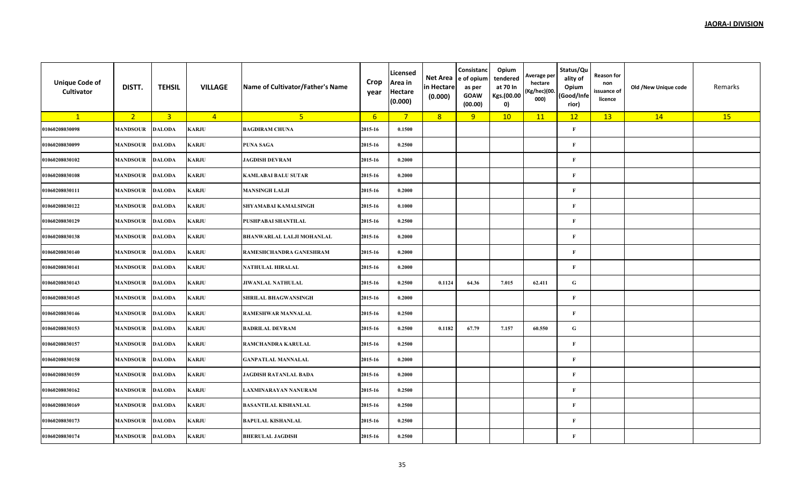| <b>Unique Code of</b><br>Cultivator | DISTT.          | <b>TEHSIL</b>  | <b>VILLAGE</b> | Name of Cultivator/Father's Name | Crop<br>year    | Licensed<br>Area in<br><b>Hectare</b><br>(0.000) | Net Area<br>in Hectare<br>(0.000) | Consistanc<br>e of opium<br>as per<br><b>GOAW</b><br>(00.00) | Opium<br>tendered<br>at 70 In<br>Kgs.(00.00<br>0) | Average per<br>hectare<br>(Kg/hec)(00.<br>000) | Status/Qu<br>ality of<br>Opium<br>(Good/Infe<br>rior) | <b>Reason for</b><br>non<br>issuance of<br>licence | Old /New Unique code | Remarks |
|-------------------------------------|-----------------|----------------|----------------|----------------------------------|-----------------|--------------------------------------------------|-----------------------------------|--------------------------------------------------------------|---------------------------------------------------|------------------------------------------------|-------------------------------------------------------|----------------------------------------------------|----------------------|---------|
| $\mathbf{1}$                        | 2 <sup>2</sup>  | $\overline{3}$ | $\overline{4}$ | 5 <sup>1</sup>                   | $6\overline{6}$ | $7^{\circ}$                                      | 8                                 | 9                                                            | 10                                                | 11                                             | 12                                                    | 13                                                 | 14                   | 15      |
| 01060208030098                      | <b>MANDSOUR</b> | <b>DALODA</b>  | <b>KARJU</b>   | <b>BAGDIRAM CHUNA</b>            | 2015-16         | 0.1500                                           |                                   |                                                              |                                                   |                                                | $\mathbf{F}$                                          |                                                    |                      |         |
| 01060208030099                      | <b>MANDSOUR</b> | <b>DALODA</b>  | <b>KARJU</b>   | <b>PUNA SAGA</b>                 | 2015-16         | 0.2500                                           |                                   |                                                              |                                                   |                                                | $\mathbf F$                                           |                                                    |                      |         |
| 01060208030102                      | <b>MANDSOUR</b> | <b>DALODA</b>  | KARJU          | <b>JAGDISH DEVRAM</b>            | 2015-16         | 0.2000                                           |                                   |                                                              |                                                   |                                                | $\mathbf{F}$                                          |                                                    |                      |         |
| 01060208030108                      | <b>MANDSOUR</b> | <b>DALODA</b>  | <b>KARJU</b>   | <b>KAMLABAI BALU SUTAR</b>       | 2015-16         | 0.2000                                           |                                   |                                                              |                                                   |                                                | $\mathbf F$                                           |                                                    |                      |         |
| 01060208030111                      | <b>MANDSOUR</b> | <b>DALODA</b>  | <b>KARJU</b>   | <b>MANSINGH LALJI</b>            | 2015-16         | 0.2000                                           |                                   |                                                              |                                                   |                                                | $\mathbf{F}$                                          |                                                    |                      |         |
| 01060208030122                      | <b>MANDSOUR</b> | <b>DALODA</b>  | <b>KARJU</b>   | <b>SHYAMABAI KAMALSINGH</b>      | 2015-16         | 0.1000                                           |                                   |                                                              |                                                   |                                                | $\mathbf F$                                           |                                                    |                      |         |
| 01060208030129                      | <b>MANDSOUR</b> | <b>DALODA</b>  | KARJU          | PUSHPABAI SHANTILAL              | 2015-16         | 0.2500                                           |                                   |                                                              |                                                   |                                                | $\mathbf F$                                           |                                                    |                      |         |
| 01060208030138                      | <b>MANDSOUR</b> | <b>DALODA</b>  | KARJU          | <b>BHANWARLAL LALJI MOHANLAL</b> | 2015-16         | 0.2000                                           |                                   |                                                              |                                                   |                                                | $\mathbf{F}$                                          |                                                    |                      |         |
| 01060208030140                      | <b>MANDSOUR</b> | <b>DALODA</b>  | <b>KARJU</b>   | RAMESHCHANDRA GANESHRAM          | 2015-16         | 0.2000                                           |                                   |                                                              |                                                   |                                                | $\mathbf F$                                           |                                                    |                      |         |
| 01060208030141                      | <b>MANDSOUR</b> | <b>DALODA</b>  | <b>KARJU</b>   | <b>NATHULAL HIRALAL</b>          | 2015-16         | 0.2000                                           |                                   |                                                              |                                                   |                                                | $\mathbf{F}$                                          |                                                    |                      |         |
| 01060208030143                      | <b>MANDSOUR</b> | <b>DALODA</b>  | <b>KARJU</b>   | <b>JIWANLAL NATHULAL</b>         | 2015-16         | 0.2500                                           | 0.1124                            | 64.36                                                        | 7.015                                             | 62.411                                         | ${\bf G}$                                             |                                                    |                      |         |
| 01060208030145                      | <b>MANDSOUR</b> | <b>DALODA</b>  | KARJU          | SHRILAL BHAGWANSINGH             | 2015-16         | 0.2000                                           |                                   |                                                              |                                                   |                                                | $\mathbf F$                                           |                                                    |                      |         |
| 01060208030146                      | <b>MANDSOUR</b> | <b>DALODA</b>  | KARJU          | <b>RAMESHWAR MANNALAL</b>        | 2015-16         | 0.2500                                           |                                   |                                                              |                                                   |                                                | $\mathbf{F}$                                          |                                                    |                      |         |
| 01060208030153                      | <b>MANDSOUR</b> | <b>DALODA</b>  | <b>KARJU</b>   | <b>BADRILAL DEVRAM</b>           | 2015-16         | 0.2500                                           | 0.1182                            | 67.79                                                        | 7.157                                             | 60.550                                         | ${\bf G}$                                             |                                                    |                      |         |
| 01060208030157                      | <b>MANDSOUR</b> | <b>DALODA</b>  | <b>KARJU</b>   | RAMCHANDRA KARULAL               | 2015-16         | 0.2500                                           |                                   |                                                              |                                                   |                                                | $\mathbf{F}$                                          |                                                    |                      |         |
| 01060208030158                      | <b>MANDSOUR</b> | <b>DALODA</b>  | <b>KARJU</b>   | <b>GANPATLAL MANNALAL</b>        | 2015-16         | 0.2000                                           |                                   |                                                              |                                                   |                                                | $\mathbf F$                                           |                                                    |                      |         |
| 01060208030159                      | <b>MANDSOUR</b> | <b>DALODA</b>  | KARJU          | JAGDISH RATANLAL BADA            | 2015-16         | 0.2000                                           |                                   |                                                              |                                                   |                                                | $\mathbf F$                                           |                                                    |                      |         |
| 01060208030162                      | <b>MANDSOUR</b> | <b>DALODA</b>  | KARJU          | LAXMINARAYAN NANURAM             | 2015-16         | 0.2500                                           |                                   |                                                              |                                                   |                                                | $\mathbf{F}$                                          |                                                    |                      |         |
| 01060208030169                      | <b>MANDSOUR</b> | <b>DALODA</b>  | <b>KARJU</b>   | <b>BASANTILAL KISHANLAL</b>      | 2015-16         | 0.2500                                           |                                   |                                                              |                                                   |                                                | $\mathbf F$                                           |                                                    |                      |         |
| 01060208030173                      | <b>MANDSOUR</b> | <b>DALODA</b>  | <b>KARJU</b>   | <b>BAPULAL KISHANLAL</b>         | 2015-16         | 0.2500                                           |                                   |                                                              |                                                   |                                                | $\mathbf{F}$                                          |                                                    |                      |         |
| 01060208030174                      | <b>MANDSOUR</b> | <b>DALODA</b>  | KARJU          | <b>BHERULAL JAGDISH</b>          | 2015-16         | 0.2500                                           |                                   |                                                              |                                                   |                                                | $\mathbf F$                                           |                                                    |                      |         |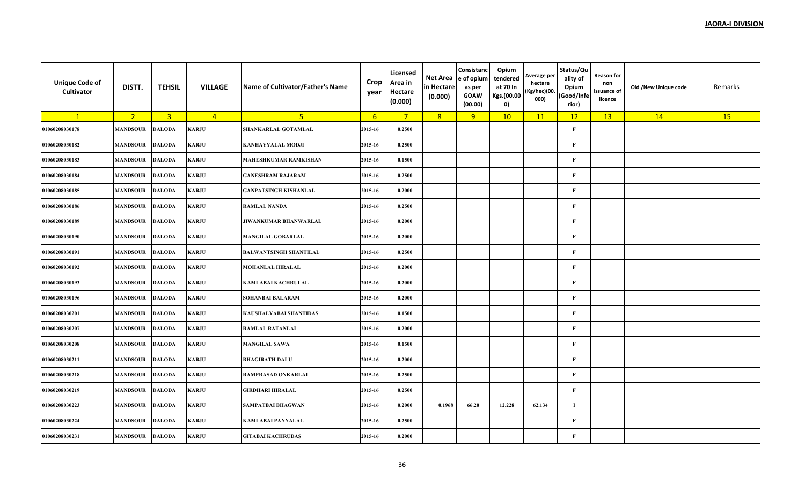| <b>Unique Code of</b><br>Cultivator | DISTT.          | <b>TEHSIL</b>  | <b>VILLAGE</b> | Name of Cultivator/Father's Name | Crop<br>year     | Licensed<br>Area in<br><b>Hectare</b><br>(0.000) | Net Area<br>in Hectare<br>(0.000) | Consistanc<br>e of opium<br>as per<br><b>GOAW</b><br>(00.00) | Opium<br>tendered<br>at 70 In<br>Kgs.(00.00<br>0) | Average per<br>hectare<br>(Kg/hec)(00.<br>000) | Status/Qu<br>ality of<br>Opium<br>(Good/Infe<br>rior) | <b>Reason for</b><br>non<br>issuance of<br>licence | Old /New Unique code | Remarks |
|-------------------------------------|-----------------|----------------|----------------|----------------------------------|------------------|--------------------------------------------------|-----------------------------------|--------------------------------------------------------------|---------------------------------------------------|------------------------------------------------|-------------------------------------------------------|----------------------------------------------------|----------------------|---------|
| $\mathbf{1}$                        | 2 <sup>7</sup>  | $\overline{3}$ | $\overline{4}$ | 5 <sub>1</sub>                   | $6 \overline{6}$ | $7^{\circ}$                                      | 8                                 | 9                                                            | 10                                                | 11                                             | 12                                                    | 13                                                 | 14                   | 15      |
| 01060208030178                      | <b>MANDSOUR</b> | <b>DALODA</b>  | KARJU          | SHANKARLAL GOTAMLAL              | 2015-16          | 0.2500                                           |                                   |                                                              |                                                   |                                                | $\mathbf{F}$                                          |                                                    |                      |         |
| 01060208030182                      | <b>MANDSOUR</b> | <b>DALODA</b>  | KARJU          | <b>KANHAYYALAL MODJI</b>         | 2015-16          | 0.2500                                           |                                   |                                                              |                                                   |                                                | $\mathbf{F}$                                          |                                                    |                      |         |
| 01060208030183                      | MANDSOUR        | <b>DALODA</b>  | KARJU          | <b>MAHESHKUMAR RAMKISHAN</b>     | 2015-16          | 0.1500                                           |                                   |                                                              |                                                   |                                                | $\mathbf{F}$                                          |                                                    |                      |         |
| 01060208030184                      | <b>MANDSOUR</b> | <b>DALODA</b>  | KARJU          | <b>GANESHRAM RAJARAM</b>         | 2015-16          | 0.2500                                           |                                   |                                                              |                                                   |                                                | $\mathbf{F}$                                          |                                                    |                      |         |
| 01060208030185                      | MANDSOUR        | <b>DALODA</b>  | KARJU          | <b>GANPATSINGH KISHANLAL</b>     | 2015-16          | 0.2000                                           |                                   |                                                              |                                                   |                                                | $\mathbf{F}$                                          |                                                    |                      |         |
| 01060208030186                      | <b>MANDSOUR</b> | <b>DALODA</b>  | KARJU          | <b>RAMLAL NANDA</b>              | 2015-16          | 0.2500                                           |                                   |                                                              |                                                   |                                                | $\mathbf{F}$                                          |                                                    |                      |         |
| 01060208030189                      | <b>MANDSOUR</b> | <b>DALODA</b>  | KARJU          | JIWANKUMAR BHANWARLAL            | 2015-16          | 0.2000                                           |                                   |                                                              |                                                   |                                                | $\mathbf{F}$                                          |                                                    |                      |         |
| 01060208030190                      | <b>MANDSOUR</b> | <b>DALODA</b>  | KARJU          | <b>MANGILAL GOBARLAL</b>         | 2015-16          | 0.2000                                           |                                   |                                                              |                                                   |                                                | $\mathbf{F}$                                          |                                                    |                      |         |
| 01060208030191                      | MANDSOUR        | <b>DALODA</b>  | KARJU          | <b>BALWANTSINGH SHANTILAL</b>    | 2015-16          | 0.2500                                           |                                   |                                                              |                                                   |                                                | $\mathbf{F}$                                          |                                                    |                      |         |
| 01060208030192                      | <b>MANDSOUR</b> | <b>DALODA</b>  | KARJU          | <b>MOHANLAL HIRALAL</b>          | 2015-16          | 0.2000                                           |                                   |                                                              |                                                   |                                                | $\mathbf{F}$                                          |                                                    |                      |         |
| 01060208030193                      | <b>MANDSOUR</b> | <b>DALODA</b>  | <b>KARJU</b>   | <b>KAMLABAI KACHRULAL</b>        | 2015-16          | 0.2000                                           |                                   |                                                              |                                                   |                                                | $\mathbf{F}$                                          |                                                    |                      |         |
| 01060208030196                      | <b>MANDSOUR</b> | <b>DALODA</b>  | KARJU          | <b>SOHANBAI BALARAM</b>          | 2015-16          | 0.2000                                           |                                   |                                                              |                                                   |                                                | $\mathbf{F}$                                          |                                                    |                      |         |
| 01060208030201                      | <b>MANDSOUR</b> | <b>DALODA</b>  | <b>KARJU</b>   | <b>KAUSHALYABAI SHANTIDAS</b>    | 2015-16          | 0.1500                                           |                                   |                                                              |                                                   |                                                | F                                                     |                                                    |                      |         |
| 01060208030207                      | <b>MANDSOUR</b> | <b>DALODA</b>  | <b>KARJU</b>   | <b>RAMLAL RATANLAL</b>           | 2015-16          | 0.2000                                           |                                   |                                                              |                                                   |                                                | $\mathbf{F}$                                          |                                                    |                      |         |
| 01060208030208                      | <b>MANDSOUR</b> | <b>DALODA</b>  | <b>KARJU</b>   | <b>MANGILAL SAWA</b>             | 2015-16          | 0.1500                                           |                                   |                                                              |                                                   |                                                | $\mathbf{F}$                                          |                                                    |                      |         |
| 01060208030211                      | <b>MANDSOUR</b> | <b>DALODA</b>  | KARJU          | <b>BHAGIRATH DALU</b>            | 2015-16          | 0.2000                                           |                                   |                                                              |                                                   |                                                | $\mathbf{F}$                                          |                                                    |                      |         |
| 01060208030218                      | <b>MANDSOUR</b> | <b>DALODA</b>  | KARJU          | <b>RAMPRASAD ONKARLAL</b>        | 2015-16          | 0.2500                                           |                                   |                                                              |                                                   |                                                | $\mathbf{F}$                                          |                                                    |                      |         |
| 01060208030219                      | <b>MANDSOUR</b> | <b>DALODA</b>  | KARJU          | <b>GIRDHARI HIRALAL</b>          | 2015-16          | 0.2500                                           |                                   |                                                              |                                                   |                                                | $\mathbf{F}$                                          |                                                    |                      |         |
| 01060208030223                      | <b>MANDSOUR</b> | <b>DALODA</b>  | <b>KARJU</b>   | <b>SAMPATBAI BHAGWAN</b>         | 2015-16          | 0.2000                                           | 0.1968                            | 66.20                                                        | 12.228                                            | 62.134                                         | $\mathbf I$                                           |                                                    |                      |         |
| 01060208030224                      | <b>MANDSOUR</b> | <b>DALODA</b>  | <b>KARJU</b>   | <b>KAMLABAI PANNALAL</b>         | 2015-16          | 0.2500                                           |                                   |                                                              |                                                   |                                                | $\mathbf{F}$                                          |                                                    |                      |         |
| 01060208030231                      | <b>MANDSOUR</b> | <b>DALODA</b>  | KARJU          | <b>GITABAI KACHRUDAS</b>         | 2015-16          | 0.2000                                           |                                   |                                                              |                                                   |                                                | F                                                     |                                                    |                      |         |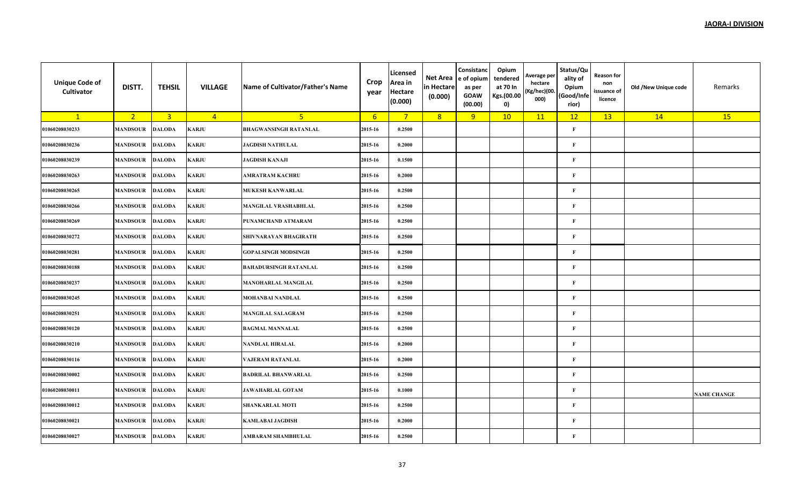| <b>Unique Code of</b><br>Cultivator | DISTT.          | <b>TEHSIL</b>           | <b>VILLAGE</b> | Name of Cultivator/Father's Name | Crop<br>year     | Licensed<br>Area in<br><b>Hectare</b><br>(0.000) | Net Area<br>in Hectare<br>(0.000) | Consistanc<br>e of opium<br>as per<br><b>GOAW</b><br>(00.00) | Opium<br>tendered<br>at 70 In<br>Kgs.(00.00<br>$\mathbf{0}$ | Average per<br>hectare<br>(Kg/hec)(00.<br>000) | Status/Qu<br>ality of<br>Opium<br>Good/Infe)<br>rior) | Reason for<br>non<br>issuance of<br>licence | Old /New Unique code | Remarks            |
|-------------------------------------|-----------------|-------------------------|----------------|----------------------------------|------------------|--------------------------------------------------|-----------------------------------|--------------------------------------------------------------|-------------------------------------------------------------|------------------------------------------------|-------------------------------------------------------|---------------------------------------------|----------------------|--------------------|
| $\mathbf{1}$                        | 2 <sup>7</sup>  | $\overline{\mathbf{3}}$ | $\overline{4}$ | 5 <sup>1</sup>                   | $6 \overline{6}$ | $\overline{7}$                                   | 8                                 | 9                                                            | 10                                                          | 11                                             | 12                                                    | 13                                          | 14                   | 15                 |
| 01060208030233                      | <b>MANDSOUR</b> | <b>DALODA</b>           | <b>KARJU</b>   | <b>BHAGWANSINGH RATANLAL</b>     | 2015-16          | 0.2500                                           |                                   |                                                              |                                                             |                                                | $\mathbf{F}$                                          |                                             |                      |                    |
| 01060208030236                      | <b>MANDSOUR</b> | <b>DALODA</b>           | <b>KARJU</b>   | <b>JAGDISH NATHULAL</b>          | 2015-16          | 0.2000                                           |                                   |                                                              |                                                             |                                                | $\bf F$                                               |                                             |                      |                    |
| 01060208030239                      | <b>MANDSOUR</b> | <b>DALODA</b>           | KARJU          | <b>JAGDISH KANAJI</b>            | 2015-16          | 0.1500                                           |                                   |                                                              |                                                             |                                                | $\mathbf{F}$                                          |                                             |                      |                    |
| 01060208030263                      | <b>MANDSOUR</b> | <b>DALODA</b>           | KARJU          | <b>AMRATRAM KACHRU</b>           | 2015-16          | 0.2000                                           |                                   |                                                              |                                                             |                                                | F                                                     |                                             |                      |                    |
| 01060208030265                      | <b>MANDSOUR</b> | <b>DALODA</b>           | <b>KARJU</b>   | <b>MUKESH KANWARLAL</b>          | 2015-16          | 0.2500                                           |                                   |                                                              |                                                             |                                                | $\mathbf{F}$                                          |                                             |                      |                    |
| 01060208030266                      | <b>MANDSOUR</b> | <b>DALODA</b>           | <b>KARJU</b>   | <b>MANGILAL VRASHABHLAL</b>      | 2015-16          | 0.2500                                           |                                   |                                                              |                                                             |                                                | $\bf F$                                               |                                             |                      |                    |
| 01060208030269                      | <b>MANDSOUR</b> | <b>DALODA</b>           | <b>KARJU</b>   | PUNAMCHAND ATMARAM               | 2015-16          | 0.2500                                           |                                   |                                                              |                                                             |                                                | $\bf F$                                               |                                             |                      |                    |
| 01060208030272                      | <b>MANDSOUR</b> | <b>DALODA</b>           | <b>KARJU</b>   | SHIVNARAYAN BHAGIRATH            | 2015-16          | 0.2500                                           |                                   |                                                              |                                                             |                                                | $\bf F$                                               |                                             |                      |                    |
| 01060208030281                      | <b>MANDSOUR</b> | <b>DALODA</b>           | KARJU          | <b>GOPALSINGH MODSINGH</b>       | 2015-16          | 0.2500                                           |                                   |                                                              |                                                             |                                                | F                                                     |                                             |                      |                    |
| 01060208030188                      | <b>MANDSOUR</b> | <b>DALODA</b>           | <b>KARJU</b>   | <b>BAHADURSINGH RATANLAL</b>     | 2015-16          | 0.2500                                           |                                   |                                                              |                                                             |                                                | $\mathbf{F}$                                          |                                             |                      |                    |
| 01060208030237                      | <b>MANDSOUR</b> | <b>DALODA</b>           | <b>KARJU</b>   | <b>MANOHARLAL MANGILAL</b>       | 2015-16          | 0.2500                                           |                                   |                                                              |                                                             |                                                | $\bf F$                                               |                                             |                      |                    |
| 01060208030245                      | <b>MANDSOUR</b> | <b>DALODA</b>           | <b>KARJU</b>   | MOHANBAI NANDLAL                 | 2015-16          | 0.2500                                           |                                   |                                                              |                                                             |                                                | $\mathbf{F}$                                          |                                             |                      |                    |
| 01060208030251                      | <b>MANDSOUR</b> | <b>DALODA</b>           | <b>KARJU</b>   | <b>MANGILAL SALAGRAM</b>         | 2015-16          | 0.2500                                           |                                   |                                                              |                                                             |                                                | F                                                     |                                             |                      |                    |
| 01060208030120                      | <b>MANDSOUR</b> | <b>DALODA</b>           | <b>KARJU</b>   | <b>BAGMAL MANNALAL</b>           | 2015-16          | 0.2500                                           |                                   |                                                              |                                                             |                                                | $\bf F$                                               |                                             |                      |                    |
| 01060208030210                      | <b>MANDSOUR</b> | <b>DALODA</b>           | <b>KARJU</b>   | <b>NANDLAL HIRALAL</b>           | 2015-16          | 0.2000                                           |                                   |                                                              |                                                             |                                                | $\bf F$                                               |                                             |                      |                    |
| 01060208030116                      | <b>MANDSOUR</b> | <b>DALODA</b>           | KARJU          | VAJERAM RATANLAL                 | 2015-16          | 0.2000                                           |                                   |                                                              |                                                             |                                                | F                                                     |                                             |                      |                    |
| 01060208030002                      | <b>MANDSOUR</b> | <b>DALODA</b>           | <b>KARJU</b>   | <b>BADRILAL BHANWARLAL</b>       | 2015-16          | 0.2500                                           |                                   |                                                              |                                                             |                                                | F                                                     |                                             |                      |                    |
| 01060208030011                      | <b>MANDSOUR</b> | <b>DALODA</b>           | KARJU          | <b>JAWAHARLAL GOTAM</b>          | 2015-16          | 0.1000                                           |                                   |                                                              |                                                             |                                                | F                                                     |                                             |                      | <b>NAME CHANGE</b> |
| 01060208030012                      | <b>MANDSOUR</b> | <b>DALODA</b>           | <b>KARJU</b>   | <b>SHANKARLAL MOTI</b>           | 2015-16          | 0.2500                                           |                                   |                                                              |                                                             |                                                | F                                                     |                                             |                      |                    |
| 01060208030021                      | <b>MANDSOUR</b> | <b>DALODA</b>           | <b>KARJU</b>   | <b>KAMLABAI JAGDISH</b>          | 2015-16          | 0.2000                                           |                                   |                                                              |                                                             |                                                | $\bf F$                                               |                                             |                      |                    |
| 01060208030027                      | <b>MANDSOUR</b> | <b>DALODA</b>           | KARJU          | AMBARAM SHAMBHULAL               | 2015-16          | 0.2500                                           |                                   |                                                              |                                                             |                                                | $\bf F$                                               |                                             |                      |                    |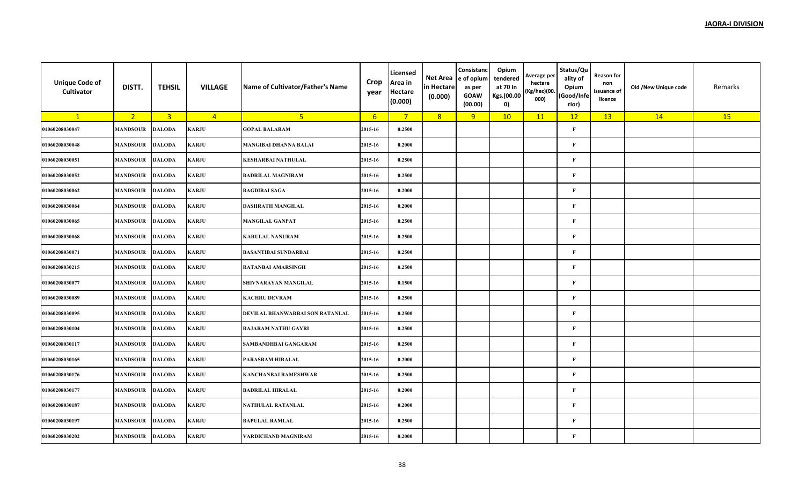| <b>Unique Code of</b><br>Cultivator | DISTT.          | <b>TEHSIL</b>  | <b>VILLAGE</b> | Name of Cultivator/Father's Name | Crop<br>year     | Licensed<br>Area in<br><b>Hectare</b><br>(0.000) | Net Area<br>in Hectare<br>(0.000) | Consistanc<br>e of opium<br>as per<br><b>GOAW</b><br>(00.00) | Opium<br>tendered<br>at 70 In<br>Kgs.(00.00<br>0) | Average per<br>hectare<br>(Kg/hec)(00.<br>000) | Status/Qu<br>ality of<br>Opium<br>(Good/Infe<br>rior) | <b>Reason for</b><br>non<br>issuance of<br>licence | Old /New Unique code | Remarks |
|-------------------------------------|-----------------|----------------|----------------|----------------------------------|------------------|--------------------------------------------------|-----------------------------------|--------------------------------------------------------------|---------------------------------------------------|------------------------------------------------|-------------------------------------------------------|----------------------------------------------------|----------------------|---------|
| $\mathbf{1}$                        | 2 <sup>7</sup>  | $\overline{3}$ | $\overline{4}$ | 5 <sub>1</sub>                   | $6 \overline{6}$ | $\overline{7}$                                   | 8                                 | 9                                                            | 10                                                | 11                                             | 12                                                    | 13                                                 | 14                   | 15      |
| 01060208030047                      | <b>MANDSOUR</b> | <b>DALODA</b>  | KARJU          | <b>GOPAL BALARAM</b>             | 2015-16          | 0.2500                                           |                                   |                                                              |                                                   |                                                | $\mathbf{F}$                                          |                                                    |                      |         |
| 01060208030048                      | <b>MANDSOUR</b> | <b>DALODA</b>  | KARJU          | <b>MANGIBAI DHANNA BALAI</b>     | 2015-16          | 0.2000                                           |                                   |                                                              |                                                   |                                                | $\mathbf{F}$                                          |                                                    |                      |         |
| 01060208030051                      | MANDSOUR        | <b>DALODA</b>  | KARJU          | <b>KESHARBAI NATHULAL</b>        | 2015-16          | 0.2500                                           |                                   |                                                              |                                                   |                                                | $\mathbf{F}$                                          |                                                    |                      |         |
| 01060208030052                      | <b>MANDSOUR</b> | <b>DALODA</b>  | KARJU          | <b>BADRILAL MAGNIRAM</b>         | 2015-16          | 0.2500                                           |                                   |                                                              |                                                   |                                                | $\mathbf{F}$                                          |                                                    |                      |         |
| 01060208030062                      | MANDSOUR        | <b>DALODA</b>  | <b>KARJU</b>   | <b>BAGDIBAI SAGA</b>             | 2015-16          | 0.2000                                           |                                   |                                                              |                                                   |                                                | $\mathbf{F}$                                          |                                                    |                      |         |
| 01060208030064                      | <b>MANDSOUR</b> | <b>DALODA</b>  | KARJU          | <b>DASHRATH MANGILAL</b>         | 2015-16          | 0.2000                                           |                                   |                                                              |                                                   |                                                | $\mathbf{F}$                                          |                                                    |                      |         |
| 01060208030065                      | <b>MANDSOUR</b> | <b>DALODA</b>  | KARJU          | <b>MANGILAL GANPAT</b>           | 2015-16          | 0.2500                                           |                                   |                                                              |                                                   |                                                | $\mathbf{F}$                                          |                                                    |                      |         |
| 01060208030068                      | <b>MANDSOUR</b> | <b>DALODA</b>  | KARJU          | <b>KARULAL NANURAM</b>           | 2015-16          | 0.2500                                           |                                   |                                                              |                                                   |                                                | $\mathbf{F}$                                          |                                                    |                      |         |
| 01060208030071                      | MANDSOUR        | <b>DALODA</b>  | KARJU          | <b>BASANTIBAI SUNDARBAI</b>      | 2015-16          | 0.2500                                           |                                   |                                                              |                                                   |                                                | $\mathbf{F}$                                          |                                                    |                      |         |
| 01060208030215                      | <b>MANDSOUR</b> | <b>DALODA</b>  | KARJU          | RATANBAI AMARSINGH               | 2015-16          | 0.2500                                           |                                   |                                                              |                                                   |                                                | $\mathbf{F}$                                          |                                                    |                      |         |
| 01060208030077                      | <b>MANDSOUR</b> | <b>DALODA</b>  | <b>KARJU</b>   | SHIVNARAYAN MANGILAL             | 2015-16          | 0.1500                                           |                                   |                                                              |                                                   |                                                | $\mathbf{F}$                                          |                                                    |                      |         |
| 01060208030089                      | <b>MANDSOUR</b> | <b>DALODA</b>  | KARJU          | <b>KACHRU DEVRAM</b>             | 2015-16          | 0.2500                                           |                                   |                                                              |                                                   |                                                | $\mathbf{F}$                                          |                                                    |                      |         |
| 01060208030095                      | <b>MANDSOUR</b> | <b>DALODA</b>  | <b>KARJU</b>   | DEVILAL BHANWARBAI SON RATANLAL  | 2015-16          | 0.2500                                           |                                   |                                                              |                                                   |                                                | F                                                     |                                                    |                      |         |
| 01060208030104                      | <b>MANDSOUR</b> | <b>DALODA</b>  | <b>KARJU</b>   | <b>RAJARAM NATHU GAYRI</b>       | 2015-16          | 0.2500                                           |                                   |                                                              |                                                   |                                                | $\mathbf{F}$                                          |                                                    |                      |         |
| 01060208030117                      | <b>MANDSOUR</b> | <b>DALODA</b>  | <b>KARJU</b>   | SAMBANDHBAI GANGARAM             | 2015-16          | 0.2500                                           |                                   |                                                              |                                                   |                                                | $\mathbf{F}$                                          |                                                    |                      |         |
| 01060208030165                      | <b>MANDSOUR</b> | <b>DALODA</b>  | KARJU          | PARASRAM HIRALAL                 | 2015-16          | 0.2000                                           |                                   |                                                              |                                                   |                                                | $\mathbf{F}$                                          |                                                    |                      |         |
| 01060208030176                      | <b>MANDSOUR</b> | <b>DALODA</b>  | KARJU          | <b>KANCHANBAI RAMESHWAR</b>      | 2015-16          | 0.2500                                           |                                   |                                                              |                                                   |                                                | $\mathbf{F}$                                          |                                                    |                      |         |
| 01060208030177                      | <b>MANDSOUR</b> | <b>DALODA</b>  | KARJU          | <b>BADRILAL HIRALAL</b>          | 2015-16          | 0.2000                                           |                                   |                                                              |                                                   |                                                | F                                                     |                                                    |                      |         |
| 01060208030187                      | <b>MANDSOUR</b> | <b>DALODA</b>  | <b>KARJU</b>   | <b>NATHULAL RATANLAL</b>         | 2015-16          | 0.2000                                           |                                   |                                                              |                                                   |                                                | $\mathbf{F}$                                          |                                                    |                      |         |
| 01060208030197                      | <b>MANDSOUR</b> | <b>DALODA</b>  | KARJU          | <b>BAPULAL RAMLAL</b>            | 2015-16          | 0.2500                                           |                                   |                                                              |                                                   |                                                | $\mathbf{F}$                                          |                                                    |                      |         |
| 01060208030202                      | <b>MANDSOUR</b> | <b>DALODA</b>  | KARJU          | VARDICHAND MAGNIRAM              | 2015-16          | 0.2000                                           |                                   |                                                              |                                                   |                                                | $\mathbf{F}$                                          |                                                    |                      |         |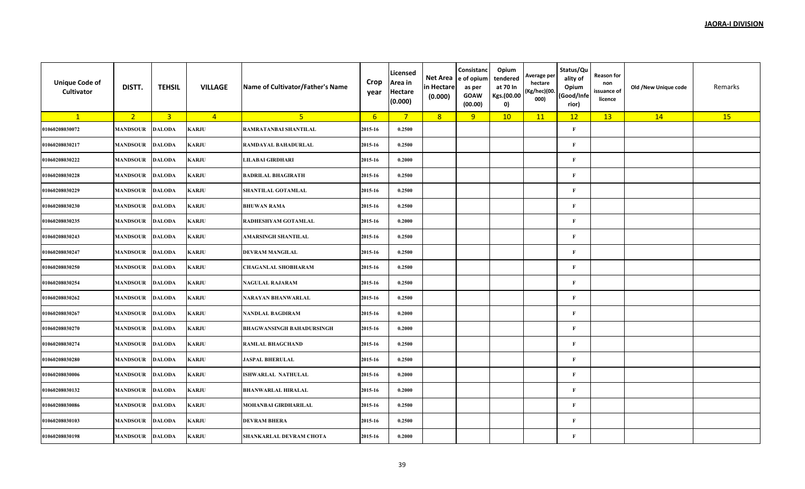| <b>Unique Code of</b><br>Cultivator | DISTT.          | <b>TEHSIL</b>           | <b>VILLAGE</b> | Name of Cultivator/Father's Name | Crop<br>year     | Licensed<br>Area in<br><b>Hectare</b><br>(0.000) | Net Area<br>in Hectare<br>(0.000) | Consistanc<br>e of opium<br>as per<br><b>GOAW</b><br>(00.00) | Opium<br>tendered<br>at 70 In<br>Kgs.(00.00<br>$\mathbf{0}$ | Average per<br>hectare<br>(Kg/hec)(00.<br>000) | Status/Qu<br>ality of<br>Opium<br>Good/Infe)<br>rior) | Reason for<br>non<br>issuance of<br>licence | Old /New Unique code | Remarks |
|-------------------------------------|-----------------|-------------------------|----------------|----------------------------------|------------------|--------------------------------------------------|-----------------------------------|--------------------------------------------------------------|-------------------------------------------------------------|------------------------------------------------|-------------------------------------------------------|---------------------------------------------|----------------------|---------|
| $\mathbf{1}$                        | 2 <sup>7</sup>  | $\overline{\mathbf{3}}$ | $\overline{4}$ | 5 <sub>1</sub>                   | $6 \overline{6}$ | $\overline{7}$                                   | 8                                 | 9                                                            | 10                                                          | 11                                             | 12                                                    | 13                                          | 14                   | 15      |
| 01060208030072                      | <b>MANDSOUR</b> | <b>DALODA</b>           | <b>KARJU</b>   | RAMRATANBAI SHANTILAL            | 2015-16          | 0.2500                                           |                                   |                                                              |                                                             |                                                | $\mathbf{F}$                                          |                                             |                      |         |
| 01060208030217                      | <b>MANDSOUR</b> | <b>DALODA</b>           | <b>KARJU</b>   | <b>RAMDAYAL BAHADURLAL</b>       | 2015-16          | 0.2500                                           |                                   |                                                              |                                                             |                                                | $\bf F$                                               |                                             |                      |         |
| 01060208030222                      | <b>MANDSOUR</b> | <b>DALODA</b>           | KARJU          | <b>LILABAI GIRDHARI</b>          | 2015-16          | 0.2000                                           |                                   |                                                              |                                                             |                                                | $\mathbf{F}$                                          |                                             |                      |         |
| 01060208030228                      | <b>MANDSOUR</b> | <b>DALODA</b>           | KARJU          | <b>BADRILAL BHAGIRATH</b>        | 2015-16          | 0.2500                                           |                                   |                                                              |                                                             |                                                | F                                                     |                                             |                      |         |
| 01060208030229                      | <b>MANDSOUR</b> | <b>DALODA</b>           | <b>KARJU</b>   | SHANTILAL GOTAMLAL               | 2015-16          | 0.2500                                           |                                   |                                                              |                                                             |                                                | $\mathbf{F}$                                          |                                             |                      |         |
| 01060208030230                      | <b>MANDSOUR</b> | <b>DALODA</b>           | <b>KARJU</b>   | <b>BHUWAN RAMA</b>               | 2015-16          | 0.2500                                           |                                   |                                                              |                                                             |                                                | $\bf F$                                               |                                             |                      |         |
| 01060208030235                      | <b>MANDSOUR</b> | <b>DALODA</b>           | <b>KARJU</b>   | RADHESHYAM GOTAMLAL              | 2015-16          | 0.2000                                           |                                   |                                                              |                                                             |                                                | $\bf F$                                               |                                             |                      |         |
| 01060208030243                      | <b>MANDSOUR</b> | <b>DALODA</b>           | <b>KARJU</b>   | <b>AMARSINGH SHANTILAL</b>       | 2015-16          | 0.2500                                           |                                   |                                                              |                                                             |                                                | $\bf F$                                               |                                             |                      |         |
| 01060208030247                      | <b>MANDSOUR</b> | <b>DALODA</b>           | KARJU          | <b>DEVRAM MANGILAL</b>           | 2015-16          | 0.2500                                           |                                   |                                                              |                                                             |                                                | F                                                     |                                             |                      |         |
| 01060208030250                      | <b>MANDSOUR</b> | <b>DALODA</b>           | <b>KARJU</b>   | <b>CHAGANLAL SHOBHARAM</b>       | 2015-16          | 0.2500                                           |                                   |                                                              |                                                             |                                                | $\mathbf{F}$                                          |                                             |                      |         |
| 01060208030254                      | <b>MANDSOUR</b> | <b>DALODA</b>           | <b>KARJU</b>   | NAGULAL RAJARAM                  | 2015-16          | 0.2500                                           |                                   |                                                              |                                                             |                                                | $\bf F$                                               |                                             |                      |         |
| 01060208030262                      | <b>MANDSOUR</b> | <b>DALODA</b>           | <b>KARJU</b>   | NARAYAN BHANWARLAL               | 2015-16          | 0.2500                                           |                                   |                                                              |                                                             |                                                | $\mathbf{F}$                                          |                                             |                      |         |
| 01060208030267                      | <b>MANDSOUR</b> | <b>DALODA</b>           | <b>KARJU</b>   | <b>NANDLAL BAGDIRAM</b>          | 2015-16          | 0.2000                                           |                                   |                                                              |                                                             |                                                | F                                                     |                                             |                      |         |
| 01060208030270                      | <b>MANDSOUR</b> | <b>DALODA</b>           | <b>KARJU</b>   | <b>BHAGWANSINGH BAHADURSINGH</b> | 2015-16          | 0.2000                                           |                                   |                                                              |                                                             |                                                | $\bf F$                                               |                                             |                      |         |
| 01060208030274                      | <b>MANDSOUR</b> | <b>DALODA</b>           | <b>KARJU</b>   | <b>RAMLAL BHAGCHAND</b>          | 2015-16          | 0.2500                                           |                                   |                                                              |                                                             |                                                | $\bf F$                                               |                                             |                      |         |
| 01060208030280                      | <b>MANDSOUR</b> | <b>DALODA</b>           | KARJU          | <b>JASPAL BHERULAL</b>           | 2015-16          | 0.2500                                           |                                   |                                                              |                                                             |                                                | F                                                     |                                             |                      |         |
| 01060208030006                      | <b>MANDSOUR</b> | <b>DALODA</b>           | <b>KARJU</b>   | <b>ISHWARLAL NATHULAL</b>        | 2015-16          | 0.2000                                           |                                   |                                                              |                                                             |                                                | F                                                     |                                             |                      |         |
| 01060208030132                      | <b>MANDSOUR</b> | <b>DALODA</b>           | KARJU          | <b>BHANWARLAL HIRALAL</b>        | 2015-16          | 0.2000                                           |                                   |                                                              |                                                             |                                                | F                                                     |                                             |                      |         |
| 01060208030086                      | <b>MANDSOUR</b> | <b>DALODA</b>           | <b>KARJU</b>   | MOHANBAI GIRDHARILAL             | 2015-16          | 0.2500                                           |                                   |                                                              |                                                             |                                                | F                                                     |                                             |                      |         |
| 01060208030103                      | <b>MANDSOUR</b> | <b>DALODA</b>           | <b>KARJU</b>   | <b>DEVRAM BHERA</b>              | 2015-16          | 0.2500                                           |                                   |                                                              |                                                             |                                                | F                                                     |                                             |                      |         |
| 01060208030198                      | <b>MANDSOUR</b> | <b>DALODA</b>           | KARJU          | SHANKARLAL DEVRAM CHOTA          | 2015-16          | 0.2000                                           |                                   |                                                              |                                                             |                                                | $\bf F$                                               |                                             |                      |         |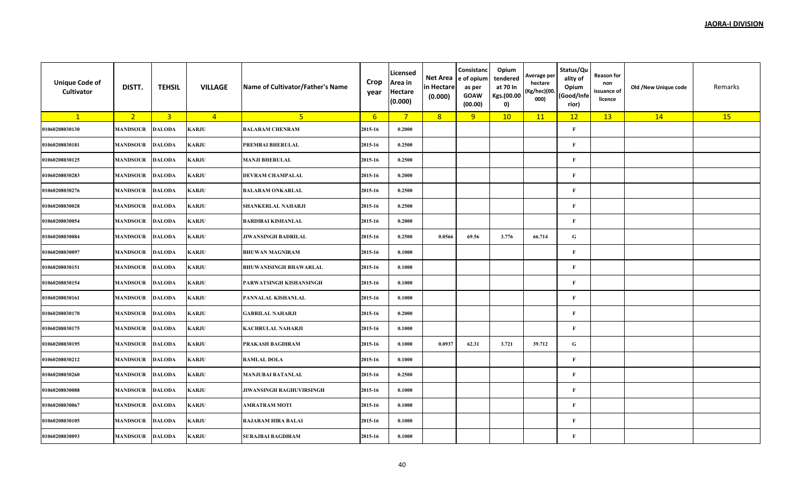| <b>Unique Code of</b><br>Cultivator | DISTT.          | <b>TEHSIL</b>  | <b>VILLAGE</b> | Name of Cultivator/Father's Name | Crop<br>year     | Licensed<br>Area in<br><b>Hectare</b><br>(0.000) | Net Area<br>in Hectare<br>(0.000) | Consistanc<br>e of opium<br>as per<br><b>GOAW</b><br>(00.00) | Opium<br>tendered<br>at 70 In<br>Kgs.(00.00<br>0) | Average per<br>hectare<br>(Kg/hec)(00.<br>000) | Status/Qu<br>ality of<br>Opium<br>(Good/Infe<br>rior) | <b>Reason for</b><br>non<br>issuance of<br>licence | Old /New Unique code | Remarks |
|-------------------------------------|-----------------|----------------|----------------|----------------------------------|------------------|--------------------------------------------------|-----------------------------------|--------------------------------------------------------------|---------------------------------------------------|------------------------------------------------|-------------------------------------------------------|----------------------------------------------------|----------------------|---------|
| $\mathbf{1}$                        | 2 <sup>2</sup>  | $\overline{3}$ | $\overline{4}$ | 5 <sup>1</sup>                   | $6 \overline{6}$ | $7^{\circ}$                                      | 8                                 | 9                                                            | 10                                                | 11                                             | 12                                                    | 13                                                 | 14                   | 15      |
| 01060208030130                      | <b>MANDSOUR</b> | <b>DALODA</b>  | <b>KARJU</b>   | <b>BALARAM CHENRAM</b>           | 2015-16          | 0.2000                                           |                                   |                                                              |                                                   |                                                | $\mathbf{F}$                                          |                                                    |                      |         |
| 01060208030181                      | <b>MANDSOUR</b> | <b>DALODA</b>  | <b>KARJU</b>   | PREMBAI BHERULAL                 | 2015-16          | 0.2500                                           |                                   |                                                              |                                                   |                                                | $\mathbf F$                                           |                                                    |                      |         |
| 01060208030125                      | <b>MANDSOUR</b> | <b>DALODA</b>  | KARJU          | <b>MANJI BHERULAL</b>            | 2015-16          | 0.2500                                           |                                   |                                                              |                                                   |                                                | $\mathbf{F}$                                          |                                                    |                      |         |
| 01060208030283                      | <b>MANDSOUR</b> | <b>DALODA</b>  | <b>KARJU</b>   | <b>DEVRAM CHAMPALAL</b>          | 2015-16          | 0.2000                                           |                                   |                                                              |                                                   |                                                | $\mathbf F$                                           |                                                    |                      |         |
| 01060208030276                      | <b>MANDSOUR</b> | <b>DALODA</b>  | <b>KARJU</b>   | <b>BALARAM ONKARLAL</b>          | 2015-16          | 0.2500                                           |                                   |                                                              |                                                   |                                                | $\mathbf F$                                           |                                                    |                      |         |
| 01060208030028                      | <b>MANDSOUR</b> | <b>DALODA</b>  | <b>KARJU</b>   | <b>SHANKERLAL NAHARJI</b>        | 2015-16          | 0.2500                                           |                                   |                                                              |                                                   |                                                | $\mathbf F$                                           |                                                    |                      |         |
| 01060208030054                      | <b>MANDSOUR</b> | <b>DALODA</b>  | KARJU          | <b>BARDIBAI KISHANLAL</b>        | 2015-16          | 0.2000                                           |                                   |                                                              |                                                   |                                                | $\mathbf{F}$                                          |                                                    |                      |         |
| 01060208030084                      | <b>MANDSOUR</b> | <b>DALODA</b>  | KARJU          | <b>JIWANSINGH BADRILAL</b>       | 2015-16          | 0.2500                                           | 0.0566                            | 69.56                                                        | 3.776                                             | 66.714                                         | ${\bf G}$                                             |                                                    |                      |         |
| 01060208030097                      | <b>MANDSOUR</b> | <b>DALODA</b>  | <b>KARJU</b>   | <b>BHUWAN MAGNIRAM</b>           | 2015-16          | 0.1000                                           |                                   |                                                              |                                                   |                                                | $\mathbf F$                                           |                                                    |                      |         |
| 01060208030151                      | <b>MANDSOUR</b> | <b>DALODA</b>  | <b>KARJU</b>   | <b>BHUWANISINGH BHAWARLAL</b>    | 2015-16          | 0.1000                                           |                                   |                                                              |                                                   |                                                | $\mathbf F$                                           |                                                    |                      |         |
| 01060208030154                      | <b>MANDSOUR</b> | <b>DALODA</b>  | <b>KARJU</b>   | PARWATSINGH KISHANSINGH          | 2015-16          | 0.1000                                           |                                   |                                                              |                                                   |                                                | $\mathbf F$                                           |                                                    |                      |         |
| 01060208030161                      | <b>MANDSOUR</b> | <b>DALODA</b>  | KARJU          | PANNALAL KISHANLAL               | 2015-16          | 0.1000                                           |                                   |                                                              |                                                   |                                                | $\mathbf F$                                           |                                                    |                      |         |
| 01060208030170                      | <b>MANDSOUR</b> | <b>DALODA</b>  | KARJU          | <b>GABRILAL NAHARJI</b>          | 2015-16          | 0.2000                                           |                                   |                                                              |                                                   |                                                | $\mathbf{F}$                                          |                                                    |                      |         |
| 01060208030175                      | <b>MANDSOUR</b> | <b>DALODA</b>  | <b>KARJU</b>   | <b>KACHRULAL NAHARJI</b>         | 2015-16          | 0.1000                                           |                                   |                                                              |                                                   |                                                | $\mathbf F$                                           |                                                    |                      |         |
| 01060208030195                      | <b>MANDSOUR</b> | <b>DALODA</b>  | <b>KARJU</b>   | PRAKASH BAGDIRAM                 | 2015-16          | 0.1000                                           | 0.0937                            | 62.31                                                        | 3.721                                             | 39.712                                         | ${\bf G}$                                             |                                                    |                      |         |
| 01060208030212                      | <b>MANDSOUR</b> | <b>DALODA</b>  | <b>KARJU</b>   | <b>RAMLAL DOLA</b>               | 2015-16          | 0.1000                                           |                                   |                                                              |                                                   |                                                | $\mathbf F$                                           |                                                    |                      |         |
| 01060208030260                      | <b>MANDSOUR</b> | <b>DALODA</b>  | KARJU          | <b>MANJUBAI RATANLAL</b>         | 2015-16          | 0.2500                                           |                                   |                                                              |                                                   |                                                | $\mathbf F$                                           |                                                    |                      |         |
| 01060208030088                      | <b>MANDSOUR</b> | <b>DALODA</b>  | KARJU          | JIWANSINGH RAGHUVIRSINGH         | 2015-16          | 0.1000                                           |                                   |                                                              |                                                   |                                                | $\mathbf{F}$                                          |                                                    |                      |         |
| 01060208030067                      | <b>MANDSOUR</b> | <b>DALODA</b>  | <b>KARJU</b>   | AMRATRAM MOTI                    | 2015-16          | 0.1000                                           |                                   |                                                              |                                                   |                                                | $\mathbf F$                                           |                                                    |                      |         |
| 01060208030105                      | <b>MANDSOUR</b> | <b>DALODA</b>  | <b>KARJU</b>   | <b>RAJARAM HIRA BALAI</b>        | 2015-16          | 0.1000                                           |                                   |                                                              |                                                   |                                                | $\mathbf{F}$                                          |                                                    |                      |         |
| 01060208030093                      | <b>MANDSOUR</b> | <b>DALODA</b>  | KARJU          | <b>SURAJBAI BAGDIRAM</b>         | 2015-16          | 0.1000                                           |                                   |                                                              |                                                   |                                                | $\mathbf F$                                           |                                                    |                      |         |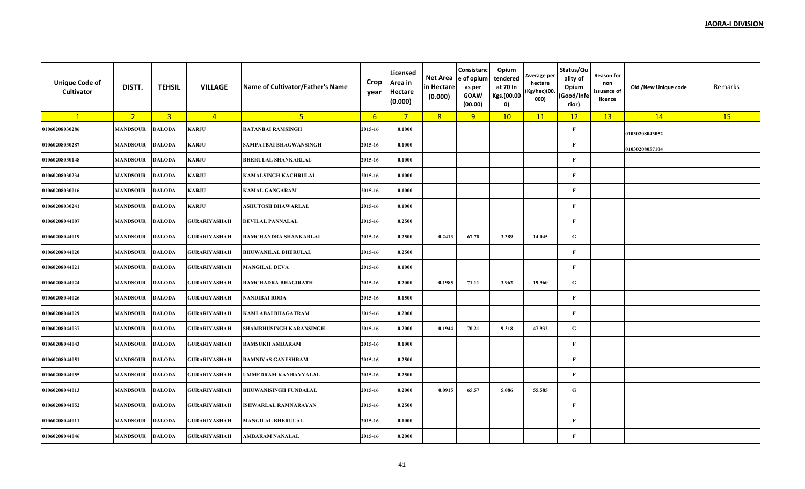| <b>Unique Code of</b><br>Cultivator | DISTT.          | <b>TEHSIL</b>  | <b>VILLAGE</b>      | Name of Cultivator/Father's Name | Crop<br>year | Licensed<br>Area in<br><b>Hectare</b><br>(0.000) | Net Area<br>in Hectare<br>(0.000) | Consistanc<br>e of opium<br>as per<br><b>GOAW</b><br>(00.00) | Opium<br>tendered<br>at 70 In<br>Kgs.(00.00<br>0) | Average per<br>hectare<br>(Kg/hec)(00.<br>000) | Status/Qu<br>ality of<br>Opium<br>(Good/Infe<br>rior) | <b>Reason for</b><br>non<br>issuance of<br>licence | Old /New Unique code | Remarks |
|-------------------------------------|-----------------|----------------|---------------------|----------------------------------|--------------|--------------------------------------------------|-----------------------------------|--------------------------------------------------------------|---------------------------------------------------|------------------------------------------------|-------------------------------------------------------|----------------------------------------------------|----------------------|---------|
| $\mathbf{1}$                        | 2 <sup>1</sup>  | $\overline{3}$ | $\overline{4}$      | 5 <sub>o</sub>                   | 6            | $7^{\circ}$                                      | 8                                 | 9                                                            | 10                                                | 11                                             | 12                                                    | 13                                                 | 14                   | 15      |
| 01060208030286                      | <b>MANDSOUR</b> | <b>DALODA</b>  | KARJU               | <b>RATANBAI RAMSINGH</b>         | 2015-16      | 0.1000                                           |                                   |                                                              |                                                   |                                                | F                                                     |                                                    | 01030208043052       |         |
| 01060208030287                      | <b>MANDSOUR</b> | <b>DALODA</b>  | <b>KARJU</b>        | SAMPATBAI BHAGWANSINGH           | 2015-16      | 0.1000                                           |                                   |                                                              |                                                   |                                                | $\mathbf F$                                           |                                                    | 01030208057104       |         |
| 01060208030148                      | <b>MANDSOUR</b> | <b>DALODA</b>  | KARJU               | <b>BHERULAL SHANKARLAL</b>       | 2015-16      | 0.1000                                           |                                   |                                                              |                                                   |                                                | $\mathbf{F}$                                          |                                                    |                      |         |
| 01060208030234                      | <b>MANDSOUR</b> | <b>DALODA</b>  | KARJU               | KAMALSINGH KACHRULAL             | 2015-16      | 0.1000                                           |                                   |                                                              |                                                   |                                                | $\mathbf F$                                           |                                                    |                      |         |
| 01060208030016                      | <b>MANDSOUR</b> | <b>DALODA</b>  | KARJU               | <b>KAMAL GANGARAM</b>            | 2015-16      | 0.1000                                           |                                   |                                                              |                                                   |                                                | $\mathbf F$                                           |                                                    |                      |         |
| 01060208030241                      | <b>MANDSOUR</b> | <b>DALODA</b>  | <b>KARJU</b>        | ASHUTOSH BHAWARLAL               | 2015-16      | 0.1000                                           |                                   |                                                              |                                                   |                                                | $\mathbf{F}$                                          |                                                    |                      |         |
| 01060208044007                      | <b>MANDSOUR</b> | <b>DALODA</b>  | GURARIYASHAH        | <b>DEVILAL PANNALAL</b>          | 2015-16      | 0.2500                                           |                                   |                                                              |                                                   |                                                | $\mathbf{F}$                                          |                                                    |                      |         |
| 01060208044019                      | <b>MANDSOUR</b> | <b>DALODA</b>  | GURARIYASHAH        | RAMCHANDRA SHANKARLAL            | 2015-16      | 0.2500                                           | 0.2413                            | 67.78                                                        | 3.389                                             | 14.045                                         | ${\bf G}$                                             |                                                    |                      |         |
| 01060208044020                      | <b>MANDSOUR</b> | <b>DALODA</b>  | <b>GURARIYASHAH</b> | <b>BHUWANILAL BHERULAL</b>       | 2015-16      | 0.2500                                           |                                   |                                                              |                                                   |                                                | $\mathbf F$                                           |                                                    |                      |         |
| 01060208044021                      | <b>MANDSOUR</b> | <b>DALODA</b>  | <b>GURARIYASHAH</b> | <b>MANGILAL DEVA</b>             | 2015-16      | 0.1000                                           |                                   |                                                              |                                                   |                                                | F                                                     |                                                    |                      |         |
| 01060208044024                      | <b>MANDSOUR</b> | <b>DALODA</b>  | GURARIYASHAH        | RAMCHADRA BHAGIRATH              | 2015-16      | 0.2000                                           | 0.1985                            | 71.11                                                        | 3.962                                             | 19.960                                         | $\mathbf G$                                           |                                                    |                      |         |
| 01060208044026                      | <b>MANDSOUR</b> | <b>DALODA</b>  | GURARIYASHAH        | <b>NANDIBAI RODA</b>             | 2015-16      | 0.1500                                           |                                   |                                                              |                                                   |                                                | F                                                     |                                                    |                      |         |
| 01060208044029                      | <b>MANDSOUR</b> | <b>DALODA</b>  | GURARIYASHAH        | <b>KAMLABAI BHAGATRAM</b>        | 2015-16      | 0.2000                                           |                                   |                                                              |                                                   |                                                | $\mathbf F$                                           |                                                    |                      |         |
| 01060208044037                      | <b>MANDSOUR</b> | <b>DALODA</b>  | GURARIYASHAH        | <b>SHAMBHUSINGH KARANSINGH</b>   | 2015-16      | 0.2000                                           | 0.1944                            | 70.21                                                        | 9.318                                             | 47.932                                         | G                                                     |                                                    |                      |         |
| 01060208044043                      | <b>MANDSOUR</b> | <b>DALODA</b>  | <b>GURARIYASHAH</b> | <b>RAMSUKH AMBARAM</b>           | 2015-16      | 0.1000                                           |                                   |                                                              |                                                   |                                                | $\mathbf{F}$                                          |                                                    |                      |         |
| 01060208044051                      | <b>MANDSOUR</b> | <b>DALODA</b>  | GURARIYASHAH        | <b>RAMNIVAS GANESHRAM</b>        | 2015-16      | 0.2500                                           |                                   |                                                              |                                                   |                                                | F                                                     |                                                    |                      |         |
| 01060208044055                      | MANDSOUR        | <b>DALODA</b>  | <b>GURARIYASHAH</b> | UMMEDRAM KANHAYYALAL             | 2015-16      | 0.2500                                           |                                   |                                                              |                                                   |                                                | $\mathbf F$                                           |                                                    |                      |         |
| 01060208044013                      | <b>MANDSOUR</b> | <b>DALODA</b>  | GURARIYASHAH        | <b>BHUWANISINGH FUNDALAL</b>     | 2015-16      | 0.2000                                           | 0.0915                            | 65.57                                                        | 5.086                                             | 55.585                                         | $\mathbf G$                                           |                                                    |                      |         |
| 01060208044052                      | <b>MANDSOUR</b> | <b>DALODA</b>  | GURARIYASHAH        | <b>ISHWARLAL RAMNARAYAN</b>      | 2015-16      | 0.2500                                           |                                   |                                                              |                                                   |                                                | $\mathbf F$                                           |                                                    |                      |         |
| 01060208044011                      | <b>MANDSOUR</b> | <b>DALODA</b>  | GURARIYASHAH        | <b>MANGILAL BHERULAL</b>         | 2015-16      | 0.1000                                           |                                   |                                                              |                                                   |                                                | F                                                     |                                                    |                      |         |
| 01060208044046                      | <b>MANDSOUR</b> | <b>DALODA</b>  | GURARIYASHAH        | AMBARAM NANALAL                  | 2015-16      | 0.2000                                           |                                   |                                                              |                                                   |                                                | $\mathbf{F}$                                          |                                                    |                      |         |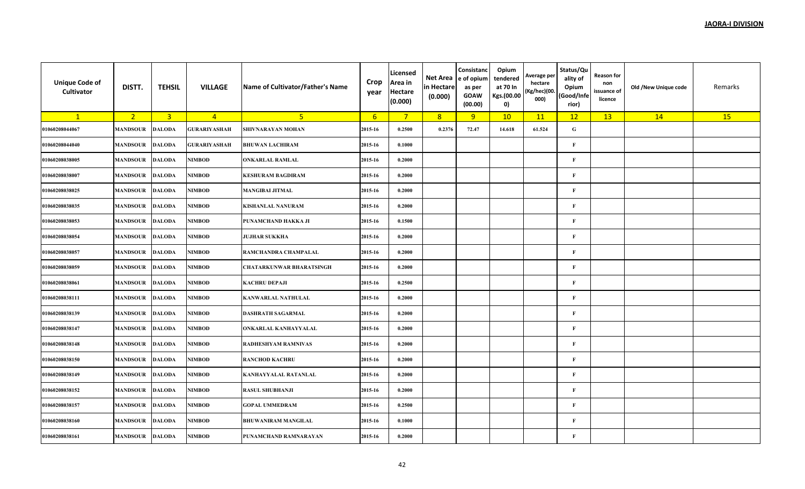| <b>Unique Code of</b><br>Cultivator | DISTT.          | <b>TEHSIL</b>           | <b>VILLAGE</b>      | Name of Cultivator/Father's Name | Crop<br>year | Licensed<br>Area in<br><b>Hectare</b><br>(0.000) | Net Area<br>in Hectare<br>(0.000) | Consistanc<br>e of opium<br>as per<br><b>GOAW</b><br>(00.00) | Opium<br>tendered<br>at 70 In<br>Kgs.(00.00<br>$\mathbf{0}$ | Average per<br>hectare<br>(Kg/hec)(00.<br>000) | Status/Qu<br>ality of<br>Opium<br>Good/Infe)<br>rior) | Reason for<br>non<br>issuance of<br>licence | Old /New Unique code | Remarks |
|-------------------------------------|-----------------|-------------------------|---------------------|----------------------------------|--------------|--------------------------------------------------|-----------------------------------|--------------------------------------------------------------|-------------------------------------------------------------|------------------------------------------------|-------------------------------------------------------|---------------------------------------------|----------------------|---------|
| $\mathbf{1}$                        | 2 <sup>7</sup>  | $\overline{\mathbf{3}}$ | $\overline{4}$      | 5 <sub>1</sub>                   | 6            | $\overline{7}$                                   | 8                                 | 9                                                            | 10                                                          | 11                                             | 12                                                    | 13                                          | 14                   | 15      |
| 01060208044067                      | <b>MANDSOUR</b> | <b>DALODA</b>           | GURARIYASHAH        | SHIVNARAYAN MOHAN                | 2015-16      | 0.2500                                           | 0.2376                            | 72.47                                                        | 14.618                                                      | 61.524                                         | ${\bf G}$                                             |                                             |                      |         |
| 01060208044040                      | <b>MANDSOUR</b> | <b>DALODA</b>           | <b>GURARIYASHAH</b> | <b>BHUWAN LACHIRAM</b>           | 2015-16      | 0.1000                                           |                                   |                                                              |                                                             |                                                | $\bf F$                                               |                                             |                      |         |
| 01060208038005                      | <b>MANDSOUR</b> | <b>DALODA</b>           | <b>NIMBOD</b>       | <b>ONKARLAL RAMLAL</b>           | 2015-16      | 0.2000                                           |                                   |                                                              |                                                             |                                                | $\mathbf{F}$                                          |                                             |                      |         |
| 01060208038007                      | <b>MANDSOUR</b> | <b>DALODA</b>           | NIMBOD              | <b>KESHURAM BAGDIRAM</b>         | 2015-16      | 0.2000                                           |                                   |                                                              |                                                             |                                                | F                                                     |                                             |                      |         |
| 01060208038025                      | <b>MANDSOUR</b> | <b>DALODA</b>           | <b>NIMBOD</b>       | <b>MANGIBAI JITMAL</b>           | 2015-16      | 0.2000                                           |                                   |                                                              |                                                             |                                                | $\mathbf{F}$                                          |                                             |                      |         |
| 01060208038035                      | <b>MANDSOUR</b> | <b>DALODA</b>           | <b>NIMBOD</b>       | <b>KISHANLAL NANURAM</b>         | 2015-16      | 0.2000                                           |                                   |                                                              |                                                             |                                                | $\bf F$                                               |                                             |                      |         |
| 01060208038053                      | <b>MANDSOUR</b> | <b>DALODA</b>           | <b>NIMBOD</b>       | PUNAMCHAND HAKKA JI              | 2015-16      | 0.1500                                           |                                   |                                                              |                                                             |                                                | $\bf F$                                               |                                             |                      |         |
| 01060208038054                      | <b>MANDSOUR</b> | <b>DALODA</b>           | NIMBOD              | <b>JUJHAR SUKKHA</b>             | 2015-16      | 0.2000                                           |                                   |                                                              |                                                             |                                                | $\bf F$                                               |                                             |                      |         |
| 01060208038057                      | <b>MANDSOUR</b> | <b>DALODA</b>           | NIMBOD              | RAMCHANDRA CHAMPALAL             | 2015-16      | 0.2000                                           |                                   |                                                              |                                                             |                                                | F                                                     |                                             |                      |         |
| 01060208038059                      | <b>MANDSOUR</b> | <b>DALODA</b>           | <b>NIMBOD</b>       | <b>CHATARKUNWAR BHARATSINGH</b>  | 2015-16      | 0.2000                                           |                                   |                                                              |                                                             |                                                | $\mathbf{F}$                                          |                                             |                      |         |
| 01060208038061                      | <b>MANDSOUR</b> | <b>DALODA</b>           | <b>NIMBOD</b>       | <b>KACHRU DEPAJI</b>             | 2015-16      | 0.2500                                           |                                   |                                                              |                                                             |                                                | $\bf F$                                               |                                             |                      |         |
| 01060208038111                      | <b>MANDSOUR</b> | <b>DALODA</b>           | <b>NIMBOD</b>       | <b>KANWARLAL NATHULAL</b>        | 2015-16      | 0.2000                                           |                                   |                                                              |                                                             |                                                | $\mathbf{F}$                                          |                                             |                      |         |
| 01060208038139                      | <b>MANDSOUR</b> | <b>DALODA</b>           | NIMBOD              | <b>DASHRATH SAGARMAL</b>         | 2015-16      | 0.2000                                           |                                   |                                                              |                                                             |                                                | F                                                     |                                             |                      |         |
| 01060208038147                      | <b>MANDSOUR</b> | <b>DALODA</b>           | <b>NIMBOD</b>       | ONKARLAL KANHAYYALAL             | 2015-16      | 0.2000                                           |                                   |                                                              |                                                             |                                                | $\bf F$                                               |                                             |                      |         |
| 01060208038148                      | <b>MANDSOUR</b> | <b>DALODA</b>           | NIMBOD              | <b>RADHESHYAM RAMNIVAS</b>       | 2015-16      | 0.2000                                           |                                   |                                                              |                                                             |                                                | $\bf F$                                               |                                             |                      |         |
| 01060208038150                      | <b>MANDSOUR</b> | <b>DALODA</b>           | NIMBOD              | <b>RANCHOD KACHRU</b>            | 2015-16      | 0.2000                                           |                                   |                                                              |                                                             |                                                | F                                                     |                                             |                      |         |
| 01060208038149                      | <b>MANDSOUR</b> | <b>DALODA</b>           | <b>NIMBOD</b>       | KANHAYYALAL RATANLAL             | 2015-16      | 0.2000                                           |                                   |                                                              |                                                             |                                                | F                                                     |                                             |                      |         |
| 01060208038152                      | <b>MANDSOUR</b> | <b>DALODA</b>           | NIMBOD              | <b>RASUL SHUBHANJI</b>           | 2015-16      | 0.2000                                           |                                   |                                                              |                                                             |                                                | F                                                     |                                             |                      |         |
| 01060208038157                      | <b>MANDSOUR</b> | <b>DALODA</b>           | <b>NIMBOD</b>       | <b>GOPAL UMMEDRAM</b>            | 2015-16      | 0.2500                                           |                                   |                                                              |                                                             |                                                | F                                                     |                                             |                      |         |
| 01060208038160                      | <b>MANDSOUR</b> | <b>DALODA</b>           | NIMBOD              | <b>BHUWANIRAM MANGILAL</b>       | 2015-16      | 0.1000                                           |                                   |                                                              |                                                             |                                                | F                                                     |                                             |                      |         |
| 01060208038161                      | <b>MANDSOUR</b> | <b>DALODA</b>           | NIMBOD              | PUNAMCHAND RAMNARAYAN            | 2015-16      | 0.2000                                           |                                   |                                                              |                                                             |                                                | $\bf F$                                               |                                             |                      |         |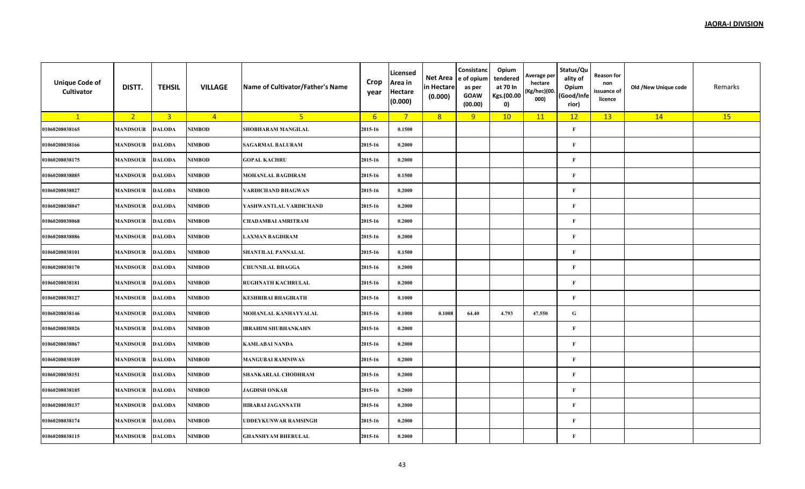| <b>Unique Code of</b><br><b>Cultivator</b> | DISTT.          | <b>TEHSIL</b>  | <b>VILLAGE</b> | Name of Cultivator/Father's Name | Crop<br>year | Licensed<br>Area in<br>Hectare<br>(0.000) | Net Area<br>in Hectare<br>(0.000) | Consistanc<br>e of opium<br>as per<br><b>GOAW</b><br>(00.00) | Opium<br>tendered<br>at 70 In<br>Kgs.(00.00<br>0) | Average per<br>hectare<br>(Kg/hec)(00.<br>000) | Status/Qu<br>ality of<br>Opium<br>(Good/Infe<br>rior) | <b>Reason for</b><br>non<br>issuance of<br>licence | Old /New Unique code | Remarks |
|--------------------------------------------|-----------------|----------------|----------------|----------------------------------|--------------|-------------------------------------------|-----------------------------------|--------------------------------------------------------------|---------------------------------------------------|------------------------------------------------|-------------------------------------------------------|----------------------------------------------------|----------------------|---------|
| $\mathbf{1}$                               | 2 <sup>2</sup>  | $\overline{3}$ | $\overline{4}$ | 5 <sup>1</sup>                   | 6            | $7^{\circ}$                               | 8                                 | 9                                                            | 10                                                | 11                                             | 12                                                    | 13                                                 | 14                   | 15      |
| 01060208038165                             | <b>MANDSOUR</b> | <b>DALODA</b>  | NIMBOD         | SHOBHARAM MANGILAL               | 2015-16      | 0.1500                                    |                                   |                                                              |                                                   |                                                | $\mathbf{F}$                                          |                                                    |                      |         |
| 01060208038166                             | <b>MANDSOUR</b> | <b>DALODA</b>  | NIMBOD         | <b>SAGARMAL BALURAM</b>          | 2015-16      | 0.2000                                    |                                   |                                                              |                                                   |                                                | $\mathbf{F}$                                          |                                                    |                      |         |
| 01060208038175                             | MANDSOUR        | <b>DALODA</b>  | NIMBOD         | <b>GOPAL KACHRU</b>              | 2015-16      | 0.2000                                    |                                   |                                                              |                                                   |                                                | $\mathbf{F}$                                          |                                                    |                      |         |
| 01060208038085                             | <b>MANDSOUR</b> | <b>DALODA</b>  | NIMBOD         | <b>MOHANLAL BAGDIRAM</b>         | 2015-16      | 0.1500                                    |                                   |                                                              |                                                   |                                                | $\mathbf{F}$                                          |                                                    |                      |         |
| 01060208038027                             | MANDSOUR        | <b>DALODA</b>  | NIMBOD         | VARDICHAND BHAGWAN               | 2015-16      | 0.2000                                    |                                   |                                                              |                                                   |                                                | $\mathbf{F}$                                          |                                                    |                      |         |
| 01060208038047                             | <b>MANDSOUR</b> | <b>DALODA</b>  | NIMBOD         | YASHWANTLAL VARDICHAND           | 2015-16      | 0.2000                                    |                                   |                                                              |                                                   |                                                | $\mathbf{F}$                                          |                                                    |                      |         |
| 01060208038068                             | MANDSOUR        | <b>DALODA</b>  | <b>NIMBOD</b>  | <b>CHADAMBAI AMRITRAM</b>        | 2015-16      | 0.2000                                    |                                   |                                                              |                                                   |                                                | $\mathbf{F}$                                          |                                                    |                      |         |
| 01060208038086                             | <b>MANDSOUR</b> | <b>DALODA</b>  | NIMBOD         | <b>LAXMAN BAGDIRAM</b>           | 2015-16      | 0.2000                                    |                                   |                                                              |                                                   |                                                | $\mathbf{F}$                                          |                                                    |                      |         |
| 01060208038101                             | MANDSOUR        | <b>DALODA</b>  | NIMBOD         | <b>SHANTILAL PANNALAL</b>        | 2015-16      | 0.1500                                    |                                   |                                                              |                                                   |                                                | $\mathbf{F}$                                          |                                                    |                      |         |
| 01060208038170                             | <b>MANDSOUR</b> | <b>DALODA</b>  | NIMBOD         | <b>CHUNNILAL BHAGGA</b>          | 2015-16      | 0.2000                                    |                                   |                                                              |                                                   |                                                | $\mathbf{F}$                                          |                                                    |                      |         |
| 01060208038181                             | <b>MANDSOUR</b> | <b>DALODA</b>  | NIMBOD         | <b>RUGHNATH KACHRULAL</b>        | 2015-16      | 0.2000                                    |                                   |                                                              |                                                   |                                                | $\mathbf{F}$                                          |                                                    |                      |         |
| 01060208038127                             | <b>MANDSOUR</b> | <b>DALODA</b>  | NIMBOD         | <b>KESHRIBAI BHAGIRATH</b>       | 2015-16      | 0.1000                                    |                                   |                                                              |                                                   |                                                | $\mathbf{F}$                                          |                                                    |                      |         |
| 01060208038146                             | <b>MANDSOUR</b> | <b>DALODA</b>  | NIMBOD         | MOHANLAL KANHAYYALAL             | 2015-16      | 0.1000                                    | 0.1008                            | 64.40                                                        | 4.793                                             | 47.550                                         | ${\bf G}$                                             |                                                    |                      |         |
| 01060208038026                             | <b>MANDSOUR</b> | <b>DALODA</b>  | NIMBOD         | <b>IBRAHIM SHUBHANKAHN</b>       | 2015-16      | 0.2000                                    |                                   |                                                              |                                                   |                                                | $\mathbf{F}$                                          |                                                    |                      |         |
| 01060208038067                             | <b>MANDSOUR</b> | <b>DALODA</b>  | NIMBOD         | <b>KAMLABAI NANDA</b>            | 2015-16      | 0.2000                                    |                                   |                                                              |                                                   |                                                | $\mathbf{F}$                                          |                                                    |                      |         |
| 01060208038189                             | <b>MANDSOUR</b> | <b>DALODA</b>  | NIMBOD         | <b>MANGUBAI RAMNIWAS</b>         | 2015-16      | 0.2000                                    |                                   |                                                              |                                                   |                                                | $\mathbf{F}$                                          |                                                    |                      |         |
| 01060208038151                             | <b>MANDSOUR</b> | <b>DALODA</b>  | <b>NIMBOD</b>  | SHANKARLAL CHODHRAM              | 2015-16      | 0.2000                                    |                                   |                                                              |                                                   |                                                | $\mathbf{F}$                                          |                                                    |                      |         |
| 01060208038185                             | <b>MANDSOUR</b> | <b>DALODA</b>  | NIMBOD         | <b>JAGDISH ONKAR</b>             | 2015-16      | 0.2000                                    |                                   |                                                              |                                                   |                                                | $\mathbf{F}$                                          |                                                    |                      |         |
| 01060208038137                             | <b>MANDSOUR</b> | <b>DALODA</b>  | NIMBOD         | HIRABAI JAGANNATH                | 2015-16      | 0.2000                                    |                                   |                                                              |                                                   |                                                | $\mathbf{F}$                                          |                                                    |                      |         |
| 01060208038174                             | <b>MANDSOUR</b> | <b>DALODA</b>  | NIMBOD         | UDDEYKUNWAR RAMSINGH             | 2015-16      | 0.2000                                    |                                   |                                                              |                                                   |                                                | $\mathbf{F}$                                          |                                                    |                      |         |
| 01060208038115                             | <b>MANDSOUR</b> | <b>DALODA</b>  | NIMBOD         | <b>GHANSHYAM BHERULAL</b>        | 2015-16      | 0.2000                                    |                                   |                                                              |                                                   |                                                | $\mathbf{F}$                                          |                                                    |                      |         |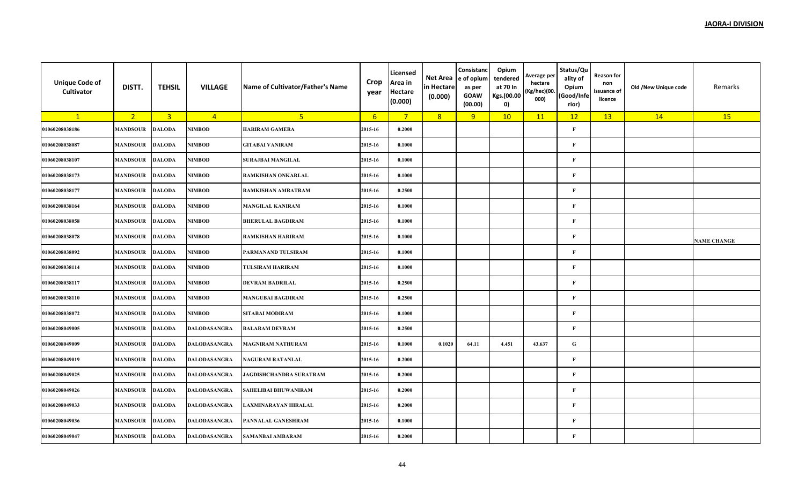| <b>Unique Code of</b><br>Cultivator | DISTT.          | <b>TEHSIL</b>  | <b>VILLAGE</b>      | Name of Cultivator/Father's Name | Crop<br>year     | Licensed<br>Area in<br><b>Hectare</b><br>(0.000) | Net Area<br>in Hectare<br>(0.000) | Consistanc<br>e of opium<br>as per<br><b>GOAW</b><br>(00.00) | Opium<br>tendered<br>at 70 In<br>Kgs.(00.00<br>0) | Average per<br>hectare<br>(Kg/hec)(00.<br>000) | Status/Qu<br>ality of<br>Opium<br>(Good/Infe<br>rior) | <b>Reason for</b><br>non<br>issuance of<br>licence | Old /New Unique code | Remarks            |
|-------------------------------------|-----------------|----------------|---------------------|----------------------------------|------------------|--------------------------------------------------|-----------------------------------|--------------------------------------------------------------|---------------------------------------------------|------------------------------------------------|-------------------------------------------------------|----------------------------------------------------|----------------------|--------------------|
| $\mathbf{1}$                        | 2 <sup>2</sup>  | $\overline{3}$ | $\overline{4}$      | 5 <sup>1</sup>                   | $6 \overline{6}$ | $7^{\circ}$                                      | 8                                 | 9                                                            | 10                                                | 11                                             | 12                                                    | 13                                                 | 14                   | 15                 |
| 01060208038186                      | <b>MANDSOUR</b> | <b>DALODA</b>  | <b>NIMBOD</b>       | <b>HARIRAM GAMERA</b>            | 2015-16          | 0.2000                                           |                                   |                                                              |                                                   |                                                | $\mathbf{F}$                                          |                                                    |                      |                    |
| 01060208038087                      | <b>MANDSOUR</b> | <b>DALODA</b>  | NIMBOD              | <b>GITABAI VANIRAM</b>           | 2015-16          | 0.1000                                           |                                   |                                                              |                                                   |                                                | $\mathbf F$                                           |                                                    |                      |                    |
| 01060208038107                      | <b>MANDSOUR</b> | <b>DALODA</b>  | <b>NIMBOD</b>       | <b>SURAJBAI MANGILAL</b>         | 2015-16          | 0.1000                                           |                                   |                                                              |                                                   |                                                | $\mathbf{F}$                                          |                                                    |                      |                    |
| 01060208038173                      | <b>MANDSOUR</b> | <b>DALODA</b>  | <b>NIMBOD</b>       | RAMKISHAN ONKARLAL               | 2015-16          | 0.1000                                           |                                   |                                                              |                                                   |                                                | $\mathbf F$                                           |                                                    |                      |                    |
| 01060208038177                      | <b>MANDSOUR</b> | <b>DALODA</b>  | <b>NIMBOD</b>       | RAMKISHAN AMRATRAM               | 2015-16          | 0.2500                                           |                                   |                                                              |                                                   |                                                | $\mathbf{F}$                                          |                                                    |                      |                    |
| 01060208038164                      | <b>MANDSOUR</b> | <b>DALODA</b>  | <b>NIMBOD</b>       | <b>MANGILAL KANIRAM</b>          | 2015-16          | 0.1000                                           |                                   |                                                              |                                                   |                                                | $\mathbf F$                                           |                                                    |                      |                    |
| 01060208038058                      | <b>MANDSOUR</b> | <b>DALODA</b>  | NIMBOD              | <b>BHERULAL BAGDIRAM</b>         | 2015-16          | 0.1000                                           |                                   |                                                              |                                                   |                                                | $\mathbf F$                                           |                                                    |                      |                    |
| 01060208038078                      | <b>MANDSOUR</b> | <b>DALODA</b>  | <b>NIMBOD</b>       | <b>RAMKISHAN HARIRAM</b>         | 2015-16          | 0.1000                                           |                                   |                                                              |                                                   |                                                | $\mathbf{F}$                                          |                                                    |                      | <b>NAME CHANGE</b> |
| 01060208038092                      | <b>MANDSOUR</b> | <b>DALODA</b>  | <b>NIMBOD</b>       | PARMANAND TULSIRAM               | 2015-16          | 0.1000                                           |                                   |                                                              |                                                   |                                                | $\mathbf F$                                           |                                                    |                      |                    |
| 01060208038114                      | <b>MANDSOUR</b> | <b>DALODA</b>  | <b>NIMBOD</b>       | <b>TULSIRAM HARIRAM</b>          | 2015-16          | 0.1000                                           |                                   |                                                              |                                                   |                                                | $\mathbf{F}$                                          |                                                    |                      |                    |
| 01060208038117                      | <b>MANDSOUR</b> | <b>DALODA</b>  | <b>NIMBOD</b>       | <b>DEVRAM BADRILAL</b>           | 2015-16          | 0.2500                                           |                                   |                                                              |                                                   |                                                | $\mathbf F$                                           |                                                    |                      |                    |
| 01060208038110                      | <b>MANDSOUR</b> | <b>DALODA</b>  | NIMBOD              | <b>MANGUBAI BAGDIRAM</b>         | 2015-16          | 0.2500                                           |                                   |                                                              |                                                   |                                                | $\mathbf{F}$                                          |                                                    |                      |                    |
| 01060208038072                      | <b>MANDSOUR</b> | <b>DALODA</b>  | <b>NIMBOD</b>       | <b>SITABAI MODIRAM</b>           | 2015-16          | 0.1000                                           |                                   |                                                              |                                                   |                                                | $\mathbf{F}$                                          |                                                    |                      |                    |
| 01060208049005                      | <b>MANDSOUR</b> | <b>DALODA</b>  | DALODASANGRA        | <b>BALARAM DEVRAM</b>            | 2015-16          | 0.2500                                           |                                   |                                                              |                                                   |                                                | $\mathbf F$                                           |                                                    |                      |                    |
| 01060208049009                      | <b>MANDSOUR</b> | <b>DALODA</b>  | DALODASANGRA        | <b>MAGNIRAM NATHURAM</b>         | 2015-16          | 0.1000                                           | 0.1020                            | 64.11                                                        | 4.451                                             | 43.637                                         | ${\bf G}$                                             |                                                    |                      |                    |
| 01060208049019                      | <b>MANDSOUR</b> | <b>DALODA</b>  | <b>DALODASANGRA</b> | <b>NAGURAM RATANLAL</b>          | 2015-16          | 0.2000                                           |                                   |                                                              |                                                   |                                                | $\mathbf F$                                           |                                                    |                      |                    |
| 01060208049025                      | <b>MANDSOUR</b> | <b>DALODA</b>  | DALODASANGRA        | JAGDISHCHANDRA SURATRAM          | 2015-16          | 0.2000                                           |                                   |                                                              |                                                   |                                                | $\mathbf F$                                           |                                                    |                      |                    |
| 01060208049026                      | <b>MANDSOUR</b> | <b>DALODA</b>  | DALODASANGRA        | SAHELIBAI BHUWANIRAM             | 2015-16          | 0.2000                                           |                                   |                                                              |                                                   |                                                | $\mathbf{F}$                                          |                                                    |                      |                    |
| 01060208049033                      | <b>MANDSOUR</b> | <b>DALODA</b>  | DALODASANGRA        | LAXMINARAYAN HIRALAL             | 2015-16          | 0.2000                                           |                                   |                                                              |                                                   |                                                | $\mathbf F$                                           |                                                    |                      |                    |
| 01060208049036                      | <b>MANDSOUR</b> | <b>DALODA</b>  | DALODASANGRA        | PANNALAL GANESHRAM               | 2015-16          | 0.1000                                           |                                   |                                                              |                                                   |                                                | $\mathbf{F}$                                          |                                                    |                      |                    |
| 01060208049047                      | <b>MANDSOUR</b> | <b>DALODA</b>  | <b>DALODASANGRA</b> | SAMANBAI AMBARAM                 | 2015-16          | 0.2000                                           |                                   |                                                              |                                                   |                                                | $\mathbf{F}$                                          |                                                    |                      |                    |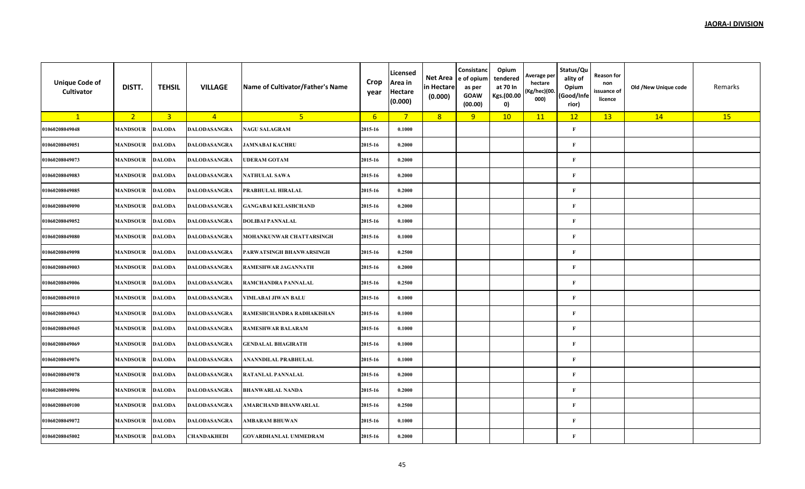| <b>Unique Code of</b><br>Cultivator | DISTT.          | <b>TEHSIL</b>  | <b>VILLAGE</b>      | Name of Cultivator/Father's Name | Crop<br>year | Licensed<br>Area in<br><b>Hectare</b><br>(0.000) | Net Area<br>in Hectare<br>(0.000) | Consistanc<br>e of opium<br>as per<br><b>GOAW</b><br>(00.00) | Opium<br>tendered<br>at 70 In<br>Kgs.(00.00<br>0) | Average per<br>hectare<br>(Kg/hec)(00.<br>000) | Status/Qu<br>ality of<br>Opium<br>(Good/Infe<br>rior) | <b>Reason for</b><br>non<br>issuance of<br>licence | Old /New Unique code | Remarks |
|-------------------------------------|-----------------|----------------|---------------------|----------------------------------|--------------|--------------------------------------------------|-----------------------------------|--------------------------------------------------------------|---------------------------------------------------|------------------------------------------------|-------------------------------------------------------|----------------------------------------------------|----------------------|---------|
| $\mathbf{1}$                        | 2 <sup>2</sup>  | $\overline{3}$ | $\overline{4}$      | 5 <sup>2</sup>                   | $6^{\circ}$  | $7^{\circ}$                                      | 8                                 | 9                                                            | 10                                                | 11                                             | 12                                                    | 13                                                 | 14                   | 15      |
| 01060208049048                      | <b>MANDSOUR</b> | <b>DALODA</b>  | <b>DALODASANGRA</b> | <b>NAGU SALAGRAM</b>             | 2015-16      | 0.1000                                           |                                   |                                                              |                                                   |                                                | $\mathbf{F}$                                          |                                                    |                      |         |
| 01060208049051                      | <b>MANDSOUR</b> | <b>DALODA</b>  | DALODASANGRA        | <b>JAMNABAI KACHRU</b>           | 2015-16      | 0.2000                                           |                                   |                                                              |                                                   |                                                | $\mathbf F$                                           |                                                    |                      |         |
| 01060208049073                      | <b>MANDSOUR</b> | <b>DALODA</b>  | DALODASANGRA        | <b>UDERAM GOTAM</b>              | 2015-16      | 0.2000                                           |                                   |                                                              |                                                   |                                                | $\mathbf{F}$                                          |                                                    |                      |         |
| 01060208049083                      | <b>MANDSOUR</b> | <b>DALODA</b>  | DALODASANGRA        | <b>NATHULAL SAWA</b>             | 2015-16      | 0.2000                                           |                                   |                                                              |                                                   |                                                | $\mathbf F$                                           |                                                    |                      |         |
| 01060208049085                      | <b>MANDSOUR</b> | <b>DALODA</b>  | DALODASANGRA        | PRABHULAL HIRALAL                | 2015-16      | 0.2000                                           |                                   |                                                              |                                                   |                                                | $\mathbf{F}$                                          |                                                    |                      |         |
| 01060208049090                      | <b>MANDSOUR</b> | <b>DALODA</b>  | <b>DALODASANGRA</b> | <b>GANGABAI KELASHCHAND</b>      | 2015-16      | 0.2000                                           |                                   |                                                              |                                                   |                                                | $\mathbf F$                                           |                                                    |                      |         |
| 01060208049052                      | <b>MANDSOUR</b> | <b>DALODA</b>  | DALODASANGRA        | <b>DOLIBAI PANNALAL</b>          | 2015-16      | 0.1000                                           |                                   |                                                              |                                                   |                                                | $\mathbf F$                                           |                                                    |                      |         |
| 01060208049080                      | <b>MANDSOUR</b> | <b>DALODA</b>  | DALODASANGRA        | MOHANKUNWAR CHATTARSINGH         | 2015-16      | 0.1000                                           |                                   |                                                              |                                                   |                                                | $\mathbf{F}$                                          |                                                    |                      |         |
| 01060208049098                      | <b>MANDSOUR</b> | <b>DALODA</b>  | <b>DALODASANGRA</b> | PARWATSINGH BHANWARSINGH         | 2015-16      | 0.2500                                           |                                   |                                                              |                                                   |                                                | $\mathbf F$                                           |                                                    |                      |         |
| 01060208049003                      | <b>MANDSOUR</b> | <b>DALODA</b>  | DALODASANGRA        | <b>RAMESHWAR JAGANNATH</b>       | 2015-16      | 0.2000                                           |                                   |                                                              |                                                   |                                                | $\mathbf F$                                           |                                                    |                      |         |
| 01060208049006                      | <b>MANDSOUR</b> | <b>DALODA</b>  | <b>DALODASANGRA</b> | RAMCHANDRA PANNALAL              | 2015-16      | 0.2500                                           |                                   |                                                              |                                                   |                                                | $\mathbf F$                                           |                                                    |                      |         |
| 01060208049010                      | <b>MANDSOUR</b> | <b>DALODA</b>  | DALODASANGRA        | <b>VIMLABAI JIWAN BALU</b>       | 2015-16      | 0.1000                                           |                                   |                                                              |                                                   |                                                | $\mathbf F$                                           |                                                    |                      |         |
| 01060208049043                      | <b>MANDSOUR</b> | <b>DALODA</b>  | <b>DALODASANGRA</b> | RAMESHCHANDRA RADHAKISHAN        | 2015-16      | 0.1000                                           |                                   |                                                              |                                                   |                                                | $\mathbf F$                                           |                                                    |                      |         |
| 01060208049045                      | <b>MANDSOUR</b> | <b>DALODA</b>  | DALODASANGRA        | <b>RAMESHWAR BALARAM</b>         | 2015-16      | 0.1000                                           |                                   |                                                              |                                                   |                                                | $\mathbf F$                                           |                                                    |                      |         |
| 01060208049069                      | <b>MANDSOUR</b> | <b>DALODA</b>  | DALODASANGRA        | <b>GENDALAL BHAGIRATH</b>        | 2015-16      | 0.1000                                           |                                   |                                                              |                                                   |                                                | $\mathbf{F}$                                          |                                                    |                      |         |
| 01060208049076                      | <b>MANDSOUR</b> | <b>DALODA</b>  | <b>DALODASANGRA</b> | ANANNDILAL PRABHULAL             | 2015-16      | 0.1000                                           |                                   |                                                              |                                                   |                                                | $\mathbf F$                                           |                                                    |                      |         |
| 01060208049078                      | <b>MANDSOUR</b> | <b>DALODA</b>  | DALODASANGRA        | <b>RATANLAL PANNALAL</b>         | 2015-16      | 0.2000                                           |                                   |                                                              |                                                   |                                                | $\mathbf F$                                           |                                                    |                      |         |
| 01060208049096                      | <b>MANDSOUR</b> | <b>DALODA</b>  | <b>DALODASANGRA</b> | <b>BHANWARLAL NANDA</b>          | 2015-16      | 0.2000                                           |                                   |                                                              |                                                   |                                                | $\mathbf F$                                           |                                                    |                      |         |
| 01060208049100                      | <b>MANDSOUR</b> | <b>DALODA</b>  | DALODASANGRA        | <b>AMARCHAND BHANWARLAL</b>      | 2015-16      | 0.2500                                           |                                   |                                                              |                                                   |                                                | $\mathbf F$                                           |                                                    |                      |         |
| 01060208049072                      | <b>MANDSOUR</b> | <b>DALODA</b>  | DALODASANGRA        | AMBARAM BHUWAN                   | 2015-16      | 0.1000                                           |                                   |                                                              |                                                   |                                                | $\mathbf{F}$                                          |                                                    |                      |         |
| 01060208045002                      | <b>MANDSOUR</b> | <b>DALODA</b>  | CHANDAKHEDI         | <b>GOVARDHANLAL UMMEDRAM</b>     | 2015-16      | 0.2000                                           |                                   |                                                              |                                                   |                                                | $\mathbf{F}$                                          |                                                    |                      |         |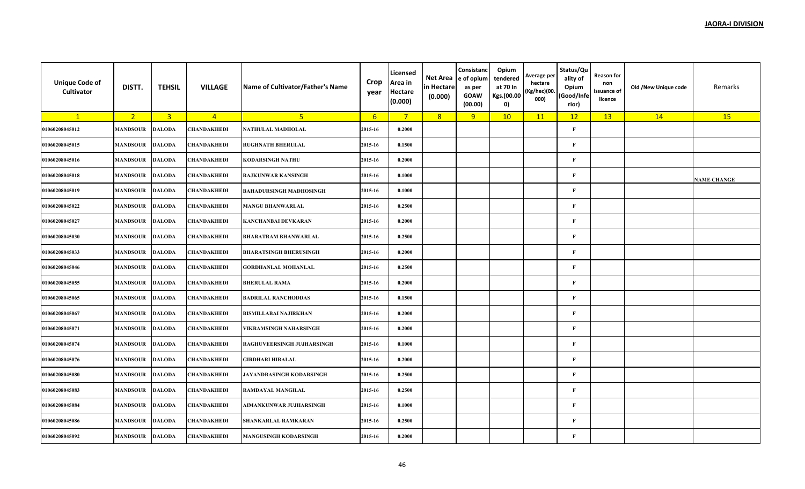| <b>Unique Code of</b><br>Cultivator | DISTT.          | <b>TEHSIL</b>  | <b>VILLAGE</b> | Name of Cultivator/Father's Name | Crop<br>year     | Licensed<br>Area in<br><b>Hectare</b><br>(0.000) | Net Area<br>in Hectare<br>(0.000) | Consistanc<br>e of opium<br>as per<br><b>GOAW</b><br>(00.00) | Opium<br>tendered<br>at 70 In<br>Kgs.(00.00<br>0) | Average per<br>hectare<br>(Kg/hec)(00.<br>000) | Status/Qu<br>ality of<br>Opium<br>(Good/Infe<br>rior) | <b>Reason for</b><br>non<br>issuance of<br>licence | Old /New Unique code | Remarks            |
|-------------------------------------|-----------------|----------------|----------------|----------------------------------|------------------|--------------------------------------------------|-----------------------------------|--------------------------------------------------------------|---------------------------------------------------|------------------------------------------------|-------------------------------------------------------|----------------------------------------------------|----------------------|--------------------|
| $\mathbf{1}$                        | 2 <sup>2</sup>  | $\overline{3}$ | $\overline{4}$ | 5 <sup>1</sup>                   | $6 \overline{6}$ | $7^{\circ}$                                      | 8                                 | 9                                                            | 10                                                | 11                                             | 12                                                    | 13                                                 | 14                   | 15                 |
| 01060208045012                      | <b>MANDSOUR</b> | <b>DALODA</b>  | CHANDAKHEDI    | NATHULAL MADHOLAL                | 2015-16          | 0.2000                                           |                                   |                                                              |                                                   |                                                | $\mathbf{F}$                                          |                                                    |                      |                    |
| 01060208045015                      | <b>MANDSOUR</b> | <b>DALODA</b>  | CHANDAKHEDI    | <b>RUGHNATH BHERULAL</b>         | 2015-16          | 0.1500                                           |                                   |                                                              |                                                   |                                                | $\mathbf F$                                           |                                                    |                      |                    |
| 01060208045016                      | <b>MANDSOUR</b> | <b>DALODA</b>  | CHANDAKHEDI    | <b>KODARSINGH NATHU</b>          | 2015-16          | 0.2000                                           |                                   |                                                              |                                                   |                                                | $\mathbf{F}$                                          |                                                    |                      |                    |
| 01060208045018                      | <b>MANDSOUR</b> | <b>DALODA</b>  | CHANDAKHEDI    | <b>RAJKUNWAR KANSINGH</b>        | 2015-16          | 0.1000                                           |                                   |                                                              |                                                   |                                                | $\mathbf F$                                           |                                                    |                      | <b>NAME CHANGE</b> |
| 01060208045019                      | <b>MANDSOUR</b> | <b>DALODA</b>  | CHANDAKHEDI    | <b>BAHADURSINGH MADHOSINGH</b>   | 2015-16          | 0.1000                                           |                                   |                                                              |                                                   |                                                | $\mathbf F$                                           |                                                    |                      |                    |
| 01060208045022                      | <b>MANDSOUR</b> | <b>DALODA</b>  | CHANDAKHEDI    | <b>MANGU BHANWARLAL</b>          | 2015-16          | 0.2500                                           |                                   |                                                              |                                                   |                                                | $\mathbf F$                                           |                                                    |                      |                    |
| 01060208045027                      | <b>MANDSOUR</b> | <b>DALODA</b>  | CHANDAKHEDI    | <b>KANCHANBAI DEVKARAN</b>       | 2015-16          | 0.2000                                           |                                   |                                                              |                                                   |                                                | $\mathbf F$                                           |                                                    |                      |                    |
| 01060208045030                      | <b>MANDSOUR</b> | <b>DALODA</b>  | CHANDAKHEDI    | <b>BHARATRAM BHANWARLAL</b>      | 2015-16          | 0.2500                                           |                                   |                                                              |                                                   |                                                | $\mathbf{F}$                                          |                                                    |                      |                    |
| 01060208045033                      | <b>MANDSOUR</b> | <b>DALODA</b>  | CHANDAKHEDI    | <b>BHARATSINGH BHERUSINGH</b>    | 2015-16          | 0.2000                                           |                                   |                                                              |                                                   |                                                | $\mathbf F$                                           |                                                    |                      |                    |
| 01060208045046                      | <b>MANDSOUR</b> | <b>DALODA</b>  | CHANDAKHEDI    | <b>GORDHANLAL MOHANLAL</b>       | 2015-16          | 0.2500                                           |                                   |                                                              |                                                   |                                                | $\mathbf{F}$                                          |                                                    |                      |                    |
| 01060208045055                      | <b>MANDSOUR</b> | <b>DALODA</b>  | CHANDAKHEDI    | <b>BHERULAL RAMA</b>             | 2015-16          | 0.2000                                           |                                   |                                                              |                                                   |                                                | $\mathbf F$                                           |                                                    |                      |                    |
| 01060208045065                      | <b>MANDSOUR</b> | <b>DALODA</b>  | CHANDAKHEDI    | <b>BADRILAL RANCHODDAS</b>       | 2015-16          | 0.1500                                           |                                   |                                                              |                                                   |                                                | $\mathbf{F}$                                          |                                                    |                      |                    |
| 01060208045067                      | <b>MANDSOUR</b> | <b>DALODA</b>  | CHANDAKHEDI    | <b>BISMILLABAI NAJIRKHAN</b>     | 2015-16          | 0.2000                                           |                                   |                                                              |                                                   |                                                | $\mathbf F$                                           |                                                    |                      |                    |
| 01060208045071                      | <b>MANDSOUR</b> | <b>DALODA</b>  | CHANDAKHEDI    | VIKRAMSINGH NAHARSINGH           | 2015-16          | 0.2000                                           |                                   |                                                              |                                                   |                                                | $\mathbf F$                                           |                                                    |                      |                    |
| 01060208045074                      | <b>MANDSOUR</b> | <b>DALODA</b>  | CHANDAKHEDI    | RAGHUVEERSINGH JUJHARSINGH       | 2015-16          | 0.1000                                           |                                   |                                                              |                                                   |                                                | $\mathbf F$                                           |                                                    |                      |                    |
| 01060208045076                      | <b>MANDSOUR</b> | <b>DALODA</b>  | CHANDAKHEDI    | <b>GIRDHARI HIRALAL</b>          | 2015-16          | 0.2000                                           |                                   |                                                              |                                                   |                                                | $\mathbf F$                                           |                                                    |                      |                    |
| 01060208045080                      | <b>MANDSOUR</b> | <b>DALODA</b>  | CHANDAKHEDI    | JAYANDRASINGH KODARSINGH         | 2015-16          | 0.2500                                           |                                   |                                                              |                                                   |                                                | $\mathbf F$                                           |                                                    |                      |                    |
| 01060208045083                      | <b>MANDSOUR</b> | <b>DALODA</b>  | CHANDAKHEDI    | <b>RAMDAYAL MANGILAL</b>         | 2015-16          | 0.2500                                           |                                   |                                                              |                                                   |                                                | $\mathbf{F}$                                          |                                                    |                      |                    |
| 01060208045084                      | <b>MANDSOUR</b> | <b>DALODA</b>  | CHANDAKHEDI    | AIMANKUNWAR JUJHARSINGH          | 2015-16          | 0.1000                                           |                                   |                                                              |                                                   |                                                | $\mathbf F$                                           |                                                    |                      |                    |
| 01060208045086                      | <b>MANDSOUR</b> | <b>DALODA</b>  | CHANDAKHEDI    | <b>SHANKARLAL RAMKARAN</b>       | 2015-16          | 0.2500                                           |                                   |                                                              |                                                   |                                                | $\mathbf{F}$                                          |                                                    |                      |                    |
| 01060208045092                      | <b>MANDSOUR</b> | <b>DALODA</b>  | CHANDAKHEDI    | <b>MANGUSINGH KODARSINGH</b>     | 2015-16          | 0.2000                                           |                                   |                                                              |                                                   |                                                | $\mathbf{F}$                                          |                                                    |                      |                    |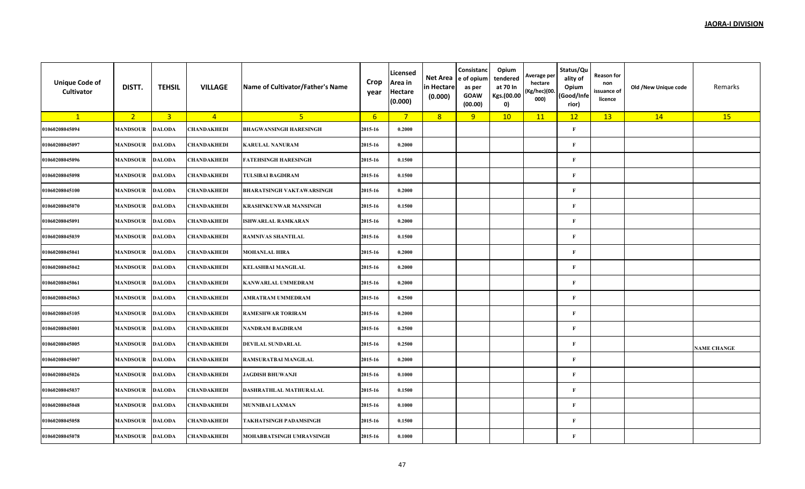| <b>Unique Code of</b><br>Cultivator | DISTT.          | <b>TEHSIL</b>  | <b>VILLAGE</b> | Name of Cultivator/Father's Name | Crop<br>year    | Licensed<br>Area in<br><b>Hectare</b><br>(0.000) | Net Area<br>in Hectare<br>(0.000) | Consistanc<br>e of opium<br>as per<br><b>GOAW</b><br>(00.00) | Opium<br>tendered<br>at 70 In<br>Kgs.(00.00<br>0) | Average per<br>hectare<br>(Kg/hec)(00.<br>000) | Status/Qu<br>ality of<br>Opium<br>(Good/Infe<br>rior) | <b>Reason for</b><br>non<br>issuance of<br>licence | Old /New Unique code | Remarks            |
|-------------------------------------|-----------------|----------------|----------------|----------------------------------|-----------------|--------------------------------------------------|-----------------------------------|--------------------------------------------------------------|---------------------------------------------------|------------------------------------------------|-------------------------------------------------------|----------------------------------------------------|----------------------|--------------------|
| $\mathbf{1}$                        | 2 <sup>2</sup>  | $\overline{3}$ | $\overline{4}$ | 5 <sup>1</sup>                   | $6\overline{6}$ | $7^{\circ}$                                      | 8                                 | 9                                                            | 10                                                | 11                                             | 12                                                    | 13                                                 | 14                   | 15                 |
| 01060208045094                      | <b>MANDSOUR</b> | <b>DALODA</b>  | CHANDAKHEDI    | <b>BHAGWANSINGH HARESINGH</b>    | 2015-16         | 0.2000                                           |                                   |                                                              |                                                   |                                                | $\mathbf{F}$                                          |                                                    |                      |                    |
| 01060208045097                      | <b>MANDSOUR</b> | <b>DALODA</b>  | CHANDAKHEDI    | <b>KARULAL NANURAM</b>           | 2015-16         | 0.2000                                           |                                   |                                                              |                                                   |                                                | $\mathbf F$                                           |                                                    |                      |                    |
| 01060208045096                      | <b>MANDSOUR</b> | <b>DALODA</b>  | CHANDAKHEDI    | <b>FATEHSINGH HARESINGH</b>      | 2015-16         | 0.1500                                           |                                   |                                                              |                                                   |                                                | $\mathbf{F}$                                          |                                                    |                      |                    |
| 01060208045098                      | <b>MANDSOUR</b> | <b>DALODA</b>  | CHANDAKHEDI    | <b>TULSIBAI BAGDIRAM</b>         | 2015-16         | 0.1500                                           |                                   |                                                              |                                                   |                                                | $\mathbf F$                                           |                                                    |                      |                    |
| 01060208045100                      | <b>MANDSOUR</b> | <b>DALODA</b>  | CHANDAKHEDI    | <b>BHARATSINGH VAKTAWARSINGH</b> | 2015-16         | 0.2000                                           |                                   |                                                              |                                                   |                                                | $\mathbf F$                                           |                                                    |                      |                    |
| 01060208045070                      | <b>MANDSOUR</b> | <b>DALODA</b>  | CHANDAKHEDI    | <b>KRASHNKUNWAR MANSINGH</b>     | 2015-16         | 0.1500                                           |                                   |                                                              |                                                   |                                                | $\mathbf F$                                           |                                                    |                      |                    |
| 01060208045091                      | <b>MANDSOUR</b> | <b>DALODA</b>  | CHANDAKHEDI    | <b>ISHWARLAL RAMKARAN</b>        | 2015-16         | 0.2000                                           |                                   |                                                              |                                                   |                                                | $\mathbf F$                                           |                                                    |                      |                    |
| 01060208045039                      | <b>MANDSOUR</b> | <b>DALODA</b>  | CHANDAKHEDI    | <b>RAMNIVAS SHANTILAL</b>        | 2015-16         | 0.1500                                           |                                   |                                                              |                                                   |                                                | $\mathbf{F}$                                          |                                                    |                      |                    |
| 01060208045041                      | <b>MANDSOUR</b> | <b>DALODA</b>  | CHANDAKHEDI    | <b>MOHANLAL HIRA</b>             | 2015-16         | 0.2000                                           |                                   |                                                              |                                                   |                                                | $\mathbf F$                                           |                                                    |                      |                    |
| 01060208045042                      | <b>MANDSOUR</b> | <b>DALODA</b>  | CHANDAKHEDI    | <b>KELASHBAI MANGILAL</b>        | 2015-16         | 0.2000                                           |                                   |                                                              |                                                   |                                                | $\mathbf F$                                           |                                                    |                      |                    |
| 01060208045061                      | <b>MANDSOUR</b> | <b>DALODA</b>  | CHANDAKHEDI    | <b>KANWARLAL UMMEDRAM</b>        | 2015-16         | 0.2000                                           |                                   |                                                              |                                                   |                                                | $\mathbf F$                                           |                                                    |                      |                    |
| 01060208045063                      | <b>MANDSOUR</b> | <b>DALODA</b>  | CHANDAKHEDI    | AMRATRAM UMMEDRAM                | 2015-16         | 0.2500                                           |                                   |                                                              |                                                   |                                                | $\mathbf F$                                           |                                                    |                      |                    |
| 01060208045105                      | <b>MANDSOUR</b> | <b>DALODA</b>  | CHANDAKHEDI    | <b>RAMESHWAR TORIRAM</b>         | 2015-16         | 0.2000                                           |                                   |                                                              |                                                   |                                                | $\mathbf F$                                           |                                                    |                      |                    |
| 01060208045001                      | <b>MANDSOUR</b> | <b>DALODA</b>  | CHANDAKHEDI    | NANDRAM BAGDIRAM                 | 2015-16         | 0.2500                                           |                                   |                                                              |                                                   |                                                | $\mathbf F$                                           |                                                    |                      |                    |
| 01060208045005                      | <b>MANDSOUR</b> | <b>DALODA</b>  | CHANDAKHEDI    | <b>DEVILAL SUNDARLAL</b>         | 2015-16         | 0.2500                                           |                                   |                                                              |                                                   |                                                | $\mathbf F$                                           |                                                    |                      | <b>NAME CHANGE</b> |
| 01060208045007                      | <b>MANDSOUR</b> | <b>DALODA</b>  | CHANDAKHEDI    | RAMSURATBAI MANGILAL             | 2015-16         | 0.2000                                           |                                   |                                                              |                                                   |                                                | $\mathbf F$                                           |                                                    |                      |                    |
| 01060208045026                      | <b>MANDSOUR</b> | <b>DALODA</b>  | CHANDAKHEDI    | <b>JAGDISH BHUWANJI</b>          | 2015-16         | 0.1000                                           |                                   |                                                              |                                                   |                                                | $\mathbf F$                                           |                                                    |                      |                    |
| 01060208045037                      | <b>MANDSOUR</b> | <b>DALODA</b>  | CHANDAKHEDI    | DASHRATHLAL MATHURALAL           | 2015-16         | 0.1500                                           |                                   |                                                              |                                                   |                                                | $\mathbf{F}$                                          |                                                    |                      |                    |
| 01060208045048                      | <b>MANDSOUR</b> | <b>DALODA</b>  | CHANDAKHEDI    | <b>MUNNIBAI LAXMAN</b>           | 2015-16         | 0.1000                                           |                                   |                                                              |                                                   |                                                | $\mathbf F$                                           |                                                    |                      |                    |
| 01060208045058                      | <b>MANDSOUR</b> | <b>DALODA</b>  | CHANDAKHEDI    | <b>TAKHATSINGH PADAMSINGH</b>    | 2015-16         | 0.1500                                           |                                   |                                                              |                                                   |                                                | $\mathbf{F}$                                          |                                                    |                      |                    |
| 01060208045078                      | <b>MANDSOUR</b> | <b>DALODA</b>  | CHANDAKHEDI    | MOHABBATSINGH UMRAVSINGH         | 2015-16         | 0.1000                                           |                                   |                                                              |                                                   |                                                | $\mathbf{F}$                                          |                                                    |                      |                    |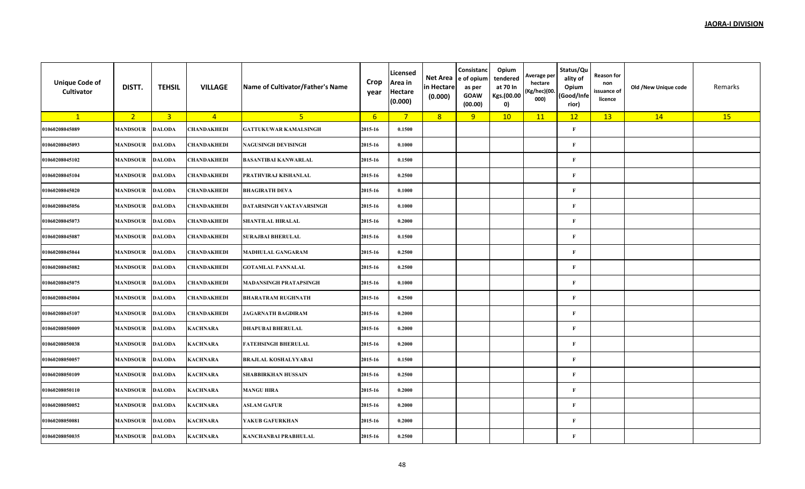| <b>Unique Code of</b><br>Cultivator | DISTT.          | <b>TEHSIL</b>  | <b>VILLAGE</b>  | Name of Cultivator/Father's Name | Crop<br>year    | Licensed<br>Area in<br><b>Hectare</b><br>(0.000) | Net Area<br>in Hectare<br>(0.000) | Consistanc<br>e of opium<br>as per<br><b>GOAW</b><br>(00.00) | Opium<br>tendered<br>at 70 In<br>Kgs.(00.00<br>0) | Average per<br>hectare<br>(Kg/hec)(00.<br>000) | Status/Qu<br>ality of<br>Opium<br>(Good/Infe<br>rior) | <b>Reason for</b><br>non<br>issuance of<br>licence | Old /New Unique code | Remarks |
|-------------------------------------|-----------------|----------------|-----------------|----------------------------------|-----------------|--------------------------------------------------|-----------------------------------|--------------------------------------------------------------|---------------------------------------------------|------------------------------------------------|-------------------------------------------------------|----------------------------------------------------|----------------------|---------|
| $\mathbf{1}$                        | 2 <sub>1</sub>  | $\overline{3}$ | $\overline{4}$  | 5 <sup>1</sup>                   | $6\overline{6}$ | $7^{\circ}$                                      | 8                                 | 9                                                            | 10                                                | 11                                             | 12                                                    | 13                                                 | 14                   | 15      |
| 01060208045089                      | <b>MANDSOUR</b> | <b>DALODA</b>  | CHANDAKHEDI     | <b>GATTUKUWAR KAMALSINGH</b>     | 2015-16         | 0.1500                                           |                                   |                                                              |                                                   |                                                | $\mathbf{F}$                                          |                                                    |                      |         |
| 01060208045093                      | <b>MANDSOUR</b> | <b>DALODA</b>  | CHANDAKHEDI     | <b>NAGUSINGH DEVISINGH</b>       | 2015-16         | 0.1000                                           |                                   |                                                              |                                                   |                                                | $\mathbf{F}$                                          |                                                    |                      |         |
| 01060208045102                      | MANDSOUR        | <b>DALODA</b>  | CHANDAKHEDI     | <b>BASANTIBAI KANWARLAL</b>      | 2015-16         | 0.1500                                           |                                   |                                                              |                                                   |                                                | F                                                     |                                                    |                      |         |
| 01060208045104                      | <b>MANDSOUR</b> | <b>DALODA</b>  | CHANDAKHEDI     | PRATHVIRAJ KISHANLAL             | 2015-16         | 0.2500                                           |                                   |                                                              |                                                   |                                                | $\mathbf{F}$                                          |                                                    |                      |         |
| 01060208045020                      | <b>MANDSOUR</b> | <b>DALODA</b>  | CHANDAKHEDI     | <b>BHAGIRATH DEVA</b>            | 2015-16         | 0.1000                                           |                                   |                                                              |                                                   |                                                | $\mathbf{F}$                                          |                                                    |                      |         |
| 01060208045056                      | <b>MANDSOUR</b> | <b>DALODA</b>  | CHANDAKHEDI     | DATARSINGH VAKTAVARSINGH         | 2015-16         | 0.1000                                           |                                   |                                                              |                                                   |                                                | $\mathbf{F}$                                          |                                                    |                      |         |
| 01060208045073                      | <b>MANDSOUR</b> | <b>DALODA</b>  | CHANDAKHEDI     | <b>SHANTILAL HIRALAL</b>         | 2015-16         | 0.2000                                           |                                   |                                                              |                                                   |                                                | $\mathbf{F}$                                          |                                                    |                      |         |
| 01060208045087                      | <b>MANDSOUR</b> | <b>DALODA</b>  | CHANDAKHEDI     | <b>SURAJBAI BHERULAL</b>         | 2015-16         | 0.1500                                           |                                   |                                                              |                                                   |                                                | $\mathbf{F}$                                          |                                                    |                      |         |
| 01060208045044                      | <b>MANDSOUR</b> | <b>DALODA</b>  | CHANDAKHEDI     | <b>MADHULAL GANGARAM</b>         | 2015-16         | 0.2500                                           |                                   |                                                              |                                                   |                                                | $\mathbf{F}$                                          |                                                    |                      |         |
| 01060208045082                      | <b>MANDSOUR</b> | <b>DALODA</b>  | CHANDAKHEDI     | <b>GOTAMLAL PANNALAL</b>         | 2015-16         | 0.2500                                           |                                   |                                                              |                                                   |                                                | $\mathbf{F}$                                          |                                                    |                      |         |
| 01060208045075                      | <b>MANDSOUR</b> | <b>DALODA</b>  | CHANDAKHEDI     | <b>MADANSINGH PRATAPSINGH</b>    | 2015-16         | 0.1000                                           |                                   |                                                              |                                                   |                                                | $\mathbf{F}$                                          |                                                    |                      |         |
| 01060208045004                      | <b>MANDSOUR</b> | <b>DALODA</b>  | CHANDAKHEDI     | <b>BHARATRAM RUGHNATH</b>        | 2015-16         | 0.2500                                           |                                   |                                                              |                                                   |                                                | $\mathbf{F}$                                          |                                                    |                      |         |
| 01060208045107                      | <b>MANDSOUR</b> | <b>DALODA</b>  | CHANDAKHEDI     | <b>JAGARNATH BAGDIRAM</b>        | 2015-16         | 0.2000                                           |                                   |                                                              |                                                   |                                                | $\mathbf{F}$                                          |                                                    |                      |         |
| 01060208050009                      | <b>MANDSOUR</b> | <b>DALODA</b>  | <b>KACHNARA</b> | <b>DHAPUBAI BHERULAL</b>         | 2015-16         | 0.2000                                           |                                   |                                                              |                                                   |                                                | $\mathbf{F}$                                          |                                                    |                      |         |
| 01060208050038                      | <b>MANDSOUR</b> | <b>DALODA</b>  | <b>KACHNARA</b> | <b>FATEHSINGH BHERULAL</b>       | 2015-16         | 0.2000                                           |                                   |                                                              |                                                   |                                                | $\mathbf{F}$                                          |                                                    |                      |         |
| 01060208050057                      | <b>MANDSOUR</b> | <b>DALODA</b>  | <b>KACHNARA</b> | <b>BRAJLAL KOSHALYYABAI</b>      | 2015-16         | 0.1500                                           |                                   |                                                              |                                                   |                                                | $\mathbf{F}$                                          |                                                    |                      |         |
| 01060208050109                      | MANDSOUR        | <b>DALODA</b>  | <b>KACHNARA</b> | <b>SHABBIRKHAN HUSSAIN</b>       | 2015-16         | 0.2500                                           |                                   |                                                              |                                                   |                                                | $\mathbf{F}$                                          |                                                    |                      |         |
| 01060208050110                      | <b>MANDSOUR</b> | <b>DALODA</b>  | KACHNARA        | <b>MANGU HIRA</b>                | 2015-16         | 0.2000                                           |                                   |                                                              |                                                   |                                                | $\mathbf{F}$                                          |                                                    |                      |         |
| 01060208050052                      | <b>MANDSOUR</b> | <b>DALODA</b>  | <b>KACHNARA</b> | <b>ASLAM GAFUR</b>               | 2015-16         | 0.2000                                           |                                   |                                                              |                                                   |                                                | $\mathbf{F}$                                          |                                                    |                      |         |
| 01060208050081                      | <b>MANDSOUR</b> | <b>DALODA</b>  | <b>KACHNARA</b> | YAKUB GAFURKHAN                  | 2015-16         | 0.2000                                           |                                   |                                                              |                                                   |                                                | $\mathbf{F}$                                          |                                                    |                      |         |
| 01060208050035                      | <b>MANDSOUR</b> | <b>DALODA</b>  | <b>KACHNARA</b> | KANCHANBAI PRABHULAL             | 2015-16         | 0.2500                                           |                                   |                                                              |                                                   |                                                | $\mathbf{F}$                                          |                                                    |                      |         |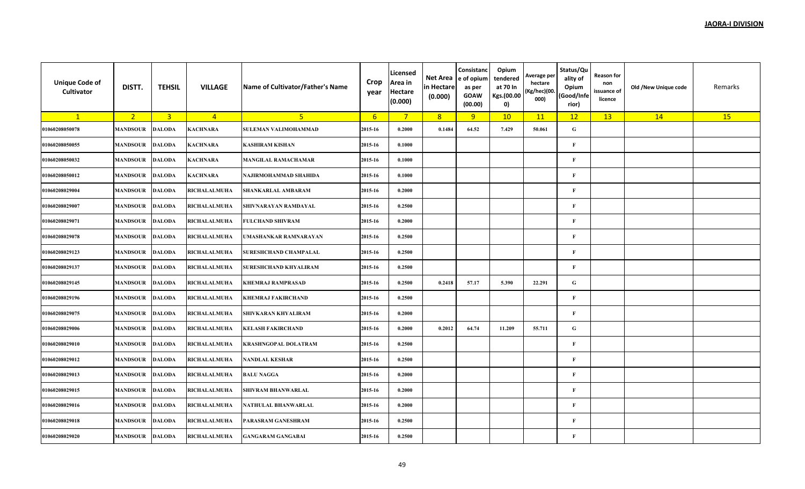| <b>Unique Code of</b><br><b>Cultivator</b> | DISTT.                 | <b>TEHSIL</b>  | <b>VILLAGE</b>      | Name of Cultivator/Father's Name | Crop<br>year | Licensed<br>Area in<br>Hectare<br>(0.000) | Net Area<br>in Hectare<br>(0.000) | Consistanc<br>e of opium<br>as per<br><b>GOAW</b><br>(00.00) | Opium<br>tendered<br>at 70 In<br>Kgs.(00.00<br>0) | Average per<br>hectare<br>(Kg/hec)(00.<br>000) | Status/Qu<br>ality of<br>Opium<br>(Good/Infe<br>rior) | <b>Reason for</b><br>non<br>issuance of<br>licence | Old /New Unique code | Remarks   |
|--------------------------------------------|------------------------|----------------|---------------------|----------------------------------|--------------|-------------------------------------------|-----------------------------------|--------------------------------------------------------------|---------------------------------------------------|------------------------------------------------|-------------------------------------------------------|----------------------------------------------------|----------------------|-----------|
| $\mathbf{1}$                               | 2 <sup>1</sup>         | $\overline{3}$ | $\overline{4}$      | 5                                | 6            | $7^{\circ}$                               | 8                                 | 9                                                            | 10                                                | 11                                             | 12                                                    | 13                                                 | 14                   | <b>15</b> |
| 01060208050078                             | <b>MANDSOUR</b>        | <b>DALODA</b>  | <b>KACHNARA</b>     | <b>SULEMAN VALIMOHAMMAD</b>      | 2015-16      | 0.2000                                    | 0.1484                            | 64.52                                                        | 7.429                                             | 50.061                                         | G                                                     |                                                    |                      |           |
| 01060208050055                             | <b>MANDSOUR</b>        | <b>DALODA</b>  | <b>KACHNARA</b>     | <b>KASHIRAM KISHAN</b>           | 2015-16      | 0.1000                                    |                                   |                                                              |                                                   |                                                | F                                                     |                                                    |                      |           |
| 01060208050032                             | <b>MANDSOUR</b>        | <b>DALODA</b>  | <b>KACHNARA</b>     | <b>MANGILAL RAMACHAMAR</b>       | 2015-16      | 0.1000                                    |                                   |                                                              |                                                   |                                                | $\mathbf F$                                           |                                                    |                      |           |
| 01060208050012                             | <b>MANDSOUR</b>        | <b>DALODA</b>  | <b>KACHNARA</b>     | NAJIRMOHAMMAD SHAHIDA            | 2015-16      | 0.1000                                    |                                   |                                                              |                                                   |                                                | $\mathbf{F}$                                          |                                                    |                      |           |
| 01060208029004                             | <b>MANDSOUR</b>        | <b>DALODA</b>  | RICHALALMUHA        | SHANKARLAL AMBARAM               | 2015-16      | 0.2000                                    |                                   |                                                              |                                                   |                                                | $\mathbf F$                                           |                                                    |                      |           |
| 01060208029007                             | <b>MANDSOUR</b>        | <b>DALODA</b>  | <b>RICHALALMUHA</b> | SHIVNARAYAN RAMDAYAL             | 2015-16      | 0.2500                                    |                                   |                                                              |                                                   |                                                | $\mathbf F$                                           |                                                    |                      |           |
| 01060208029071                             | <b>MANDSOUR DALODA</b> |                | <b>RICHALALMUHA</b> | <b>FULCHAND SHIVRAM</b>          | 2015-16      | 0.2000                                    |                                   |                                                              |                                                   |                                                | $\mathbf F$                                           |                                                    |                      |           |
| 01060208029078                             | <b>MANDSOUR</b>        | <b>DALODA</b>  | <b>RICHALALMUHA</b> | UMASHANKAR RAMNARAYAN            | 2015-16      | 0.2500                                    |                                   |                                                              |                                                   |                                                | F                                                     |                                                    |                      |           |
| 01060208029123                             | <b>MANDSOUR</b>        | <b>DALODA</b>  | <b>RICHALALMUHA</b> | <b>SURESHCHAND CHAMPALAL</b>     | 2015-16      | 0.2500                                    |                                   |                                                              |                                                   |                                                | $\mathbf{F}$                                          |                                                    |                      |           |
| 01060208029137                             | <b>MANDSOUR</b>        | <b>DALODA</b>  | RICHALALMUHA        | <b>SURESHCHAND KHYALIRAM</b>     | 2015-16      | 0.2500                                    |                                   |                                                              |                                                   |                                                | $\mathbf{F}$                                          |                                                    |                      |           |
| 01060208029145                             | <b>MANDSOUR</b>        | <b>DALODA</b>  | <b>RICHALALMUHA</b> | <b>KHEMRAJ RAMPRASAD</b>         | 2015-16      | 0.2500                                    | 0.2418                            | 57.17                                                        | 5.390                                             | 22.291                                         | G                                                     |                                                    |                      |           |
| 01060208029196                             | <b>MANDSOUR</b>        | <b>DALODA</b>  | <b>RICHALALMUHA</b> | <b>KHEMRAJ FAKIRCHAND</b>        | 2015-16      | 0.2500                                    |                                   |                                                              |                                                   |                                                | $\mathbf F$                                           |                                                    |                      |           |
| 01060208029075                             | MANDSOUR               | <b>DALODA</b>  | <b>RICHALALMUHA</b> | <b>SHIVKARAN KHYALIRAM</b>       | 2015-16      | 0.2000                                    |                                   |                                                              |                                                   |                                                | $\mathbf{F}$                                          |                                                    |                      |           |
| 01060208029006                             | <b>MANDSOUR</b>        | <b>DALODA</b>  | RICHALALMUHA        | <b>KELASH FAKIRCHAND</b>         | 2015-16      | 0.2000                                    | 0.2012                            | 64.74                                                        | 11.209                                            | 55.711                                         | G                                                     |                                                    |                      |           |
| 01060208029010                             | <b>MANDSOUR</b>        | <b>DALODA</b>  | <b>RICHALALMUHA</b> | <b>KRASHNGOPAL DOLATRAM</b>      | 2015-16      | 0.2500                                    |                                   |                                                              |                                                   |                                                | $\mathbf{F}$                                          |                                                    |                      |           |
| 01060208029012                             | <b>MANDSOUR</b>        | <b>DALODA</b>  | RICHALALMUHA        | <b>NANDLAL KESHAR</b>            | 2015-16      | 0.2500                                    |                                   |                                                              |                                                   |                                                | F                                                     |                                                    |                      |           |
| 01060208029013                             | <b>MANDSOUR DALODA</b> |                | RICHALALMUHA        | <b>BALU NAGGA</b>                | 2015-16      | 0.2000                                    |                                   |                                                              |                                                   |                                                | $\mathbf F$                                           |                                                    |                      |           |
| 01060208029015                             | <b>MANDSOUR</b>        | <b>DALODA</b>  | <b>RICHALALMUHA</b> | <b>SHIVRAM BHANWARLAL</b>        | 2015-16      | 0.2000                                    |                                   |                                                              |                                                   |                                                | $\mathbf{F}$                                          |                                                    |                      |           |
| 01060208029016                             | <b>MANDSOUR</b>        | <b>DALODA</b>  | <b>RICHALALMUHA</b> | NATHULAL BHANWARLAL              | 2015-16      | 0.2000                                    |                                   |                                                              |                                                   |                                                | $\mathbf F$                                           |                                                    |                      |           |
| 01060208029018                             | <b>MANDSOUR</b>        | <b>DALODA</b>  | <b>RICHALALMUHA</b> | PARASRAM GANESHRAM               | 2015-16      | 0.2500                                    |                                   |                                                              |                                                   |                                                | F                                                     |                                                    |                      |           |
| 01060208029020                             | <b>MANDSOUR</b>        | <b>DALODA</b>  | <b>RICHALALMUHA</b> | <b>GANGARAM GANGABAI</b>         | 2015-16      | 0.2500                                    |                                   |                                                              |                                                   |                                                | $\mathbf{F}$                                          |                                                    |                      |           |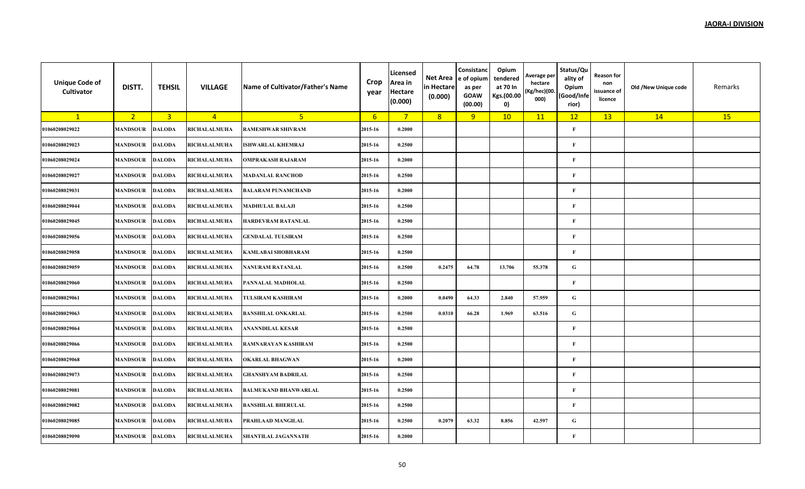| <b>Unique Code of</b><br>Cultivator | DISTT.          | <b>TEHSIL</b>  | <b>VILLAGE</b>      | Name of Cultivator/Father's Name | Crop<br>year | Licensed<br>Area in<br><b>Hectare</b><br>(0.000) | Net Area<br>in Hectare<br>(0.000) | Consistanc<br>e of opium<br>as per<br><b>GOAW</b><br>(00.00) | Opium<br>tendered<br>at 70 In<br>Kgs.(00.00<br>0) | Average per<br>hectare<br>(Kg/hec)(00.<br>000) | Status/Qu<br>ality of<br>Opium<br>(Good/Infe<br>rior) | <b>Reason for</b><br>non<br>issuance of<br>licence | Old /New Unique code | Remarks |
|-------------------------------------|-----------------|----------------|---------------------|----------------------------------|--------------|--------------------------------------------------|-----------------------------------|--------------------------------------------------------------|---------------------------------------------------|------------------------------------------------|-------------------------------------------------------|----------------------------------------------------|----------------------|---------|
| $\mathbf{1}$                        | 2 <sup>2</sup>  | $\overline{3}$ | $\overline{4}$      | 5 <sup>1</sup>                   | $6^{\circ}$  | $7^{\circ}$                                      | 8                                 | 9                                                            | 10                                                | 11                                             | 12                                                    | 13                                                 | 14                   | 15      |
| 01060208029022                      | <b>MANDSOUR</b> | <b>DALODA</b>  | <b>RICHALALMUHA</b> | <b>RAMESHWAR SHIVRAM</b>         | 2015-16      | 0.2000                                           |                                   |                                                              |                                                   |                                                | $\mathbf{F}$                                          |                                                    |                      |         |
| 01060208029023                      | <b>MANDSOUR</b> | <b>DALODA</b>  | RICHALALMUHA        | <b>ISHWARLAL KHEMRAJ</b>         | 2015-16      | 0.2500                                           |                                   |                                                              |                                                   |                                                | $\mathbf F$                                           |                                                    |                      |         |
| 01060208029024                      | <b>MANDSOUR</b> | <b>DALODA</b>  | <b>RICHALALMUHA</b> | <b>OMPRAKASH RAJARAM</b>         | 2015-16      | 0.2000                                           |                                   |                                                              |                                                   |                                                | $\mathbf F$                                           |                                                    |                      |         |
| 01060208029027                      | <b>MANDSOUR</b> | <b>DALODA</b>  | RICHALALMUHA        | <b>MADANLAL RANCHOD</b>          | 2015-16      | 0.2500                                           |                                   |                                                              |                                                   |                                                | $\mathbf F$                                           |                                                    |                      |         |
| 01060208029031                      | <b>MANDSOUR</b> | <b>DALODA</b>  | RICHALALMUHA        | <b>BALARAM PUNAMCHAND</b>        | 2015-16      | 0.2000                                           |                                   |                                                              |                                                   |                                                | $\mathbf{F}$                                          |                                                    |                      |         |
| 01060208029044                      | <b>MANDSOUR</b> | <b>DALODA</b>  | <b>RICHALALMUHA</b> | <b>MADHULAL BALAJI</b>           | 2015-16      | 0.2500                                           |                                   |                                                              |                                                   |                                                | $\mathbf F$                                           |                                                    |                      |         |
| 01060208029045                      | <b>MANDSOUR</b> | <b>DALODA</b>  | RICHALALMUHA        | HARDEVRAM RATANLAL               | 2015-16      | 0.2500                                           |                                   |                                                              |                                                   |                                                | $\mathbf F$                                           |                                                    |                      |         |
| 01060208029056                      | <b>MANDSOUR</b> | <b>DALODA</b>  | RICHALALMUHA        | <b>GENDALAL TULSIRAM</b>         | 2015-16      | 0.2500                                           |                                   |                                                              |                                                   |                                                | $\mathbf{F}$                                          |                                                    |                      |         |
| 01060208029058                      | <b>MANDSOUR</b> | <b>DALODA</b>  | RICHALALMUHA        | <b>KAMLABAI SHOBHARAM</b>        | 2015-16      | 0.2500                                           |                                   |                                                              |                                                   |                                                | $\mathbf F$                                           |                                                    |                      |         |
| 01060208029059                      | <b>MANDSOUR</b> | <b>DALODA</b>  | RICHALALMUHA        | <b>NANURAM RATANLAL</b>          | 2015-16      | 0.2500                                           | 0.2475                            | 64.78                                                        | 13.706                                            | 55.378                                         | ${\bf G}$                                             |                                                    |                      |         |
| 01060208029060                      | <b>MANDSOUR</b> | <b>DALODA</b>  | <b>RICHALALMUHA</b> | PANNALAL MADHOLAL                | 2015-16      | 0.2500                                           |                                   |                                                              |                                                   |                                                | $\mathbf F$                                           |                                                    |                      |         |
| 01060208029061                      | <b>MANDSOUR</b> | <b>DALODA</b>  | RICHALALMUHA        | <b>TULSIRAM KASHIRAM</b>         | 2015-16      | 0.2000                                           | 0.0490                            | 64.33                                                        | 2.840                                             | 57.959                                         | ${\bf G}$                                             |                                                    |                      |         |
| 01060208029063                      | <b>MANDSOUR</b> | <b>DALODA</b>  | RICHALALMUHA        | <b>BANSHILAL ONKARLAL</b>        | 2015-16      | 0.2500                                           | 0.0310                            | 66.28                                                        | 1.969                                             | 63.516                                         | ${\bf G}$                                             |                                                    |                      |         |
| 01060208029064                      | <b>MANDSOUR</b> | <b>DALODA</b>  | RICHALALMUHA        | ANANNDILAL KESAR                 | 2015-16      | 0.2500                                           |                                   |                                                              |                                                   |                                                | $\mathbf F$                                           |                                                    |                      |         |
| 01060208029066                      | <b>MANDSOUR</b> | <b>DALODA</b>  | RICHALALMUHA        | RAMNARAYAN KASHIRAM              | 2015-16      | 0.2500                                           |                                   |                                                              |                                                   |                                                | $\mathbf{F}$                                          |                                                    |                      |         |
| 01060208029068                      | <b>MANDSOUR</b> | <b>DALODA</b>  | <b>RICHALALMUHA</b> | <b>OKARLAL BHAGWAN</b>           | 2015-16      | 0.2000                                           |                                   |                                                              |                                                   |                                                | $\mathbf F$                                           |                                                    |                      |         |
| 01060208029073                      | <b>MANDSOUR</b> | <b>DALODA</b>  | RICHALALMUHA        | <b>GHANSHYAM BADRILAL</b>        | 2015-16      | 0.2500                                           |                                   |                                                              |                                                   |                                                | $\mathbf F$                                           |                                                    |                      |         |
| 01060208029081                      | <b>MANDSOUR</b> | <b>DALODA</b>  | RICHALALMUHA        | <b>BALMUKAND BHANWARLAL</b>      | 2015-16      | 0.2500                                           |                                   |                                                              |                                                   |                                                | $\mathbf F$                                           |                                                    |                      |         |
| 01060208029082                      | <b>MANDSOUR</b> | <b>DALODA</b>  | RICHALALMUHA        | <b>BANSHILAL BHERULAL</b>        | 2015-16      | 0.2500                                           |                                   |                                                              |                                                   |                                                | $\mathbf{F}$                                          |                                                    |                      |         |
| 01060208029085                      | <b>MANDSOUR</b> | <b>DALODA</b>  | RICHALALMUHA        | PRAHLAAD MANGILAL                | 2015-16      | 0.2500                                           | 0.2079                            | 63.32                                                        | 8.856                                             | 42.597                                         | ${\bf G}$                                             |                                                    |                      |         |
| 01060208029090                      | <b>MANDSOUR</b> | <b>DALODA</b>  | <b>RICHALALMUHA</b> | SHANTILAL JAGANNATH              | 2015-16      | 0.2000                                           |                                   |                                                              |                                                   |                                                | $\mathbf{F}$                                          |                                                    |                      |         |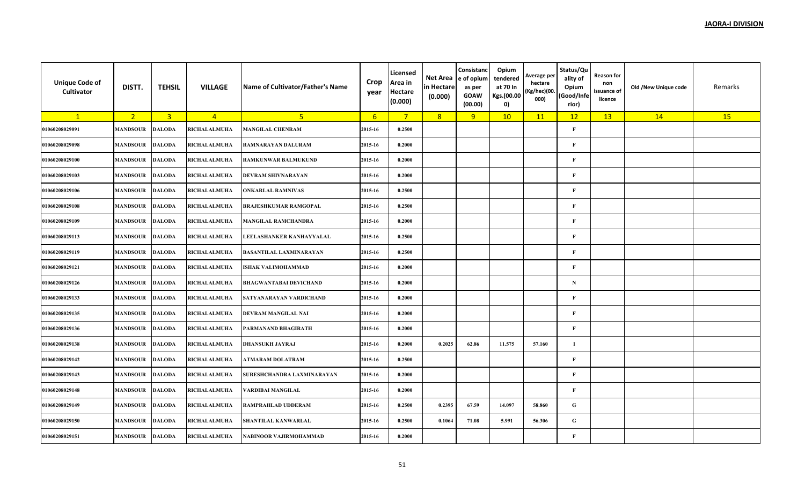| <b>Unique Code of</b><br><b>Cultivator</b> | DISTT.                 | <b>TEHSIL</b>  | <b>VILLAGE</b>      | Name of Cultivator/Father's Name | Crop<br>year | Licensed<br>Area in<br>Hectare<br>(0.000) | Net Area<br>in Hectare<br>(0.000) | Consistanc<br>e of opium<br>as per<br><b>GOAW</b><br>(00.00) | Opium<br>tendered<br>at 70 In<br>Kgs.(00.00<br>0) | Average per<br>hectare<br>(Kg/hec)(00.<br>000) | Status/Qu<br>ality of<br>Opium<br>(Good/Infe<br>rior) | <b>Reason for</b><br>non<br>issuance of<br>licence | Old /New Unique code | Remarks |
|--------------------------------------------|------------------------|----------------|---------------------|----------------------------------|--------------|-------------------------------------------|-----------------------------------|--------------------------------------------------------------|---------------------------------------------------|------------------------------------------------|-------------------------------------------------------|----------------------------------------------------|----------------------|---------|
| $\mathbf{1}$                               | 2 <sup>1</sup>         | $\overline{3}$ | $\overline{4}$      | 5                                | 6            | $7^{\circ}$                               | 8                                 | 9                                                            | 10                                                | 11                                             | 12                                                    | 13                                                 | 14                   | 15      |
| 01060208029091                             | <b>MANDSOUR</b>        | <b>DALODA</b>  | RICHALALMUHA        | <b>MANGILAL CHENRAM</b>          | 2015-16      | 0.2500                                    |                                   |                                                              |                                                   |                                                | $\mathbf F$                                           |                                                    |                      |         |
| 01060208029098                             | <b>MANDSOUR</b>        | <b>DALODA</b>  | <b>RICHALALMUHA</b> | RAMNARAYAN DALURAM               | 2015-16      | 0.2000                                    |                                   |                                                              |                                                   |                                                | $\mathbf{F}$                                          |                                                    |                      |         |
| 01060208029100                             | <b>MANDSOUR</b>        | <b>DALODA</b>  | <b>RICHALALMUHA</b> | <b>RAMKUNWAR BALMUKUND</b>       | 2015-16      | 0.2000                                    |                                   |                                                              |                                                   |                                                | $\mathbf F$                                           |                                                    |                      |         |
| 01060208029103                             | <b>MANDSOUR</b>        | <b>DALODA</b>  | RICHALALMUHA        | <b>DEVRAM SHIVNARAYAN</b>        | 2015-16      | 0.2000                                    |                                   |                                                              |                                                   |                                                | $\mathbf{F}$                                          |                                                    |                      |         |
| 01060208029106                             | <b>MANDSOUR</b>        | <b>DALODA</b>  | RICHALALMUHA        | <b>ONKARLAL RAMNIVAS</b>         | 2015-16      | 0.2500                                    |                                   |                                                              |                                                   |                                                | $\mathbf F$                                           |                                                    |                      |         |
| 01060208029108                             | <b>MANDSOUR</b>        | <b>DALODA</b>  | <b>RICHALALMUHA</b> | <b>BRAJESHKUMAR RAMGOPAL</b>     | 2015-16      | 0.2500                                    |                                   |                                                              |                                                   |                                                | $\mathbf F$                                           |                                                    |                      |         |
| 01060208029109                             | <b>MANDSOUR DALODA</b> |                | <b>RICHALALMUHA</b> | <b>MANGILAL RAMCHANDRA</b>       | 2015-16      | 0.2000                                    |                                   |                                                              |                                                   |                                                | $\mathbf F$                                           |                                                    |                      |         |
| 01060208029113                             | <b>MANDSOUR</b>        | <b>DALODA</b>  | RICHALALMUHA        | LEELASHANKER KANHAYYALAL         | 2015-16      | 0.2500                                    |                                   |                                                              |                                                   |                                                | F                                                     |                                                    |                      |         |
| 01060208029119                             | <b>MANDSOUR</b>        | <b>DALODA</b>  | RICHALALMUHA        | <b>BASANTILAL LAXMINARAYAN</b>   | 2015-16      | 0.2500                                    |                                   |                                                              |                                                   |                                                | $\mathbf{F}$                                          |                                                    |                      |         |
| 01060208029121                             | <b>MANDSOUR</b>        | <b>DALODA</b>  | RICHALALMUHA        | <b>ISHAK VALIMOHAMMAD</b>        | 2015-16      | 0.2000                                    |                                   |                                                              |                                                   |                                                | $\mathbf F$                                           |                                                    |                      |         |
| 01060208029126                             | <b>MANDSOUR</b>        | <b>DALODA</b>  | <b>RICHALALMUHA</b> | <b>BHAGWANTABAI DEVICHAND</b>    | 2015-16      | 0.2000                                    |                                   |                                                              |                                                   |                                                | N                                                     |                                                    |                      |         |
| 01060208029133                             | <b>MANDSOUR</b>        | <b>DALODA</b>  | RICHALALMUHA        | SATYANARAYAN VARDICHAND          | 2015-16      | 0.2000                                    |                                   |                                                              |                                                   |                                                | $\mathbf F$                                           |                                                    |                      |         |
| 01060208029135                             | MANDSOUR               | <b>DALODA</b>  | <b>RICHALALMUHA</b> | <b>DEVRAM MANGILAL NAI</b>       | 2015-16      | 0.2000                                    |                                   |                                                              |                                                   |                                                | $\mathbf F$                                           |                                                    |                      |         |
| 01060208029136                             | <b>MANDSOUR</b>        | <b>DALODA</b>  | RICHALALMUHA        | PARMANAND BHAGIRATH              | 2015-16      | 0.2000                                    |                                   |                                                              |                                                   |                                                | $\mathbf F$                                           |                                                    |                      |         |
| 01060208029138                             | <b>MANDSOUR</b>        | <b>DALODA</b>  | <b>RICHALALMUHA</b> | <b>DHANSUKH JAYRAJ</b>           | 2015-16      | 0.2000                                    | 0.2025                            | 62.86                                                        | 11.575                                            | 57.160                                         | $\mathbf I$                                           |                                                    |                      |         |
| 01060208029142                             | <b>MANDSOUR</b>        | <b>DALODA</b>  | <b>RICHALALMUHA</b> | ATMARAM DOLATRAM                 | 2015-16      | 0.2500                                    |                                   |                                                              |                                                   |                                                | F                                                     |                                                    |                      |         |
| 01060208029143                             | <b>MANDSOUR</b>        | <b>DALODA</b>  | <b>RICHALALMUHA</b> | SURESHCHANDRA LAXMINARAYAN       | 2015-16      | 0.2000                                    |                                   |                                                              |                                                   |                                                | $\mathbf F$                                           |                                                    |                      |         |
| 01060208029148                             | <b>MANDSOUR</b>        | <b>DALODA</b>  | <b>RICHALALMUHA</b> | VARDIBAI MANGILAL                | 2015-16      | 0.2000                                    |                                   |                                                              |                                                   |                                                | $\mathbf{F}$                                          |                                                    |                      |         |
| 01060208029149                             | <b>MANDSOUR</b>        | <b>DALODA</b>  | <b>RICHALALMUHA</b> | RAMPRAHLAD UDDERAM               | 2015-16      | 0.2500                                    | 0.2395                            | 67.59                                                        | 14.097                                            | 58.860                                         | G                                                     |                                                    |                      |         |
| 01060208029150                             | <b>MANDSOUR</b>        | <b>DALODA</b>  | <b>RICHALALMUHA</b> | <b>SHANTILAL KANWARLAL</b>       | 2015-16      | 0.2500                                    | 0.1064                            | 71.08                                                        | 5.991                                             | 56.306                                         | G                                                     |                                                    |                      |         |
| 01060208029151                             | <b>MANDSOUR</b>        | <b>DALODA</b>  | <b>RICHALALMUHA</b> | NABINOOR VAJIRMOHAMMAD           | 2015-16      | 0.2000                                    |                                   |                                                              |                                                   |                                                | $\mathbf{F}$                                          |                                                    |                      |         |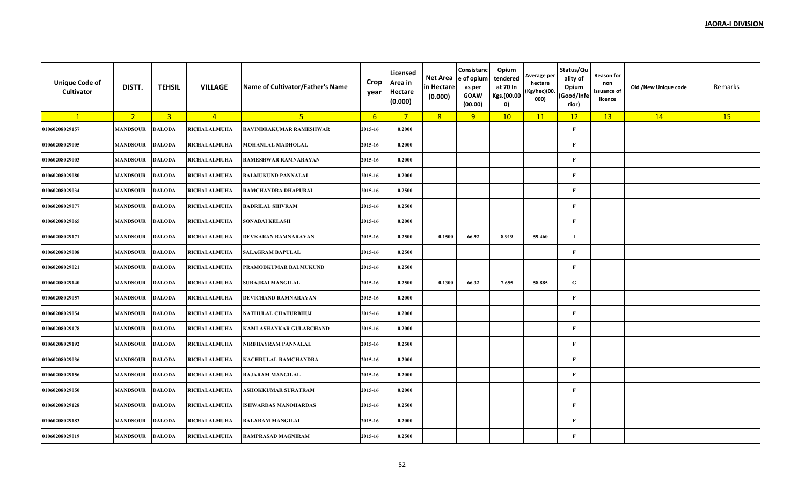| <b>Unique Code of</b><br>Cultivator | DISTT.          | <b>TEHSIL</b>  | <b>VILLAGE</b>      | Name of Cultivator/Father's Name | Crop<br>year | Licensed<br>Area in<br><b>Hectare</b><br>(0.000) | Net Area<br>in Hectare<br>(0.000) | Consistanc<br>e of opium<br>as per<br><b>GOAW</b><br>(00.00) | Opium<br>tendered<br>at 70 In<br>Kgs.(00.00<br>0) | Average per<br>hectare<br>(Kg/hec)(00.<br>000) | Status/Qu<br>ality of<br>Opium<br>(Good/Infe<br>rior) | Reason for<br>non<br>issuance of<br>licence | Old /New Unique code | Remarks |
|-------------------------------------|-----------------|----------------|---------------------|----------------------------------|--------------|--------------------------------------------------|-----------------------------------|--------------------------------------------------------------|---------------------------------------------------|------------------------------------------------|-------------------------------------------------------|---------------------------------------------|----------------------|---------|
| $\mathbf{1}$                        | 2 <sup>1</sup>  | $\overline{3}$ | $\overline{4}$      | 5 <sub>1</sub>                   | 6            | $7^{\circ}$                                      | 8                                 | 9                                                            | 10                                                | 11                                             | 12                                                    | 13                                          | 14                   | 15      |
| 01060208029157                      | <b>MANDSOUR</b> | <b>DALODA</b>  | RICHALALMUHA        | RAVINDRAKUMAR RAMESHWAR          | 2015-16      | 0.2000                                           |                                   |                                                              |                                                   |                                                | $\mathbf{F}$                                          |                                             |                      |         |
| 01060208029005                      | <b>MANDSOUR</b> | <b>DALODA</b>  | <b>RICHALALMUHA</b> | MOHANLAL MADHOLAL                | 2015-16      | 0.2000                                           |                                   |                                                              |                                                   |                                                | $\mathbf F$                                           |                                             |                      |         |
| 01060208029003                      | <b>MANDSOUR</b> | <b>DALODA</b>  | <b>RICHALALMUHA</b> | RAMESHWAR RAMNARAYAN             | 2015-16      | 0.2000                                           |                                   |                                                              |                                                   |                                                | $\mathbf F$                                           |                                             |                      |         |
| 01060208029080                      | <b>MANDSOUR</b> | <b>DALODA</b>  | RICHALALMUHA        | <b>BALMUKUND PANNALAL</b>        | 2015-16      | 0.2000                                           |                                   |                                                              |                                                   |                                                | $\mathbf F$                                           |                                             |                      |         |
| 01060208029034                      | <b>MANDSOUR</b> | <b>DALODA</b>  | <b>RICHALALMUHA</b> | RAMCHANDRA DHAPUBAI              | 2015-16      | 0.2500                                           |                                   |                                                              |                                                   |                                                | $\mathbf F$                                           |                                             |                      |         |
| 01060208029077                      | <b>MANDSOUR</b> | <b>DALODA</b>  | <b>RICHALALMUHA</b> | <b>BADRILAL SHIVRAM</b>          | 2015-16      | 0.2500                                           |                                   |                                                              |                                                   |                                                | $\mathbf{F}$                                          |                                             |                      |         |
| 01060208029065                      | <b>MANDSOUR</b> | <b>DALODA</b>  | <b>RICHALALMUHA</b> | <b>SONABAI KELASH</b>            | 2015-16      | 0.2000                                           |                                   |                                                              |                                                   |                                                | $\mathbf{F}$                                          |                                             |                      |         |
| 01060208029171                      | <b>MANDSOUR</b> | <b>DALODA</b>  | <b>RICHALALMUHA</b> | DEVKARAN RAMNARAYAN              | 2015-16      | 0.2500                                           | 0.1500                            | 66.92                                                        | 8.919                                             | 59.460                                         | $\mathbf I$                                           |                                             |                      |         |
| 01060208029008                      | <b>MANDSOUR</b> | <b>DALODA</b>  | <b>RICHALALMUHA</b> | <b>SALAGRAM BAPULAL</b>          | 2015-16      | 0.2500                                           |                                   |                                                              |                                                   |                                                | $\mathbf F$                                           |                                             |                      |         |
| 01060208029021                      | <b>MANDSOUR</b> | <b>DALODA</b>  | <b>RICHALALMUHA</b> | PRAMODKUMAR BALMUKUND            | 2015-16      | 0.2500                                           |                                   |                                                              |                                                   |                                                | $\mathbf{F}$                                          |                                             |                      |         |
| 01060208029140                      | <b>MANDSOUR</b> | <b>DALODA</b>  | <b>RICHALALMUHA</b> | <b>SURAJBAI MANGILAL</b>         | 2015-16      | 0.2500                                           | 0.1300                            | 66.32                                                        | 7.655                                             | 58.885                                         | $\mathbf G$                                           |                                             |                      |         |
| 01060208029057                      | <b>MANDSOUR</b> | <b>DALODA</b>  | RICHALALMUHA        | DEVICHAND RAMNARAYAN             | 2015-16      | 0.2000                                           |                                   |                                                              |                                                   |                                                | F                                                     |                                             |                      |         |
| 01060208029054                      | <b>MANDSOUR</b> | <b>DALODA</b>  | RICHALALMUHA        | NATHULAL CHATURBHUJ              | 2015-16      | 0.2000                                           |                                   |                                                              |                                                   |                                                | $\mathbf F$                                           |                                             |                      |         |
| 01060208029178                      | <b>MANDSOUR</b> | <b>DALODA</b>  | RICHALALMUHA        | <b>KAMLASHANKAR GULABCHAND</b>   | 2015-16      | 0.2000                                           |                                   |                                                              |                                                   |                                                | $\mathbf{F}$                                          |                                             |                      |         |
| 01060208029192                      | <b>MANDSOUR</b> | <b>DALODA</b>  | <b>RICHALALMUHA</b> | NIRBHAYRAM PANNALAL              | 2015-16      | 0.2500                                           |                                   |                                                              |                                                   |                                                | $\mathbf F$                                           |                                             |                      |         |
| 01060208029036                      | <b>MANDSOUR</b> | <b>DALODA</b>  | RICHALALMUHA        | <b>KACHRULAL RAMCHANDRA</b>      | 2015-16      | 0.2000                                           |                                   |                                                              |                                                   |                                                | $\mathbf{F}$                                          |                                             |                      |         |
| 01060208029156                      | <b>MANDSOUR</b> | <b>DALODA</b>  | RICHALALMUHA        | <b>RAJARAM MANGILAL</b>          | 2015-16      | 0.2000                                           |                                   |                                                              |                                                   |                                                | $\mathbf F$                                           |                                             |                      |         |
| 01060208029050                      | <b>MANDSOUR</b> | <b>DALODA</b>  | RICHALALMUHA        | <b>ASHOKKUMAR SURATRAM</b>       | 2015-16      | 0.2000                                           |                                   |                                                              |                                                   |                                                | $\mathbf{F}$                                          |                                             |                      |         |
| 01060208029128                      | <b>MANDSOUR</b> | <b>DALODA</b>  | RICHALALMUHA        | <b>ISHWARDAS MANOHARDAS</b>      | 2015-16      | 0.2500                                           |                                   |                                                              |                                                   |                                                | $\mathbf F$                                           |                                             |                      |         |
| 01060208029183                      | <b>MANDSOUR</b> | <b>DALODA</b>  | RICHALALMUHA        | <b>BALARAM MANGILAL</b>          | 2015-16      | 0.2000                                           |                                   |                                                              |                                                   |                                                | F                                                     |                                             |                      |         |
| 01060208029019                      | <b>MANDSOUR</b> | <b>DALODA</b>  | <b>RICHALALMUHA</b> | <b>RAMPRASAD MAGNIRAM</b>        | 2015-16      | 0.2500                                           |                                   |                                                              |                                                   |                                                | $\mathbf{F}$                                          |                                             |                      |         |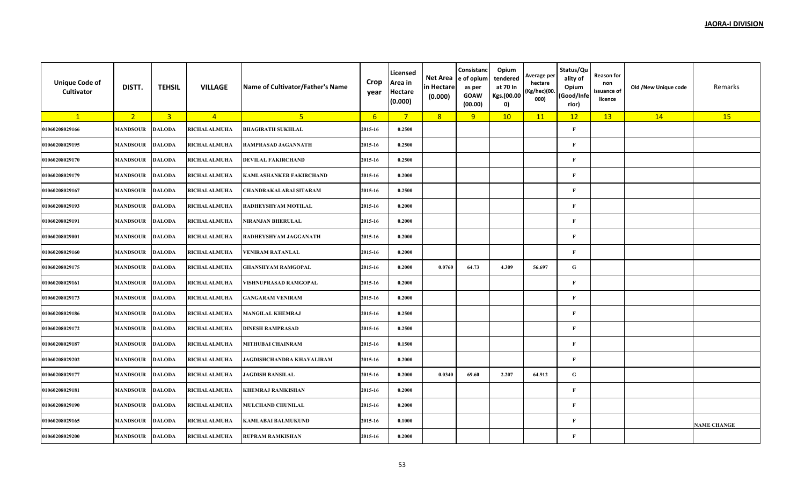| <b>Unique Code of</b><br>Cultivator | DISTT.          | <b>TEHSIL</b>  | <b>VILLAGE</b>      | Name of Cultivator/Father's Name | Crop<br>year | Licensed<br>Area in<br><b>Hectare</b><br>(0.000) | Net Area<br>in Hectare<br>(0.000) | Consistanc<br>e of opium<br>as per<br><b>GOAW</b><br>(00.00) | Opium<br>tendered<br>at 70 In<br>Kgs.(00.00<br>0) | Average per<br>hectare<br>(Kg/hec)(00.<br>000) | Status/Qu<br>ality of<br>Opium<br>(Good/Infe<br>rior) | Reason for<br>non<br>issuance of<br>licence | Old /New Unique code | Remarks            |
|-------------------------------------|-----------------|----------------|---------------------|----------------------------------|--------------|--------------------------------------------------|-----------------------------------|--------------------------------------------------------------|---------------------------------------------------|------------------------------------------------|-------------------------------------------------------|---------------------------------------------|----------------------|--------------------|
| $\mathbf{1}$                        | 2 <sup>1</sup>  | $\overline{3}$ | $\overline{4}$      | 5 <sup>1</sup>                   | 6            | $7^{\circ}$                                      | 8                                 | 9                                                            | 10                                                | 11                                             | 12                                                    | 13                                          | 14                   | 15                 |
| 01060208029166                      | <b>MANDSOUR</b> | <b>DALODA</b>  | RICHALALMUHA        | <b>BHAGIRATH SUKHLAL</b>         | 2015-16      | 0.2500                                           |                                   |                                                              |                                                   |                                                | $\mathbf{F}$                                          |                                             |                      |                    |
| 01060208029195                      | <b>MANDSOUR</b> | <b>DALODA</b>  | RICHALALMUHA        | <b>RAMPRASAD JAGANNATH</b>       | 2015-16      | 0.2500                                           |                                   |                                                              |                                                   |                                                | $\mathbf F$                                           |                                             |                      |                    |
| 01060208029170                      | <b>MANDSOUR</b> | <b>DALODA</b>  | RICHALALMUHA        | <b>DEVILAL FAKIRCHAND</b>        | 2015-16      | 0.2500                                           |                                   |                                                              |                                                   |                                                | $\mathbf F$                                           |                                             |                      |                    |
| 01060208029179                      | <b>MANDSOUR</b> | <b>DALODA</b>  | <b>RICHALALMUHA</b> | <b>KAMLASHANKER FAKIRCHAND</b>   | 2015-16      | 0.2000                                           |                                   |                                                              |                                                   |                                                | $\mathbf F$                                           |                                             |                      |                    |
| 01060208029167                      | <b>MANDSOUR</b> | <b>DALODA</b>  | <b>RICHALALMUHA</b> | <b>CHANDRAKALABAI SITARAM</b>    | 2015-16      | 0.2500                                           |                                   |                                                              |                                                   |                                                | $\mathbf F$                                           |                                             |                      |                    |
| 01060208029193                      | <b>MANDSOUR</b> | <b>DALODA</b>  | RICHALALMUHA        | RADHEYSHYAM MOTILAL              | 2015-16      | 0.2000                                           |                                   |                                                              |                                                   |                                                | F                                                     |                                             |                      |                    |
| 01060208029191                      | <b>MANDSOUR</b> | <b>DALODA</b>  | RICHALALMUHA        | NIRANJAN BHERULAL                | 2015-16      | 0.2000                                           |                                   |                                                              |                                                   |                                                | $\mathbf F$                                           |                                             |                      |                    |
| 01060208029001                      | <b>MANDSOUR</b> | <b>DALODA</b>  | RICHALALMUHA        | RADHEYSHYAM JAGGANATH            | 2015-16      | 0.2000                                           |                                   |                                                              |                                                   |                                                | $\mathbf{F}$                                          |                                             |                      |                    |
| 01060208029160                      | <b>MANDSOUR</b> | <b>DALODA</b>  | RICHALALMUHA        | <b>VENIRAM RATANLAL</b>          | 2015-16      | 0.2000                                           |                                   |                                                              |                                                   |                                                | $\mathbf F$                                           |                                             |                      |                    |
| 01060208029175                      | <b>MANDSOUR</b> | <b>DALODA</b>  | RICHALALMUHA        | <b>GHANSHYAM RAMGOPAL</b>        | 2015-16      | 0.2000                                           | 0.0760                            | 64.73                                                        | 4.309                                             | 56.697                                         | $\mathbf G$                                           |                                             |                      |                    |
| 01060208029161                      | <b>MANDSOUR</b> | <b>DALODA</b>  | <b>RICHALALMUHA</b> | VISHNUPRASAD RAMGOPAL            | 2015-16      | 0.2000                                           |                                   |                                                              |                                                   |                                                | $\mathbf F$                                           |                                             |                      |                    |
| 01060208029173                      | <b>MANDSOUR</b> | <b>DALODA</b>  | RICHALALMUHA        | <b>GANGARAM VENIRAM</b>          | 2015-16      | 0.2000                                           |                                   |                                                              |                                                   |                                                | $\mathbf F$                                           |                                             |                      |                    |
| 01060208029186                      | <b>MANDSOUR</b> | <b>DALODA</b>  | RICHALALMUHA        | <b>MANGILAL KHEMRAJ</b>          | 2015-16      | 0.2500                                           |                                   |                                                              |                                                   |                                                | $\mathbf F$                                           |                                             |                      |                    |
| 01060208029172                      | <b>MANDSOUR</b> | <b>DALODA</b>  | RICHALALMUHA        | <b>DINESH RAMPRASAD</b>          | 2015-16      | 0.2500                                           |                                   |                                                              |                                                   |                                                | $\mathbf{F}$                                          |                                             |                      |                    |
| 01060208029187                      | <b>MANDSOUR</b> | <b>DALODA</b>  | <b>RICHALALMUHA</b> | <b>MITHUBAI CHAINRAM</b>         | 2015-16      | 0.1500                                           |                                   |                                                              |                                                   |                                                | $\mathbf F$                                           |                                             |                      |                    |
| 01060208029202                      | <b>MANDSOUR</b> | <b>DALODA</b>  | RICHALALMUHA        | JAGDISHCHANDRA KHAYALIRAM        | 2015-16      | 0.2000                                           |                                   |                                                              |                                                   |                                                | $\mathbf{F}$                                          |                                             |                      |                    |
| 01060208029177                      | <b>MANDSOUR</b> | <b>DALODA</b>  | RICHALALMUHA        | <b>JAGDISH BANSILAL</b>          | 2015-16      | 0.2000                                           | 0.0340                            | 69.60                                                        | 2.207                                             | 64.912                                         | $\mathbf G$                                           |                                             |                      |                    |
| 01060208029181                      | <b>MANDSOUR</b> | <b>DALODA</b>  | RICHALALMUHA        | <b>KHEMRAJ RAMKISHAN</b>         | 2015-16      | 0.2000                                           |                                   |                                                              |                                                   |                                                | $\mathbf{F}$                                          |                                             |                      |                    |
| 01060208029190                      | <b>MANDSOUR</b> | <b>DALODA</b>  | <b>RICHALALMUHA</b> | <b>MULCHAND CHUNILAL</b>         | 2015-16      | 0.2000                                           |                                   |                                                              |                                                   |                                                | $\mathbf F$                                           |                                             |                      |                    |
| 01060208029165                      | <b>MANDSOUR</b> | <b>DALODA</b>  | RICHALALMUHA        | <b>KAMLABAI BALMUKUND</b>        | 2015-16      | 0.1000                                           |                                   |                                                              |                                                   |                                                | F                                                     |                                             |                      | <b>NAME CHANGE</b> |
| 01060208029200                      | <b>MANDSOUR</b> | <b>DALODA</b>  | <b>RICHALALMUHA</b> | <b>RUPRAM RAMKISHAN</b>          | 2015-16      | 0.2000                                           |                                   |                                                              |                                                   |                                                | $\mathbf{F}$                                          |                                             |                      |                    |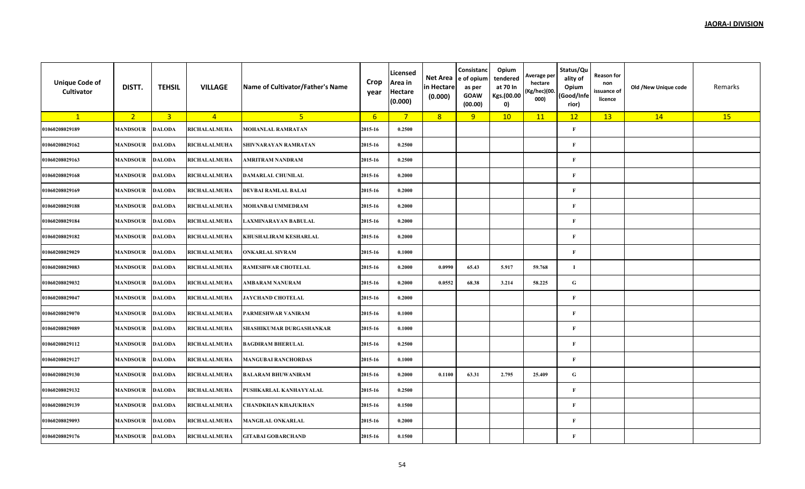| <b>Unique Code of</b><br>Cultivator | DISTT.          | <b>TEHSIL</b>  | <b>VILLAGE</b>      | Name of Cultivator/Father's Name | Crop<br>year | Licensed<br>Area in<br><b>Hectare</b><br>(0.000) | Net Area<br>in Hectare<br>(0.000) | Consistanc<br>e of opium<br>as per<br><b>GOAW</b><br>(00.00) | Opium<br>tendered<br>at 70 In<br>Kgs.(00.00<br>0) | Average per<br>hectare<br>(Kg/hec)(00.<br>000) | Status/Qu<br>ality of<br>Opium<br>(Good/Infe<br>rior) | <b>Reason for</b><br>non<br>issuance of<br>licence | Old /New Unique code | Remarks |
|-------------------------------------|-----------------|----------------|---------------------|----------------------------------|--------------|--------------------------------------------------|-----------------------------------|--------------------------------------------------------------|---------------------------------------------------|------------------------------------------------|-------------------------------------------------------|----------------------------------------------------|----------------------|---------|
| $\mathbf{1}$                        | 2 <sup>2</sup>  | $\overline{3}$ | $\overline{4}$      | 5 <sup>2</sup>                   | $6^{\circ}$  | $7^{\circ}$                                      | 8                                 | 9                                                            | 10                                                | 11                                             | 12                                                    | 13                                                 | 14                   | 15      |
| 01060208029189                      | <b>MANDSOUR</b> | <b>DALODA</b>  | <b>RICHALALMUHA</b> | <b>MOHANLAL RAMRATAN</b>         | 2015-16      | 0.2500                                           |                                   |                                                              |                                                   |                                                | $\mathbf{F}$                                          |                                                    |                      |         |
| 01060208029162                      | <b>MANDSOUR</b> | <b>DALODA</b>  | RICHALALMUHA        | SHIVNARAYAN RAMRATAN             | 2015-16      | 0.2500                                           |                                   |                                                              |                                                   |                                                | $\mathbf F$                                           |                                                    |                      |         |
| 01060208029163                      | <b>MANDSOUR</b> | <b>DALODA</b>  | <b>RICHALALMUHA</b> | AMRITRAM NANDRAM                 | 2015-16      | 0.2500                                           |                                   |                                                              |                                                   |                                                | $\mathbf F$                                           |                                                    |                      |         |
| 01060208029168                      | <b>MANDSOUR</b> | <b>DALODA</b>  | RICHALALMUHA        | <b>DAMARLAL CHUNILAL</b>         | 2015-16      | 0.2000                                           |                                   |                                                              |                                                   |                                                | $\mathbf F$                                           |                                                    |                      |         |
| 01060208029169                      | <b>MANDSOUR</b> | <b>DALODA</b>  | RICHALALMUHA        | <b>DEVBAI RAMLAL BALAI</b>       | 2015-16      | 0.2000                                           |                                   |                                                              |                                                   |                                                | $\mathbf{F}$                                          |                                                    |                      |         |
| 01060208029188                      | <b>MANDSOUR</b> | <b>DALODA</b>  | <b>RICHALALMUHA</b> | <b>MOHANBAI UMMEDRAM</b>         | 2015-16      | 0.2000                                           |                                   |                                                              |                                                   |                                                | $\mathbf F$                                           |                                                    |                      |         |
| 01060208029184                      | <b>MANDSOUR</b> | <b>DALODA</b>  | RICHALALMUHA        | LAXMINARAYAN BABULAL             | 2015-16      | 0.2000                                           |                                   |                                                              |                                                   |                                                | $\mathbf F$                                           |                                                    |                      |         |
| 01060208029182                      | <b>MANDSOUR</b> | <b>DALODA</b>  | RICHALALMUHA        | KHUSHALIRAM KESHARLAL            | 2015-16      | 0.2000                                           |                                   |                                                              |                                                   |                                                | $\mathbf{F}$                                          |                                                    |                      |         |
| 01060208029029                      | <b>MANDSOUR</b> | <b>DALODA</b>  | RICHALALMUHA        | <b>ONKARLAL SIVRAM</b>           | 2015-16      | 0.1000                                           |                                   |                                                              |                                                   |                                                | $\mathbf F$                                           |                                                    |                      |         |
| 01060208029083                      | <b>MANDSOUR</b> | <b>DALODA</b>  | RICHALALMUHA        | <b>RAMESHWAR CHOTELAL</b>        | 2015-16      | 0.2000                                           | 0.0990                            | 65.43                                                        | 5.917                                             | 59.768                                         | $\mathbf I$                                           |                                                    |                      |         |
| 01060208029032                      | <b>MANDSOUR</b> | <b>DALODA</b>  | RICHALALMUHA        | AMBARAM NANURAM                  | 2015-16      | 0.2000                                           | 0.0552                            | 68.38                                                        | 3.214                                             | 58.225                                         | ${\bf G}$                                             |                                                    |                      |         |
| 01060208029047                      | <b>MANDSOUR</b> | <b>DALODA</b>  | RICHALALMUHA        | <b>JAYCHAND CHOTELAL</b>         | 2015-16      | 0.2000                                           |                                   |                                                              |                                                   |                                                | $\mathbf F$                                           |                                                    |                      |         |
| 01060208029070                      | <b>MANDSOUR</b> | <b>DALODA</b>  | <b>RICHALALMUHA</b> | PARMESHWAR VANIRAM               | 2015-16      | 0.1000                                           |                                   |                                                              |                                                   |                                                | $\mathbf F$                                           |                                                    |                      |         |
| 01060208029089                      | <b>MANDSOUR</b> | <b>DALODA</b>  | RICHALALMUHA        | SHASHIKUMAR DURGASHANKAR         | 2015-16      | 0.1000                                           |                                   |                                                              |                                                   |                                                | $\mathbf F$                                           |                                                    |                      |         |
| 01060208029112                      | <b>MANDSOUR</b> | <b>DALODA</b>  | RICHALALMUHA        | <b>BAGDIRAM BHERULAL</b>         | 2015-16      | 0.2500                                           |                                   |                                                              |                                                   |                                                | $\mathbf{F}$                                          |                                                    |                      |         |
| 01060208029127                      | <b>MANDSOUR</b> | <b>DALODA</b>  | <b>RICHALALMUHA</b> | <b>MANGUBAI RANCHORDAS</b>       | 2015-16      | 0.1000                                           |                                   |                                                              |                                                   |                                                | $\mathbf F$                                           |                                                    |                      |         |
| 01060208029130                      | <b>MANDSOUR</b> | <b>DALODA</b>  | RICHALALMUHA        | <b>BALARAM BHUWANIRAM</b>        | 2015-16      | 0.2000                                           | 0.1100                            | 63.31                                                        | 2.795                                             | 25.409                                         | ${\bf G}$                                             |                                                    |                      |         |
| 01060208029132                      | <b>MANDSOUR</b> | <b>DALODA</b>  | RICHALALMUHA        | PUSHKARLAL KANHAYYALAL           | 2015-16      | 0.2500                                           |                                   |                                                              |                                                   |                                                | $\mathbf F$                                           |                                                    |                      |         |
| 01060208029139                      | <b>MANDSOUR</b> | <b>DALODA</b>  | RICHALALMUHA        | CHANDKHAN KHAJUKHAN              | 2015-16      | 0.1500                                           |                                   |                                                              |                                                   |                                                | $\mathbf F$                                           |                                                    |                      |         |
| 01060208029093                      | <b>MANDSOUR</b> | <b>DALODA</b>  | RICHALALMUHA        | <b>MANGILAL ONKARLAL</b>         | 2015-16      | 0.2000                                           |                                   |                                                              |                                                   |                                                | $\mathbf{F}$                                          |                                                    |                      |         |
| 01060208029176                      | <b>MANDSOUR</b> | <b>DALODA</b>  | <b>RICHALALMUHA</b> | <b>GITABAI GOBARCHAND</b>        | 2015-16      | 0.1500                                           |                                   |                                                              |                                                   |                                                | $\mathbf F$                                           |                                                    |                      |         |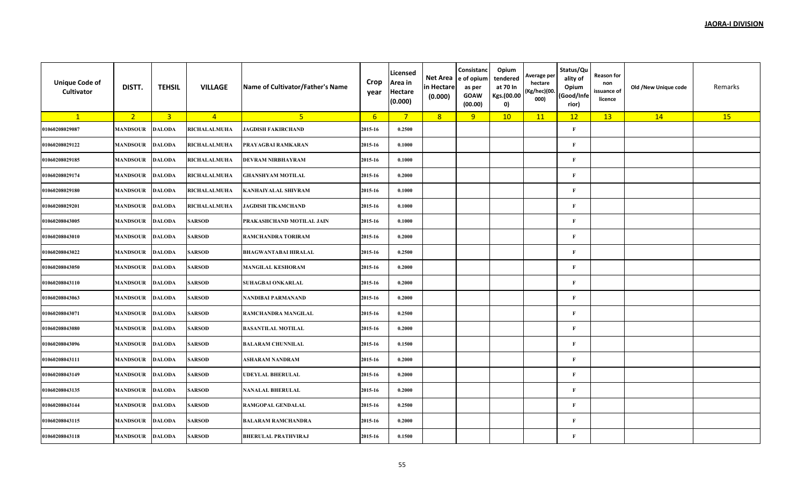| <b>Unique Code of</b><br>Cultivator | DISTT.          | <b>TEHSIL</b>  | <b>VILLAGE</b>      | Name of Cultivator/Father's Name | Crop<br>year     | Licensed<br>Area in<br><b>Hectare</b><br>(0.000) | Net Area<br>in Hectare<br>(0.000) | Consistanc<br>e of opium<br>as per<br><b>GOAW</b><br>(00.00) | Opium<br>tendered<br>at 70 In<br>Kgs.(00.00<br>0) | Average per<br>hectare<br>(Kg/hec)(00.<br>000) | Status/Qu<br>ality of<br>Opium<br>(Good/Infe<br>rior) | <b>Reason for</b><br>non<br>issuance of<br>licence | Old /New Unique code | Remarks |
|-------------------------------------|-----------------|----------------|---------------------|----------------------------------|------------------|--------------------------------------------------|-----------------------------------|--------------------------------------------------------------|---------------------------------------------------|------------------------------------------------|-------------------------------------------------------|----------------------------------------------------|----------------------|---------|
| $\mathbf{1}$                        | 2 <sup>7</sup>  | $\overline{3}$ | $\overline{4}$      | 5 <sub>o</sub>                   | $6 \overline{6}$ | $7^{\circ}$                                      | 8                                 | 9                                                            | 10                                                | 11                                             | 12                                                    | 13                                                 | 14                   | 15      |
| 01060208029087                      | <b>MANDSOUR</b> | <b>DALODA</b>  | RICHALALMUHA        | <b>JAGDISH FAKIRCHAND</b>        | 2015-16          | 0.2500                                           |                                   |                                                              |                                                   |                                                | $\mathbf{F}$                                          |                                                    |                      |         |
| 01060208029122                      | <b>MANDSOUR</b> | <b>DALODA</b>  | RICHALALMUHA        | PRAYAGBAI RAMKARAN               | 2015-16          | 0.1000                                           |                                   |                                                              |                                                   |                                                | $\mathbf{F}$                                          |                                                    |                      |         |
| 01060208029185                      | MANDSOUR        | <b>DALODA</b>  | RICHALALMUHA        | <b>DEVRAM NIRBHAYRAM</b>         | 2015-16          | 0.1000                                           |                                   |                                                              |                                                   |                                                | $\mathbf{F}$                                          |                                                    |                      |         |
| 01060208029174                      | <b>MANDSOUR</b> | <b>DALODA</b>  | RICHALALMUHA        | <b>GHANSHYAM MOTILAL</b>         | 2015-16          | 0.2000                                           |                                   |                                                              |                                                   |                                                | $\mathbf{F}$                                          |                                                    |                      |         |
| 01060208029180                      | <b>MANDSOUR</b> | <b>DALODA</b>  | RICHALALMUHA        | <b>KANHAIYALAL SHIVRAM</b>       | 2015-16          | 0.1000                                           |                                   |                                                              |                                                   |                                                | $\mathbf{F}$                                          |                                                    |                      |         |
| 01060208029201                      | <b>MANDSOUR</b> | <b>DALODA</b>  | <b>RICHALALMUHA</b> | <b>JAGDISH TIKAMCHAND</b>        | 2015-16          | 0.1000                                           |                                   |                                                              |                                                   |                                                | $\mathbf{F}$                                          |                                                    |                      |         |
| 01060208043005                      | <b>MANDSOUR</b> | <b>DALODA</b>  | <b>SARSOD</b>       | PRAKASHCHAND MOTILAL JAIN        | 2015-16          | 0.1000                                           |                                   |                                                              |                                                   |                                                | $\mathbf{F}$                                          |                                                    |                      |         |
| 01060208043010                      | <b>MANDSOUR</b> | <b>DALODA</b>  | <b>SARSOD</b>       | <b>RAMCHANDRA TORIRAM</b>        | 2015-16          | 0.2000                                           |                                   |                                                              |                                                   |                                                | $\mathbf{F}$                                          |                                                    |                      |         |
| 01060208043022                      | MANDSOUR        | <b>DALODA</b>  | <b>SARSOD</b>       | <b>BHAGWANTABAI HIRALAL</b>      | 2015-16          | 0.2500                                           |                                   |                                                              |                                                   |                                                | $\mathbf{F}$                                          |                                                    |                      |         |
| 01060208043050                      | <b>MANDSOUR</b> | <b>DALODA</b>  | <b>SARSOD</b>       | <b>MANGILAL KESHORAM</b>         | 2015-16          | 0.2000                                           |                                   |                                                              |                                                   |                                                | $\mathbf{F}$                                          |                                                    |                      |         |
| 01060208043110                      | <b>MANDSOUR</b> | <b>DALODA</b>  | <b>SARSOD</b>       | <b>SUHAGBAI ONKARLAL</b>         | 2015-16          | 0.2000                                           |                                   |                                                              |                                                   |                                                | $\mathbf{F}$                                          |                                                    |                      |         |
| 01060208043063                      | <b>MANDSOUR</b> | <b>DALODA</b>  | <b>SARSOD</b>       | NANDIBAI PARMANAND               | 2015-16          | 0.2000                                           |                                   |                                                              |                                                   |                                                | $\mathbf{F}$                                          |                                                    |                      |         |
| 01060208043071                      | <b>MANDSOUR</b> | <b>DALODA</b>  | <b>SARSOD</b>       | RAMCHANDRA MANGILAL              | 2015-16          | 0.2500                                           |                                   |                                                              |                                                   |                                                | F                                                     |                                                    |                      |         |
| 01060208043080                      | <b>MANDSOUR</b> | <b>DALODA</b>  | <b>SARSOD</b>       | <b>BASANTILAL MOTILAL</b>        | 2015-16          | 0.2000                                           |                                   |                                                              |                                                   |                                                | $\mathbf{F}$                                          |                                                    |                      |         |
| 01060208043096                      | <b>MANDSOUR</b> | <b>DALODA</b>  | <b>SARSOD</b>       | <b>BALARAM CHUNNILAL</b>         | 2015-16          | 0.1500                                           |                                   |                                                              |                                                   |                                                | $\mathbf{F}$                                          |                                                    |                      |         |
| 01060208043111                      | <b>MANDSOUR</b> | <b>DALODA</b>  | SARSOD              | ASHARAM NANDRAM                  | 2015-16          | 0.2000                                           |                                   |                                                              |                                                   |                                                | $\mathbf{F}$                                          |                                                    |                      |         |
| 01060208043149                      | <b>MANDSOUR</b> | <b>DALODA</b>  | <b>SARSOD</b>       | <b>UDEYLAL BHERULAL</b>          | 2015-16          | 0.2000                                           |                                   |                                                              |                                                   |                                                | $\mathbf{F}$                                          |                                                    |                      |         |
| 01060208043135                      | <b>MANDSOUR</b> | <b>DALODA</b>  | <b>SARSOD</b>       | <b>NANALAL BHERULAL</b>          | 2015-16          | 0.2000                                           |                                   |                                                              |                                                   |                                                | F                                                     |                                                    |                      |         |
| 01060208043144                      | <b>MANDSOUR</b> | <b>DALODA</b>  | <b>SARSOD</b>       | RAMGOPAL GENDALAL                | 2015-16          | 0.2500                                           |                                   |                                                              |                                                   |                                                | $\mathbf{F}$                                          |                                                    |                      |         |
| 01060208043115                      | <b>MANDSOUR</b> | <b>DALODA</b>  | <b>SARSOD</b>       | <b>BALARAM RAMCHANDRA</b>        | 2015-16          | 0.2000                                           |                                   |                                                              |                                                   |                                                | $\mathbf{F}$                                          |                                                    |                      |         |
| 01060208043118                      | <b>MANDSOUR</b> | <b>DALODA</b>  | <b>SARSOD</b>       | <b>BHERULAL PRATHVIRAJ</b>       | 2015-16          | 0.1500                                           |                                   |                                                              |                                                   |                                                | F                                                     |                                                    |                      |         |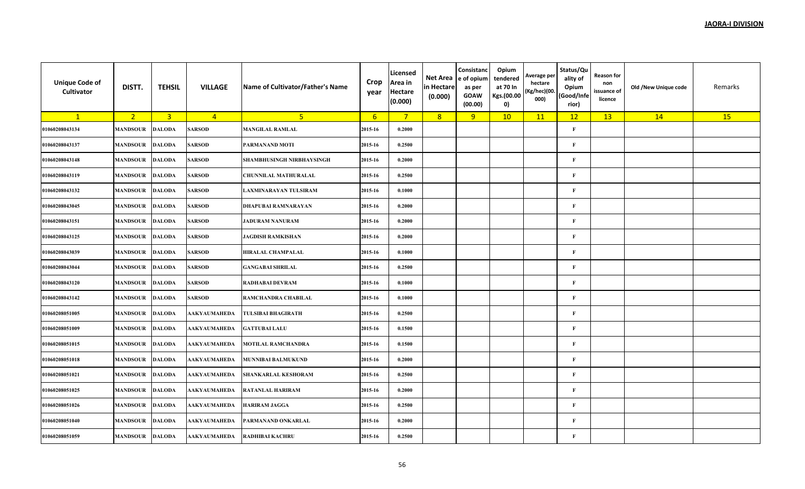| <b>Unique Code of</b><br>Cultivator | DISTT.          | <b>TEHSIL</b>  | <b>VILLAGE</b>      | Name of Cultivator/Father's Name | Crop<br>year    | Licensed<br>Area in<br><b>Hectare</b><br>(0.000) | Net Area<br>in Hectare<br>(0.000) | Consistanc<br>e of opium<br>as per<br><b>GOAW</b><br>(00.00) | Opium<br>tendered<br>at 70 In<br>Kgs.(00.00<br>0) | Average per<br>hectare<br>(Kg/hec)(00.<br>000) | Status/Qu<br>ality of<br>Opium<br>(Good/Infe<br>rior) | Reason for<br>non<br>issuance of<br>licence | Old /New Unique code | Remarks |
|-------------------------------------|-----------------|----------------|---------------------|----------------------------------|-----------------|--------------------------------------------------|-----------------------------------|--------------------------------------------------------------|---------------------------------------------------|------------------------------------------------|-------------------------------------------------------|---------------------------------------------|----------------------|---------|
| $\mathbf{1}$                        | 2 <sup>2</sup>  | $\overline{3}$ | $\overline{4}$      | 5 <sup>1</sup>                   | $6\overline{6}$ | $7^{\circ}$                                      | 8                                 | 9                                                            | 10                                                | 11                                             | 12                                                    | 13                                          | 14                   | 15      |
| 01060208043134                      | <b>MANDSOUR</b> | <b>DALODA</b>  | <b>SARSOD</b>       | <b>MANGILAL RAMLAL</b>           | 2015-16         | 0.2000                                           |                                   |                                                              |                                                   |                                                | $\mathbf{F}$                                          |                                             |                      |         |
| 01060208043137                      | <b>MANDSOUR</b> | <b>DALODA</b>  | <b>SARSOD</b>       | PARMANAND MOTI                   | 2015-16         | 0.2500                                           |                                   |                                                              |                                                   |                                                | $\mathbf F$                                           |                                             |                      |         |
| 01060208043148                      | <b>MANDSOUR</b> | <b>DALODA</b>  | <b>SARSOD</b>       | <b>SHAMBHUSINGH NIRBHAYSINGH</b> | 2015-16         | 0.2000                                           |                                   |                                                              |                                                   |                                                | $\mathbf{F}$                                          |                                             |                      |         |
| 01060208043119                      | <b>MANDSOUR</b> | <b>DALODA</b>  | <b>SARSOD</b>       | CHUNNILAL MATHURALAL             | 2015-16         | 0.2500                                           |                                   |                                                              |                                                   |                                                | $\mathbf F$                                           |                                             |                      |         |
| 01060208043132                      | <b>MANDSOUR</b> | <b>DALODA</b>  | <b>SARSOD</b>       | <b>LAXMINARAYAN TULSIRAM</b>     | 2015-16         | 0.1000                                           |                                   |                                                              |                                                   |                                                | $\mathbf{F}$                                          |                                             |                      |         |
| 01060208043045                      | <b>MANDSOUR</b> | <b>DALODA</b>  | <b>SARSOD</b>       | DHAPUBAI RAMNARAYAN              | 2015-16         | 0.2000                                           |                                   |                                                              |                                                   |                                                | $\mathbf F$                                           |                                             |                      |         |
| 01060208043151                      | <b>MANDSOUR</b> | <b>DALODA</b>  | <b>SARSOD</b>       | <b>JADURAM NANURAM</b>           | 2015-16         | 0.2000                                           |                                   |                                                              |                                                   |                                                | $\mathbf F$                                           |                                             |                      |         |
| 01060208043125                      | <b>MANDSOUR</b> | <b>DALODA</b>  | <b>SARSOD</b>       | <b>JAGDISH RAMKISHAN</b>         | 2015-16         | 0.2000                                           |                                   |                                                              |                                                   |                                                | $\mathbf{F}$                                          |                                             |                      |         |
| 01060208043039                      | <b>MANDSOUR</b> | <b>DALODA</b>  | <b>SARSOD</b>       | <b>HIRALAL CHAMPALAL</b>         | 2015-16         | 0.1000                                           |                                   |                                                              |                                                   |                                                | $\mathbf F$                                           |                                             |                      |         |
| 01060208043044                      | <b>MANDSOUR</b> | <b>DALODA</b>  | <b>SARSOD</b>       | <b>GANGABAI SHRILAL</b>          | 2015-16         | 0.2500                                           |                                   |                                                              |                                                   |                                                | $\mathbf F$                                           |                                             |                      |         |
| 01060208043120                      | <b>MANDSOUR</b> | <b>DALODA</b>  | <b>SARSOD</b>       | <b>RADHABAI DEVRAM</b>           | 2015-16         | 0.1000                                           |                                   |                                                              |                                                   |                                                | $\mathbf F$                                           |                                             |                      |         |
| 01060208043142                      | <b>MANDSOUR</b> | <b>DALODA</b>  | <b>SARSOD</b>       | RAMCHANDRA CHABILAL              | 2015-16         | 0.1000                                           |                                   |                                                              |                                                   |                                                | $\mathbf{F}$                                          |                                             |                      |         |
| 01060208051005                      | <b>MANDSOUR</b> | <b>DALODA</b>  | <b>AAKYAUMAHEDA</b> | <b>TULSIBAI BHAGIRATH</b>        | 2015-16         | 0.2500                                           |                                   |                                                              |                                                   |                                                | $\mathbf F$                                           |                                             |                      |         |
| 01060208051009                      | <b>MANDSOUR</b> | <b>DALODA</b>  | AAKYAUMAHEDA        | <b>GATTUBAI LALU</b>             | 2015-16         | 0.1500                                           |                                   |                                                              |                                                   |                                                | $\mathbf F$                                           |                                             |                      |         |
| 01060208051015                      | <b>MANDSOUR</b> | <b>DALODA</b>  | <b>AAKYAUMAHEDA</b> | <b>MOTILAL RAMCHANDRA</b>        | 2015-16         | 0.1500                                           |                                   |                                                              |                                                   |                                                | $\mathbf{F}$                                          |                                             |                      |         |
| 01060208051018                      | <b>MANDSOUR</b> | <b>DALODA</b>  | AAKYAUMAHEDA        | <b>MUNNIBAI BALMUKUND</b>        | 2015-16         | 0.2000                                           |                                   |                                                              |                                                   |                                                | $\mathbf F$                                           |                                             |                      |         |
| 01060208051021                      | <b>MANDSOUR</b> | <b>DALODA</b>  | AAKYAUMAHEDA        | SHANKARLAL KESHORAM              | 2015-16         | 0.2500                                           |                                   |                                                              |                                                   |                                                | $\mathbf F$                                           |                                             |                      |         |
| 01060208051025                      | <b>MANDSOUR</b> | <b>DALODA</b>  | <b>AAKYAUMAHEDA</b> | <b>RATANLAL HARIRAM</b>          | 2015-16         | 0.2000                                           |                                   |                                                              |                                                   |                                                | $\mathbf{F}$                                          |                                             |                      |         |
| 01060208051026                      | <b>MANDSOUR</b> | <b>DALODA</b>  | AAKYAUMAHEDA        | <b>HARIRAM JAGGA</b>             | 2015-16         | 0.2500                                           |                                   |                                                              |                                                   |                                                | $\mathbf F$                                           |                                             |                      |         |
| 01060208051040                      | <b>MANDSOUR</b> | <b>DALODA</b>  | <b>AAKYAUMAHEDA</b> | PARMANAND ONKARLAL               | 2015-16         | 0.2000                                           |                                   |                                                              |                                                   |                                                | $\mathbf{F}$                                          |                                             |                      |         |
| 01060208051059                      | <b>MANDSOUR</b> | <b>DALODA</b>  | AAKYAUMAHEDA        | RADHIBAI KACHRU                  | 2015-16         | 0.2500                                           |                                   |                                                              |                                                   |                                                | $\mathbf{F}$                                          |                                             |                      |         |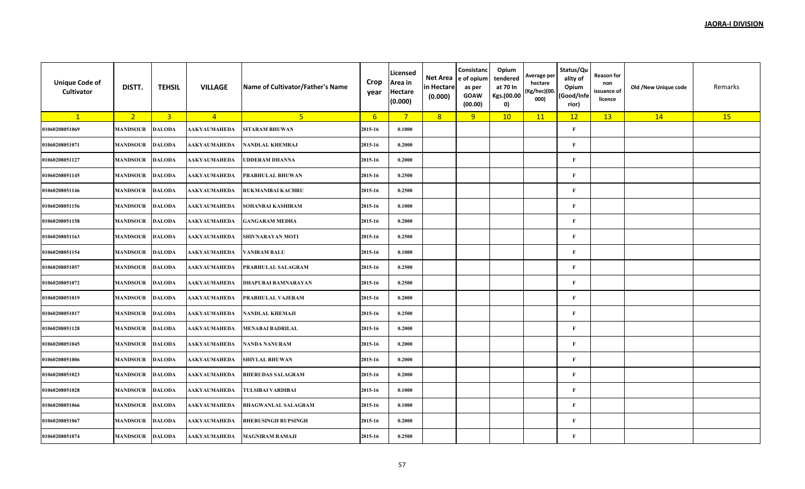| <b>Unique Code of</b><br>Cultivator | DISTT.          | <b>TEHSIL</b>  | <b>VILLAGE</b>      | Name of Cultivator/Father's Name | Crop<br>year    | Licensed<br>Area in<br><b>Hectare</b><br>(0.000) | Net Area<br>in Hectare<br>(0.000) | Consistanc<br>e of opium<br>as per<br><b>GOAW</b><br>(00.00) | Opium<br>tendered<br>at 70 In<br>Kgs.(00.00<br>0) | Average per<br>hectare<br>(Kg/hec)(00.<br>000) | Status/Qu<br>ality of<br>Opium<br>(Good/Infe<br>rior) | Reason for<br>non<br>issuance of<br>licence | Old /New Unique code | Remarks |
|-------------------------------------|-----------------|----------------|---------------------|----------------------------------|-----------------|--------------------------------------------------|-----------------------------------|--------------------------------------------------------------|---------------------------------------------------|------------------------------------------------|-------------------------------------------------------|---------------------------------------------|----------------------|---------|
| $\mathbf{1}$                        | 2 <sup>2</sup>  | $\overline{3}$ | $\overline{4}$      | 5 <sup>2</sup>                   | $6\overline{6}$ | $7^{\circ}$                                      | 8                                 | 9                                                            | 10                                                | 11                                             | 12                                                    | 13                                          | 14                   | 15      |
| 01060208051069                      | <b>MANDSOUR</b> | <b>DALODA</b>  | <b>AAKYAUMAHEDA</b> | <b>SITARAM BHUWAN</b>            | 2015-16         | 0.1000                                           |                                   |                                                              |                                                   |                                                | $\mathbf{F}$                                          |                                             |                      |         |
| 01060208051071                      | <b>MANDSOUR</b> | <b>DALODA</b>  | <b>AAKYAUMAHEDA</b> | NANDLAL KHEMRAJ                  | 2015-16         | 0.2000                                           |                                   |                                                              |                                                   |                                                | $\mathbf F$                                           |                                             |                      |         |
| 01060208051127                      | <b>MANDSOUR</b> | <b>DALODA</b>  | AAKYAUMAHEDA        | UDDERAM DHANNA                   | 2015-16         | 0.2000                                           |                                   |                                                              |                                                   |                                                | $\mathbf{F}$                                          |                                             |                      |         |
| 01060208051145                      | <b>MANDSOUR</b> | <b>DALODA</b>  | <b>AAKYAUMAHEDA</b> | PRABHULAL BHUWAN                 | 2015-16         | 0.2500                                           |                                   |                                                              |                                                   |                                                | $\mathbf F$                                           |                                             |                      |         |
| 01060208051146                      | <b>MANDSOUR</b> | <b>DALODA</b>  | <b>AAKYAUMAHEDA</b> | <b>RUKMANIBAI KACHRU</b>         | 2015-16         | 0.2500                                           |                                   |                                                              |                                                   |                                                | $\mathbf{F}$                                          |                                             |                      |         |
| 01060208051156                      | <b>MANDSOUR</b> | <b>DALODA</b>  | AAKYAUMAHEDA        | SOHANBAI KASHIRAM                | 2015-16         | 0.1000                                           |                                   |                                                              |                                                   |                                                | $\mathbf F$                                           |                                             |                      |         |
| 01060208051158                      | <b>MANDSOUR</b> | <b>DALODA</b>  | AAKYAUMAHEDA        | <b>GANGARAM MEDHA</b>            | 2015-16         | 0.2000                                           |                                   |                                                              |                                                   |                                                | $\mathbf F$                                           |                                             |                      |         |
| 01060208051163                      | <b>MANDSOUR</b> | <b>DALODA</b>  | <b>AAKYAUMAHEDA</b> | SHIVNARAYAN MOTI                 | 2015-16         | 0.2500                                           |                                   |                                                              |                                                   |                                                | $\mathbf{F}$                                          |                                             |                      |         |
| 01060208051154                      | <b>MANDSOUR</b> | <b>DALODA</b>  | AAKYAUMAHEDA        | <b>VANIRAM BALU</b>              | 2015-16         | 0.1000                                           |                                   |                                                              |                                                   |                                                | $\mathbf F$                                           |                                             |                      |         |
| 01060208051057                      | <b>MANDSOUR</b> | <b>DALODA</b>  | AAKYAUMAHEDA        | PRABHULAL SALAGRAM               | 2015-16         | 0.2500                                           |                                   |                                                              |                                                   |                                                | $\mathbf{F}$                                          |                                             |                      |         |
| 01060208051072                      | <b>MANDSOUR</b> | <b>DALODA</b>  | AAKYAUMAHEDA        | <b>DHAPUBAI RAMNARAYAN</b>       | 2015-16         | 0.2500                                           |                                   |                                                              |                                                   |                                                | $\mathbf F$                                           |                                             |                      |         |
| 01060208051019                      | <b>MANDSOUR</b> | <b>DALODA</b>  | <b>AAKYAUMAHEDA</b> | PRABHULAL VAJERAM                | 2015-16         | 0.2000                                           |                                   |                                                              |                                                   |                                                | $\mathbf{F}$                                          |                                             |                      |         |
| 01060208051017                      | <b>MANDSOUR</b> | <b>DALODA</b>  | AAKYAUMAHEDA        | NANDLAL KHEMAJI                  | 2015-16         | 0.2500                                           |                                   |                                                              |                                                   |                                                | $\mathbf F$                                           |                                             |                      |         |
| 01060208051128                      | <b>MANDSOUR</b> | <b>DALODA</b>  | <b>AAKYAUMAHEDA</b> | <b>MENABAI BADRILAL</b>          | 2015-16         | 0.2000                                           |                                   |                                                              |                                                   |                                                | $\mathbf F$                                           |                                             |                      |         |
| 01060208051045                      | <b>MANDSOUR</b> | <b>DALODA</b>  | <b>AAKYAUMAHEDA</b> | NANDA NANURAM                    | 2015-16         | 0.2000                                           |                                   |                                                              |                                                   |                                                | $\mathbf F$                                           |                                             |                      |         |
| 01060208051006                      | <b>MANDSOUR</b> | <b>DALODA</b>  | AAKYAUMAHEDA        | <b>SHIVLAL BHUWAN</b>            | 2015-16         | 0.2000                                           |                                   |                                                              |                                                   |                                                | $\mathbf F$                                           |                                             |                      |         |
| 01060208051023                      | <b>MANDSOUR</b> | <b>DALODA</b>  | AAKYAUMAHEDA        | <b>BHERUDAS SALAGRAM</b>         | 2015-16         | 0.2000                                           |                                   |                                                              |                                                   |                                                | $\mathbf F$                                           |                                             |                      |         |
| 01060208051028                      | <b>MANDSOUR</b> | <b>DALODA</b>  | <b>AAKYAUMAHEDA</b> | <b>TULSIBAI VARDIBAI</b>         | 2015-16         | 0.1000                                           |                                   |                                                              |                                                   |                                                | $\mathbf{F}$                                          |                                             |                      |         |
| 01060208051066                      | <b>MANDSOUR</b> | <b>DALODA</b>  | <b>AAKYAUMAHEDA</b> | <b>BHAGWANLAL SALAGRAM</b>       | 2015-16         | 0.1000                                           |                                   |                                                              |                                                   |                                                | $\mathbf F$                                           |                                             |                      |         |
| 01060208051067                      | <b>MANDSOUR</b> | <b>DALODA</b>  | <b>AAKYAUMAHEDA</b> | <b>BHERUSINGH RUPSINGH</b>       | 2015-16         | 0.2000                                           |                                   |                                                              |                                                   |                                                | $\mathbf{F}$                                          |                                             |                      |         |
| 01060208051074                      | <b>MANDSOUR</b> | <b>DALODA</b>  | AAKYAUMAHEDA        | <b>MAGNIRAM RAMAJI</b>           | 2015-16         | 0.2500                                           |                                   |                                                              |                                                   |                                                | $\mathbf{F}$                                          |                                             |                      |         |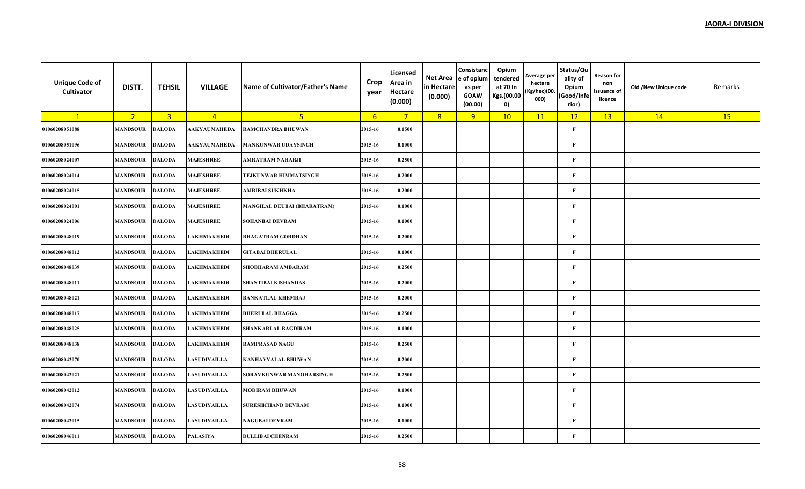| <b>Unique Code of</b><br>Cultivator | DISTT.          | <b>TEHSIL</b>           | <b>VILLAGE</b>   | Name of Cultivator/Father's Name   | Crop<br>year | Licensed<br>Area in<br><b>Hectare</b><br>(0.000) | Net Area<br>in Hectare<br>(0.000) | Consistanc<br>e of opium<br>as per<br><b>GOAW</b><br>(00.00) | Opium<br>tendered<br>at 70 In<br>Kgs.(00.00<br>$\mathbf{0}$ | Average per<br>hectare<br>(Kg/hec)(00.<br>000) | Status/Qu<br>ality of<br>Opium<br>(Good/Infe<br>rior) | <b>Reason for</b><br>non<br>issuance of<br>licence | Old /New Unique code | Remarks |
|-------------------------------------|-----------------|-------------------------|------------------|------------------------------------|--------------|--------------------------------------------------|-----------------------------------|--------------------------------------------------------------|-------------------------------------------------------------|------------------------------------------------|-------------------------------------------------------|----------------------------------------------------|----------------------|---------|
| $\mathbf{1}$                        | 2 <sub>1</sub>  | $\overline{\mathbf{3}}$ | $\overline{4}$   | 5 <sup>1</sup>                     | $6^{\circ}$  | $7^{\circ}$                                      | 8                                 | 9                                                            | 10                                                          | 11                                             | 12                                                    | 13                                                 | 14                   | 15      |
| 01060208051088                      | <b>MANDSOUR</b> | <b>DALODA</b>           | AAKYAUMAHEDA     | RAMCHANDRA BHUWAN                  | 2015-16      | 0.1500                                           |                                   |                                                              |                                                             |                                                | $\mathbf{F}$                                          |                                                    |                      |         |
| 01060208051096                      | <b>MANDSOUR</b> | <b>DALODA</b>           | AAKYAUMAHEDA     | <b>MANKUNWAR UDAYSINGH</b>         | 2015-16      | 0.1000                                           |                                   |                                                              |                                                             |                                                | $\mathbf{F}$                                          |                                                    |                      |         |
| 01060208024007                      | MANDSOUR        | <b>DALODA</b>           | <b>MAJESHREE</b> | AMRATRAM NAHARJI                   | 2015-16      | 0.2500                                           |                                   |                                                              |                                                             |                                                | F                                                     |                                                    |                      |         |
| 01060208024014                      | <b>MANDSOUR</b> | <b>DALODA</b>           | <b>MAJESHREE</b> | TEJKUNWAR HIMMATSINGH              | 2015-16      | 0.2000                                           |                                   |                                                              |                                                             |                                                | $\mathbf{F}$                                          |                                                    |                      |         |
| 01060208024015                      | <b>MANDSOUR</b> | <b>DALODA</b>           | <b>MAJESHREE</b> | AMRIBAI SUKHKHA                    | 2015-16      | 0.2000                                           |                                   |                                                              |                                                             |                                                | $\mathbf{F}$                                          |                                                    |                      |         |
| 01060208024001                      | <b>MANDSOUR</b> | <b>DALODA</b>           | <b>MAJESHREE</b> | <b>MANGILAL DEUBAI (BHARATRAM)</b> | 2015-16      | 0.1000                                           |                                   |                                                              |                                                             |                                                | $\mathbf{F}$                                          |                                                    |                      |         |
| 01060208024006                      | <b>MANDSOUR</b> | <b>DALODA</b>           | <b>MAJESHREE</b> | <b>SOHANBAI DEVRAM</b>             | 2015-16      | 0.1000                                           |                                   |                                                              |                                                             |                                                | $\mathbf{F}$                                          |                                                    |                      |         |
| 01060208048019                      | <b>MANDSOUR</b> | <b>DALODA</b>           | LAKHMAKHEDI      | <b>BHAGATRAM GORDHAN</b>           | 2015-16      | 0.2000                                           |                                   |                                                              |                                                             |                                                | $\mathbf{F}$                                          |                                                    |                      |         |
| 01060208048012                      | <b>MANDSOUR</b> | <b>DALODA</b>           | LAKHMAKHEDI      | <b>GITABAI BHERULAL</b>            | 2015-16      | 0.1000                                           |                                   |                                                              |                                                             |                                                | $\mathbf{F}$                                          |                                                    |                      |         |
| 01060208048039                      | <b>MANDSOUR</b> | <b>DALODA</b>           | LAKHMAKHEDI      | <b>SHOBHARAM AMBARAM</b>           | 2015-16      | 0.2500                                           |                                   |                                                              |                                                             |                                                | $\mathbf{F}$                                          |                                                    |                      |         |
| 01060208048011                      | <b>MANDSOUR</b> | <b>DALODA</b>           | LAKHMAKHEDI      | <b>SHANTIBAI KISHANDAS</b>         | 2015-16      | 0.2000                                           |                                   |                                                              |                                                             |                                                | $\mathbf{F}$                                          |                                                    |                      |         |
| 01060208048021                      | <b>MANDSOUR</b> | <b>DALODA</b>           | AKHMAKHEDI       | <b>BANKATLAL KHEMRAJ</b>           | 2015-16      | 0.2000                                           |                                   |                                                              |                                                             |                                                | $\mathbf{F}$                                          |                                                    |                      |         |
| 01060208048017                      | <b>MANDSOUR</b> | <b>DALODA</b>           | LAKHMAKHEDI      | <b>BHERULAL BHAGGA</b>             | 2015-16      | 0.2500                                           |                                   |                                                              |                                                             |                                                | $\mathbf{F}$                                          |                                                    |                      |         |
| 01060208048025                      | <b>MANDSOUR</b> | <b>DALODA</b>           | LAKHMAKHEDI      | <b>SHANKARLAL BAGDIRAM</b>         | 2015-16      | 0.1000                                           |                                   |                                                              |                                                             |                                                | $\mathbf{F}$                                          |                                                    |                      |         |
| 01060208048038                      | <b>MANDSOUR</b> | <b>DALODA</b>           | LAKHMAKHEDI      | <b>RAMPRASAD NAGU</b>              | 2015-16      | 0.2500                                           |                                   |                                                              |                                                             |                                                | $\mathbf{F}$                                          |                                                    |                      |         |
| 01060208042070                      | <b>MANDSOUR</b> | <b>DALODA</b>           | LASUDIYAILLA     | <b>KANHAYYALAL BHUWAN</b>          | 2015-16      | 0.2000                                           |                                   |                                                              |                                                             |                                                | $\mathbf{F}$                                          |                                                    |                      |         |
| 01060208042021                      | MANDSOUR        | <b>DALODA</b>           | LASUDIYAILLA     | SORAVKUNWAR MANOHARSINGH           | 2015-16      | 0.2500                                           |                                   |                                                              |                                                             |                                                | $\mathbf{F}$                                          |                                                    |                      |         |
| 01060208042012                      | <b>MANDSOUR</b> | <b>DALODA</b>           | LASUDIYAILLA     | <b>MODIRAM BHUWAN</b>              | 2015-16      | 0.1000                                           |                                   |                                                              |                                                             |                                                | $\mathbf{F}$                                          |                                                    |                      |         |
| 01060208042074                      | <b>MANDSOUR</b> | <b>DALODA</b>           | LASUDIYAILLA     | <b>SURESHCHAND DEVRAM</b>          | 2015-16      | 0.1000                                           |                                   |                                                              |                                                             |                                                | $\mathbf{F}$                                          |                                                    |                      |         |
| 01060208042015                      | <b>MANDSOUR</b> | <b>DALODA</b>           | LASUDIYAILLA     | NAGUBAI DEVRAM                     | 2015-16      | 0.1000                                           |                                   |                                                              |                                                             |                                                | $\mathbf{F}$                                          |                                                    |                      |         |
| 01060208046011                      | <b>MANDSOUR</b> | <b>DALODA</b>           | PALASIYA         | <b>DULLIBAI CHENRAM</b>            | 2015-16      | 0.2500                                           |                                   |                                                              |                                                             |                                                | $\mathbf{F}$                                          |                                                    |                      |         |